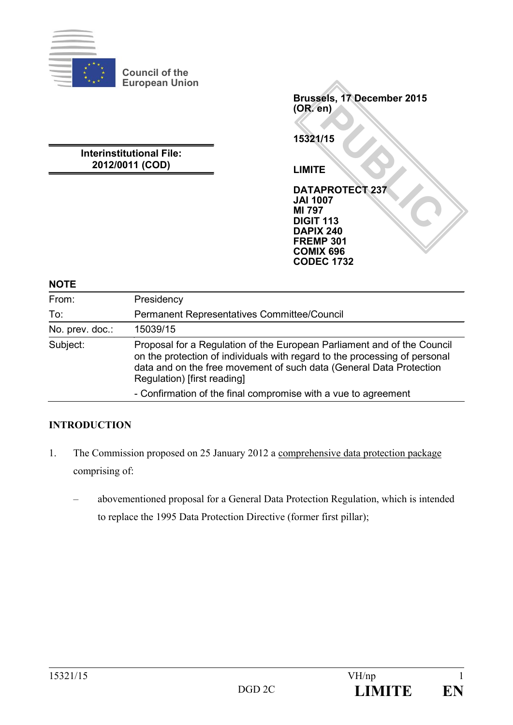

**Council of the European Union**

**Interinstitutional File: 2012/0011 (COD)**

PROTECT 237 **Brussels, 17 December 2015 (OR. en) 15321/15 LIMITE DATAPROTECT 237 JAI 1007 MI 797 DIGIT 113 DAPIX 240 FREMP 301 COMIX 696 CODEC 1732**

#### **NOTE**

| From:           | Presidency                                                                                                                                                                                                                                                  |
|-----------------|-------------------------------------------------------------------------------------------------------------------------------------------------------------------------------------------------------------------------------------------------------------|
| To:             | <b>Permanent Representatives Committee/Council</b>                                                                                                                                                                                                          |
| No. prev. doc.: | 15039/15                                                                                                                                                                                                                                                    |
| Subject:        | Proposal for a Regulation of the European Parliament and of the Council<br>on the protection of individuals with regard to the processing of personal<br>data and on the free movement of such data (General Data Protection<br>Regulation) [first reading] |
|                 | - Confirmation of the final compromise with a vue to agreement                                                                                                                                                                                              |

## **INTRODUCTION**

- 1. The Commission proposed on 25 January 2012 a comprehensive data protection package comprising of:
	- abovementioned proposal for a General Data Protection Regulation, which is intended to replace the 1995 Data Protection Directive (former first pillar);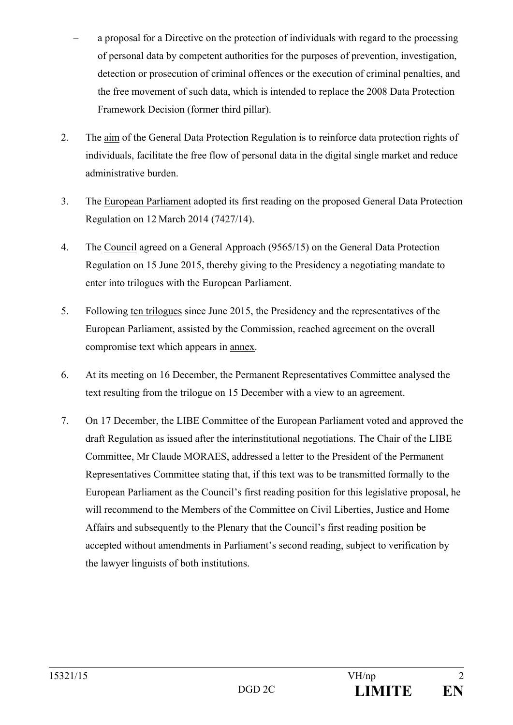- a proposal for a Directive on the protection of individuals with regard to the processing of personal data by competent authorities for the purposes of prevention, investigation, detection or prosecution of criminal offences or the execution of criminal penalties, and the free movement of such data, which is intended to replace the 2008 Data Protection Framework Decision (former third pillar).
- 2. The aim of the General Data Protection Regulation is to reinforce data protection rights of individuals, facilitate the free flow of personal data in the digital single market and reduce administrative burden.
- 3. The European Parliament adopted its first reading on the proposed General Data Protection Regulation on 12 March 2014 (7427/14).
- 4. The Council agreed on a General Approach (9565/15) on the General Data Protection Regulation on 15 June 2015, thereby giving to the Presidency a negotiating mandate to enter into trilogues with the European Parliament.
- 5. Following ten trilogues since June 2015, the Presidency and the representatives of the European Parliament, assisted by the Commission, reached agreement on the overall compromise text which appears in annex.
- 6. At its meeting on 16 December, the Permanent Representatives Committee analysed the text resulting from the trilogue on 15 December with a view to an agreement.
- 7. On 17 December, the LIBE Committee of the European Parliament voted and approved the draft Regulation as issued after the interinstitutional negotiations. The Chair of the LIBE Committee, Mr Claude MORAES, addressed a letter to the President of the Permanent Representatives Committee stating that, if this text was to be transmitted formally to the European Parliament as the Council's first reading position for this legislative proposal, he will recommend to the Members of the Committee on Civil Liberties, Justice and Home Affairs and subsequently to the Plenary that the Council's first reading position be accepted without amendments in Parliament's second reading, subject to verification by the lawyer linguists of both institutions.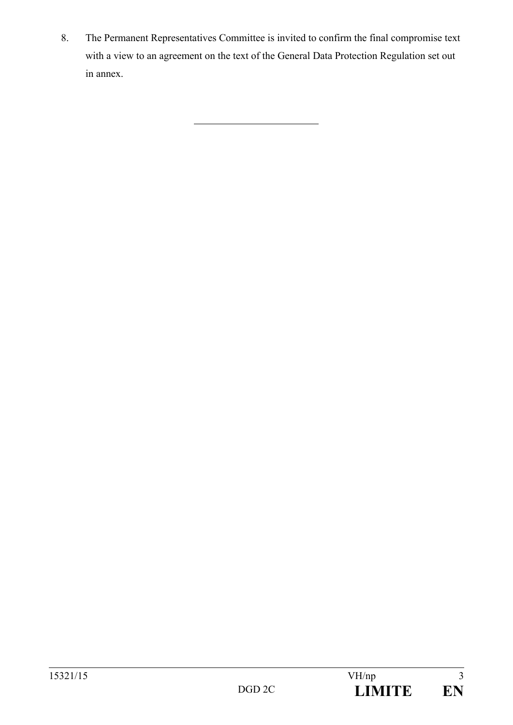8. The Permanent Representatives Committee is invited to confirm the final compromise text with a view to an agreement on the text of the General Data Protection Regulation set out in annex.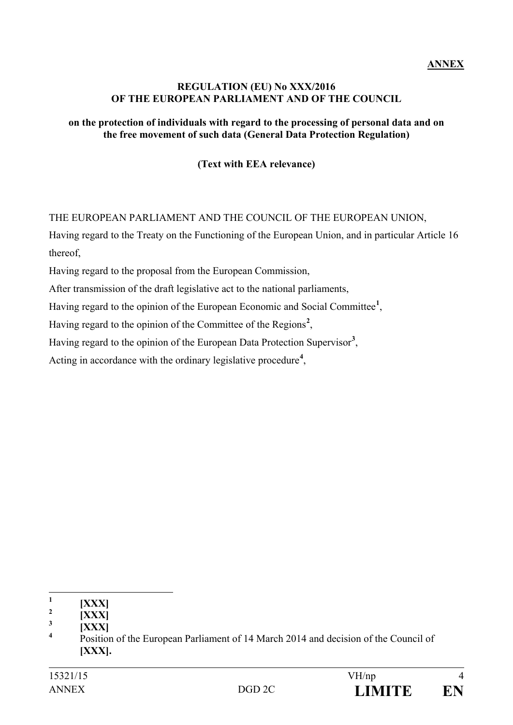#### **REGULATION (EU) No XXX/2016 OF THE EUROPEAN PARLIAMENT AND OF THE COUNCIL**

### **on the protection of individuals with regard to the processing of personal data and on the free movement of such data (General Data Protection Regulation)**

**(Text with EEA relevance)**

# THE EUROPEAN PARLIAMENT AND THE COUNCIL OF THE EUROPEAN UNION,

Having regard to the Treaty on the Functioning of the European Union, and in particular Article 16 thereof,

Having regard to the proposal from the European Commission,

After transmission of the draft legislative act to the national parliaments,

Having regard to the opinion of the European Economic and Social Committee**[1](#page-3-0)** ,

Having regard to the opinion of the Committee of the Regions<sup>[2](#page-3-1)</sup>,

Having regard to the opinion of the European Data Protection Supervisor**[3](#page-3-2)** ,

Acting in accordance with the ordinary legislative procedure**[4](#page-3-3)** ,

<span id="page-3-0"></span> $\frac{1}{2}$  **[XXX]** 

<span id="page-3-1"></span> $\frac{2}{3}$  **[XXX]** 

<span id="page-3-2"></span> $\frac{3}{4}$  **[XXX]** 

<span id="page-3-3"></span>**<sup>4</sup>** Position of the European Parliament of 14 March 2014 and decision of the Council of **[XXX].**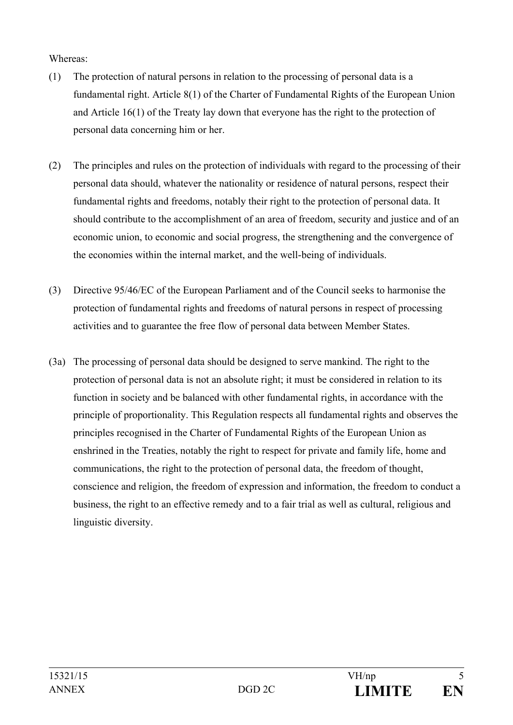### Whereas:

- (1) The protection of natural persons in relation to the processing of personal data is a fundamental right. Article 8(1) of the Charter of Fundamental Rights of the European Union and Article 16(1) of the Treaty lay down that everyone has the right to the protection of personal data concerning him or her.
- (2) The principles and rules on the protection of individuals with regard to the processing of their personal data should, whatever the nationality or residence of natural persons, respect their fundamental rights and freedoms, notably their right to the protection of personal data. It should contribute to the accomplishment of an area of freedom, security and justice and of an economic union, to economic and social progress, the strengthening and the convergence of the economies within the internal market, and the well-being of individuals.
- (3) Directive 95/46/EC of the European Parliament and of the Council seeks to harmonise the protection of fundamental rights and freedoms of natural persons in respect of processing activities and to guarantee the free flow of personal data between Member States.
- (3a) The processing of personal data should be designed to serve mankind. The right to the protection of personal data is not an absolute right; it must be considered in relation to its function in society and be balanced with other fundamental rights, in accordance with the principle of proportionality. This Regulation respects all fundamental rights and observes the principles recognised in the Charter of Fundamental Rights of the European Union as enshrined in the Treaties, notably the right to respect for private and family life, home and communications, the right to the protection of personal data, the freedom of thought, conscience and religion, the freedom of expression and information, the freedom to conduct a business, the right to an effective remedy and to a fair trial as well as cultural, religious and linguistic diversity.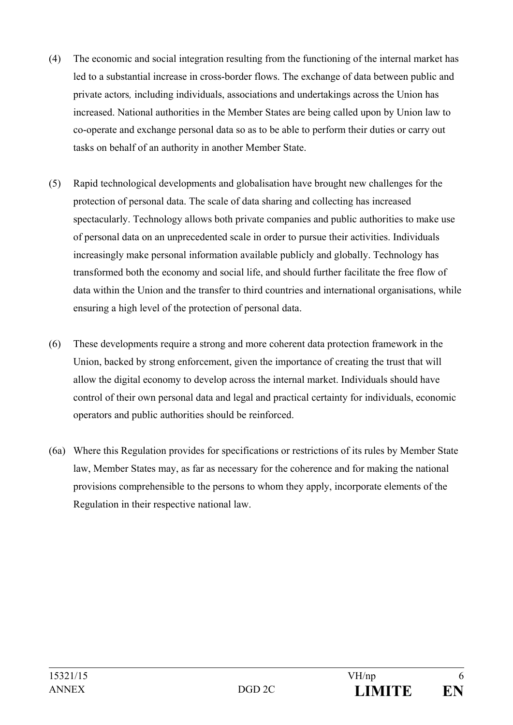- (4) The economic and social integration resulting from the functioning of the internal market has led to a substantial increase in cross-border flows. The exchange of data between public and private actors*,* including individuals, associations and undertakings across the Union has increased. National authorities in the Member States are being called upon by Union law to co-operate and exchange personal data so as to be able to perform their duties or carry out tasks on behalf of an authority in another Member State.
- (5) Rapid technological developments and globalisation have brought new challenges for the protection of personal data. The scale of data sharing and collecting has increased spectacularly. Technology allows both private companies and public authorities to make use of personal data on an unprecedented scale in order to pursue their activities. Individuals increasingly make personal information available publicly and globally. Technology has transformed both the economy and social life, and should further facilitate the free flow of data within the Union and the transfer to third countries and international organisations, while ensuring a high level of the protection of personal data.
- (6) These developments require a strong and more coherent data protection framework in the Union, backed by strong enforcement, given the importance of creating the trust that will allow the digital economy to develop across the internal market. Individuals should have control of their own personal data and legal and practical certainty for individuals, economic operators and public authorities should be reinforced.
- (6a) Where this Regulation provides for specifications or restrictions of its rules by Member State law, Member States may, as far as necessary for the coherence and for making the national provisions comprehensible to the persons to whom they apply, incorporate elements of the Regulation in their respective national law.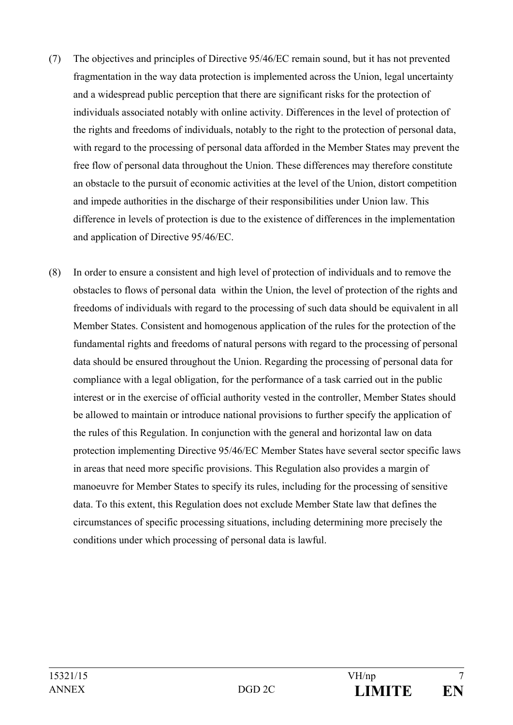- (7) The objectives and principles of Directive 95/46/EC remain sound, but it has not prevented fragmentation in the way data protection is implemented across the Union, legal uncertainty and a widespread public perception that there are significant risks for the protection of individuals associated notably with online activity. Differences in the level of protection of the rights and freedoms of individuals, notably to the right to the protection of personal data, with regard to the processing of personal data afforded in the Member States may prevent the free flow of personal data throughout the Union. These differences may therefore constitute an obstacle to the pursuit of economic activities at the level of the Union, distort competition and impede authorities in the discharge of their responsibilities under Union law. This difference in levels of protection is due to the existence of differences in the implementation and application of Directive 95/46/EC.
- (8) In order to ensure a consistent and high level of protection of individuals and to remove the obstacles to flows of personal data within the Union, the level of protection of the rights and freedoms of individuals with regard to the processing of such data should be equivalent in all Member States. Consistent and homogenous application of the rules for the protection of the fundamental rights and freedoms of natural persons with regard to the processing of personal data should be ensured throughout the Union. Regarding the processing of personal data for compliance with a legal obligation, for the performance of a task carried out in the public interest or in the exercise of official authority vested in the controller, Member States should be allowed to maintain or introduce national provisions to further specify the application of the rules of this Regulation. In conjunction with the general and horizontal law on data protection implementing Directive 95/46/EC Member States have several sector specific laws in areas that need more specific provisions. This Regulation also provides a margin of manoeuvre for Member States to specify its rules, including for the processing of sensitive data. To this extent, this Regulation does not exclude Member State law that defines the circumstances of specific processing situations, including determining more precisely the conditions under which processing of personal data is lawful.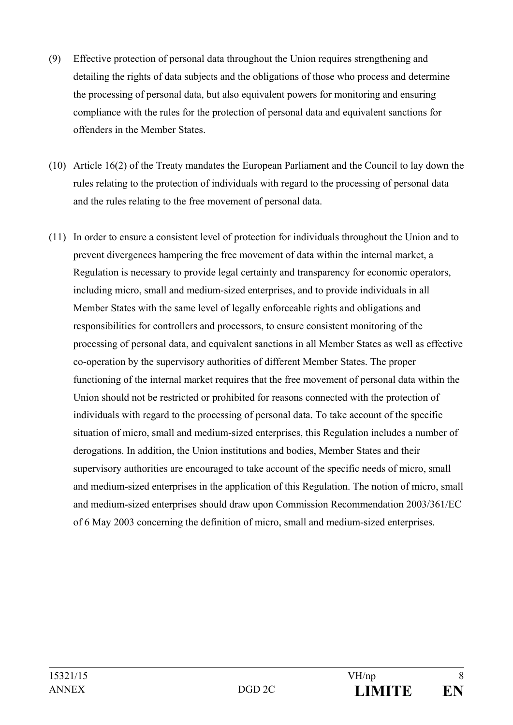- (9) Effective protection of personal data throughout the Union requires strengthening and detailing the rights of data subjects and the obligations of those who process and determine the processing of personal data, but also equivalent powers for monitoring and ensuring compliance with the rules for the protection of personal data and equivalent sanctions for offenders in the Member States.
- (10) Article 16(2) of the Treaty mandates the European Parliament and the Council to lay down the rules relating to the protection of individuals with regard to the processing of personal data and the rules relating to the free movement of personal data.
- (11) In order to ensure a consistent level of protection for individuals throughout the Union and to prevent divergences hampering the free movement of data within the internal market, a Regulation is necessary to provide legal certainty and transparency for economic operators, including micro, small and medium-sized enterprises, and to provide individuals in all Member States with the same level of legally enforceable rights and obligations and responsibilities for controllers and processors, to ensure consistent monitoring of the processing of personal data, and equivalent sanctions in all Member States as well as effective co-operation by the supervisory authorities of different Member States. The proper functioning of the internal market requires that the free movement of personal data within the Union should not be restricted or prohibited for reasons connected with the protection of individuals with regard to the processing of personal data. To take account of the specific situation of micro, small and medium-sized enterprises, this Regulation includes a number of derogations. In addition, the Union institutions and bodies, Member States and their supervisory authorities are encouraged to take account of the specific needs of micro, small and medium-sized enterprises in the application of this Regulation. The notion of micro, small and medium-sized enterprises should draw upon Commission Recommendation 2003/361/EC of 6 May 2003 concerning the definition of micro, small and medium-sized enterprises.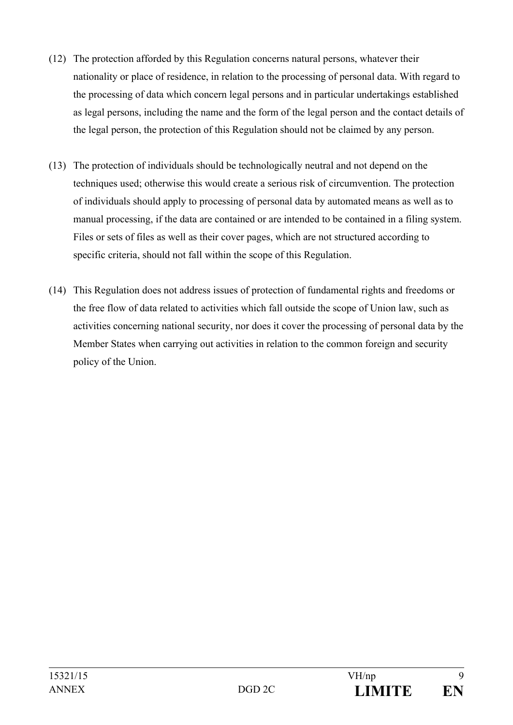- (12) The protection afforded by this Regulation concerns natural persons, whatever their nationality or place of residence, in relation to the processing of personal data. With regard to the processing of data which concern legal persons and in particular undertakings established as legal persons, including the name and the form of the legal person and the contact details of the legal person, the protection of this Regulation should not be claimed by any person.
- (13) The protection of individuals should be technologically neutral and not depend on the techniques used; otherwise this would create a serious risk of circumvention. The protection of individuals should apply to processing of personal data by automated means as well as to manual processing, if the data are contained or are intended to be contained in a filing system. Files or sets of files as well as their cover pages, which are not structured according to specific criteria, should not fall within the scope of this Regulation.
- (14) This Regulation does not address issues of protection of fundamental rights and freedoms or the free flow of data related to activities which fall outside the scope of Union law, such as activities concerning national security, nor does it cover the processing of personal data by the Member States when carrying out activities in relation to the common foreign and security policy of the Union.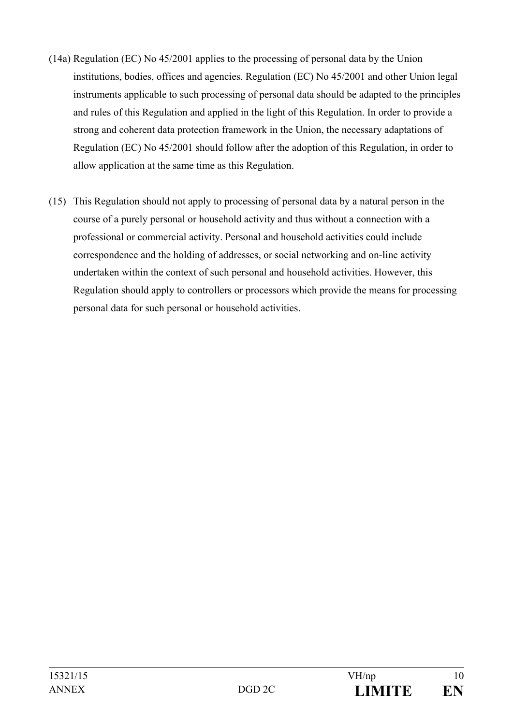- (14a) Regulation (EC) No 45/2001 applies to the processing of personal data by the Union institutions, bodies, offices and agencies. Regulation (EC) No 45/2001 and other Union legal instruments applicable to such processing of personal data should be adapted to the principles and rules of this Regulation and applied in the light of this Regulation. In order to provide a strong and coherent data protection framework in the Union, the necessary adaptations of Regulation (EC) No 45/2001 should follow after the adoption of this Regulation, in order to allow application at the same time as this Regulation.
- (15) This Regulation should not apply to processing of personal data by a natural person in the course of a purely personal or household activity and thus without a connection with a professional or commercial activity. Personal and household activities could include correspondence and the holding of addresses, or social networking and on-line activity undertaken within the context of such personal and household activities. However, this Regulation should apply to controllers or processors which provide the means for processing personal data for such personal or household activities.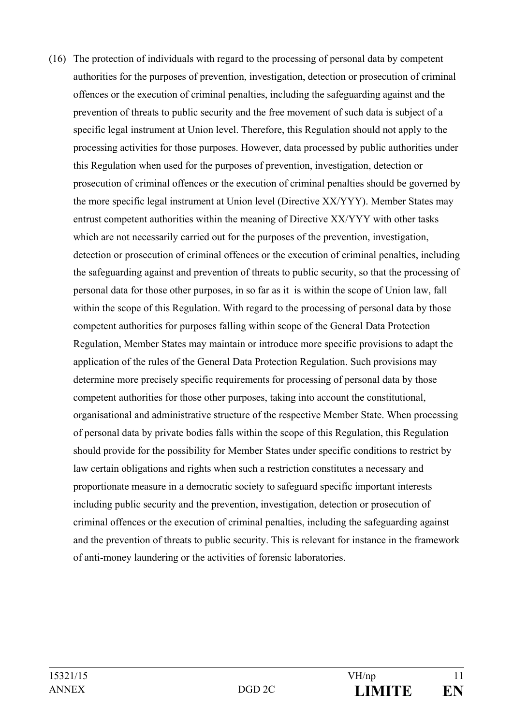(16) The protection of individuals with regard to the processing of personal data by competent authorities for the purposes of prevention, investigation, detection or prosecution of criminal offences or the execution of criminal penalties, including the safeguarding against and the prevention of threats to public security and the free movement of such data is subject of a specific legal instrument at Union level. Therefore, this Regulation should not apply to the processing activities for those purposes. However, data processed by public authorities under this Regulation when used for the purposes of prevention, investigation, detection or prosecution of criminal offences or the execution of criminal penalties should be governed by the more specific legal instrument at Union level (Directive XX/YYY). Member States may entrust competent authorities within the meaning of Directive XX/YYY with other tasks which are not necessarily carried out for the purposes of the prevention, investigation, detection or prosecution of criminal offences or the execution of criminal penalties, including the safeguarding against and prevention of threats to public security, so that the processing of personal data for those other purposes, in so far as it is within the scope of Union law, fall within the scope of this Regulation. With regard to the processing of personal data by those competent authorities for purposes falling within scope of the General Data Protection Regulation, Member States may maintain or introduce more specific provisions to adapt the application of the rules of the General Data Protection Regulation. Such provisions may determine more precisely specific requirements for processing of personal data by those competent authorities for those other purposes, taking into account the constitutional, organisational and administrative structure of the respective Member State. When processing of personal data by private bodies falls within the scope of this Regulation, this Regulation should provide for the possibility for Member States under specific conditions to restrict by law certain obligations and rights when such a restriction constitutes a necessary and proportionate measure in a democratic society to safeguard specific important interests including public security and the prevention, investigation, detection or prosecution of criminal offences or the execution of criminal penalties, including the safeguarding against and the prevention of threats to public security. This is relevant for instance in the framework of anti-money laundering or the activities of forensic laboratories.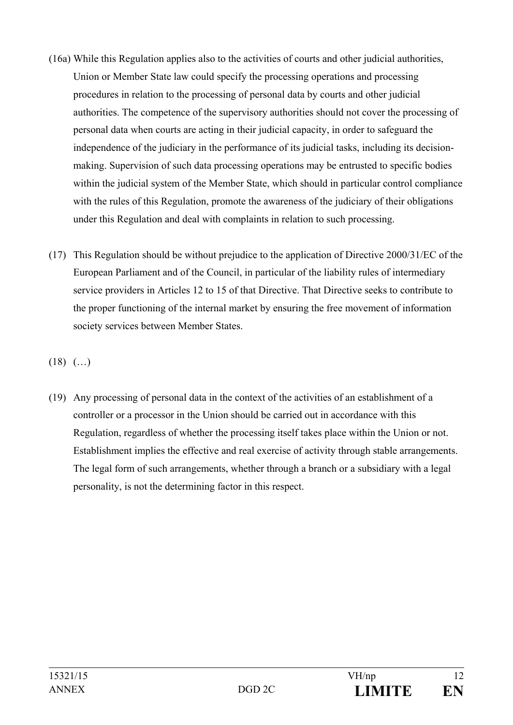- (16a) While this Regulation applies also to the activities of courts and other judicial authorities, Union or Member State law could specify the processing operations and processing procedures in relation to the processing of personal data by courts and other judicial authorities. The competence of the supervisory authorities should not cover the processing of personal data when courts are acting in their judicial capacity, in order to safeguard the independence of the judiciary in the performance of its judicial tasks, including its decisionmaking. Supervision of such data processing operations may be entrusted to specific bodies within the judicial system of the Member State, which should in particular control compliance with the rules of this Regulation, promote the awareness of the judiciary of their obligations under this Regulation and deal with complaints in relation to such processing.
- (17) This Regulation should be without prejudice to the application of Directive 2000/31/EC of the European Parliament and of the Council, in particular of the liability rules of intermediary service providers in Articles 12 to 15 of that Directive. That Directive seeks to contribute to the proper functioning of the internal market by ensuring the free movement of information society services between Member States.

 $(18)$   $(...)$ 

(19) Any processing of personal data in the context of the activities of an establishment of a controller or a processor in the Union should be carried out in accordance with this Regulation, regardless of whether the processing itself takes place within the Union or not. Establishment implies the effective and real exercise of activity through stable arrangements. The legal form of such arrangements, whether through a branch or a subsidiary with a legal personality, is not the determining factor in this respect.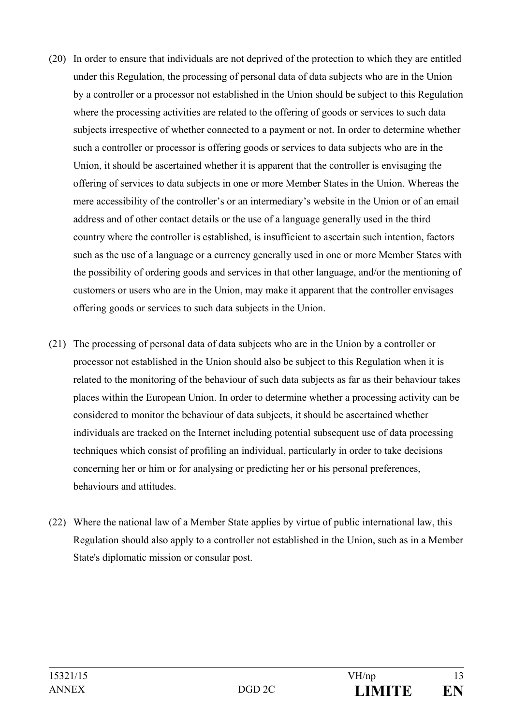- (20) In order to ensure that individuals are not deprived of the protection to which they are entitled under this Regulation, the processing of personal data of data subjects who are in the Union by a controller or a processor not established in the Union should be subject to this Regulation where the processing activities are related to the offering of goods or services to such data subjects irrespective of whether connected to a payment or not. In order to determine whether such a controller or processor is offering goods or services to data subjects who are in the Union, it should be ascertained whether it is apparent that the controller is envisaging the offering of services to data subjects in one or more Member States in the Union. Whereas the mere accessibility of the controller's or an intermediary's website in the Union or of an email address and of other contact details or the use of a language generally used in the third country where the controller is established, is insufficient to ascertain such intention, factors such as the use of a language or a currency generally used in one or more Member States with the possibility of ordering goods and services in that other language, and/or the mentioning of customers or users who are in the Union, may make it apparent that the controller envisages offering goods or services to such data subjects in the Union.
- (21) The processing of personal data of data subjects who are in the Union by a controller or processor not established in the Union should also be subject to this Regulation when it is related to the monitoring of the behaviour of such data subjects as far as their behaviour takes places within the European Union. In order to determine whether a processing activity can be considered to monitor the behaviour of data subjects, it should be ascertained whether individuals are tracked on the Internet including potential subsequent use of data processing techniques which consist of profiling an individual, particularly in order to take decisions concerning her or him or for analysing or predicting her or his personal preferences, behaviours and attitudes.
- (22) Where the national law of a Member State applies by virtue of public international law, this Regulation should also apply to a controller not established in the Union, such as in a Member State's diplomatic mission or consular post.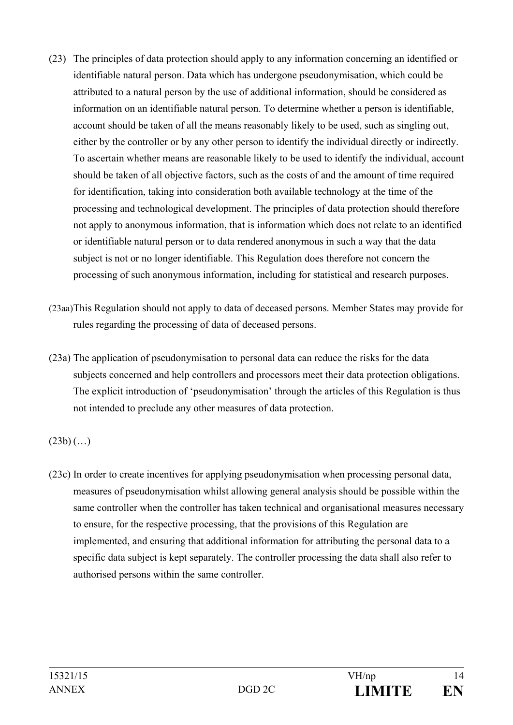- (23) The principles of data protection should apply to any information concerning an identified or identifiable natural person. Data which has undergone pseudonymisation, which could be attributed to a natural person by the use of additional information, should be considered as information on an identifiable natural person. To determine whether a person is identifiable, account should be taken of all the means reasonably likely to be used, such as singling out, either by the controller or by any other person to identify the individual directly or indirectly. To ascertain whether means are reasonable likely to be used to identify the individual, account should be taken of all objective factors, such as the costs of and the amount of time required for identification, taking into consideration both available technology at the time of the processing and technological development. The principles of data protection should therefore not apply to anonymous information, that is information which does not relate to an identified or identifiable natural person or to data rendered anonymous in such a way that the data subject is not or no longer identifiable. This Regulation does therefore not concern the processing of such anonymous information, including for statistical and research purposes.
- (23aa)This Regulation should not apply to data of deceased persons. Member States may provide for rules regarding the processing of data of deceased persons.
- (23a) The application of pseudonymisation to personal data can reduce the risks for the data subjects concerned and help controllers and processors meet their data protection obligations. The explicit introduction of 'pseudonymisation' through the articles of this Regulation is thus not intended to preclude any other measures of data protection.

 $(23b)$  (...)

(23c) In order to create incentives for applying pseudonymisation when processing personal data, measures of pseudonymisation whilst allowing general analysis should be possible within the same controller when the controller has taken technical and organisational measures necessary to ensure, for the respective processing, that the provisions of this Regulation are implemented, and ensuring that additional information for attributing the personal data to a specific data subject is kept separately. The controller processing the data shall also refer to authorised persons within the same controller.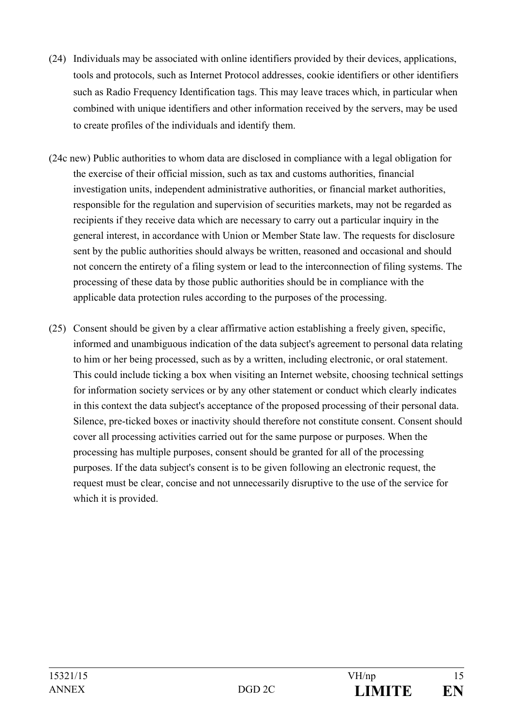- (24) Individuals may be associated with online identifiers provided by their devices, applications, tools and protocols, such as Internet Protocol addresses, cookie identifiers or other identifiers such as Radio Frequency Identification tags. This may leave traces which, in particular when combined with unique identifiers and other information received by the servers, may be used to create profiles of the individuals and identify them.
- (24c new) Public authorities to whom data are disclosed in compliance with a legal obligation for the exercise of their official mission, such as tax and customs authorities, financial investigation units, independent administrative authorities, or financial market authorities, responsible for the regulation and supervision of securities markets, may not be regarded as recipients if they receive data which are necessary to carry out a particular inquiry in the general interest, in accordance with Union or Member State law. The requests for disclosure sent by the public authorities should always be written, reasoned and occasional and should not concern the entirety of a filing system or lead to the interconnection of filing systems. The processing of these data by those public authorities should be in compliance with the applicable data protection rules according to the purposes of the processing.
- (25) Consent should be given by a clear affirmative action establishing a freely given, specific, informed and unambiguous indication of the data subject's agreement to personal data relating to him or her being processed, such as by a written, including electronic, or oral statement. This could include ticking a box when visiting an Internet website, choosing technical settings for information society services or by any other statement or conduct which clearly indicates in this context the data subject's acceptance of the proposed processing of their personal data. Silence, pre-ticked boxes or inactivity should therefore not constitute consent. Consent should cover all processing activities carried out for the same purpose or purposes. When the processing has multiple purposes, consent should be granted for all of the processing purposes. If the data subject's consent is to be given following an electronic request, the request must be clear, concise and not unnecessarily disruptive to the use of the service for which it is provided.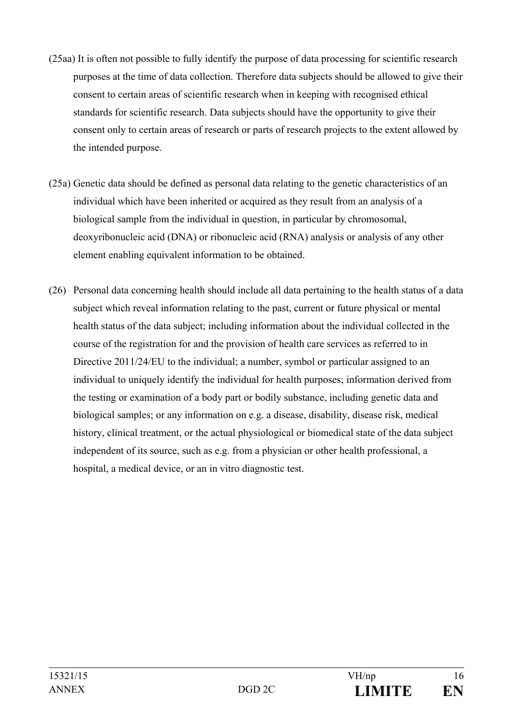- (25aa) It is often not possible to fully identify the purpose of data processing for scientific research purposes at the time of data collection. Therefore data subjects should be allowed to give their consent to certain areas of scientific research when in keeping with recognised ethical standards for scientific research. Data subjects should have the opportunity to give their consent only to certain areas of research or parts of research projects to the extent allowed by the intended purpose.
- (25a) Genetic data should be defined as personal data relating to the genetic characteristics of an individual which have been inherited or acquired as they result from an analysis of a biological sample from the individual in question, in particular by chromosomal, deoxyribonucleic acid (DNA) or ribonucleic acid (RNA) analysis or analysis of any other element enabling equivalent information to be obtained.
- (26) Personal data concerning health should include all data pertaining to the health status of a data subject which reveal information relating to the past, current or future physical or mental health status of the data subject; including information about the individual collected in the course of the registration for and the provision of health care services as referred to in Directive 2011/24/EU to the individual; a number, symbol or particular assigned to an individual to uniquely identify the individual for health purposes; information derived from the testing or examination of a body part or bodily substance, including genetic data and biological samples; or any information on e.g. a disease, disability, disease risk, medical history, clinical treatment, or the actual physiological or biomedical state of the data subject independent of its source, such as e.g. from a physician or other health professional, a hospital, a medical device, or an in vitro diagnostic test.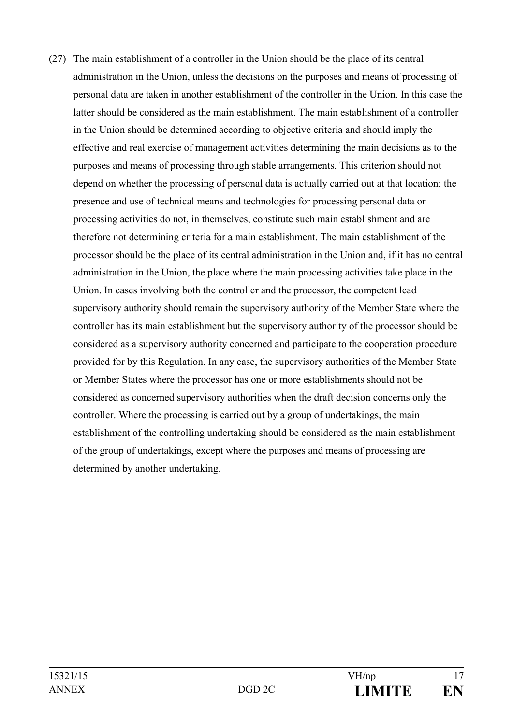(27) The main establishment of a controller in the Union should be the place of its central administration in the Union, unless the decisions on the purposes and means of processing of personal data are taken in another establishment of the controller in the Union. In this case the latter should be considered as the main establishment. The main establishment of a controller in the Union should be determined according to objective criteria and should imply the effective and real exercise of management activities determining the main decisions as to the purposes and means of processing through stable arrangements. This criterion should not depend on whether the processing of personal data is actually carried out at that location; the presence and use of technical means and technologies for processing personal data or processing activities do not, in themselves, constitute such main establishment and are therefore not determining criteria for a main establishment. The main establishment of the processor should be the place of its central administration in the Union and, if it has no central administration in the Union, the place where the main processing activities take place in the Union. In cases involving both the controller and the processor, the competent lead supervisory authority should remain the supervisory authority of the Member State where the controller has its main establishment but the supervisory authority of the processor should be considered as a supervisory authority concerned and participate to the cooperation procedure provided for by this Regulation. In any case, the supervisory authorities of the Member State or Member States where the processor has one or more establishments should not be considered as concerned supervisory authorities when the draft decision concerns only the controller. Where the processing is carried out by a group of undertakings, the main establishment of the controlling undertaking should be considered as the main establishment of the group of undertakings, except where the purposes and means of processing are determined by another undertaking.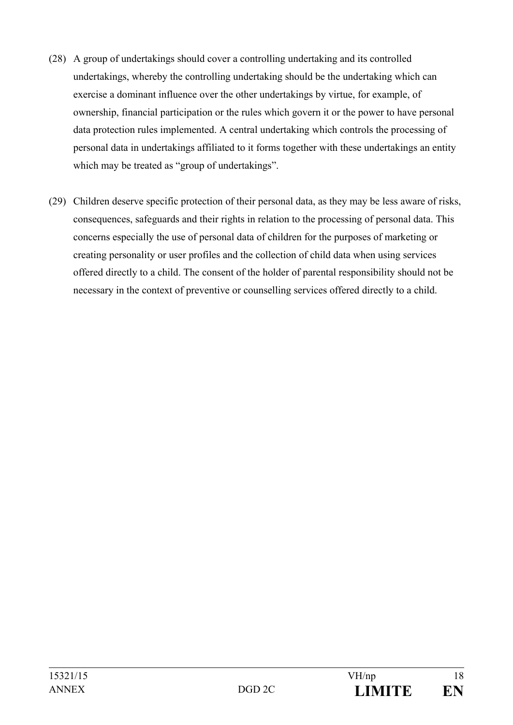- (28) A group of undertakings should cover a controlling undertaking and its controlled undertakings, whereby the controlling undertaking should be the undertaking which can exercise a dominant influence over the other undertakings by virtue, for example, of ownership, financial participation or the rules which govern it or the power to have personal data protection rules implemented. A central undertaking which controls the processing of personal data in undertakings affiliated to it forms together with these undertakings an entity which may be treated as "group of undertakings".
- (29) Children deserve specific protection of their personal data, as they may be less aware of risks, consequences, safeguards and their rights in relation to the processing of personal data. This concerns especially the use of personal data of children for the purposes of marketing or creating personality or user profiles and the collection of child data when using services offered directly to a child. The consent of the holder of parental responsibility should not be necessary in the context of preventive or counselling services offered directly to a child.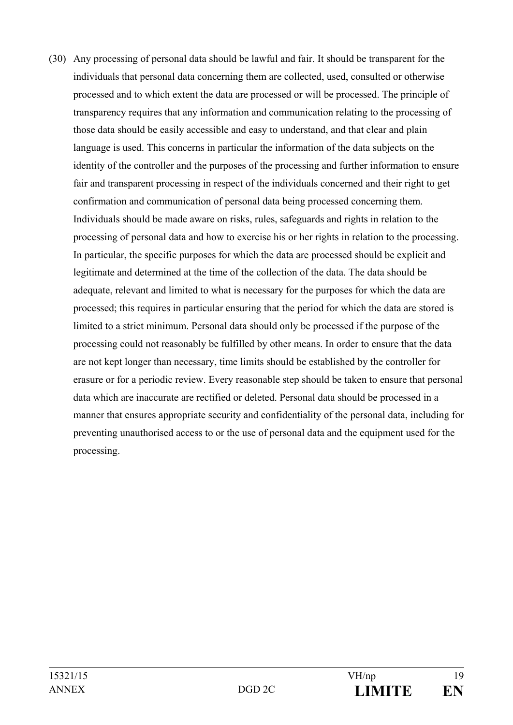(30) Any processing of personal data should be lawful and fair. It should be transparent for the individuals that personal data concerning them are collected, used, consulted or otherwise processed and to which extent the data are processed or will be processed. The principle of transparency requires that any information and communication relating to the processing of those data should be easily accessible and easy to understand, and that clear and plain language is used. This concerns in particular the information of the data subjects on the identity of the controller and the purposes of the processing and further information to ensure fair and transparent processing in respect of the individuals concerned and their right to get confirmation and communication of personal data being processed concerning them. Individuals should be made aware on risks, rules, safeguards and rights in relation to the processing of personal data and how to exercise his or her rights in relation to the processing. In particular, the specific purposes for which the data are processed should be explicit and legitimate and determined at the time of the collection of the data. The data should be adequate, relevant and limited to what is necessary for the purposes for which the data are processed; this requires in particular ensuring that the period for which the data are stored is limited to a strict minimum. Personal data should only be processed if the purpose of the processing could not reasonably be fulfilled by other means. In order to ensure that the data are not kept longer than necessary, time limits should be established by the controller for erasure or for a periodic review. Every reasonable step should be taken to ensure that personal data which are inaccurate are rectified or deleted. Personal data should be processed in a manner that ensures appropriate security and confidentiality of the personal data, including for preventing unauthorised access to or the use of personal data and the equipment used for the processing.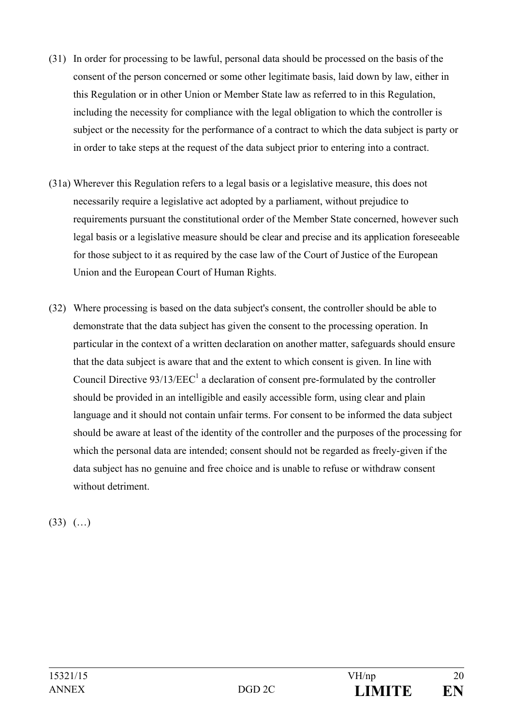- (31) In order for processing to be lawful, personal data should be processed on the basis of the consent of the person concerned or some other legitimate basis, laid down by law, either in this Regulation or in other Union or Member State law as referred to in this Regulation, including the necessity for compliance with the legal obligation to which the controller is subject or the necessity for the performance of a contract to which the data subject is party or in order to take steps at the request of the data subject prior to entering into a contract.
- (31a) Wherever this Regulation refers to a legal basis or a legislative measure, this does not necessarily require a legislative act adopted by a parliament, without prejudice to requirements pursuant the constitutional order of the Member State concerned, however such legal basis or a legislative measure should be clear and precise and its application foreseeable for those subject to it as required by the case law of the Court of Justice of the European Union and the European Court of Human Rights.
- (32) Where processing is based on the data subject's consent, the controller should be able to demonstrate that the data subject has given the consent to the processing operation. In particular in the context of a written declaration on another matter, safeguards should ensure that the data subject is aware that and the extent to which consent is given. In line with Council Directive  $93/13/EEC<sup>1</sup>$  a declaration of consent pre-formulated by the controller should be provided in an intelligible and easily accessible form, using clear and plain language and it should not contain unfair terms. For consent to be informed the data subject should be aware at least of the identity of the controller and the purposes of the processing for which the personal data are intended; consent should not be regarded as freely-given if the data subject has no genuine and free choice and is unable to refuse or withdraw consent without detriment.

 $(33)$   $(...)$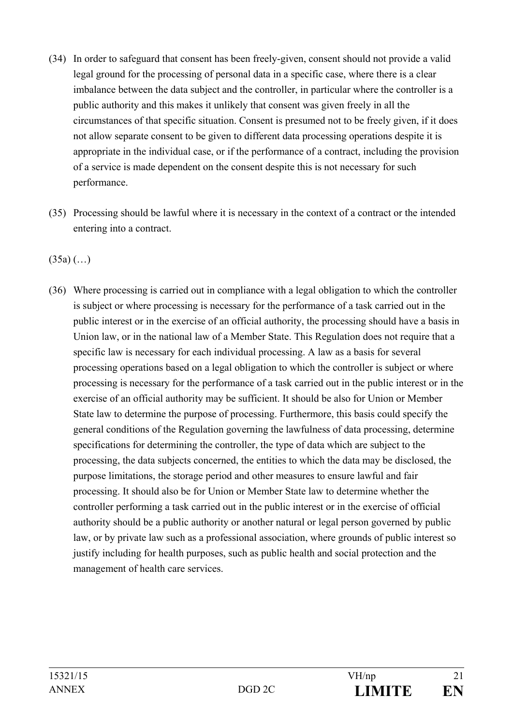- (34) In order to safeguard that consent has been freely-given, consent should not provide a valid legal ground for the processing of personal data in a specific case, where there is a clear imbalance between the data subject and the controller, in particular where the controller is a public authority and this makes it unlikely that consent was given freely in all the circumstances of that specific situation. Consent is presumed not to be freely given, if it does not allow separate consent to be given to different data processing operations despite it is appropriate in the individual case, or if the performance of a contract, including the provision of a service is made dependent on the consent despite this is not necessary for such performance.
- (35) Processing should be lawful where it is necessary in the context of a contract or the intended entering into a contract.

 $(35a)$  (...)

(36) Where processing is carried out in compliance with a legal obligation to which the controller is subject or where processing is necessary for the performance of a task carried out in the public interest or in the exercise of an official authority, the processing should have a basis in Union law, or in the national law of a Member State. This Regulation does not require that a specific law is necessary for each individual processing. A law as a basis for several processing operations based on a legal obligation to which the controller is subject or where processing is necessary for the performance of a task carried out in the public interest or in the exercise of an official authority may be sufficient. It should be also for Union or Member State law to determine the purpose of processing. Furthermore, this basis could specify the general conditions of the Regulation governing the lawfulness of data processing, determine specifications for determining the controller, the type of data which are subject to the processing, the data subjects concerned, the entities to which the data may be disclosed, the purpose limitations, the storage period and other measures to ensure lawful and fair processing. It should also be for Union or Member State law to determine whether the controller performing a task carried out in the public interest or in the exercise of official authority should be a public authority or another natural or legal person governed by public law, or by private law such as a professional association, where grounds of public interest so justify including for health purposes, such as public health and social protection and the management of health care services.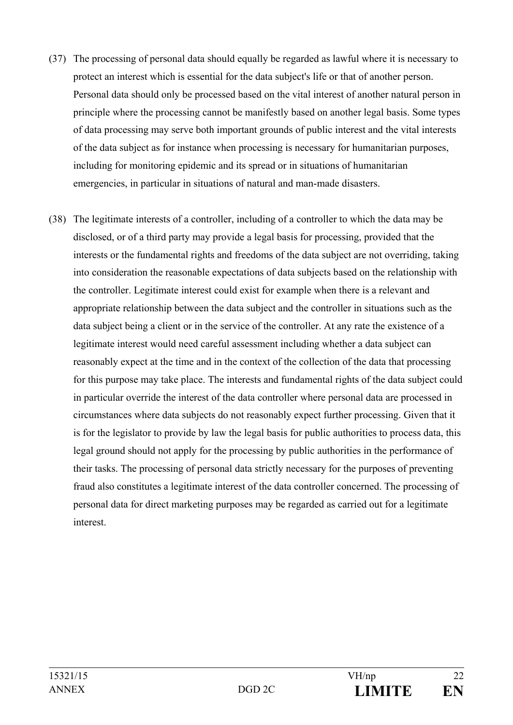- (37) The processing of personal data should equally be regarded as lawful where it is necessary to protect an interest which is essential for the data subject's life or that of another person. Personal data should only be processed based on the vital interest of another natural person in principle where the processing cannot be manifestly based on another legal basis. Some types of data processing may serve both important grounds of public interest and the vital interests of the data subject as for instance when processing is necessary for humanitarian purposes, including for monitoring epidemic and its spread or in situations of humanitarian emergencies, in particular in situations of natural and man-made disasters.
- (38) The legitimate interests of a controller, including of a controller to which the data may be disclosed, or of a third party may provide a legal basis for processing, provided that the interests or the fundamental rights and freedoms of the data subject are not overriding, taking into consideration the reasonable expectations of data subjects based on the relationship with the controller. Legitimate interest could exist for example when there is a relevant and appropriate relationship between the data subject and the controller in situations such as the data subject being a client or in the service of the controller. At any rate the existence of a legitimate interest would need careful assessment including whether a data subject can reasonably expect at the time and in the context of the collection of the data that processing for this purpose may take place. The interests and fundamental rights of the data subject could in particular override the interest of the data controller where personal data are processed in circumstances where data subjects do not reasonably expect further processing. Given that it is for the legislator to provide by law the legal basis for public authorities to process data, this legal ground should not apply for the processing by public authorities in the performance of their tasks. The processing of personal data strictly necessary for the purposes of preventing fraud also constitutes a legitimate interest of the data controller concerned. The processing of personal data for direct marketing purposes may be regarded as carried out for a legitimate interest.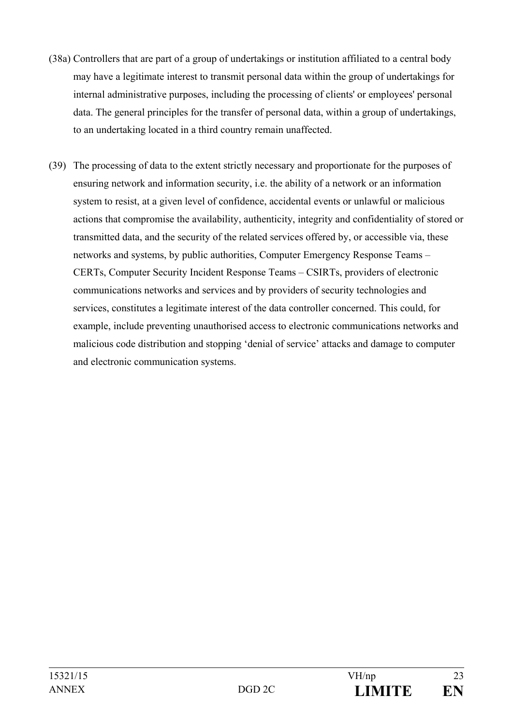- (38a) Controllers that are part of a group of undertakings or institution affiliated to a central body may have a legitimate interest to transmit personal data within the group of undertakings for internal administrative purposes, including the processing of clients' or employees' personal data. The general principles for the transfer of personal data, within a group of undertakings, to an undertaking located in a third country remain unaffected.
- (39) The processing of data to the extent strictly necessary and proportionate for the purposes of ensuring network and information security, i.e. the ability of a network or an information system to resist, at a given level of confidence, accidental events or unlawful or malicious actions that compromise the availability, authenticity, integrity and confidentiality of stored or transmitted data, and the security of the related services offered by, or accessible via, these networks and systems, by public authorities, Computer Emergency Response Teams – CERTs, Computer Security Incident Response Teams – CSIRTs, providers of electronic communications networks and services and by providers of security technologies and services, constitutes a legitimate interest of the data controller concerned. This could, for example, include preventing unauthorised access to electronic communications networks and malicious code distribution and stopping 'denial of service' attacks and damage to computer and electronic communication systems.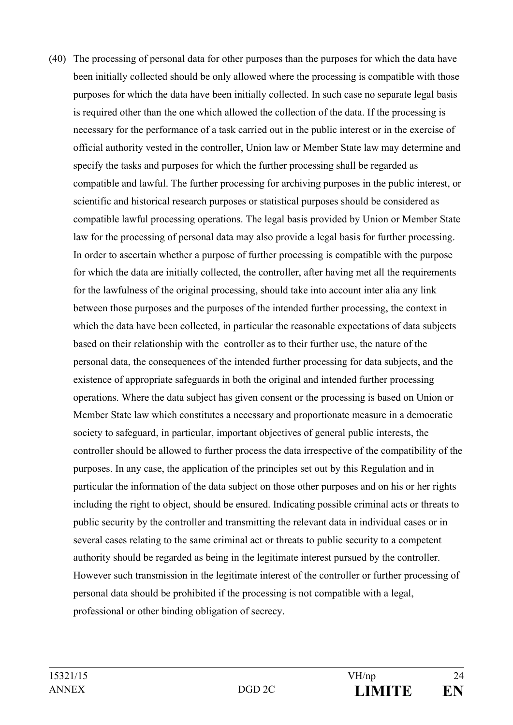(40) The processing of personal data for other purposes than the purposes for which the data have been initially collected should be only allowed where the processing is compatible with those purposes for which the data have been initially collected. In such case no separate legal basis is required other than the one which allowed the collection of the data. If the processing is necessary for the performance of a task carried out in the public interest or in the exercise of official authority vested in the controller, Union law or Member State law may determine and specify the tasks and purposes for which the further processing shall be regarded as compatible and lawful. The further processing for archiving purposes in the public interest, or scientific and historical research purposes or statistical purposes should be considered as compatible lawful processing operations. The legal basis provided by Union or Member State law for the processing of personal data may also provide a legal basis for further processing. In order to ascertain whether a purpose of further processing is compatible with the purpose for which the data are initially collected, the controller, after having met all the requirements for the lawfulness of the original processing, should take into account inter alia any link between those purposes and the purposes of the intended further processing, the context in which the data have been collected, in particular the reasonable expectations of data subjects based on their relationship with the controller as to their further use, the nature of the personal data, the consequences of the intended further processing for data subjects, and the existence of appropriate safeguards in both the original and intended further processing operations. Where the data subject has given consent or the processing is based on Union or Member State law which constitutes a necessary and proportionate measure in a democratic society to safeguard, in particular, important objectives of general public interests, the controller should be allowed to further process the data irrespective of the compatibility of the purposes. In any case, the application of the principles set out by this Regulation and in particular the information of the data subject on those other purposes and on his or her rights including the right to object, should be ensured. Indicating possible criminal acts or threats to public security by the controller and transmitting the relevant data in individual cases or in several cases relating to the same criminal act or threats to public security to a competent authority should be regarded as being in the legitimate interest pursued by the controller. However such transmission in the legitimate interest of the controller or further processing of personal data should be prohibited if the processing is not compatible with a legal, professional or other binding obligation of secrecy.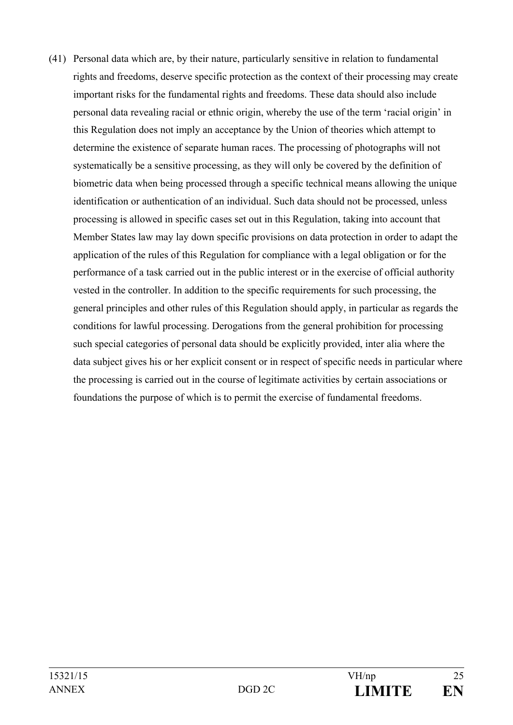(41) Personal data which are, by their nature, particularly sensitive in relation to fundamental rights and freedoms, deserve specific protection as the context of their processing may create important risks for the fundamental rights and freedoms. These data should also include personal data revealing racial or ethnic origin, whereby the use of the term 'racial origin' in this Regulation does not imply an acceptance by the Union of theories which attempt to determine the existence of separate human races. The processing of photographs will not systematically be a sensitive processing, as they will only be covered by the definition of biometric data when being processed through a specific technical means allowing the unique identification or authentication of an individual. Such data should not be processed, unless processing is allowed in specific cases set out in this Regulation, taking into account that Member States law may lay down specific provisions on data protection in order to adapt the application of the rules of this Regulation for compliance with a legal obligation or for the performance of a task carried out in the public interest or in the exercise of official authority vested in the controller. In addition to the specific requirements for such processing, the general principles and other rules of this Regulation should apply, in particular as regards the conditions for lawful processing. Derogations from the general prohibition for processing such special categories of personal data should be explicitly provided, inter alia where the data subject gives his or her explicit consent or in respect of specific needs in particular where the processing is carried out in the course of legitimate activities by certain associations or foundations the purpose of which is to permit the exercise of fundamental freedoms.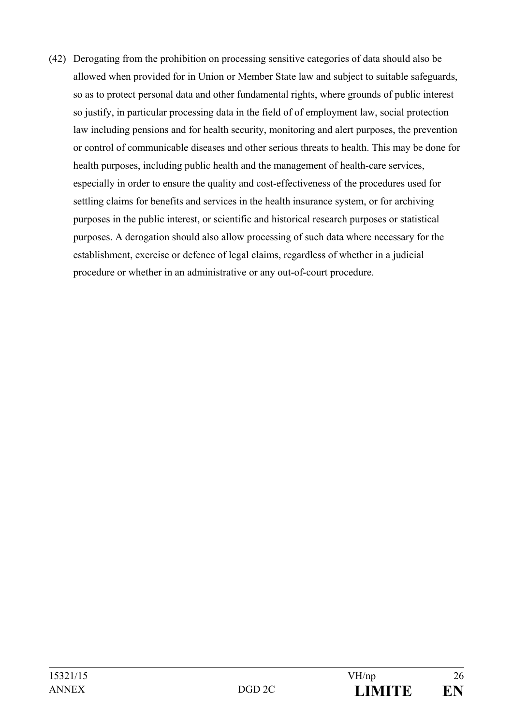(42) Derogating from the prohibition on processing sensitive categories of data should also be allowed when provided for in Union or Member State law and subject to suitable safeguards, so as to protect personal data and other fundamental rights, where grounds of public interest so justify, in particular processing data in the field of of employment law, social protection law including pensions and for health security, monitoring and alert purposes, the prevention or control of communicable diseases and other serious threats to health. This may be done for health purposes, including public health and the management of health-care services, especially in order to ensure the quality and cost-effectiveness of the procedures used for settling claims for benefits and services in the health insurance system, or for archiving purposes in the public interest, or scientific and historical research purposes or statistical purposes. A derogation should also allow processing of such data where necessary for the establishment, exercise or defence of legal claims, regardless of whether in a judicial procedure or whether in an administrative or any out-of-court procedure.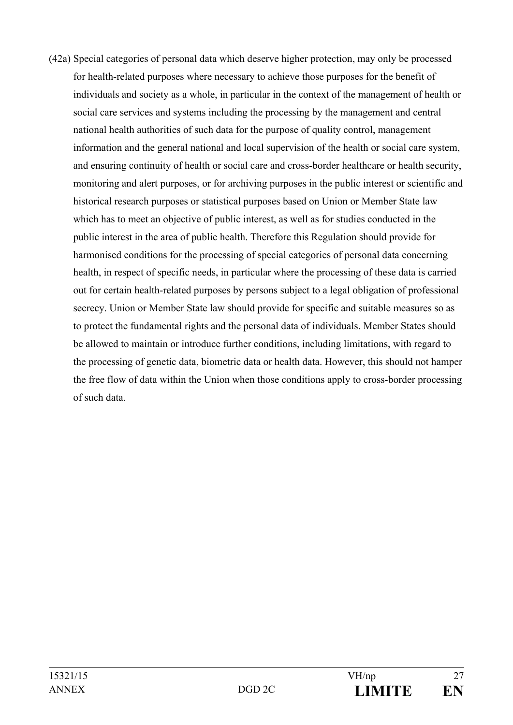(42a) Special categories of personal data which deserve higher protection, may only be processed for health-related purposes where necessary to achieve those purposes for the benefit of individuals and society as a whole, in particular in the context of the management of health or social care services and systems including the processing by the management and central national health authorities of such data for the purpose of quality control, management information and the general national and local supervision of the health or social care system, and ensuring continuity of health or social care and cross-border healthcare or health security, monitoring and alert purposes, or for archiving purposes in the public interest or scientific and historical research purposes or statistical purposes based on Union or Member State law which has to meet an objective of public interest, as well as for studies conducted in the public interest in the area of public health. Therefore this Regulation should provide for harmonised conditions for the processing of special categories of personal data concerning health, in respect of specific needs, in particular where the processing of these data is carried out for certain health-related purposes by persons subject to a legal obligation of professional secrecy. Union or Member State law should provide for specific and suitable measures so as to protect the fundamental rights and the personal data of individuals. Member States should be allowed to maintain or introduce further conditions, including limitations, with regard to the processing of genetic data, biometric data or health data. However, this should not hamper the free flow of data within the Union when those conditions apply to cross-border processing of such data.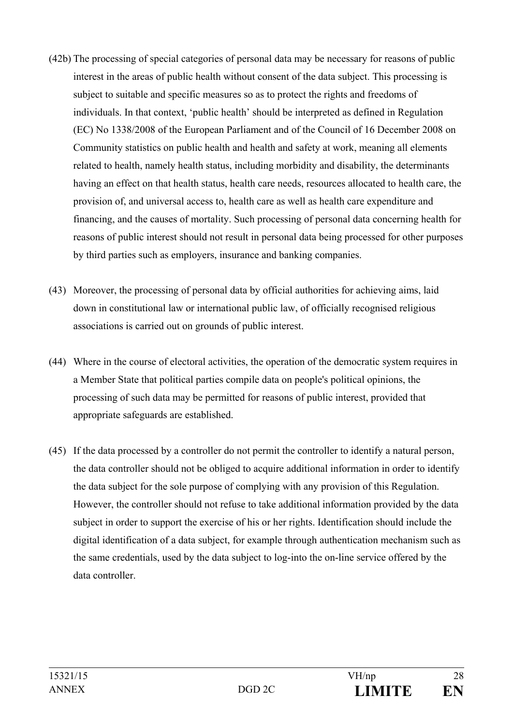- (42b) The processing of special categories of personal data may be necessary for reasons of public interest in the areas of public health without consent of the data subject. This processing is subject to suitable and specific measures so as to protect the rights and freedoms of individuals. In that context, 'public health' should be interpreted as defined in Regulation (EC) No 1338/2008 of the European Parliament and of the Council of 16 December 2008 on Community statistics on public health and health and safety at work, meaning all elements related to health, namely health status, including morbidity and disability, the determinants having an effect on that health status, health care needs, resources allocated to health care, the provision of, and universal access to, health care as well as health care expenditure and financing, and the causes of mortality. Such processing of personal data concerning health for reasons of public interest should not result in personal data being processed for other purposes by third parties such as employers, insurance and banking companies.
- (43) Moreover, the processing of personal data by official authorities for achieving aims, laid down in constitutional law or international public law, of officially recognised religious associations is carried out on grounds of public interest.
- (44) Where in the course of electoral activities, the operation of the democratic system requires in a Member State that political parties compile data on people's political opinions, the processing of such data may be permitted for reasons of public interest, provided that appropriate safeguards are established.
- (45) If the data processed by a controller do not permit the controller to identify a natural person, the data controller should not be obliged to acquire additional information in order to identify the data subject for the sole purpose of complying with any provision of this Regulation. However, the controller should not refuse to take additional information provided by the data subject in order to support the exercise of his or her rights. Identification should include the digital identification of a data subject, for example through authentication mechanism such as the same credentials, used by the data subject to log-into the on-line service offered by the data controller.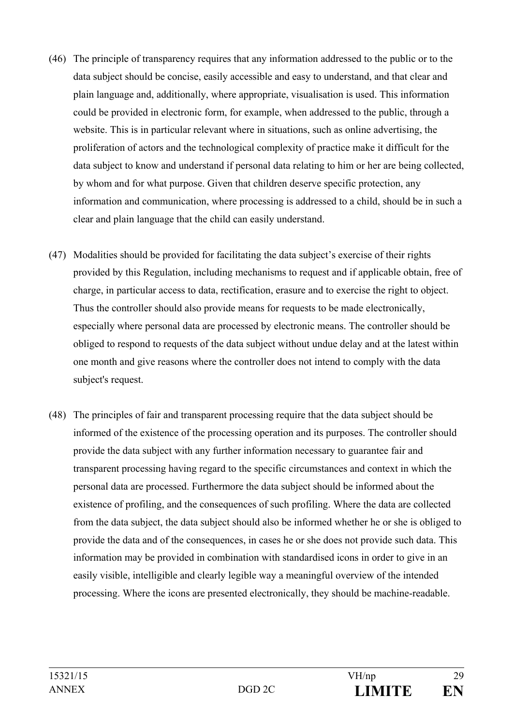- (46) The principle of transparency requires that any information addressed to the public or to the data subject should be concise, easily accessible and easy to understand, and that clear and plain language and, additionally, where appropriate, visualisation is used. This information could be provided in electronic form, for example, when addressed to the public, through a website. This is in particular relevant where in situations, such as online advertising, the proliferation of actors and the technological complexity of practice make it difficult for the data subject to know and understand if personal data relating to him or her are being collected, by whom and for what purpose. Given that children deserve specific protection, any information and communication, where processing is addressed to a child, should be in such a clear and plain language that the child can easily understand.
- (47) Modalities should be provided for facilitating the data subject's exercise of their rights provided by this Regulation, including mechanisms to request and if applicable obtain, free of charge, in particular access to data, rectification, erasure and to exercise the right to object. Thus the controller should also provide means for requests to be made electronically, especially where personal data are processed by electronic means. The controller should be obliged to respond to requests of the data subject without undue delay and at the latest within one month and give reasons where the controller does not intend to comply with the data subject's request.
- (48) The principles of fair and transparent processing require that the data subject should be informed of the existence of the processing operation and its purposes. The controller should provide the data subject with any further information necessary to guarantee fair and transparent processing having regard to the specific circumstances and context in which the personal data are processed. Furthermore the data subject should be informed about the existence of profiling, and the consequences of such profiling. Where the data are collected from the data subject, the data subject should also be informed whether he or she is obliged to provide the data and of the consequences, in cases he or she does not provide such data. This information may be provided in combination with standardised icons in order to give in an easily visible, intelligible and clearly legible way a meaningful overview of the intended processing. Where the icons are presented electronically, they should be machine-readable.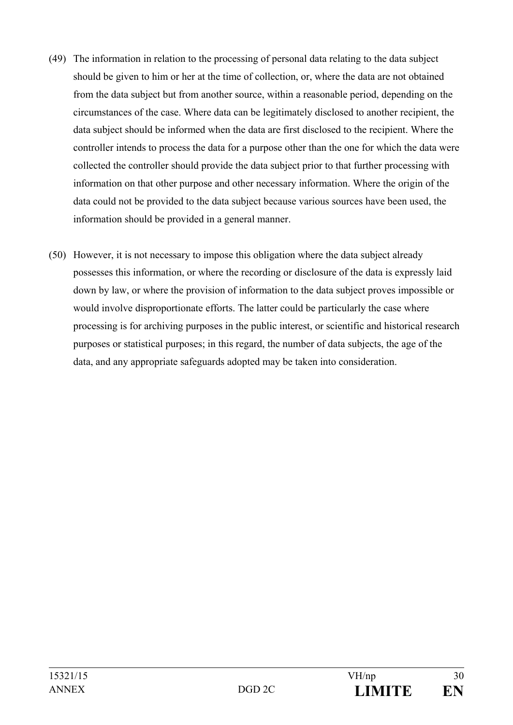- (49) The information in relation to the processing of personal data relating to the data subject should be given to him or her at the time of collection, or, where the data are not obtained from the data subject but from another source, within a reasonable period, depending on the circumstances of the case. Where data can be legitimately disclosed to another recipient, the data subject should be informed when the data are first disclosed to the recipient. Where the controller intends to process the data for a purpose other than the one for which the data were collected the controller should provide the data subject prior to that further processing with information on that other purpose and other necessary information. Where the origin of the data could not be provided to the data subject because various sources have been used, the information should be provided in a general manner.
- (50) However, it is not necessary to impose this obligation where the data subject already possesses this information, or where the recording or disclosure of the data is expressly laid down by law, or where the provision of information to the data subject proves impossible or would involve disproportionate efforts. The latter could be particularly the case where processing is for archiving purposes in the public interest, or scientific and historical research purposes or statistical purposes; in this regard, the number of data subjects, the age of the data, and any appropriate safeguards adopted may be taken into consideration.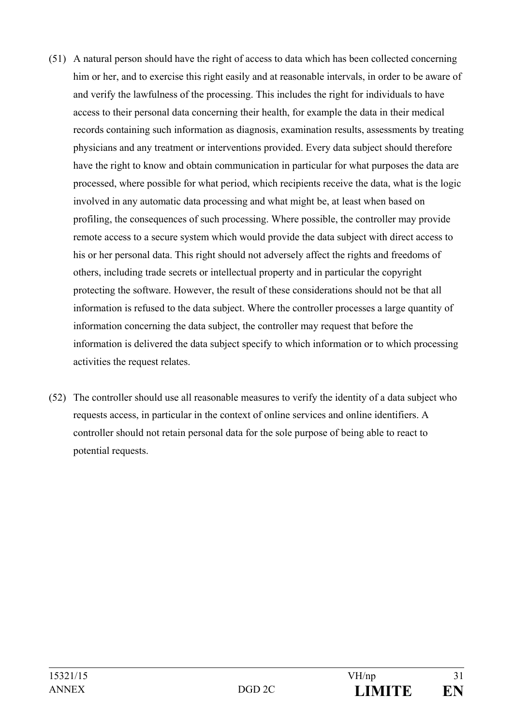- (51) A natural person should have the right of access to data which has been collected concerning him or her, and to exercise this right easily and at reasonable intervals, in order to be aware of and verify the lawfulness of the processing. This includes the right for individuals to have access to their personal data concerning their health, for example the data in their medical records containing such information as diagnosis, examination results, assessments by treating physicians and any treatment or interventions provided. Every data subject should therefore have the right to know and obtain communication in particular for what purposes the data are processed, where possible for what period, which recipients receive the data, what is the logic involved in any automatic data processing and what might be, at least when based on profiling, the consequences of such processing. Where possible, the controller may provide remote access to a secure system which would provide the data subject with direct access to his or her personal data. This right should not adversely affect the rights and freedoms of others, including trade secrets or intellectual property and in particular the copyright protecting the software. However, the result of these considerations should not be that all information is refused to the data subject. Where the controller processes a large quantity of information concerning the data subject, the controller may request that before the information is delivered the data subject specify to which information or to which processing activities the request relates.
- (52) The controller should use all reasonable measures to verify the identity of a data subject who requests access, in particular in the context of online services and online identifiers. A controller should not retain personal data for the sole purpose of being able to react to potential requests.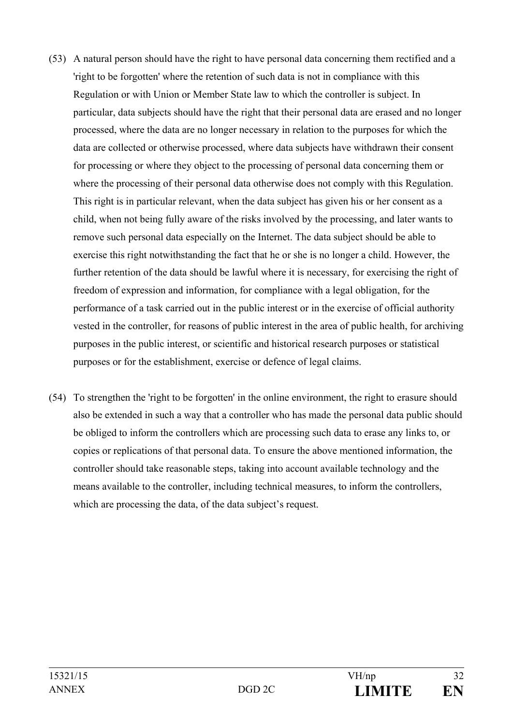- (53) A natural person should have the right to have personal data concerning them rectified and a 'right to be forgotten' where the retention of such data is not in compliance with this Regulation or with Union or Member State law to which the controller is subject. In particular, data subjects should have the right that their personal data are erased and no longer processed, where the data are no longer necessary in relation to the purposes for which the data are collected or otherwise processed, where data subjects have withdrawn their consent for processing or where they object to the processing of personal data concerning them or where the processing of their personal data otherwise does not comply with this Regulation. This right is in particular relevant, when the data subject has given his or her consent as a child, when not being fully aware of the risks involved by the processing, and later wants to remove such personal data especially on the Internet. The data subject should be able to exercise this right notwithstanding the fact that he or she is no longer a child. However, the further retention of the data should be lawful where it is necessary, for exercising the right of freedom of expression and information, for compliance with a legal obligation, for the performance of a task carried out in the public interest or in the exercise of official authority vested in the controller, for reasons of public interest in the area of public health, for archiving purposes in the public interest, or scientific and historical research purposes or statistical purposes or for the establishment, exercise or defence of legal claims.
- (54) To strengthen the 'right to be forgotten' in the online environment, the right to erasure should also be extended in such a way that a controller who has made the personal data public should be obliged to inform the controllers which are processing such data to erase any links to, or copies or replications of that personal data. To ensure the above mentioned information, the controller should take reasonable steps, taking into account available technology and the means available to the controller, including technical measures, to inform the controllers, which are processing the data, of the data subject's request.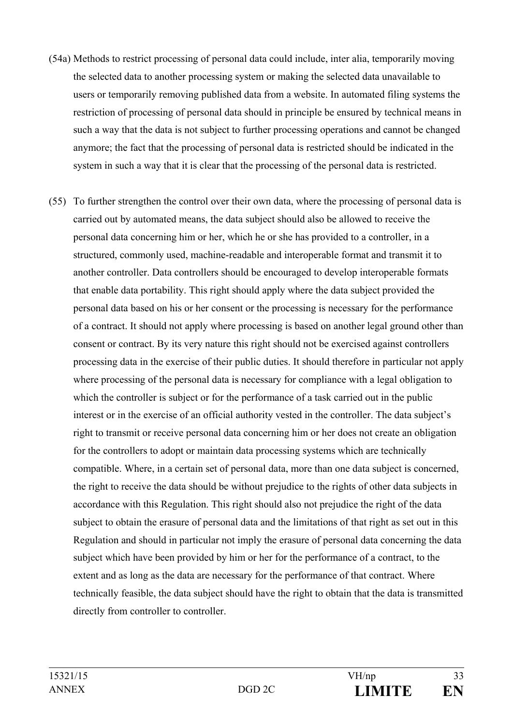- (54a) Methods to restrict processing of personal data could include, inter alia, temporarily moving the selected data to another processing system or making the selected data unavailable to users or temporarily removing published data from a website. In automated filing systems the restriction of processing of personal data should in principle be ensured by technical means in such a way that the data is not subject to further processing operations and cannot be changed anymore; the fact that the processing of personal data is restricted should be indicated in the system in such a way that it is clear that the processing of the personal data is restricted.
- (55) To further strengthen the control over their own data, where the processing of personal data is carried out by automated means, the data subject should also be allowed to receive the personal data concerning him or her, which he or she has provided to a controller, in a structured, commonly used, machine-readable and interoperable format and transmit it to another controller. Data controllers should be encouraged to develop interoperable formats that enable data portability. This right should apply where the data subject provided the personal data based on his or her consent or the processing is necessary for the performance of a contract. It should not apply where processing is based on another legal ground other than consent or contract. By its very nature this right should not be exercised against controllers processing data in the exercise of their public duties. It should therefore in particular not apply where processing of the personal data is necessary for compliance with a legal obligation to which the controller is subject or for the performance of a task carried out in the public interest or in the exercise of an official authority vested in the controller. The data subject's right to transmit or receive personal data concerning him or her does not create an obligation for the controllers to adopt or maintain data processing systems which are technically compatible. Where, in a certain set of personal data, more than one data subject is concerned, the right to receive the data should be without prejudice to the rights of other data subjects in accordance with this Regulation. This right should also not prejudice the right of the data subject to obtain the erasure of personal data and the limitations of that right as set out in this Regulation and should in particular not imply the erasure of personal data concerning the data subject which have been provided by him or her for the performance of a contract, to the extent and as long as the data are necessary for the performance of that contract. Where technically feasible, the data subject should have the right to obtain that the data is transmitted directly from controller to controller.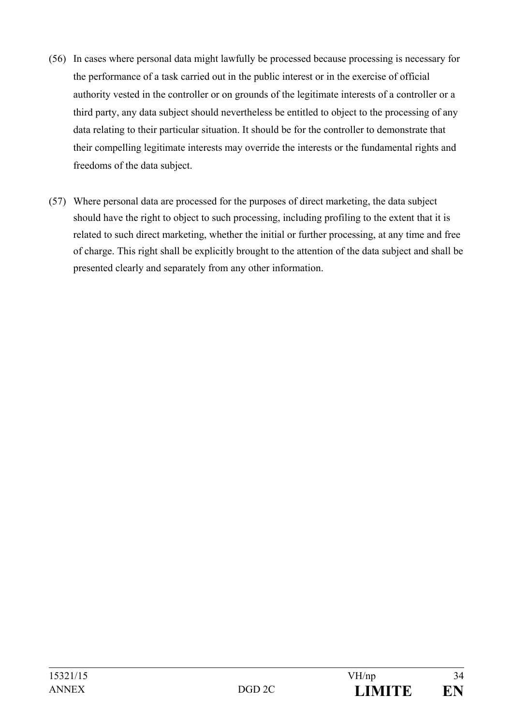- (56) In cases where personal data might lawfully be processed because processing is necessary for the performance of a task carried out in the public interest or in the exercise of official authority vested in the controller or on grounds of the legitimate interests of a controller or a third party, any data subject should nevertheless be entitled to object to the processing of any data relating to their particular situation. It should be for the controller to demonstrate that their compelling legitimate interests may override the interests or the fundamental rights and freedoms of the data subject.
- (57) Where personal data are processed for the purposes of direct marketing, the data subject should have the right to object to such processing, including profiling to the extent that it is related to such direct marketing, whether the initial or further processing, at any time and free of charge. This right shall be explicitly brought to the attention of the data subject and shall be presented clearly and separately from any other information.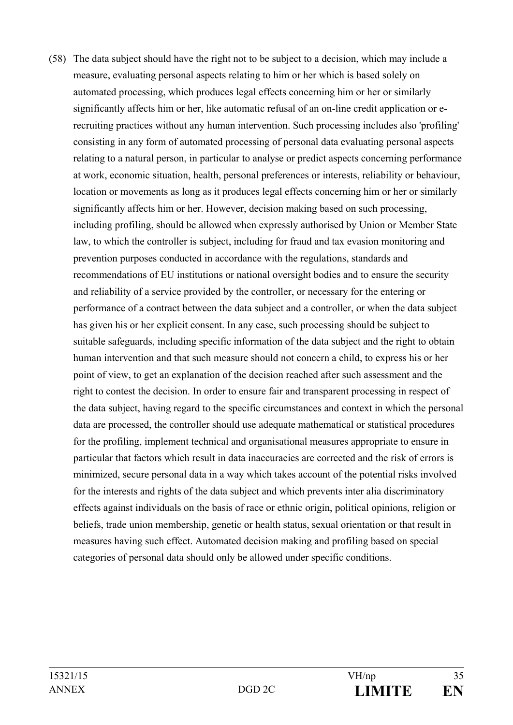(58) The data subject should have the right not to be subject to a decision, which may include a measure, evaluating personal aspects relating to him or her which is based solely on automated processing, which produces legal effects concerning him or her or similarly significantly affects him or her, like automatic refusal of an on-line credit application or erecruiting practices without any human intervention. Such processing includes also 'profiling' consisting in any form of automated processing of personal data evaluating personal aspects relating to a natural person, in particular to analyse or predict aspects concerning performance at work, economic situation, health, personal preferences or interests, reliability or behaviour, location or movements as long as it produces legal effects concerning him or her or similarly significantly affects him or her. However, decision making based on such processing, including profiling, should be allowed when expressly authorised by Union or Member State law, to which the controller is subject, including for fraud and tax evasion monitoring and prevention purposes conducted in accordance with the regulations, standards and recommendations of EU institutions or national oversight bodies and to ensure the security and reliability of a service provided by the controller, or necessary for the entering or performance of a contract between the data subject and a controller, or when the data subject has given his or her explicit consent. In any case, such processing should be subject to suitable safeguards, including specific information of the data subject and the right to obtain human intervention and that such measure should not concern a child, to express his or her point of view, to get an explanation of the decision reached after such assessment and the right to contest the decision. In order to ensure fair and transparent processing in respect of the data subject, having regard to the specific circumstances and context in which the personal data are processed, the controller should use adequate mathematical or statistical procedures for the profiling, implement technical and organisational measures appropriate to ensure in particular that factors which result in data inaccuracies are corrected and the risk of errors is minimized, secure personal data in a way which takes account of the potential risks involved for the interests and rights of the data subject and which prevents inter alia discriminatory effects against individuals on the basis of race or ethnic origin, political opinions, religion or beliefs, trade union membership, genetic or health status, sexual orientation or that result in measures having such effect. Automated decision making and profiling based on special categories of personal data should only be allowed under specific conditions.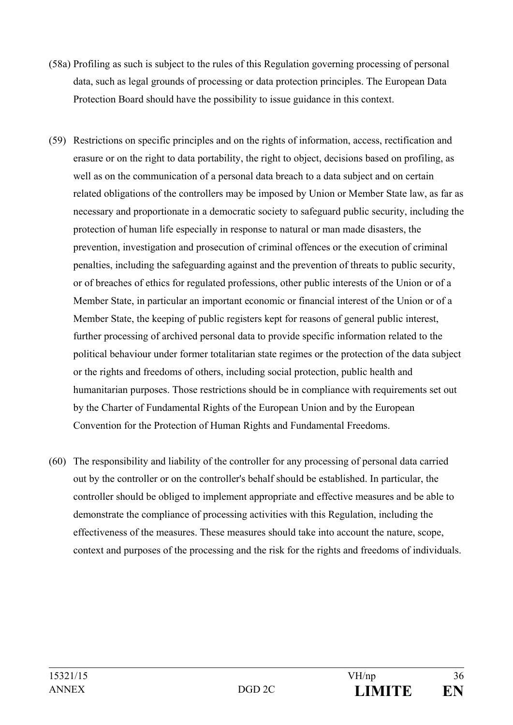- (58a) Profiling as such is subject to the rules of this Regulation governing processing of personal data, such as legal grounds of processing or data protection principles. The European Data Protection Board should have the possibility to issue guidance in this context.
- (59) Restrictions on specific principles and on the rights of information, access, rectification and erasure or on the right to data portability, the right to object, decisions based on profiling, as well as on the communication of a personal data breach to a data subject and on certain related obligations of the controllers may be imposed by Union or Member State law, as far as necessary and proportionate in a democratic society to safeguard public security, including the protection of human life especially in response to natural or man made disasters, the prevention, investigation and prosecution of criminal offences or the execution of criminal penalties, including the safeguarding against and the prevention of threats to public security, or of breaches of ethics for regulated professions, other public interests of the Union or of a Member State, in particular an important economic or financial interest of the Union or of a Member State, the keeping of public registers kept for reasons of general public interest, further processing of archived personal data to provide specific information related to the political behaviour under former totalitarian state regimes or the protection of the data subject or the rights and freedoms of others, including social protection, public health and humanitarian purposes. Those restrictions should be in compliance with requirements set out by the Charter of Fundamental Rights of the European Union and by the European Convention for the Protection of Human Rights and Fundamental Freedoms.
- (60) The responsibility and liability of the controller for any processing of personal data carried out by the controller or on the controller's behalf should be established. In particular, the controller should be obliged to implement appropriate and effective measures and be able to demonstrate the compliance of processing activities with this Regulation, including the effectiveness of the measures. These measures should take into account the nature, scope, context and purposes of the processing and the risk for the rights and freedoms of individuals.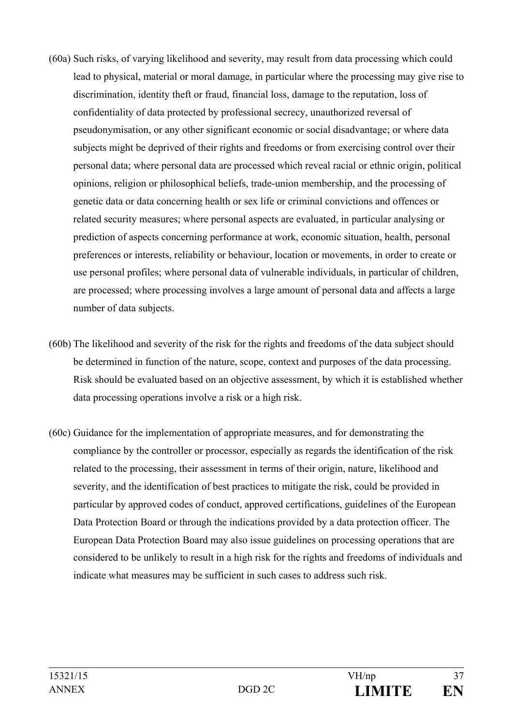- (60a) Such risks, of varying likelihood and severity, may result from data processing which could lead to physical, material or moral damage, in particular where the processing may give rise to discrimination, identity theft or fraud, financial loss, damage to the reputation, loss of confidentiality of data protected by professional secrecy, unauthorized reversal of pseudonymisation, or any other significant economic or social disadvantage; or where data subjects might be deprived of their rights and freedoms or from exercising control over their personal data; where personal data are processed which reveal racial or ethnic origin, political opinions, religion or philosophical beliefs, trade-union membership, and the processing of genetic data or data concerning health or sex life or criminal convictions and offences or related security measures; where personal aspects are evaluated, in particular analysing or prediction of aspects concerning performance at work, economic situation, health, personal preferences or interests, reliability or behaviour, location or movements, in order to create or use personal profiles; where personal data of vulnerable individuals, in particular of children, are processed; where processing involves a large amount of personal data and affects a large number of data subjects.
- (60b) The likelihood and severity of the risk for the rights and freedoms of the data subject should be determined in function of the nature, scope, context and purposes of the data processing. Risk should be evaluated based on an objective assessment, by which it is established whether data processing operations involve a risk or a high risk.
- (60c) Guidance for the implementation of appropriate measures, and for demonstrating the compliance by the controller or processor, especially as regards the identification of the risk related to the processing, their assessment in terms of their origin, nature, likelihood and severity, and the identification of best practices to mitigate the risk, could be provided in particular by approved codes of conduct, approved certifications, guidelines of the European Data Protection Board or through the indications provided by a data protection officer. The European Data Protection Board may also issue guidelines on processing operations that are considered to be unlikely to result in a high risk for the rights and freedoms of individuals and indicate what measures may be sufficient in such cases to address such risk.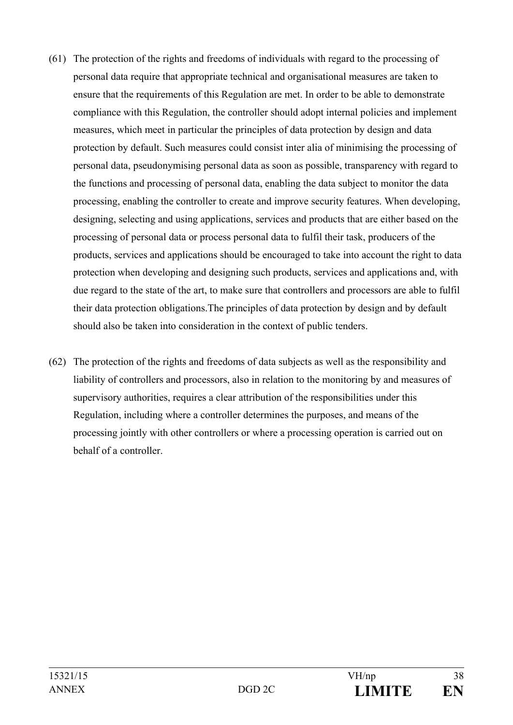- (61) The protection of the rights and freedoms of individuals with regard to the processing of personal data require that appropriate technical and organisational measures are taken to ensure that the requirements of this Regulation are met. In order to be able to demonstrate compliance with this Regulation, the controller should adopt internal policies and implement measures, which meet in particular the principles of data protection by design and data protection by default. Such measures could consist inter alia of minimising the processing of personal data, pseudonymising personal data as soon as possible, transparency with regard to the functions and processing of personal data, enabling the data subject to monitor the data processing, enabling the controller to create and improve security features. When developing, designing, selecting and using applications, services and products that are either based on the processing of personal data or process personal data to fulfil their task, producers of the products, services and applications should be encouraged to take into account the right to data protection when developing and designing such products, services and applications and, with due regard to the state of the art, to make sure that controllers and processors are able to fulfil their data protection obligations.The principles of data protection by design and by default should also be taken into consideration in the context of public tenders.
- (62) The protection of the rights and freedoms of data subjects as well as the responsibility and liability of controllers and processors, also in relation to the monitoring by and measures of supervisory authorities, requires a clear attribution of the responsibilities under this Regulation, including where a controller determines the purposes, and means of the processing jointly with other controllers or where a processing operation is carried out on behalf of a controller.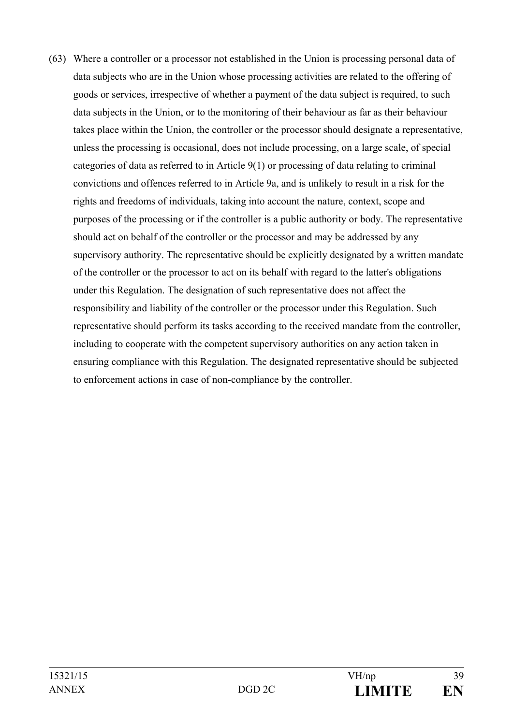(63) Where a controller or a processor not established in the Union is processing personal data of data subjects who are in the Union whose processing activities are related to the offering of goods or services, irrespective of whether a payment of the data subject is required, to such data subjects in the Union, or to the monitoring of their behaviour as far as their behaviour takes place within the Union, the controller or the processor should designate a representative, unless the processing is occasional, does not include processing, on a large scale, of special categories of data as referred to in Article 9(1) or processing of data relating to criminal convictions and offences referred to in Article 9a, and is unlikely to result in a risk for the rights and freedoms of individuals, taking into account the nature, context, scope and purposes of the processing or if the controller is a public authority or body. The representative should act on behalf of the controller or the processor and may be addressed by any supervisory authority. The representative should be explicitly designated by a written mandate of the controller or the processor to act on its behalf with regard to the latter's obligations under this Regulation. The designation of such representative does not affect the responsibility and liability of the controller or the processor under this Regulation. Such representative should perform its tasks according to the received mandate from the controller, including to cooperate with the competent supervisory authorities on any action taken in ensuring compliance with this Regulation. The designated representative should be subjected to enforcement actions in case of non-compliance by the controller.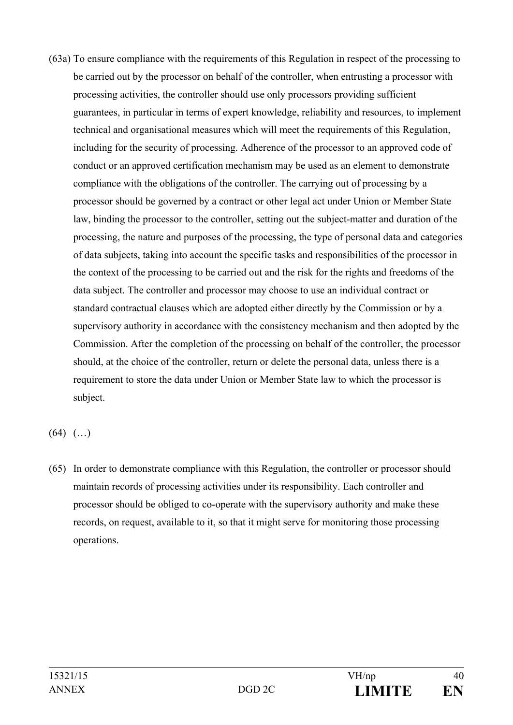(63a) To ensure compliance with the requirements of this Regulation in respect of the processing to be carried out by the processor on behalf of the controller, when entrusting a processor with processing activities, the controller should use only processors providing sufficient guarantees, in particular in terms of expert knowledge, reliability and resources, to implement technical and organisational measures which will meet the requirements of this Regulation, including for the security of processing. Adherence of the processor to an approved code of conduct or an approved certification mechanism may be used as an element to demonstrate compliance with the obligations of the controller. The carrying out of processing by a processor should be governed by a contract or other legal act under Union or Member State law, binding the processor to the controller, setting out the subject-matter and duration of the processing, the nature and purposes of the processing, the type of personal data and categories of data subjects, taking into account the specific tasks and responsibilities of the processor in the context of the processing to be carried out and the risk for the rights and freedoms of the data subject. The controller and processor may choose to use an individual contract or standard contractual clauses which are adopted either directly by the Commission or by a supervisory authority in accordance with the consistency mechanism and then adopted by the Commission. After the completion of the processing on behalf of the controller, the processor should, at the choice of the controller, return or delete the personal data, unless there is a requirement to store the data under Union or Member State law to which the processor is subject.

 $(64)$   $($ ...)

(65) In order to demonstrate compliance with this Regulation, the controller or processor should maintain records of processing activities under its responsibility. Each controller and processor should be obliged to co-operate with the supervisory authority and make these records, on request, available to it, so that it might serve for monitoring those processing operations.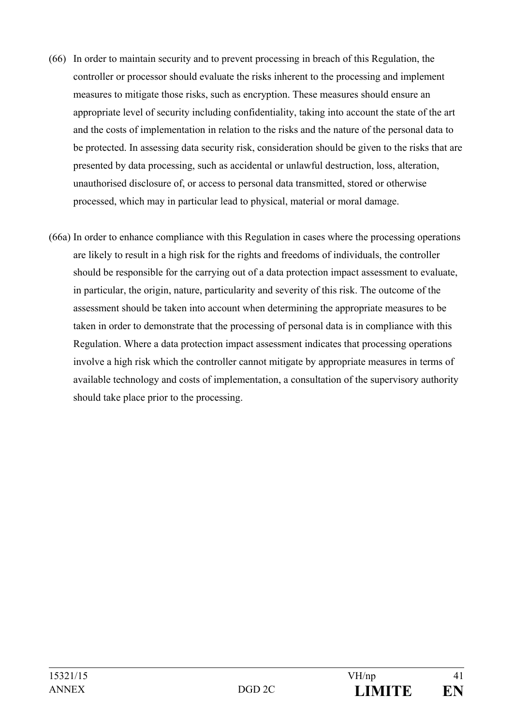- (66) In order to maintain security and to prevent processing in breach of this Regulation, the controller or processor should evaluate the risks inherent to the processing and implement measures to mitigate those risks, such as encryption. These measures should ensure an appropriate level of security including confidentiality, taking into account the state of the art and the costs of implementation in relation to the risks and the nature of the personal data to be protected. In assessing data security risk, consideration should be given to the risks that are presented by data processing, such as accidental or unlawful destruction, loss, alteration, unauthorised disclosure of, or access to personal data transmitted, stored or otherwise processed, which may in particular lead to physical, material or moral damage.
- (66a) In order to enhance compliance with this Regulation in cases where the processing operations are likely to result in a high risk for the rights and freedoms of individuals, the controller should be responsible for the carrying out of a data protection impact assessment to evaluate, in particular, the origin, nature, particularity and severity of this risk. The outcome of the assessment should be taken into account when determining the appropriate measures to be taken in order to demonstrate that the processing of personal data is in compliance with this Regulation. Where a data protection impact assessment indicates that processing operations involve a high risk which the controller cannot mitigate by appropriate measures in terms of available technology and costs of implementation, a consultation of the supervisory authority should take place prior to the processing.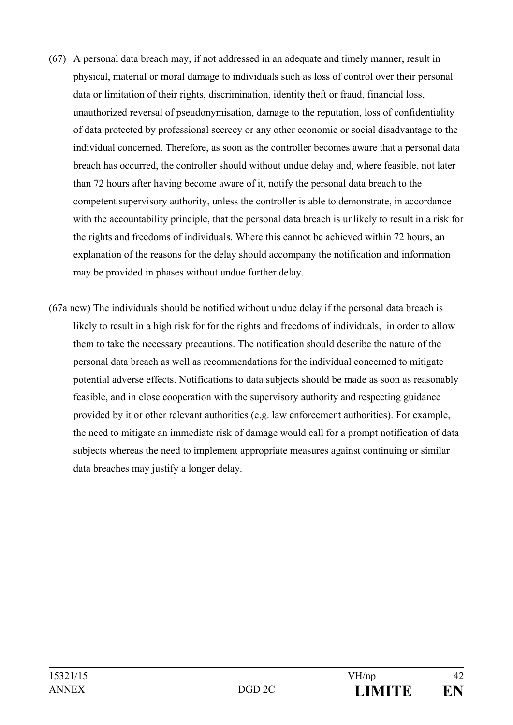- (67) A personal data breach may, if not addressed in an adequate and timely manner, result in physical, material or moral damage to individuals such as loss of control over their personal data or limitation of their rights, discrimination, identity theft or fraud, financial loss, unauthorized reversal of pseudonymisation, damage to the reputation, loss of confidentiality of data protected by professional secrecy or any other economic or social disadvantage to the individual concerned. Therefore, as soon as the controller becomes aware that a personal data breach has occurred, the controller should without undue delay and, where feasible, not later than 72 hours after having become aware of it, notify the personal data breach to the competent supervisory authority, unless the controller is able to demonstrate, in accordance with the accountability principle, that the personal data breach is unlikely to result in a risk for the rights and freedoms of individuals. Where this cannot be achieved within 72 hours, an explanation of the reasons for the delay should accompany the notification and information may be provided in phases without undue further delay.
- (67a new) The individuals should be notified without undue delay if the personal data breach is likely to result in a high risk for for the rights and freedoms of individuals, in order to allow them to take the necessary precautions. The notification should describe the nature of the personal data breach as well as recommendations for the individual concerned to mitigate potential adverse effects. Notifications to data subjects should be made as soon as reasonably feasible, and in close cooperation with the supervisory authority and respecting guidance provided by it or other relevant authorities (e.g. law enforcement authorities). For example, the need to mitigate an immediate risk of damage would call for a prompt notification of data subjects whereas the need to implement appropriate measures against continuing or similar data breaches may justify a longer delay.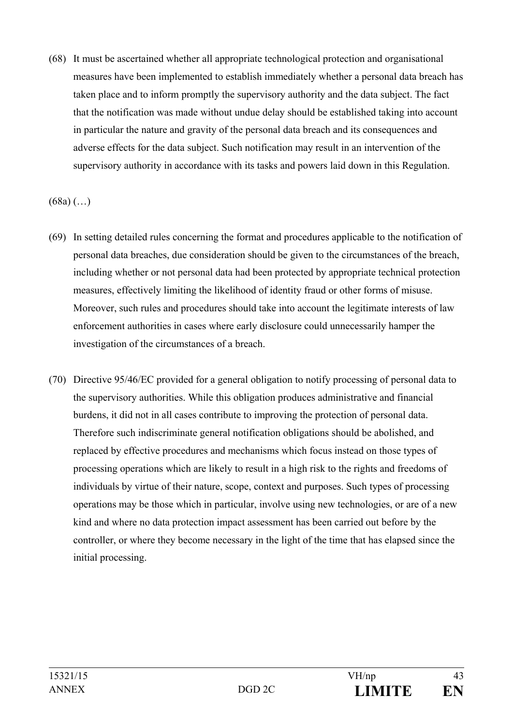(68) It must be ascertained whether all appropriate technological protection and organisational measures have been implemented to establish immediately whether a personal data breach has taken place and to inform promptly the supervisory authority and the data subject. The fact that the notification was made without undue delay should be established taking into account in particular the nature and gravity of the personal data breach and its consequences and adverse effects for the data subject. Such notification may result in an intervention of the supervisory authority in accordance with its tasks and powers laid down in this Regulation.

 $(68a)$  (...)

- (69) In setting detailed rules concerning the format and procedures applicable to the notification of personal data breaches, due consideration should be given to the circumstances of the breach, including whether or not personal data had been protected by appropriate technical protection measures, effectively limiting the likelihood of identity fraud or other forms of misuse. Moreover, such rules and procedures should take into account the legitimate interests of law enforcement authorities in cases where early disclosure could unnecessarily hamper the investigation of the circumstances of a breach.
- (70) Directive 95/46/EC provided for a general obligation to notify processing of personal data to the supervisory authorities. While this obligation produces administrative and financial burdens, it did not in all cases contribute to improving the protection of personal data. Therefore such indiscriminate general notification obligations should be abolished, and replaced by effective procedures and mechanisms which focus instead on those types of processing operations which are likely to result in a high risk to the rights and freedoms of individuals by virtue of their nature, scope, context and purposes. Such types of processing operations may be those which in particular, involve using new technologies, or are of a new kind and where no data protection impact assessment has been carried out before by the controller, or where they become necessary in the light of the time that has elapsed since the initial processing.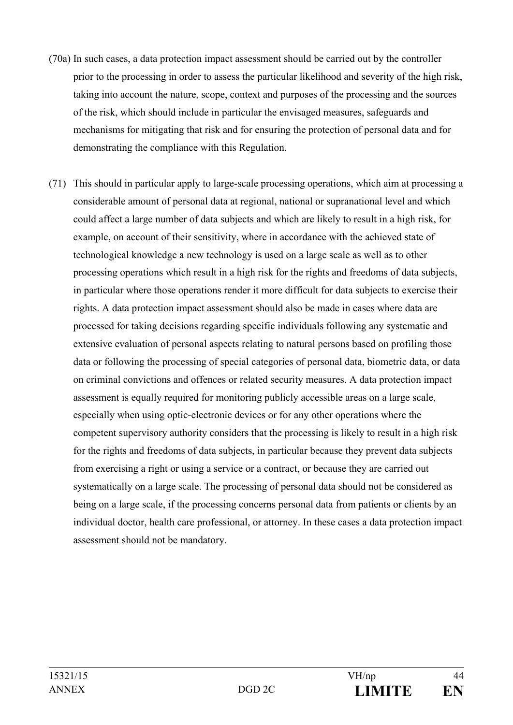- (70a) In such cases, a data protection impact assessment should be carried out by the controller prior to the processing in order to assess the particular likelihood and severity of the high risk, taking into account the nature, scope, context and purposes of the processing and the sources of the risk, which should include in particular the envisaged measures, safeguards and mechanisms for mitigating that risk and for ensuring the protection of personal data and for demonstrating the compliance with this Regulation.
- (71) This should in particular apply to large-scale processing operations, which aim at processing a considerable amount of personal data at regional, national or supranational level and which could affect a large number of data subjects and which are likely to result in a high risk, for example, on account of their sensitivity, where in accordance with the achieved state of technological knowledge a new technology is used on a large scale as well as to other processing operations which result in a high risk for the rights and freedoms of data subjects, in particular where those operations render it more difficult for data subjects to exercise their rights. A data protection impact assessment should also be made in cases where data are processed for taking decisions regarding specific individuals following any systematic and extensive evaluation of personal aspects relating to natural persons based on profiling those data or following the processing of special categories of personal data, biometric data, or data on criminal convictions and offences or related security measures. A data protection impact assessment is equally required for monitoring publicly accessible areas on a large scale, especially when using optic-electronic devices or for any other operations where the competent supervisory authority considers that the processing is likely to result in a high risk for the rights and freedoms of data subjects, in particular because they prevent data subjects from exercising a right or using a service or a contract, or because they are carried out systematically on a large scale. The processing of personal data should not be considered as being on a large scale, if the processing concerns personal data from patients or clients by an individual doctor, health care professional, or attorney. In these cases a data protection impact assessment should not be mandatory.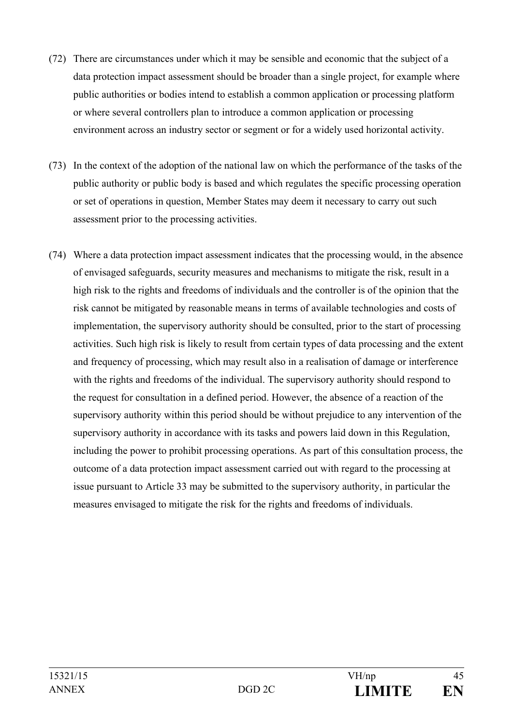- (72) There are circumstances under which it may be sensible and economic that the subject of a data protection impact assessment should be broader than a single project, for example where public authorities or bodies intend to establish a common application or processing platform or where several controllers plan to introduce a common application or processing environment across an industry sector or segment or for a widely used horizontal activity.
- (73) In the context of the adoption of the national law on which the performance of the tasks of the public authority or public body is based and which regulates the specific processing operation or set of operations in question, Member States may deem it necessary to carry out such assessment prior to the processing activities.
- (74) Where a data protection impact assessment indicates that the processing would, in the absence of envisaged safeguards, security measures and mechanisms to mitigate the risk, result in a high risk to the rights and freedoms of individuals and the controller is of the opinion that the risk cannot be mitigated by reasonable means in terms of available technologies and costs of implementation, the supervisory authority should be consulted, prior to the start of processing activities. Such high risk is likely to result from certain types of data processing and the extent and frequency of processing, which may result also in a realisation of damage or interference with the rights and freedoms of the individual. The supervisory authority should respond to the request for consultation in a defined period. However, the absence of a reaction of the supervisory authority within this period should be without prejudice to any intervention of the supervisory authority in accordance with its tasks and powers laid down in this Regulation, including the power to prohibit processing operations. As part of this consultation process, the outcome of a data protection impact assessment carried out with regard to the processing at issue pursuant to Article 33 may be submitted to the supervisory authority, in particular the measures envisaged to mitigate the risk for the rights and freedoms of individuals.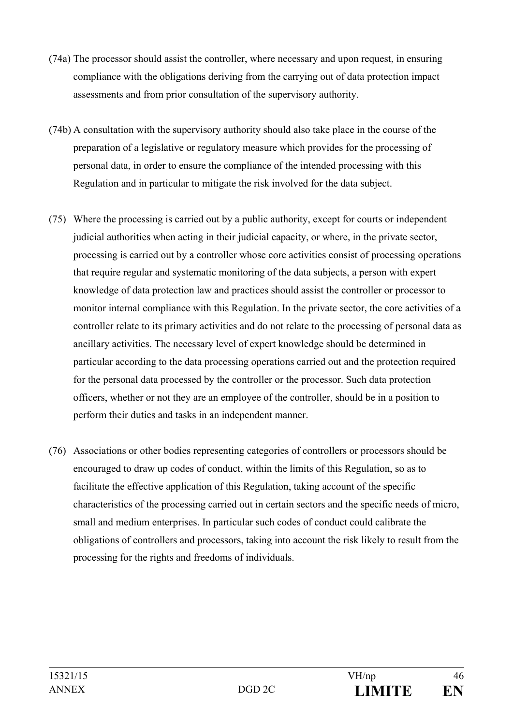- (74a) The processor should assist the controller, where necessary and upon request, in ensuring compliance with the obligations deriving from the carrying out of data protection impact assessments and from prior consultation of the supervisory authority.
- (74b) A consultation with the supervisory authority should also take place in the course of the preparation of a legislative or regulatory measure which provides for the processing of personal data, in order to ensure the compliance of the intended processing with this Regulation and in particular to mitigate the risk involved for the data subject.
- (75) Where the processing is carried out by a public authority, except for courts or independent judicial authorities when acting in their judicial capacity, or where, in the private sector, processing is carried out by a controller whose core activities consist of processing operations that require regular and systematic monitoring of the data subjects, a person with expert knowledge of data protection law and practices should assist the controller or processor to monitor internal compliance with this Regulation. In the private sector, the core activities of a controller relate to its primary activities and do not relate to the processing of personal data as ancillary activities. The necessary level of expert knowledge should be determined in particular according to the data processing operations carried out and the protection required for the personal data processed by the controller or the processor. Such data protection officers, whether or not they are an employee of the controller, should be in a position to perform their duties and tasks in an independent manner.
- (76) Associations or other bodies representing categories of controllers or processors should be encouraged to draw up codes of conduct, within the limits of this Regulation, so as to facilitate the effective application of this Regulation, taking account of the specific characteristics of the processing carried out in certain sectors and the specific needs of micro, small and medium enterprises. In particular such codes of conduct could calibrate the obligations of controllers and processors, taking into account the risk likely to result from the processing for the rights and freedoms of individuals.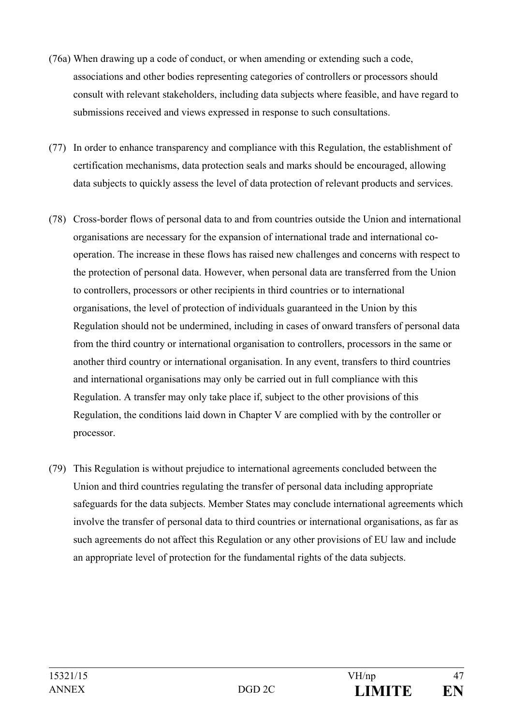- (76a) When drawing up a code of conduct, or when amending or extending such a code, associations and other bodies representing categories of controllers or processors should consult with relevant stakeholders, including data subjects where feasible, and have regard to submissions received and views expressed in response to such consultations.
- (77) In order to enhance transparency and compliance with this Regulation, the establishment of certification mechanisms, data protection seals and marks should be encouraged, allowing data subjects to quickly assess the level of data protection of relevant products and services.
- (78) Cross-border flows of personal data to and from countries outside the Union and international organisations are necessary for the expansion of international trade and international cooperation. The increase in these flows has raised new challenges and concerns with respect to the protection of personal data. However, when personal data are transferred from the Union to controllers, processors or other recipients in third countries or to international organisations, the level of protection of individuals guaranteed in the Union by this Regulation should not be undermined, including in cases of onward transfers of personal data from the third country or international organisation to controllers, processors in the same or another third country or international organisation. In any event, transfers to third countries and international organisations may only be carried out in full compliance with this Regulation. A transfer may only take place if, subject to the other provisions of this Regulation, the conditions laid down in Chapter V are complied with by the controller or processor.
- (79) This Regulation is without prejudice to international agreements concluded between the Union and third countries regulating the transfer of personal data including appropriate safeguards for the data subjects. Member States may conclude international agreements which involve the transfer of personal data to third countries or international organisations, as far as such agreements do not affect this Regulation or any other provisions of EU law and include an appropriate level of protection for the fundamental rights of the data subjects.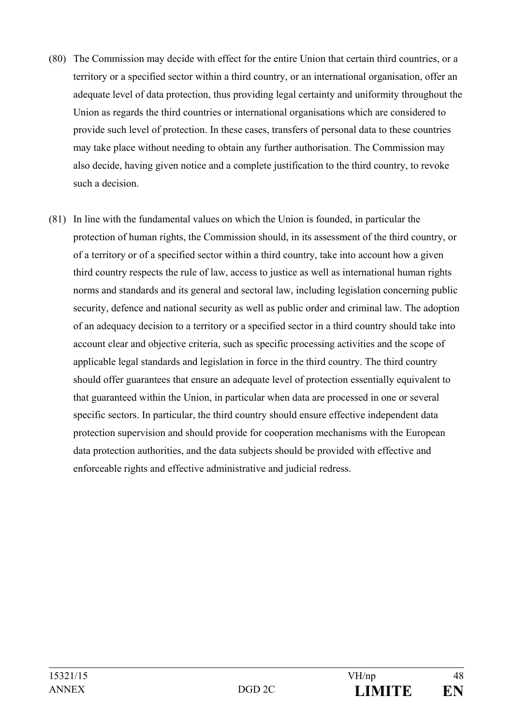- (80) The Commission may decide with effect for the entire Union that certain third countries, or a territory or a specified sector within a third country, or an international organisation, offer an adequate level of data protection, thus providing legal certainty and uniformity throughout the Union as regards the third countries or international organisations which are considered to provide such level of protection. In these cases, transfers of personal data to these countries may take place without needing to obtain any further authorisation. The Commission may also decide, having given notice and a complete justification to the third country, to revoke such a decision.
- (81) In line with the fundamental values on which the Union is founded, in particular the protection of human rights, the Commission should, in its assessment of the third country, or of a territory or of a specified sector within a third country, take into account how a given third country respects the rule of law, access to justice as well as international human rights norms and standards and its general and sectoral law, including legislation concerning public security, defence and national security as well as public order and criminal law. The adoption of an adequacy decision to a territory or a specified sector in a third country should take into account clear and objective criteria, such as specific processing activities and the scope of applicable legal standards and legislation in force in the third country. The third country should offer guarantees that ensure an adequate level of protection essentially equivalent to that guaranteed within the Union, in particular when data are processed in one or several specific sectors. In particular, the third country should ensure effective independent data protection supervision and should provide for cooperation mechanisms with the European data protection authorities, and the data subjects should be provided with effective and enforceable rights and effective administrative and judicial redress.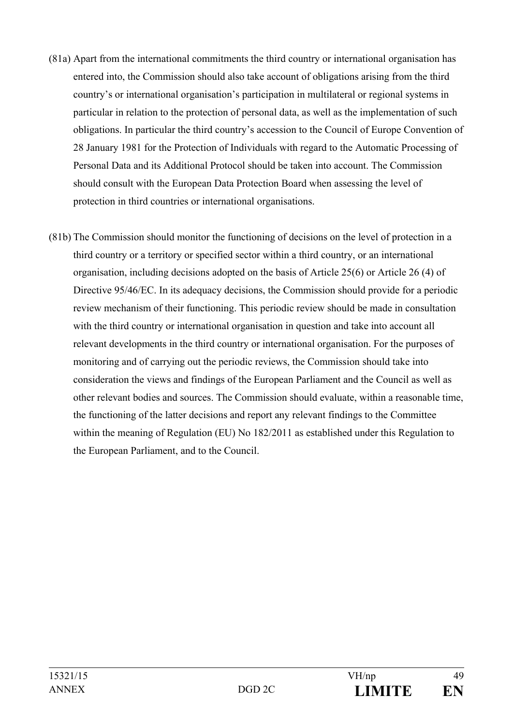- (81a) Apart from the international commitments the third country or international organisation has entered into, the Commission should also take account of obligations arising from the third country's or international organisation's participation in multilateral or regional systems in particular in relation to the protection of personal data, as well as the implementation of such obligations. In particular the third country's accession to the Council of Europe Convention of 28 January 1981 for the Protection of Individuals with regard to the Automatic Processing of Personal Data and its Additional Protocol should be taken into account. The Commission should consult with the European Data Protection Board when assessing the level of protection in third countries or international organisations.
- (81b) The Commission should monitor the functioning of decisions on the level of protection in a third country or a territory or specified sector within a third country, or an international organisation, including decisions adopted on the basis of Article 25(6) or Article 26 (4) of Directive 95/46/EC. In its adequacy decisions, the Commission should provide for a periodic review mechanism of their functioning. This periodic review should be made in consultation with the third country or international organisation in question and take into account all relevant developments in the third country or international organisation. For the purposes of monitoring and of carrying out the periodic reviews, the Commission should take into consideration the views and findings of the European Parliament and the Council as well as other relevant bodies and sources. The Commission should evaluate, within a reasonable time, the functioning of the latter decisions and report any relevant findings to the Committee within the meaning of Regulation (EU) No 182/2011 as established under this Regulation to the European Parliament, and to the Council.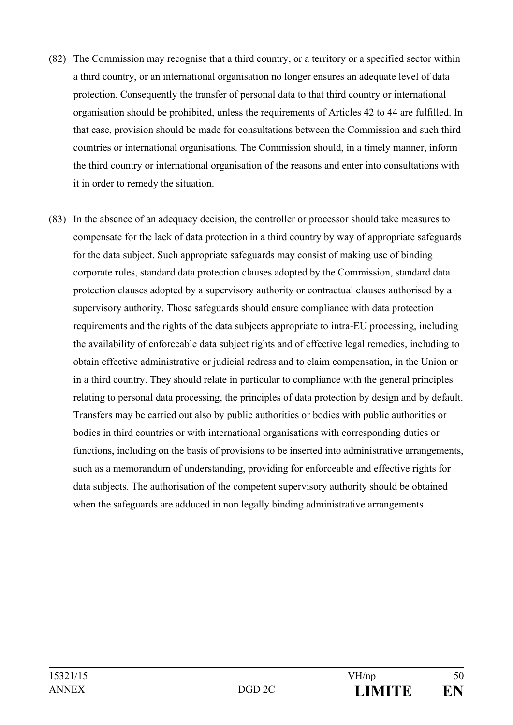- (82) The Commission may recognise that a third country, or a territory or a specified sector within a third country, or an international organisation no longer ensures an adequate level of data protection. Consequently the transfer of personal data to that third country or international organisation should be prohibited, unless the requirements of Articles 42 to 44 are fulfilled. In that case, provision should be made for consultations between the Commission and such third countries or international organisations. The Commission should, in a timely manner, inform the third country or international organisation of the reasons and enter into consultations with it in order to remedy the situation.
- (83) In the absence of an adequacy decision, the controller or processor should take measures to compensate for the lack of data protection in a third country by way of appropriate safeguards for the data subject. Such appropriate safeguards may consist of making use of binding corporate rules, standard data protection clauses adopted by the Commission, standard data protection clauses adopted by a supervisory authority or contractual clauses authorised by a supervisory authority. Those safeguards should ensure compliance with data protection requirements and the rights of the data subjects appropriate to intra-EU processing, including the availability of enforceable data subject rights and of effective legal remedies, including to obtain effective administrative or judicial redress and to claim compensation, in the Union or in a third country. They should relate in particular to compliance with the general principles relating to personal data processing, the principles of data protection by design and by default. Transfers may be carried out also by public authorities or bodies with public authorities or bodies in third countries or with international organisations with corresponding duties or functions, including on the basis of provisions to be inserted into administrative arrangements, such as a memorandum of understanding, providing for enforceable and effective rights for data subjects. The authorisation of the competent supervisory authority should be obtained when the safeguards are adduced in non legally binding administrative arrangements.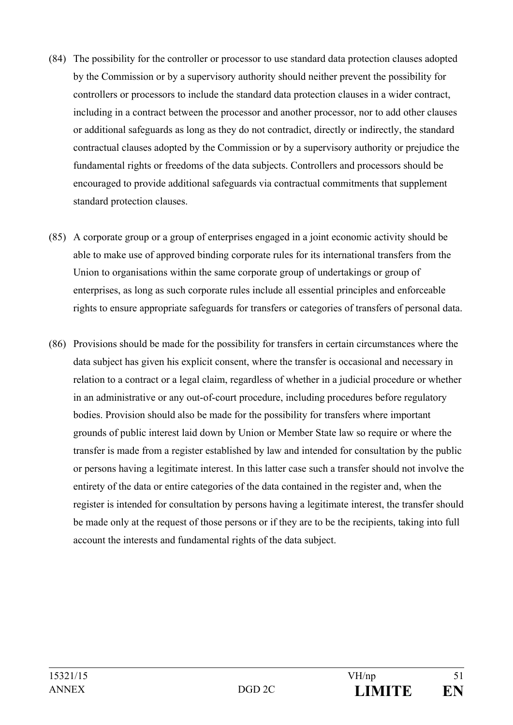- (84) The possibility for the controller or processor to use standard data protection clauses adopted by the Commission or by a supervisory authority should neither prevent the possibility for controllers or processors to include the standard data protection clauses in a wider contract, including in a contract between the processor and another processor, nor to add other clauses or additional safeguards as long as they do not contradict, directly or indirectly, the standard contractual clauses adopted by the Commission or by a supervisory authority or prejudice the fundamental rights or freedoms of the data subjects. Controllers and processors should be encouraged to provide additional safeguards via contractual commitments that supplement standard protection clauses.
- (85) A corporate group or a group of enterprises engaged in a joint economic activity should be able to make use of approved binding corporate rules for its international transfers from the Union to organisations within the same corporate group of undertakings or group of enterprises, as long as such corporate rules include all essential principles and enforceable rights to ensure appropriate safeguards for transfers or categories of transfers of personal data.
- (86) Provisions should be made for the possibility for transfers in certain circumstances where the data subject has given his explicit consent, where the transfer is occasional and necessary in relation to a contract or a legal claim, regardless of whether in a judicial procedure or whether in an administrative or any out-of-court procedure, including procedures before regulatory bodies. Provision should also be made for the possibility for transfers where important grounds of public interest laid down by Union or Member State law so require or where the transfer is made from a register established by law and intended for consultation by the public or persons having a legitimate interest. In this latter case such a transfer should not involve the entirety of the data or entire categories of the data contained in the register and, when the register is intended for consultation by persons having a legitimate interest, the transfer should be made only at the request of those persons or if they are to be the recipients, taking into full account the interests and fundamental rights of the data subject.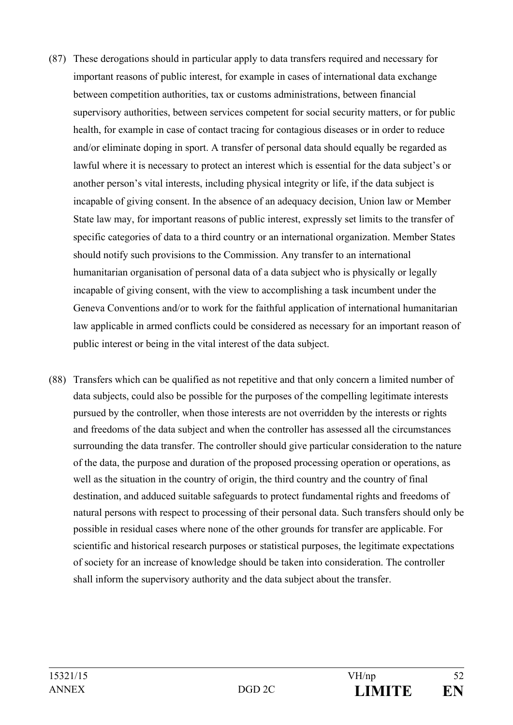- (87) These derogations should in particular apply to data transfers required and necessary for important reasons of public interest, for example in cases of international data exchange between competition authorities, tax or customs administrations, between financial supervisory authorities, between services competent for social security matters, or for public health, for example in case of contact tracing for contagious diseases or in order to reduce and/or eliminate doping in sport. A transfer of personal data should equally be regarded as lawful where it is necessary to protect an interest which is essential for the data subject's or another person's vital interests, including physical integrity or life, if the data subject is incapable of giving consent. In the absence of an adequacy decision, Union law or Member State law may, for important reasons of public interest, expressly set limits to the transfer of specific categories of data to a third country or an international organization. Member States should notify such provisions to the Commission. Any transfer to an international humanitarian organisation of personal data of a data subject who is physically or legally incapable of giving consent, with the view to accomplishing a task incumbent under the Geneva Conventions and/or to work for the faithful application of international humanitarian law applicable in armed conflicts could be considered as necessary for an important reason of public interest or being in the vital interest of the data subject.
- (88) Transfers which can be qualified as not repetitive and that only concern a limited number of data subjects, could also be possible for the purposes of the compelling legitimate interests pursued by the controller, when those interests are not overridden by the interests or rights and freedoms of the data subject and when the controller has assessed all the circumstances surrounding the data transfer. The controller should give particular consideration to the nature of the data, the purpose and duration of the proposed processing operation or operations, as well as the situation in the country of origin, the third country and the country of final destination, and adduced suitable safeguards to protect fundamental rights and freedoms of natural persons with respect to processing of their personal data. Such transfers should only be possible in residual cases where none of the other grounds for transfer are applicable. For scientific and historical research purposes or statistical purposes, the legitimate expectations of society for an increase of knowledge should be taken into consideration. The controller shall inform the supervisory authority and the data subject about the transfer.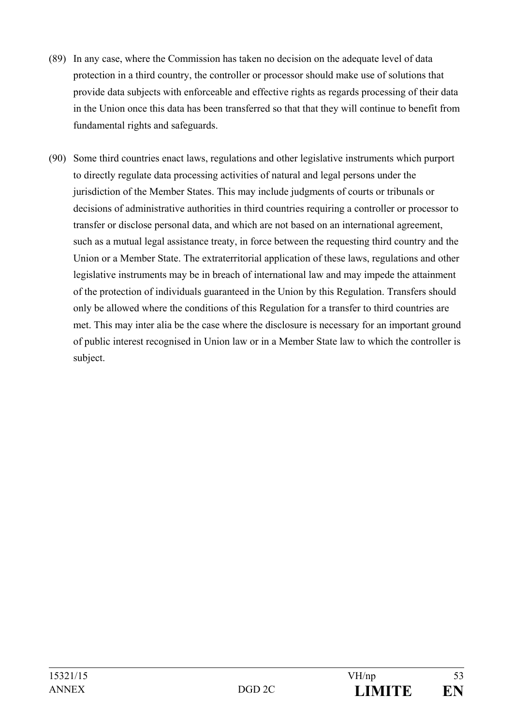- (89) In any case, where the Commission has taken no decision on the adequate level of data protection in a third country, the controller or processor should make use of solutions that provide data subjects with enforceable and effective rights as regards processing of their data in the Union once this data has been transferred so that that they will continue to benefit from fundamental rights and safeguards.
- (90) Some third countries enact laws, regulations and other legislative instruments which purport to directly regulate data processing activities of natural and legal persons under the jurisdiction of the Member States. This may include judgments of courts or tribunals or decisions of administrative authorities in third countries requiring a controller or processor to transfer or disclose personal data, and which are not based on an international agreement, such as a mutual legal assistance treaty, in force between the requesting third country and the Union or a Member State. The extraterritorial application of these laws, regulations and other legislative instruments may be in breach of international law and may impede the attainment of the protection of individuals guaranteed in the Union by this Regulation. Transfers should only be allowed where the conditions of this Regulation for a transfer to third countries are met. This may inter alia be the case where the disclosure is necessary for an important ground of public interest recognised in Union law or in a Member State law to which the controller is subject.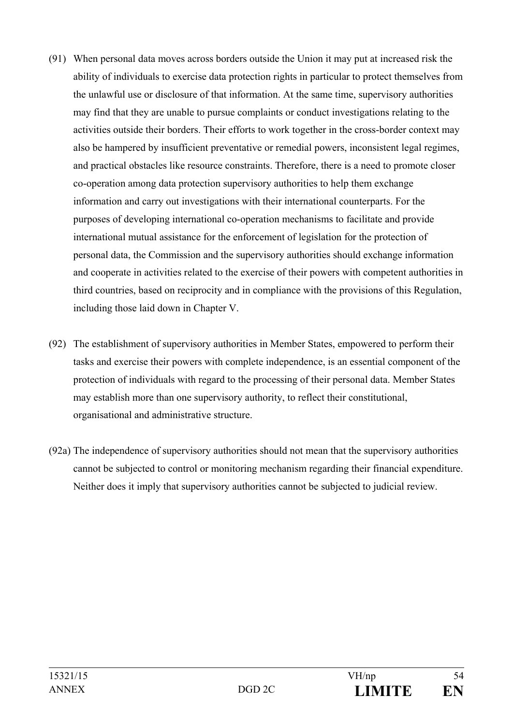- (91) When personal data moves across borders outside the Union it may put at increased risk the ability of individuals to exercise data protection rights in particular to protect themselves from the unlawful use or disclosure of that information. At the same time, supervisory authorities may find that they are unable to pursue complaints or conduct investigations relating to the activities outside their borders. Their efforts to work together in the cross-border context may also be hampered by insufficient preventative or remedial powers, inconsistent legal regimes, and practical obstacles like resource constraints. Therefore, there is a need to promote closer co-operation among data protection supervisory authorities to help them exchange information and carry out investigations with their international counterparts. For the purposes of developing international co-operation mechanisms to facilitate and provide international mutual assistance for the enforcement of legislation for the protection of personal data, the Commission and the supervisory authorities should exchange information and cooperate in activities related to the exercise of their powers with competent authorities in third countries, based on reciprocity and in compliance with the provisions of this Regulation, including those laid down in Chapter V.
- (92) The establishment of supervisory authorities in Member States, empowered to perform their tasks and exercise their powers with complete independence, is an essential component of the protection of individuals with regard to the processing of their personal data. Member States may establish more than one supervisory authority, to reflect their constitutional, organisational and administrative structure.
- (92a) The independence of supervisory authorities should not mean that the supervisory authorities cannot be subjected to control or monitoring mechanism regarding their financial expenditure. Neither does it imply that supervisory authorities cannot be subjected to judicial review.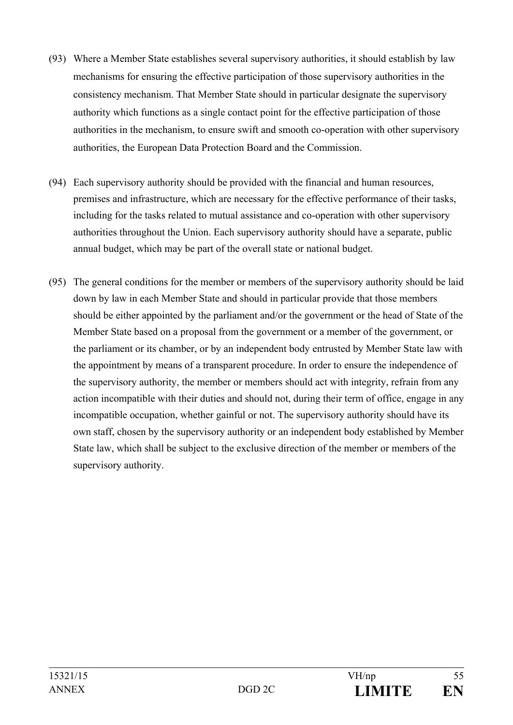- (93) Where a Member State establishes several supervisory authorities, it should establish by law mechanisms for ensuring the effective participation of those supervisory authorities in the consistency mechanism. That Member State should in particular designate the supervisory authority which functions as a single contact point for the effective participation of those authorities in the mechanism, to ensure swift and smooth co-operation with other supervisory authorities, the European Data Protection Board and the Commission.
- (94) Each supervisory authority should be provided with the financial and human resources, premises and infrastructure, which are necessary for the effective performance of their tasks, including for the tasks related to mutual assistance and co-operation with other supervisory authorities throughout the Union. Each supervisory authority should have a separate, public annual budget, which may be part of the overall state or national budget.
- (95) The general conditions for the member or members of the supervisory authority should be laid down by law in each Member State and should in particular provide that those members should be either appointed by the parliament and/or the government or the head of State of the Member State based on a proposal from the government or a member of the government, or the parliament or its chamber, or by an independent body entrusted by Member State law with the appointment by means of a transparent procedure. In order to ensure the independence of the supervisory authority, the member or members should act with integrity, refrain from any action incompatible with their duties and should not, during their term of office, engage in any incompatible occupation, whether gainful or not. The supervisory authority should have its own staff, chosen by the supervisory authority or an independent body established by Member State law, which shall be subject to the exclusive direction of the member or members of the supervisory authority.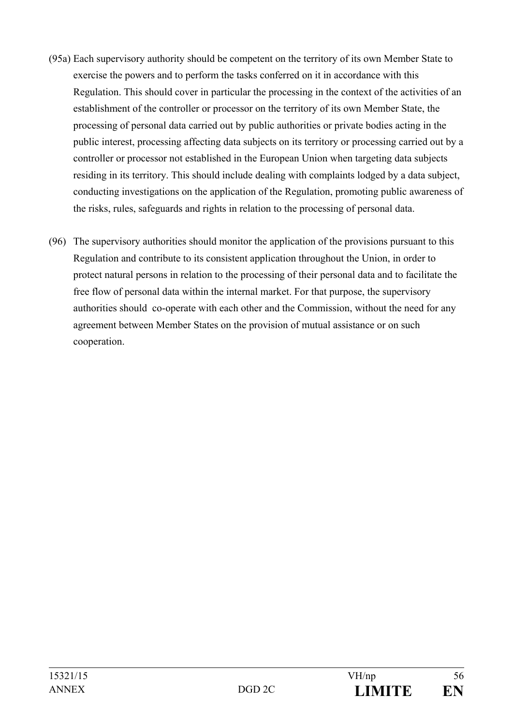- (95a) Each supervisory authority should be competent on the territory of its own Member State to exercise the powers and to perform the tasks conferred on it in accordance with this Regulation. This should cover in particular the processing in the context of the activities of an establishment of the controller or processor on the territory of its own Member State, the processing of personal data carried out by public authorities or private bodies acting in the public interest, processing affecting data subjects on its territory or processing carried out by a controller or processor not established in the European Union when targeting data subjects residing in its territory. This should include dealing with complaints lodged by a data subject, conducting investigations on the application of the Regulation, promoting public awareness of the risks, rules, safeguards and rights in relation to the processing of personal data.
- (96) The supervisory authorities should monitor the application of the provisions pursuant to this Regulation and contribute to its consistent application throughout the Union, in order to protect natural persons in relation to the processing of their personal data and to facilitate the free flow of personal data within the internal market. For that purpose, the supervisory authorities should co-operate with each other and the Commission, without the need for any agreement between Member States on the provision of mutual assistance or on such cooperation.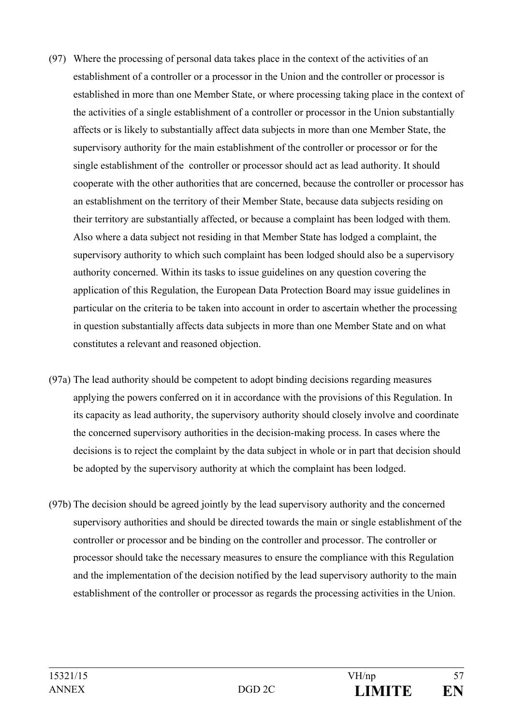- (97) Where the processing of personal data takes place in the context of the activities of an establishment of a controller or a processor in the Union and the controller or processor is established in more than one Member State, or where processing taking place in the context of the activities of a single establishment of a controller or processor in the Union substantially affects or is likely to substantially affect data subjects in more than one Member State, the supervisory authority for the main establishment of the controller or processor or for the single establishment of the controller or processor should act as lead authority. It should cooperate with the other authorities that are concerned, because the controller or processor has an establishment on the territory of their Member State, because data subjects residing on their territory are substantially affected, or because a complaint has been lodged with them. Also where a data subject not residing in that Member State has lodged a complaint, the supervisory authority to which such complaint has been lodged should also be a supervisory authority concerned. Within its tasks to issue guidelines on any question covering the application of this Regulation, the European Data Protection Board may issue guidelines in particular on the criteria to be taken into account in order to ascertain whether the processing in question substantially affects data subjects in more than one Member State and on what constitutes a relevant and reasoned objection.
- (97a) The lead authority should be competent to adopt binding decisions regarding measures applying the powers conferred on it in accordance with the provisions of this Regulation. In its capacity as lead authority, the supervisory authority should closely involve and coordinate the concerned supervisory authorities in the decision-making process. In cases where the decisions is to reject the complaint by the data subject in whole or in part that decision should be adopted by the supervisory authority at which the complaint has been lodged.
- (97b) The decision should be agreed jointly by the lead supervisory authority and the concerned supervisory authorities and should be directed towards the main or single establishment of the controller or processor and be binding on the controller and processor. The controller or processor should take the necessary measures to ensure the compliance with this Regulation and the implementation of the decision notified by the lead supervisory authority to the main establishment of the controller or processor as regards the processing activities in the Union.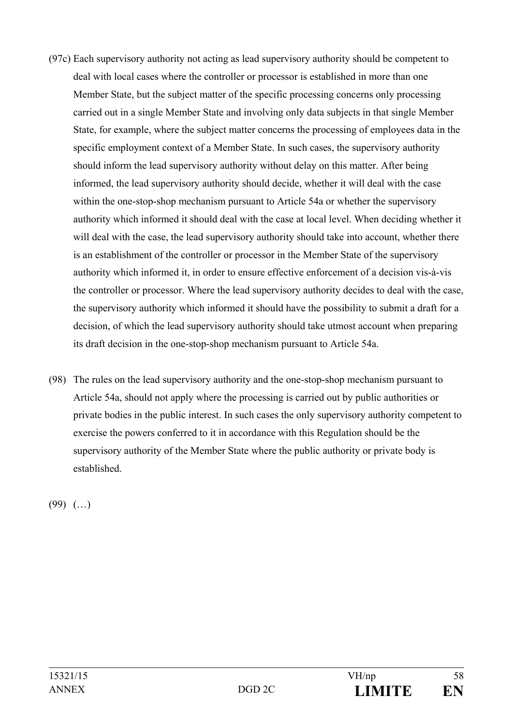- (97c) Each supervisory authority not acting as lead supervisory authority should be competent to deal with local cases where the controller or processor is established in more than one Member State, but the subject matter of the specific processing concerns only processing carried out in a single Member State and involving only data subjects in that single Member State, for example, where the subject matter concerns the processing of employees data in the specific employment context of a Member State. In such cases, the supervisory authority should inform the lead supervisory authority without delay on this matter. After being informed, the lead supervisory authority should decide, whether it will deal with the case within the one-stop-shop mechanism pursuant to Article 54a or whether the supervisory authority which informed it should deal with the case at local level. When deciding whether it will deal with the case, the lead supervisory authority should take into account, whether there is an establishment of the controller or processor in the Member State of the supervisory authority which informed it, in order to ensure effective enforcement of a decision vis-à-vis the controller or processor. Where the lead supervisory authority decides to deal with the case, the supervisory authority which informed it should have the possibility to submit a draft for a decision, of which the lead supervisory authority should take utmost account when preparing its draft decision in the one-stop-shop mechanism pursuant to Article 54a.
- (98) The rules on the lead supervisory authority and the one-stop-shop mechanism pursuant to Article 54a, should not apply where the processing is carried out by public authorities or private bodies in the public interest. In such cases the only supervisory authority competent to exercise the powers conferred to it in accordance with this Regulation should be the supervisory authority of the Member State where the public authority or private body is established.

(99) (…)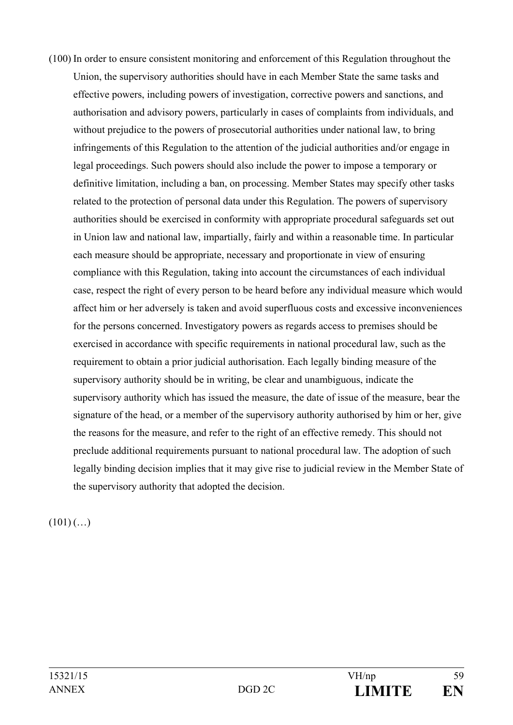(100) In order to ensure consistent monitoring and enforcement of this Regulation throughout the Union, the supervisory authorities should have in each Member State the same tasks and effective powers, including powers of investigation, corrective powers and sanctions, and authorisation and advisory powers, particularly in cases of complaints from individuals, and without prejudice to the powers of prosecutorial authorities under national law, to bring infringements of this Regulation to the attention of the judicial authorities and/or engage in legal proceedings. Such powers should also include the power to impose a temporary or definitive limitation, including a ban, on processing. Member States may specify other tasks related to the protection of personal data under this Regulation. The powers of supervisory authorities should be exercised in conformity with appropriate procedural safeguards set out in Union law and national law, impartially, fairly and within a reasonable time. In particular each measure should be appropriate, necessary and proportionate in view of ensuring compliance with this Regulation, taking into account the circumstances of each individual case, respect the right of every person to be heard before any individual measure which would affect him or her adversely is taken and avoid superfluous costs and excessive inconveniences for the persons concerned. Investigatory powers as regards access to premises should be exercised in accordance with specific requirements in national procedural law, such as the requirement to obtain a prior judicial authorisation. Each legally binding measure of the supervisory authority should be in writing, be clear and unambiguous, indicate the supervisory authority which has issued the measure, the date of issue of the measure, bear the signature of the head, or a member of the supervisory authority authorised by him or her, give the reasons for the measure, and refer to the right of an effective remedy. This should not preclude additional requirements pursuant to national procedural law. The adoption of such legally binding decision implies that it may give rise to judicial review in the Member State of the supervisory authority that adopted the decision.

 $(101)$  (...)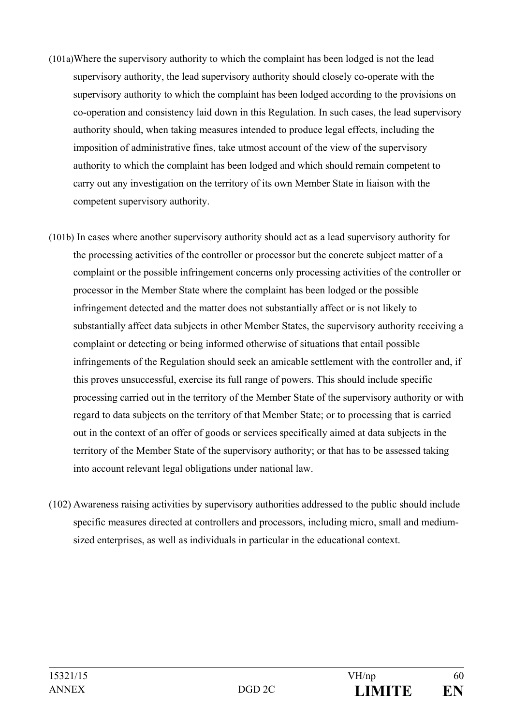- (101a)Where the supervisory authority to which the complaint has been lodged is not the lead supervisory authority, the lead supervisory authority should closely co-operate with the supervisory authority to which the complaint has been lodged according to the provisions on co-operation and consistency laid down in this Regulation. In such cases, the lead supervisory authority should, when taking measures intended to produce legal effects, including the imposition of administrative fines, take utmost account of the view of the supervisory authority to which the complaint has been lodged and which should remain competent to carry out any investigation on the territory of its own Member State in liaison with the competent supervisory authority.
- (101b) In cases where another supervisory authority should act as a lead supervisory authority for the processing activities of the controller or processor but the concrete subject matter of a complaint or the possible infringement concerns only processing activities of the controller or processor in the Member State where the complaint has been lodged or the possible infringement detected and the matter does not substantially affect or is not likely to substantially affect data subjects in other Member States, the supervisory authority receiving a complaint or detecting or being informed otherwise of situations that entail possible infringements of the Regulation should seek an amicable settlement with the controller and, if this proves unsuccessful, exercise its full range of powers. This should include specific processing carried out in the territory of the Member State of the supervisory authority or with regard to data subjects on the territory of that Member State; or to processing that is carried out in the context of an offer of goods or services specifically aimed at data subjects in the territory of the Member State of the supervisory authority; or that has to be assessed taking into account relevant legal obligations under national law.
- (102) Awareness raising activities by supervisory authorities addressed to the public should include specific measures directed at controllers and processors, including micro, small and mediumsized enterprises, as well as individuals in particular in the educational context.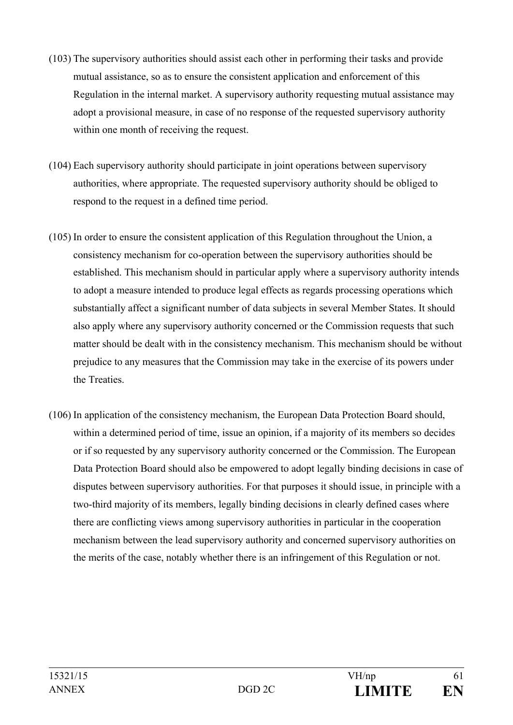- (103) The supervisory authorities should assist each other in performing their tasks and provide mutual assistance, so as to ensure the consistent application and enforcement of this Regulation in the internal market. A supervisory authority requesting mutual assistance may adopt a provisional measure, in case of no response of the requested supervisory authority within one month of receiving the request.
- (104) Each supervisory authority should participate in joint operations between supervisory authorities, where appropriate. The requested supervisory authority should be obliged to respond to the request in a defined time period.
- (105) In order to ensure the consistent application of this Regulation throughout the Union, a consistency mechanism for co-operation between the supervisory authorities should be established. This mechanism should in particular apply where a supervisory authority intends to adopt a measure intended to produce legal effects as regards processing operations which substantially affect a significant number of data subjects in several Member States. It should also apply where any supervisory authority concerned or the Commission requests that such matter should be dealt with in the consistency mechanism. This mechanism should be without prejudice to any measures that the Commission may take in the exercise of its powers under the Treaties.
- (106) In application of the consistency mechanism, the European Data Protection Board should, within a determined period of time, issue an opinion, if a majority of its members so decides or if so requested by any supervisory authority concerned or the Commission. The European Data Protection Board should also be empowered to adopt legally binding decisions in case of disputes between supervisory authorities. For that purposes it should issue, in principle with a two-third majority of its members, legally binding decisions in clearly defined cases where there are conflicting views among supervisory authorities in particular in the cooperation mechanism between the lead supervisory authority and concerned supervisory authorities on the merits of the case, notably whether there is an infringement of this Regulation or not.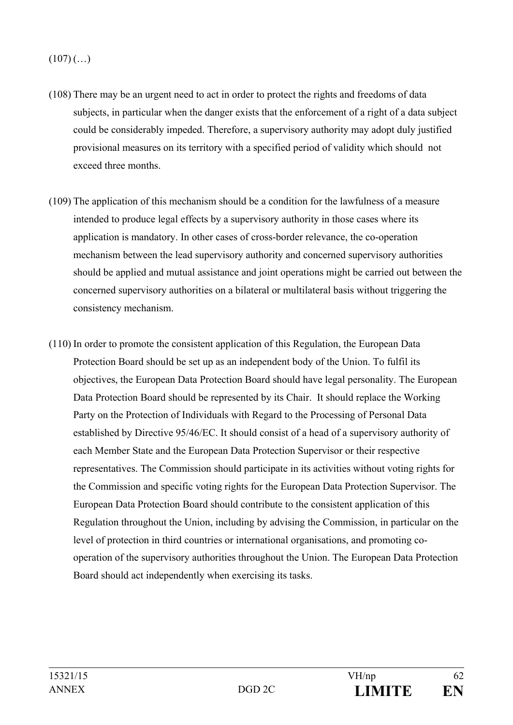## $(107)$  (...)

- (108) There may be an urgent need to act in order to protect the rights and freedoms of data subjects, in particular when the danger exists that the enforcement of a right of a data subject could be considerably impeded. Therefore, a supervisory authority may adopt duly justified provisional measures on its territory with a specified period of validity which should not exceed three months.
- (109) The application of this mechanism should be a condition for the lawfulness of a measure intended to produce legal effects by a supervisory authority in those cases where its application is mandatory. In other cases of cross-border relevance, the co-operation mechanism between the lead supervisory authority and concerned supervisory authorities should be applied and mutual assistance and joint operations might be carried out between the concerned supervisory authorities on a bilateral or multilateral basis without triggering the consistency mechanism.
- (110) In order to promote the consistent application of this Regulation, the European Data Protection Board should be set up as an independent body of the Union. To fulfil its objectives, the European Data Protection Board should have legal personality. The European Data Protection Board should be represented by its Chair. It should replace the Working Party on the Protection of Individuals with Regard to the Processing of Personal Data established by Directive 95/46/EC. It should consist of a head of a supervisory authority of each Member State and the European Data Protection Supervisor or their respective representatives. The Commission should participate in its activities without voting rights for the Commission and specific voting rights for the European Data Protection Supervisor. The European Data Protection Board should contribute to the consistent application of this Regulation throughout the Union, including by advising the Commission, in particular on the level of protection in third countries or international organisations, and promoting cooperation of the supervisory authorities throughout the Union. The European Data Protection Board should act independently when exercising its tasks.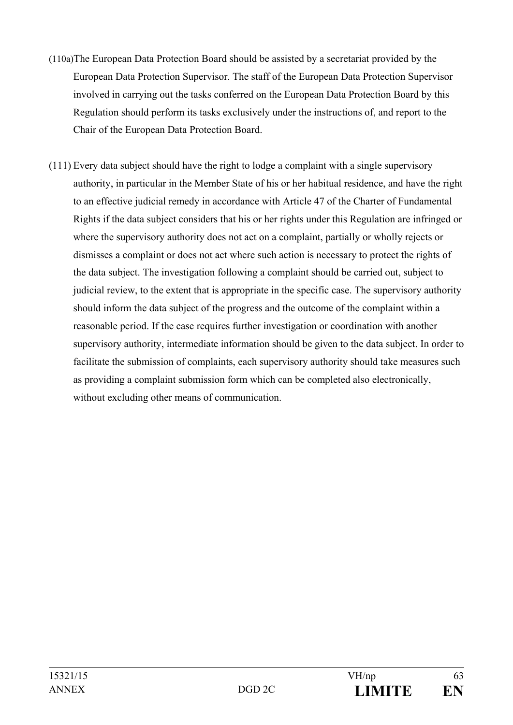- (110a)The European Data Protection Board should be assisted by a secretariat provided by the European Data Protection Supervisor. The staff of the European Data Protection Supervisor involved in carrying out the tasks conferred on the European Data Protection Board by this Regulation should perform its tasks exclusively under the instructions of, and report to the Chair of the European Data Protection Board.
- (111) Every data subject should have the right to lodge a complaint with a single supervisory authority, in particular in the Member State of his or her habitual residence, and have the right to an effective judicial remedy in accordance with Article 47 of the Charter of Fundamental Rights if the data subject considers that his or her rights under this Regulation are infringed or where the supervisory authority does not act on a complaint, partially or wholly rejects or dismisses a complaint or does not act where such action is necessary to protect the rights of the data subject. The investigation following a complaint should be carried out, subject to judicial review, to the extent that is appropriate in the specific case. The supervisory authority should inform the data subject of the progress and the outcome of the complaint within a reasonable period. If the case requires further investigation or coordination with another supervisory authority, intermediate information should be given to the data subject. In order to facilitate the submission of complaints, each supervisory authority should take measures such as providing a complaint submission form which can be completed also electronically, without excluding other means of communication.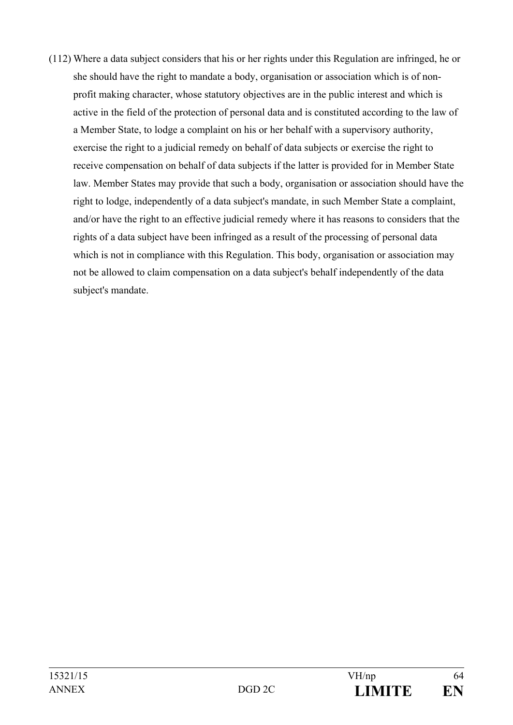(112) Where a data subject considers that his or her rights under this Regulation are infringed, he or she should have the right to mandate a body, organisation or association which is of nonprofit making character, whose statutory objectives are in the public interest and which is active in the field of the protection of personal data and is constituted according to the law of a Member State, to lodge a complaint on his or her behalf with a supervisory authority, exercise the right to a judicial remedy on behalf of data subjects or exercise the right to receive compensation on behalf of data subjects if the latter is provided for in Member State law. Member States may provide that such a body, organisation or association should have the right to lodge, independently of a data subject's mandate, in such Member State a complaint, and/or have the right to an effective judicial remedy where it has reasons to considers that the rights of a data subject have been infringed as a result of the processing of personal data which is not in compliance with this Regulation. This body, organisation or association may not be allowed to claim compensation on a data subject's behalf independently of the data subject's mandate.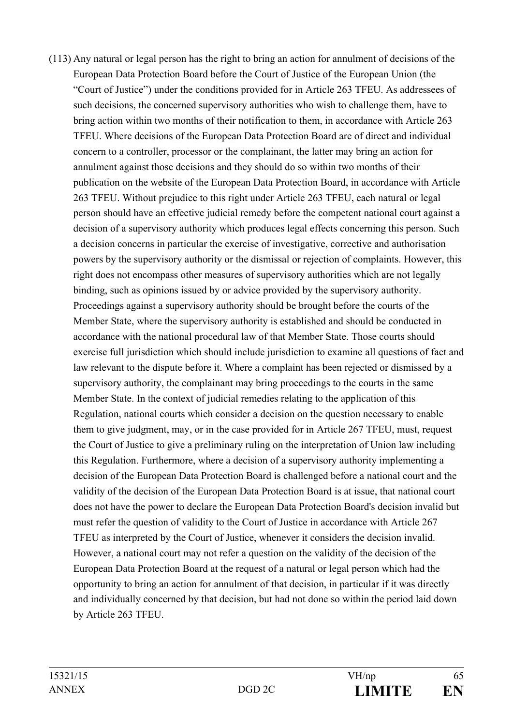(113) Any natural or legal person has the right to bring an action for annulment of decisions of the European Data Protection Board before the Court of Justice of the European Union (the "Court of Justice") under the conditions provided for in Article 263 TFEU. As addressees of such decisions, the concerned supervisory authorities who wish to challenge them, have to bring action within two months of their notification to them, in accordance with Article 263 TFEU. Where decisions of the European Data Protection Board are of direct and individual concern to a controller, processor or the complainant, the latter may bring an action for annulment against those decisions and they should do so within two months of their publication on the website of the European Data Protection Board, in accordance with Article 263 TFEU. Without prejudice to this right under Article 263 TFEU, each natural or legal person should have an effective judicial remedy before the competent national court against a decision of a supervisory authority which produces legal effects concerning this person. Such a decision concerns in particular the exercise of investigative, corrective and authorisation powers by the supervisory authority or the dismissal or rejection of complaints. However, this right does not encompass other measures of supervisory authorities which are not legally binding, such as opinions issued by or advice provided by the supervisory authority. Proceedings against a supervisory authority should be brought before the courts of the Member State, where the supervisory authority is established and should be conducted in accordance with the national procedural law of that Member State. Those courts should exercise full jurisdiction which should include jurisdiction to examine all questions of fact and law relevant to the dispute before it. Where a complaint has been rejected or dismissed by a supervisory authority, the complainant may bring proceedings to the courts in the same Member State. In the context of judicial remedies relating to the application of this Regulation, national courts which consider a decision on the question necessary to enable them to give judgment, may, or in the case provided for in Article 267 TFEU, must, request the Court of Justice to give a preliminary ruling on the interpretation of Union law including this Regulation. Furthermore, where a decision of a supervisory authority implementing a decision of the European Data Protection Board is challenged before a national court and the validity of the decision of the European Data Protection Board is at issue, that national court does not have the power to declare the European Data Protection Board's decision invalid but must refer the question of validity to the Court of Justice in accordance with Article 267 TFEU as interpreted by the Court of Justice, whenever it considers the decision invalid. However, a national court may not refer a question on the validity of the decision of the European Data Protection Board at the request of a natural or legal person which had the opportunity to bring an action for annulment of that decision, in particular if it was directly and individually concerned by that decision, but had not done so within the period laid down by Article 263 TFEU.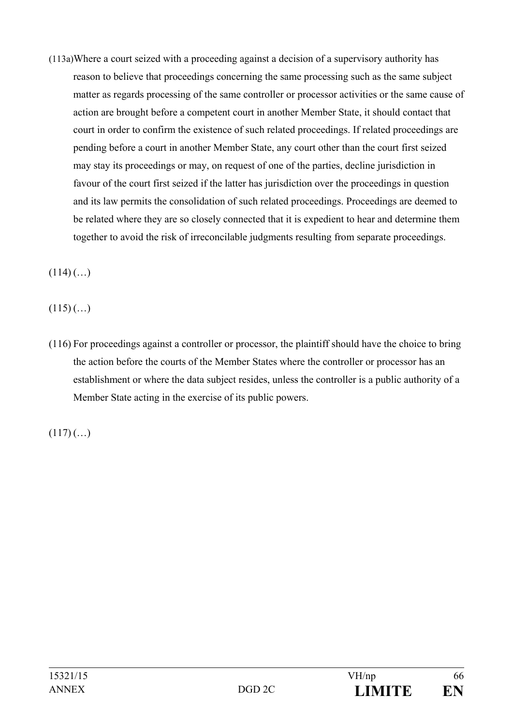(113a)Where a court seized with a proceeding against a decision of a supervisory authority has reason to believe that proceedings concerning the same processing such as the same subject matter as regards processing of the same controller or processor activities or the same cause of action are brought before a competent court in another Member State, it should contact that court in order to confirm the existence of such related proceedings. If related proceedings are pending before a court in another Member State, any court other than the court first seized may stay its proceedings or may, on request of one of the parties, decline jurisdiction in favour of the court first seized if the latter has jurisdiction over the proceedings in question and its law permits the consolidation of such related proceedings. Proceedings are deemed to be related where they are so closely connected that it is expedient to hear and determine them together to avoid the risk of irreconcilable judgments resulting from separate proceedings.

 $(114)$  (...)

 $(115)$  (...)

(116) For proceedings against a controller or processor, the plaintiff should have the choice to bring the action before the courts of the Member States where the controller or processor has an establishment or where the data subject resides, unless the controller is a public authority of a Member State acting in the exercise of its public powers.

 $(117)(...)$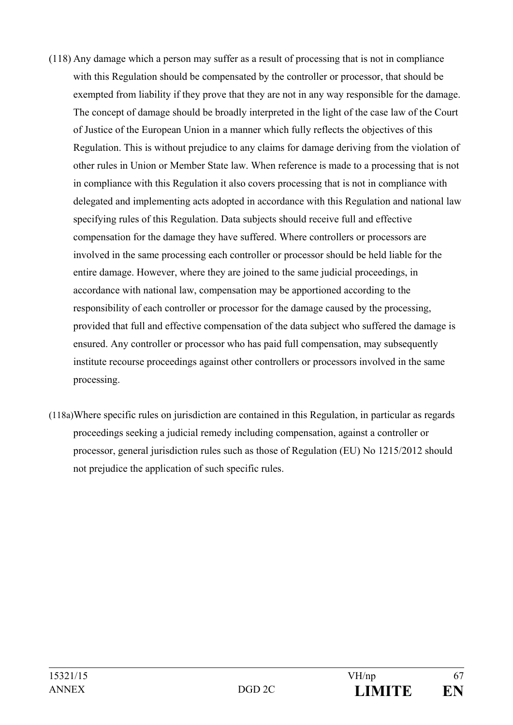- (118) Any damage which a person may suffer as a result of processing that is not in compliance with this Regulation should be compensated by the controller or processor, that should be exempted from liability if they prove that they are not in any way responsible for the damage. The concept of damage should be broadly interpreted in the light of the case law of the Court of Justice of the European Union in a manner which fully reflects the objectives of this Regulation. This is without prejudice to any claims for damage deriving from the violation of other rules in Union or Member State law. When reference is made to a processing that is not in compliance with this Regulation it also covers processing that is not in compliance with delegated and implementing acts adopted in accordance with this Regulation and national law specifying rules of this Regulation. Data subjects should receive full and effective compensation for the damage they have suffered. Where controllers or processors are involved in the same processing each controller or processor should be held liable for the entire damage. However, where they are joined to the same judicial proceedings, in accordance with national law, compensation may be apportioned according to the responsibility of each controller or processor for the damage caused by the processing, provided that full and effective compensation of the data subject who suffered the damage is ensured. Any controller or processor who has paid full compensation, may subsequently institute recourse proceedings against other controllers or processors involved in the same processing.
- (118a)Where specific rules on jurisdiction are contained in this Regulation, in particular as regards proceedings seeking a judicial remedy including compensation, against a controller or processor, general jurisdiction rules such as those of Regulation (EU) No 1215/2012 should not prejudice the application of such specific rules.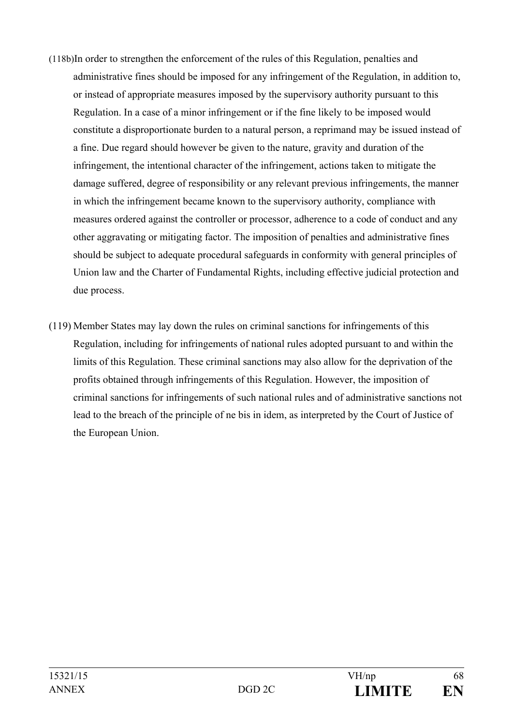- (118b)In order to strengthen the enforcement of the rules of this Regulation, penalties and administrative fines should be imposed for any infringement of the Regulation, in addition to, or instead of appropriate measures imposed by the supervisory authority pursuant to this Regulation. In a case of a minor infringement or if the fine likely to be imposed would constitute a disproportionate burden to a natural person, a reprimand may be issued instead of a fine. Due regard should however be given to the nature, gravity and duration of the infringement, the intentional character of the infringement, actions taken to mitigate the damage suffered, degree of responsibility or any relevant previous infringements, the manner in which the infringement became known to the supervisory authority, compliance with measures ordered against the controller or processor, adherence to a code of conduct and any other aggravating or mitigating factor. The imposition of penalties and administrative fines should be subject to adequate procedural safeguards in conformity with general principles of Union law and the Charter of Fundamental Rights, including effective judicial protection and due process.
- (119) Member States may lay down the rules on criminal sanctions for infringements of this Regulation, including for infringements of national rules adopted pursuant to and within the limits of this Regulation. These criminal sanctions may also allow for the deprivation of the profits obtained through infringements of this Regulation. However, the imposition of criminal sanctions for infringements of such national rules and of administrative sanctions not lead to the breach of the principle of ne bis in idem, as interpreted by the Court of Justice of the European Union.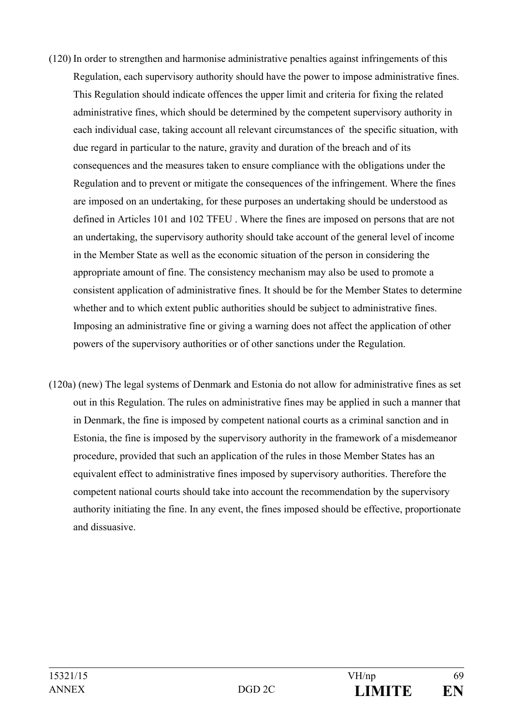- (120) In order to strengthen and harmonise administrative penalties against infringements of this Regulation, each supervisory authority should have the power to impose administrative fines. This Regulation should indicate offences the upper limit and criteria for fixing the related administrative fines, which should be determined by the competent supervisory authority in each individual case, taking account all relevant circumstances of the specific situation, with due regard in particular to the nature, gravity and duration of the breach and of its consequences and the measures taken to ensure compliance with the obligations under the Regulation and to prevent or mitigate the consequences of the infringement. Where the fines are imposed on an undertaking, for these purposes an undertaking should be understood as defined in Articles 101 and 102 TFEU . Where the fines are imposed on persons that are not an undertaking, the supervisory authority should take account of the general level of income in the Member State as well as the economic situation of the person in considering the appropriate amount of fine. The consistency mechanism may also be used to promote a consistent application of administrative fines. It should be for the Member States to determine whether and to which extent public authorities should be subject to administrative fines. Imposing an administrative fine or giving a warning does not affect the application of other powers of the supervisory authorities or of other sanctions under the Regulation.
- (120a) (new) The legal systems of Denmark and Estonia do not allow for administrative fines as set out in this Regulation. The rules on administrative fines may be applied in such a manner that in Denmark, the fine is imposed by competent national courts as a criminal sanction and in Estonia, the fine is imposed by the supervisory authority in the framework of a misdemeanor procedure, provided that such an application of the rules in those Member States has an equivalent effect to administrative fines imposed by supervisory authorities. Therefore the competent national courts should take into account the recommendation by the supervisory authority initiating the fine. In any event, the fines imposed should be effective, proportionate and dissuasive.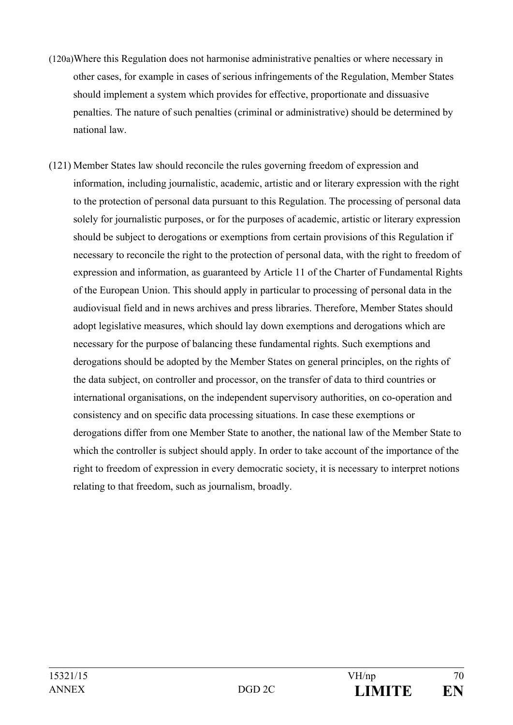- (120a)Where this Regulation does not harmonise administrative penalties or where necessary in other cases, for example in cases of serious infringements of the Regulation, Member States should implement a system which provides for effective, proportionate and dissuasive penalties. The nature of such penalties (criminal or administrative) should be determined by national law.
- (121) Member States law should reconcile the rules governing freedom of expression and information, including journalistic, academic, artistic and or literary expression with the right to the protection of personal data pursuant to this Regulation. The processing of personal data solely for journalistic purposes, or for the purposes of academic, artistic or literary expression should be subject to derogations or exemptions from certain provisions of this Regulation if necessary to reconcile the right to the protection of personal data, with the right to freedom of expression and information, as guaranteed by Article 11 of the Charter of Fundamental Rights of the European Union. This should apply in particular to processing of personal data in the audiovisual field and in news archives and press libraries. Therefore, Member States should adopt legislative measures, which should lay down exemptions and derogations which are necessary for the purpose of balancing these fundamental rights. Such exemptions and derogations should be adopted by the Member States on general principles, on the rights of the data subject, on controller and processor, on the transfer of data to third countries or international organisations, on the independent supervisory authorities, on co-operation and consistency and on specific data processing situations. In case these exemptions or derogations differ from one Member State to another, the national law of the Member State to which the controller is subject should apply. In order to take account of the importance of the right to freedom of expression in every democratic society, it is necessary to interpret notions relating to that freedom, such as journalism, broadly.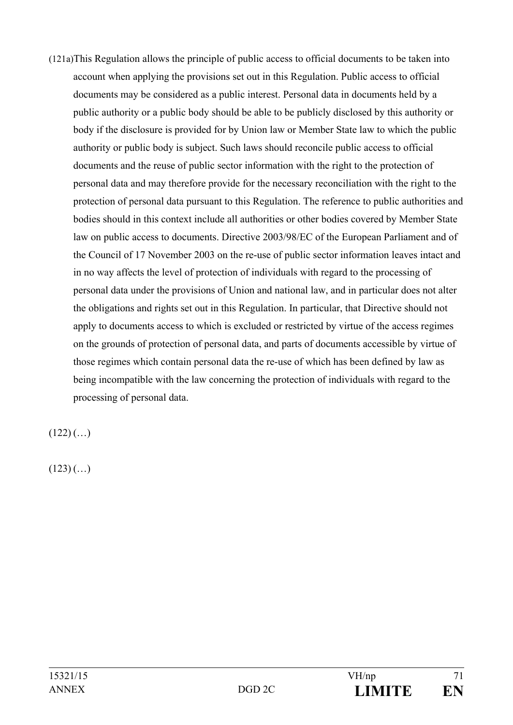(121a)This Regulation allows the principle of public access to official documents to be taken into account when applying the provisions set out in this Regulation. Public access to official documents may be considered as a public interest. Personal data in documents held by a public authority or a public body should be able to be publicly disclosed by this authority or body if the disclosure is provided for by Union law or Member State law to which the public authority or public body is subject. Such laws should reconcile public access to official documents and the reuse of public sector information with the right to the protection of personal data and may therefore provide for the necessary reconciliation with the right to the protection of personal data pursuant to this Regulation. The reference to public authorities and bodies should in this context include all authorities or other bodies covered by Member State law on public access to documents. Directive 2003/98/EC of the European Parliament and of the Council of 17 November 2003 on the re-use of public sector information leaves intact and in no way affects the level of protection of individuals with regard to the processing of personal data under the provisions of Union and national law, and in particular does not alter the obligations and rights set out in this Regulation. In particular, that Directive should not apply to documents access to which is excluded or restricted by virtue of the access regimes on the grounds of protection of personal data, and parts of documents accessible by virtue of those regimes which contain personal data the re-use of which has been defined by law as being incompatible with the law concerning the protection of individuals with regard to the processing of personal data.

 $(122)$  (...)

 $(123)$  (...)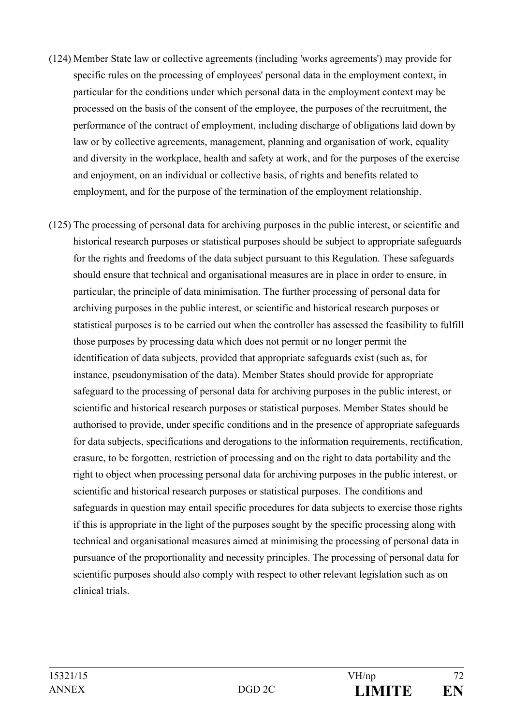- (124) Member State law or collective agreements (including 'works agreements') may provide for specific rules on the processing of employees' personal data in the employment context, in particular for the conditions under which personal data in the employment context may be processed on the basis of the consent of the employee, the purposes of the recruitment, the performance of the contract of employment, including discharge of obligations laid down by law or by collective agreements, management, planning and organisation of work, equality and diversity in the workplace, health and safety at work, and for the purposes of the exercise and enjoyment, on an individual or collective basis, of rights and benefits related to employment, and for the purpose of the termination of the employment relationship.
- (125) The processing of personal data for archiving purposes in the public interest, or scientific and historical research purposes or statistical purposes should be subject to appropriate safeguards for the rights and freedoms of the data subject pursuant to this Regulation. These safeguards should ensure that technical and organisational measures are in place in order to ensure, in particular, the principle of data minimisation. The further processing of personal data for archiving purposes in the public interest, or scientific and historical research purposes or statistical purposes is to be carried out when the controller has assessed the feasibility to fulfill those purposes by processing data which does not permit or no longer permit the identification of data subjects, provided that appropriate safeguards exist (such as, for instance, pseudonymisation of the data). Member States should provide for appropriate safeguard to the processing of personal data for archiving purposes in the public interest, or scientific and historical research purposes or statistical purposes. Member States should be authorised to provide, under specific conditions and in the presence of appropriate safeguards for data subjects, specifications and derogations to the information requirements, rectification, erasure, to be forgotten, restriction of processing and on the right to data portability and the right to object when processing personal data for archiving purposes in the public interest, or scientific and historical research purposes or statistical purposes. The conditions and safeguards in question may entail specific procedures for data subjects to exercise those rights if this is appropriate in the light of the purposes sought by the specific processing along with technical and organisational measures aimed at minimising the processing of personal data in pursuance of the proportionality and necessity principles. The processing of personal data for scientific purposes should also comply with respect to other relevant legislation such as on clinical trials.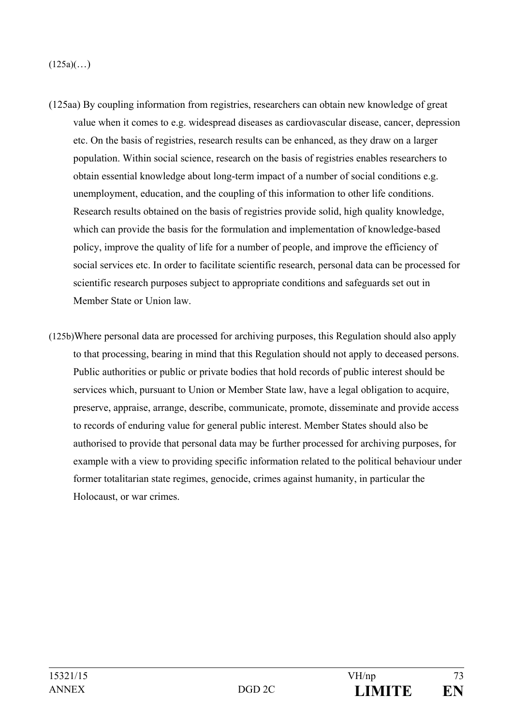$(125a)(...)$ 

- (125aa) By coupling information from registries, researchers can obtain new knowledge of great value when it comes to e.g. widespread diseases as cardiovascular disease, cancer, depression etc. On the basis of registries, research results can be enhanced, as they draw on a larger population. Within social science, research on the basis of registries enables researchers to obtain essential knowledge about long-term impact of a number of social conditions e.g. unemployment, education, and the coupling of this information to other life conditions. Research results obtained on the basis of registries provide solid, high quality knowledge, which can provide the basis for the formulation and implementation of knowledge-based policy, improve the quality of life for a number of people, and improve the efficiency of social services etc. In order to facilitate scientific research, personal data can be processed for scientific research purposes subject to appropriate conditions and safeguards set out in Member State or Union law.
- (125b)Where personal data are processed for archiving purposes, this Regulation should also apply to that processing, bearing in mind that this Regulation should not apply to deceased persons. Public authorities or public or private bodies that hold records of public interest should be services which, pursuant to Union or Member State law, have a legal obligation to acquire, preserve, appraise, arrange, describe, communicate, promote, disseminate and provide access to records of enduring value for general public interest. Member States should also be authorised to provide that personal data may be further processed for archiving purposes, for example with a view to providing specific information related to the political behaviour under former totalitarian state regimes, genocide, crimes against humanity, in particular the Holocaust, or war crimes.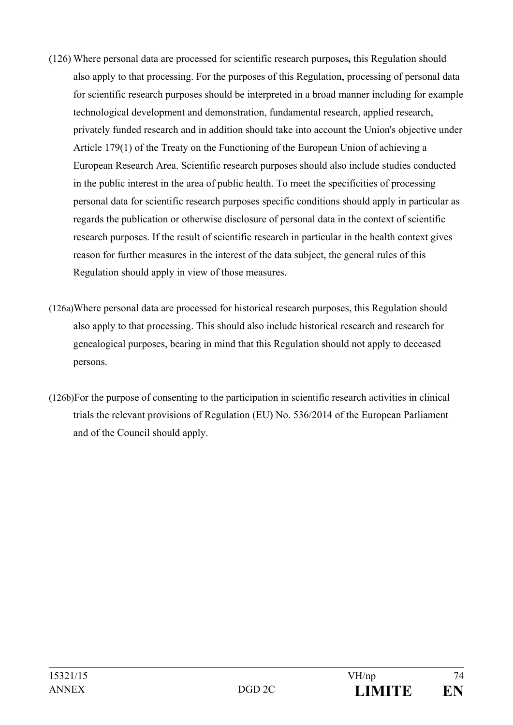- (126) Where personal data are processed for scientific research purposes**,** this Regulation should also apply to that processing. For the purposes of this Regulation, processing of personal data for scientific research purposes should be interpreted in a broad manner including for example technological development and demonstration, fundamental research, applied research, privately funded research and in addition should take into account the Union's objective under Article 179(1) of the Treaty on the Functioning of the European Union of achieving a European Research Area. Scientific research purposes should also include studies conducted in the public interest in the area of public health. To meet the specificities of processing personal data for scientific research purposes specific conditions should apply in particular as regards the publication or otherwise disclosure of personal data in the context of scientific research purposes. If the result of scientific research in particular in the health context gives reason for further measures in the interest of the data subject, the general rules of this Regulation should apply in view of those measures.
- (126a)Where personal data are processed for historical research purposes, this Regulation should also apply to that processing. This should also include historical research and research for genealogical purposes, bearing in mind that this Regulation should not apply to deceased persons.
- (126b)For the purpose of consenting to the participation in scientific research activities in clinical trials the relevant provisions of Regulation (EU) No. 536/2014 of the European Parliament and of the Council should apply.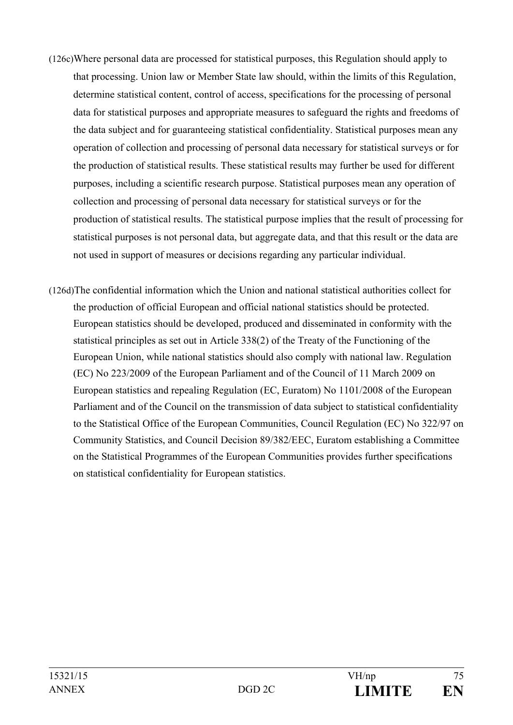- (126c)Where personal data are processed for statistical purposes, this Regulation should apply to that processing. Union law or Member State law should, within the limits of this Regulation, determine statistical content, control of access, specifications for the processing of personal data for statistical purposes and appropriate measures to safeguard the rights and freedoms of the data subject and for guaranteeing statistical confidentiality. Statistical purposes mean any operation of collection and processing of personal data necessary for statistical surveys or for the production of statistical results. These statistical results may further be used for different purposes, including a scientific research purpose. Statistical purposes mean any operation of collection and processing of personal data necessary for statistical surveys or for the production of statistical results. The statistical purpose implies that the result of processing for statistical purposes is not personal data, but aggregate data, and that this result or the data are not used in support of measures or decisions regarding any particular individual.
- (126d)The confidential information which the Union and national statistical authorities collect for the production of official European and official national statistics should be protected. European statistics should be developed, produced and disseminated in conformity with the statistical principles as set out in Article 338(2) of the Treaty of the Functioning of the European Union, while national statistics should also comply with national law. Regulation (EC) No 223/2009 of the European Parliament and of the Council of 11 March 2009 on European statistics and repealing Regulation (EC, Euratom) No 1101/2008 of the European Parliament and of the Council on the transmission of data subject to statistical confidentiality to the Statistical Office of the European Communities, Council Regulation (EC) No 322/97 on Community Statistics, and Council Decision 89/382/EEC, Euratom establishing a Committee on the Statistical Programmes of the European Communities provides further specifications on statistical confidentiality for European statistics.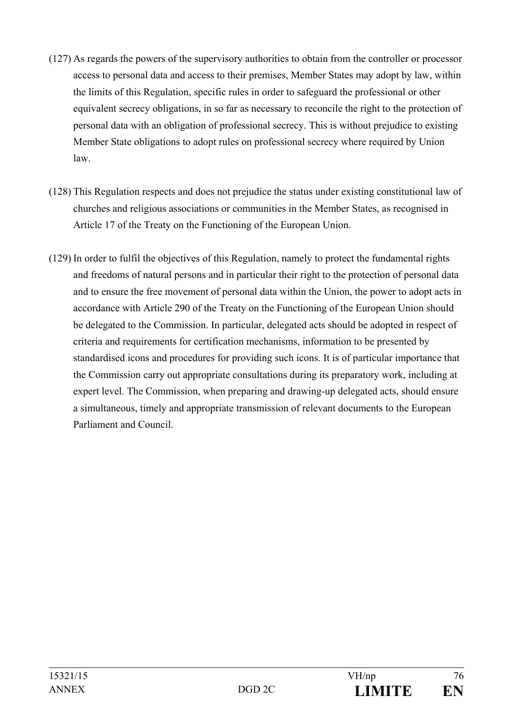- (127) As regards the powers of the supervisory authorities to obtain from the controller or processor access to personal data and access to their premises, Member States may adopt by law, within the limits of this Regulation, specific rules in order to safeguard the professional or other equivalent secrecy obligations, in so far as necessary to reconcile the right to the protection of personal data with an obligation of professional secrecy. This is without prejudice to existing Member State obligations to adopt rules on professional secrecy where required by Union law.
- (128) This Regulation respects and does not prejudice the status under existing constitutional law of churches and religious associations or communities in the Member States, as recognised in Article 17 of the Treaty on the Functioning of the European Union.
- (129) In order to fulfil the objectives of this Regulation, namely to protect the fundamental rights and freedoms of natural persons and in particular their right to the protection of personal data and to ensure the free movement of personal data within the Union, the power to adopt acts in accordance with Article 290 of the Treaty on the Functioning of the European Union should be delegated to the Commission. In particular, delegated acts should be adopted in respect of criteria and requirements for certification mechanisms, information to be presented by standardised icons and procedures for providing such icons. It is of particular importance that the Commission carry out appropriate consultations during its preparatory work, including at expert level. The Commission, when preparing and drawing-up delegated acts, should ensure a simultaneous, timely and appropriate transmission of relevant documents to the European Parliament and Council.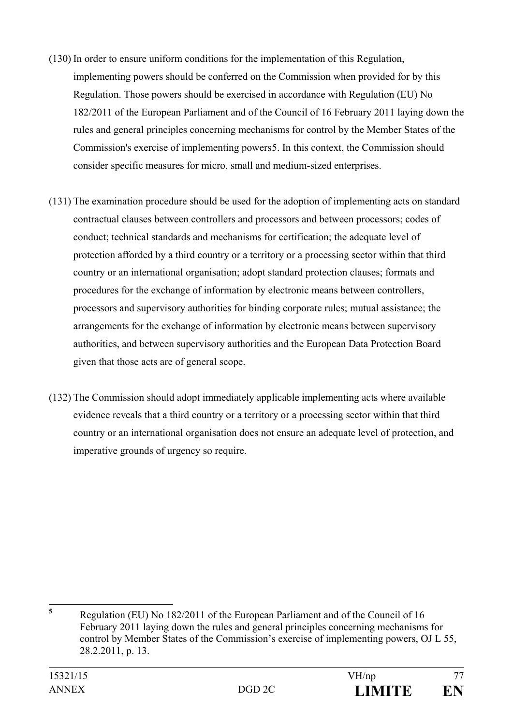- (130) In order to ensure uniform conditions for the implementation of this Regulation, implementing powers should be conferred on the Commission when provided for by this Regulation. Those powers should be exercised in accordance with Regulation (EU) No 182/2011 of the European Parliament and of the Council of 16 February 2011 laying down the rules and general principles concerning mechanisms for control by the Member States of the Commission's exercise of implementing powers[5.](#page-76-0) In this context, the Commission should consider specific measures for micro, small and medium-sized enterprises.
- (131) The examination procedure should be used for the adoption of implementing acts on standard contractual clauses between controllers and processors and between processors; codes of conduct; technical standards and mechanisms for certification; the adequate level of protection afforded by a third country or a territory or a processing sector within that third country or an international organisation; adopt standard protection clauses; formats and procedures for the exchange of information by electronic means between controllers, processors and supervisory authorities for binding corporate rules; mutual assistance; the arrangements for the exchange of information by electronic means between supervisory authorities, and between supervisory authorities and the European Data Protection Board given that those acts are of general scope.
- (132) The Commission should adopt immediately applicable implementing acts where available evidence reveals that a third country or a territory or a processing sector within that third country or an international organisation does not ensure an adequate level of protection, and imperative grounds of urgency so require.

<span id="page-76-0"></span>**<sup>5</sup>** Regulation (EU) No 182/2011 of the European Parliament and of the Council of 16 February 2011 laying down the rules and general principles concerning mechanisms for control by Member States of the Commission's exercise of implementing powers, OJ L 55, 28.2.2011, p. 13.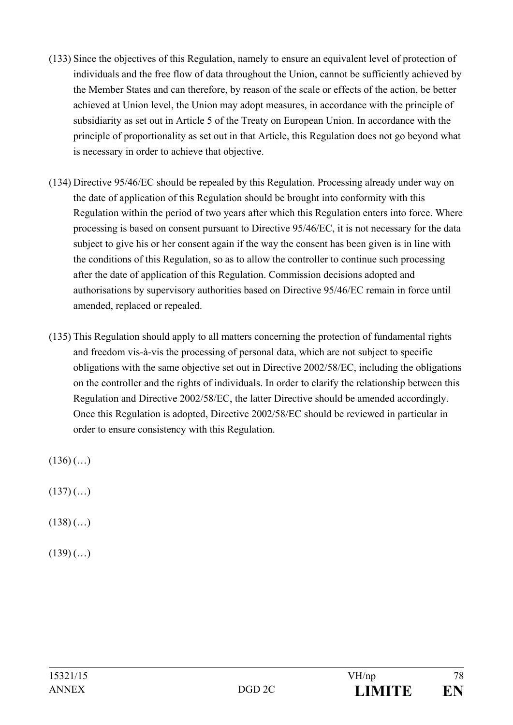- (133) Since the objectives of this Regulation, namely to ensure an equivalent level of protection of individuals and the free flow of data throughout the Union, cannot be sufficiently achieved by the Member States and can therefore, by reason of the scale or effects of the action, be better achieved at Union level, the Union may adopt measures, in accordance with the principle of subsidiarity as set out in Article 5 of the Treaty on European Union. In accordance with the principle of proportionality as set out in that Article, this Regulation does not go beyond what is necessary in order to achieve that objective.
- (134) Directive 95/46/EC should be repealed by this Regulation. Processing already under way on the date of application of this Regulation should be brought into conformity with this Regulation within the period of two years after which this Regulation enters into force. Where processing is based on consent pursuant to Directive 95/46/EC, it is not necessary for the data subject to give his or her consent again if the way the consent has been given is in line with the conditions of this Regulation, so as to allow the controller to continue such processing after the date of application of this Regulation. Commission decisions adopted and authorisations by supervisory authorities based on Directive 95/46/EC remain in force until amended, replaced or repealed.
- (135) This Regulation should apply to all matters concerning the protection of fundamental rights and freedom vis-à-vis the processing of personal data, which are not subject to specific obligations with the same objective set out in Directive 2002/58/EC, including the obligations on the controller and the rights of individuals. In order to clarify the relationship between this Regulation and Directive 2002/58/EC, the latter Directive should be amended accordingly. Once this Regulation is adopted, Directive 2002/58/EC should be reviewed in particular in order to ensure consistency with this Regulation.

 $(136)$  (...)

 $(137)$  (...)

 $(138)$  (...)

 $(139)(...)$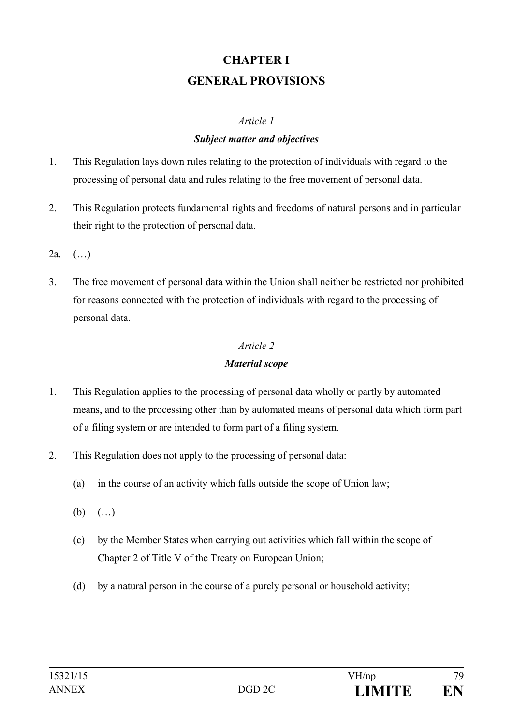# **CHAPTER I GENERAL PROVISIONS**

#### *Article 1*

#### *Subject matter and objectives*

- 1. This Regulation lays down rules relating to the protection of individuals with regard to the processing of personal data and rules relating to the free movement of personal data.
- 2. This Regulation protects fundamental rights and freedoms of natural persons and in particular their right to the protection of personal data.
- $2a.$  (...)
- 3. The free movement of personal data within the Union shall neither be restricted nor prohibited for reasons connected with the protection of individuals with regard to the processing of personal data.

#### *Article 2*

#### *Material scope*

- 1. This Regulation applies to the processing of personal data wholly or partly by automated means, and to the processing other than by automated means of personal data which form part of a filing system or are intended to form part of a filing system.
- 2. This Regulation does not apply to the processing of personal data:
	- (a) in the course of an activity which falls outside the scope of Union law;
	- (b) (…)
	- (c) by the Member States when carrying out activities which fall within the scope of Chapter 2 of Title V of the Treaty on European Union;
	- (d) by a natural person in the course of a purely personal or household activity;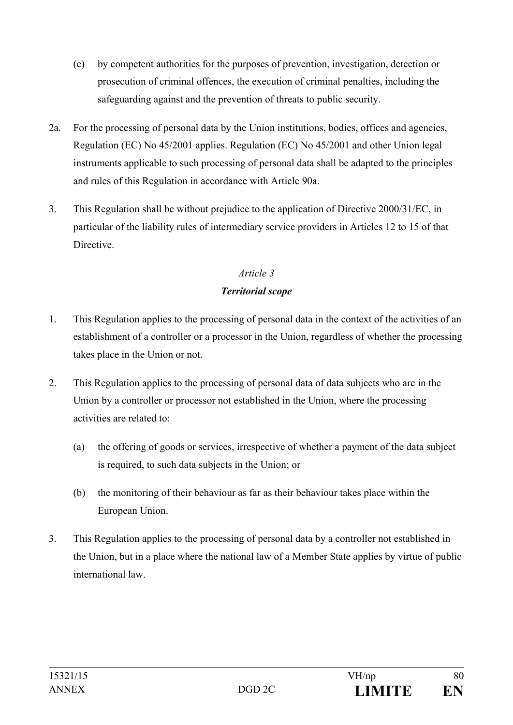- (e) by competent authorities for the purposes of prevention, investigation, detection or prosecution of criminal offences, the execution of criminal penalties, including the safeguarding against and the prevention of threats to public security.
- 2a. For the processing of personal data by the Union institutions, bodies, offices and agencies, Regulation (EC) No 45/2001 applies. Regulation (EC) No 45/2001 and other Union legal instruments applicable to such processing of personal data shall be adapted to the principles and rules of this Regulation in accordance with Article 90a.
- 3. This Regulation shall be without prejudice to the application of Directive 2000/31/EC, in particular of the liability rules of intermediary service providers in Articles 12 to 15 of that Directive.

# *Article 3 Territorial scope*

- 1. This Regulation applies to the processing of personal data in the context of the activities of an establishment of a controller or a processor in the Union, regardless of whether the processing takes place in the Union or not.
- 2. This Regulation applies to the processing of personal data of data subjects who are in the Union by a controller or processor not established in the Union, where the processing activities are related to:
	- (a) the offering of goods or services, irrespective of whether a payment of the data subject is required, to such data subjects in the Union; or
	- (b) the monitoring of their behaviour as far as their behaviour takes place within the European Union.
- 3. This Regulation applies to the processing of personal data by a controller not established in the Union, but in a place where the national law of a Member State applies by virtue of public international law.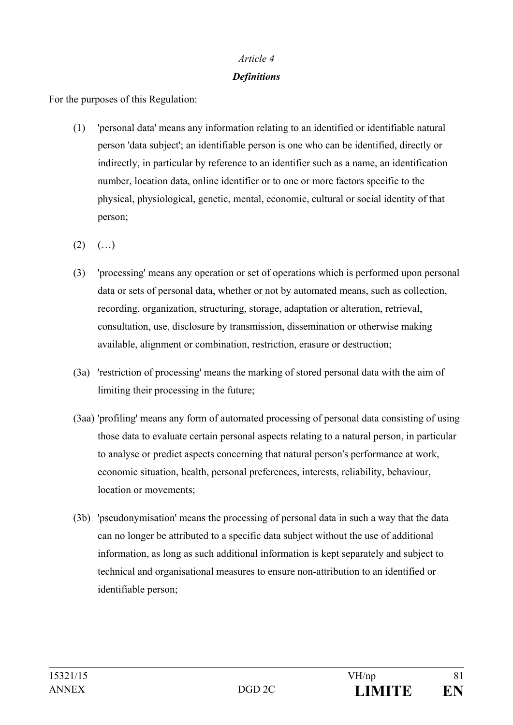#### *Definitions*

For the purposes of this Regulation:

- (1) 'personal data' means any information relating to an identified or identifiable natural person 'data subject'; an identifiable person is one who can be identified, directly or indirectly, in particular by reference to an identifier such as a name, an identification number, location data, online identifier or to one or more factors specific to the physical, physiological, genetic, mental, economic, cultural or social identity of that person;
- $(2)$   $(...)$
- (3) 'processing' means any operation or set of operations which is performed upon personal data or sets of personal data, whether or not by automated means, such as collection, recording, organization, structuring, storage, adaptation or alteration, retrieval, consultation, use, disclosure by transmission, dissemination or otherwise making available, alignment or combination, restriction, erasure or destruction;
- (3a) 'restriction of processing' means the marking of stored personal data with the aim of limiting their processing in the future;
- (3aa) 'profiling' means any form of automated processing of personal data consisting of using those data to evaluate certain personal aspects relating to a natural person, in particular to analyse or predict aspects concerning that natural person's performance at work, economic situation, health, personal preferences, interests, reliability, behaviour, location or movements;
- (3b) 'pseudonymisation' means the processing of personal data in such a way that the data can no longer be attributed to a specific data subject without the use of additional information, as long as such additional information is kept separately and subject to technical and organisational measures to ensure non-attribution to an identified or identifiable person;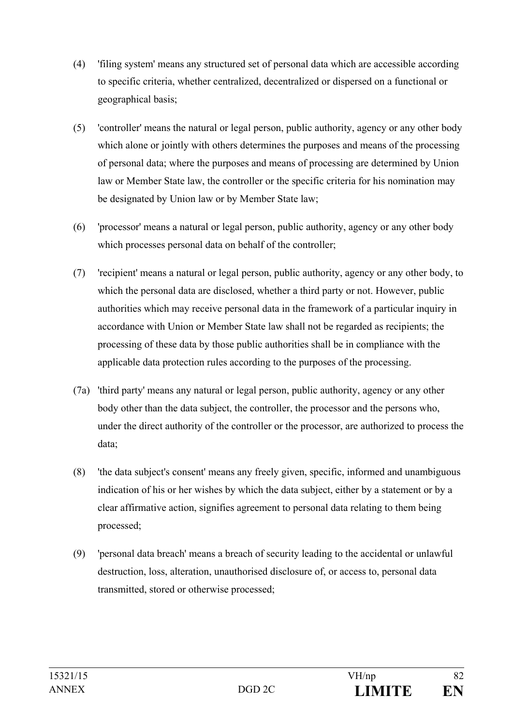- (4) 'filing system' means any structured set of personal data which are accessible according to specific criteria, whether centralized, decentralized or dispersed on a functional or geographical basis;
- (5) 'controller' means the natural or legal person, public authority, agency or any other body which alone or jointly with others determines the purposes and means of the processing of personal data; where the purposes and means of processing are determined by Union law or Member State law, the controller or the specific criteria for his nomination may be designated by Union law or by Member State law;
- (6) 'processor' means a natural or legal person, public authority, agency or any other body which processes personal data on behalf of the controller;
- (7) 'recipient' means a natural or legal person, public authority, agency or any other body, to which the personal data are disclosed, whether a third party or not. However, public authorities which may receive personal data in the framework of a particular inquiry in accordance with Union or Member State law shall not be regarded as recipients; the processing of these data by those public authorities shall be in compliance with the applicable data protection rules according to the purposes of the processing.
- (7a) 'third party' means any natural or legal person, public authority, agency or any other body other than the data subject, the controller, the processor and the persons who, under the direct authority of the controller or the processor, are authorized to process the data;
- (8) 'the data subject's consent' means any freely given, specific, informed and unambiguous indication of his or her wishes by which the data subject, either by a statement or by a clear affirmative action, signifies agreement to personal data relating to them being processed;
- (9) 'personal data breach' means a breach of security leading to the accidental or unlawful destruction, loss, alteration, unauthorised disclosure of, or access to, personal data transmitted, stored or otherwise processed;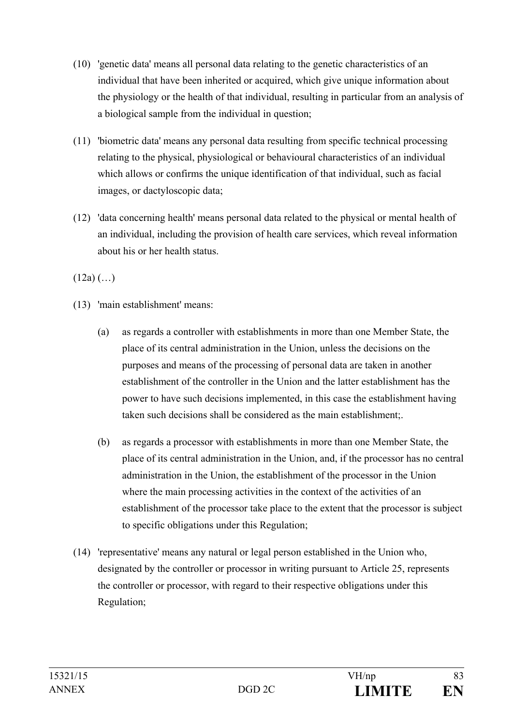- (10) 'genetic data' means all personal data relating to the genetic characteristics of an individual that have been inherited or acquired, which give unique information about the physiology or the health of that individual, resulting in particular from an analysis of a biological sample from the individual in question;
- (11) 'biometric data' means any personal data resulting from specific technical processing relating to the physical, physiological or behavioural characteristics of an individual which allows or confirms the unique identification of that individual, such as facial images, or dactyloscopic data;
- (12) 'data concerning health' means personal data related to the physical or mental health of an individual, including the provision of health care services, which reveal information about his or her health status.

 $(12a)$   $(...)$ 

- (13) 'main establishment' means:
	- (a) as regards a controller with establishments in more than one Member State, the place of its central administration in the Union, unless the decisions on the purposes and means of the processing of personal data are taken in another establishment of the controller in the Union and the latter establishment has the power to have such decisions implemented, in this case the establishment having taken such decisions shall be considered as the main establishment;.
	- (b) as regards a processor with establishments in more than one Member State, the place of its central administration in the Union, and, if the processor has no central administration in the Union, the establishment of the processor in the Union where the main processing activities in the context of the activities of an establishment of the processor take place to the extent that the processor is subject to specific obligations under this Regulation;
- (14) 'representative' means any natural or legal person established in the Union who, designated by the controller or processor in writing pursuant to Article 25, represents the controller or processor, with regard to their respective obligations under this Regulation;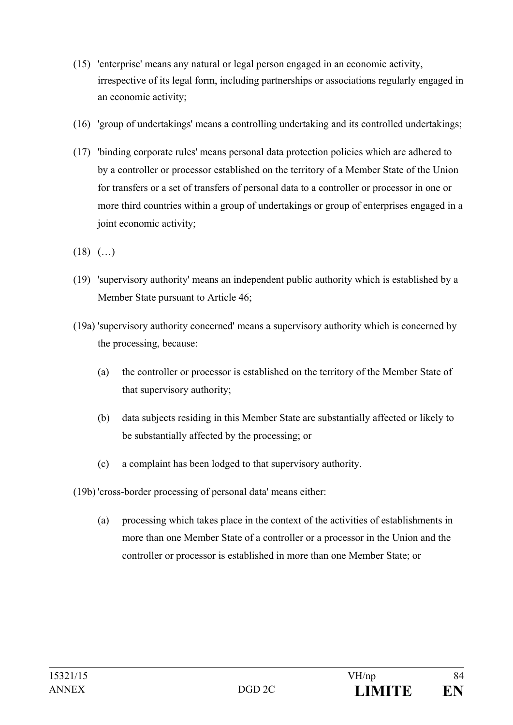- (15) 'enterprise' means any natural or legal person engaged in an economic activity, irrespective of its legal form, including partnerships or associations regularly engaged in an economic activity;
- (16) 'group of undertakings' means a controlling undertaking and its controlled undertakings;
- (17) 'binding corporate rules' means personal data protection policies which are adhered to by a controller or processor established on the territory of a Member State of the Union for transfers or a set of transfers of personal data to a controller or processor in one or more third countries within a group of undertakings or group of enterprises engaged in a joint economic activity;
- $(18)$   $($ ...)
- (19) 'supervisory authority' means an independent public authority which is established by a Member State pursuant to Article 46;
- (19a) 'supervisory authority concerned' means a supervisory authority which is concerned by the processing, because:
	- (a) the controller or processor is established on the territory of the Member State of that supervisory authority;
	- (b) data subjects residing in this Member State are substantially affected or likely to be substantially affected by the processing; or
	- (c) a complaint has been lodged to that supervisory authority.
- (19b) 'cross-border processing of personal data' means either:
	- (a) processing which takes place in the context of the activities of establishments in more than one Member State of a controller or a processor in the Union and the controller or processor is established in more than one Member State; or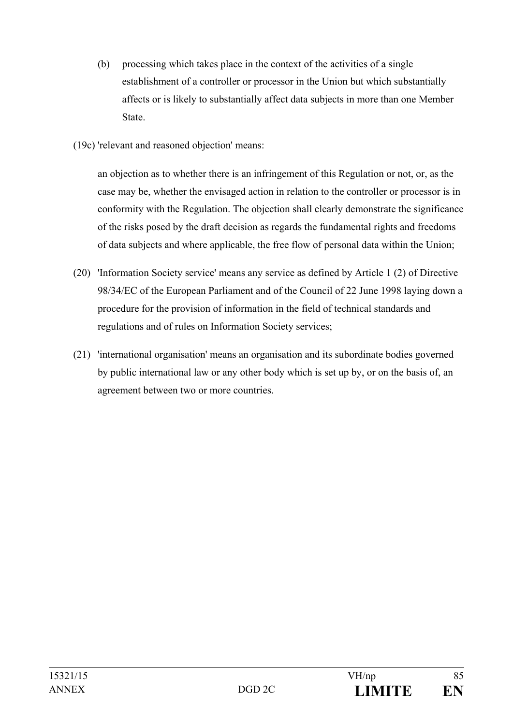- (b) processing which takes place in the context of the activities of a single establishment of a controller or processor in the Union but which substantially affects or is likely to substantially affect data subjects in more than one Member State.
- (19c) 'relevant and reasoned objection' means:

an objection as to whether there is an infringement of this Regulation or not, or, as the case may be, whether the envisaged action in relation to the controller or processor is in conformity with the Regulation. The objection shall clearly demonstrate the significance of the risks posed by the draft decision as regards the fundamental rights and freedoms of data subjects and where applicable, the free flow of personal data within the Union;

- (20) 'Information Society service' means any service as defined by Article 1 (2) of Directive 98/34/EC of the European Parliament and of the Council of 22 June 1998 laying down a procedure for the provision of information in the field of technical standards and regulations and of rules on Information Society services;
- (21) 'international organisation' means an organisation and its subordinate bodies governed by public international law or any other body which is set up by, or on the basis of, an agreement between two or more countries.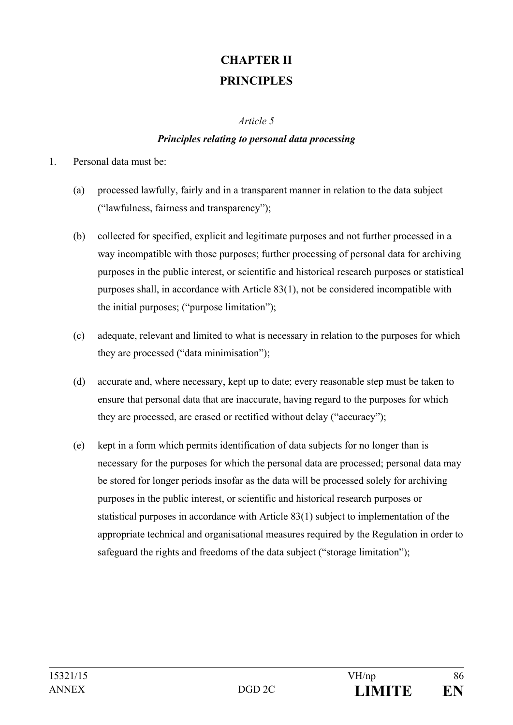# **CHAPTER II PRINCIPLES**

#### *Article 5*

#### *Principles relating to personal data processing*

- 1. Personal data must be:
	- (a) processed lawfully, fairly and in a transparent manner in relation to the data subject ("lawfulness, fairness and transparency");
	- (b) collected for specified, explicit and legitimate purposes and not further processed in a way incompatible with those purposes; further processing of personal data for archiving purposes in the public interest, or scientific and historical research purposes or statistical purposes shall, in accordance with Article 83(1), not be considered incompatible with the initial purposes; ("purpose limitation");
	- (c) adequate, relevant and limited to what is necessary in relation to the purposes for which they are processed ("data minimisation");
	- (d) accurate and, where necessary, kept up to date; every reasonable step must be taken to ensure that personal data that are inaccurate, having regard to the purposes for which they are processed, are erased or rectified without delay ("accuracy");
	- (e) kept in a form which permits identification of data subjects for no longer than is necessary for the purposes for which the personal data are processed; personal data may be stored for longer periods insofar as the data will be processed solely for archiving purposes in the public interest, or scientific and historical research purposes or statistical purposes in accordance with Article 83(1) subject to implementation of the appropriate technical and organisational measures required by the Regulation in order to safeguard the rights and freedoms of the data subject ("storage limitation");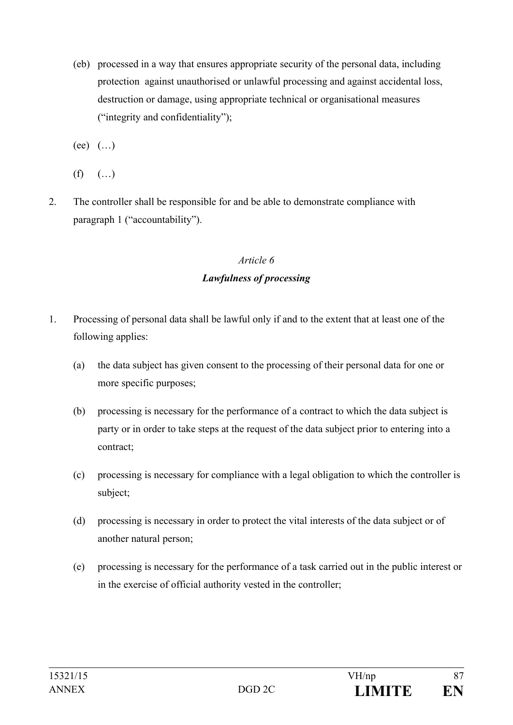(eb) processed in a way that ensures appropriate security of the personal data, including protection against unauthorised or unlawful processing and against accidental loss, destruction or damage, using appropriate technical or organisational measures ("integrity and confidentiality");

(ee) (…)

- $(f)$   $($ ...)
- 2. The controller shall be responsible for and be able to demonstrate compliance with paragraph 1 ("accountability").

## *Article 6*

#### *Lawfulness of processing*

- 1. Processing of personal data shall be lawful only if and to the extent that at least one of the following applies:
	- (a) the data subject has given consent to the processing of their personal data for one or more specific purposes;
	- (b) processing is necessary for the performance of a contract to which the data subject is party or in order to take steps at the request of the data subject prior to entering into a contract;
	- (c) processing is necessary for compliance with a legal obligation to which the controller is subject;
	- (d) processing is necessary in order to protect the vital interests of the data subject or of another natural person;
	- (e) processing is necessary for the performance of a task carried out in the public interest or in the exercise of official authority vested in the controller;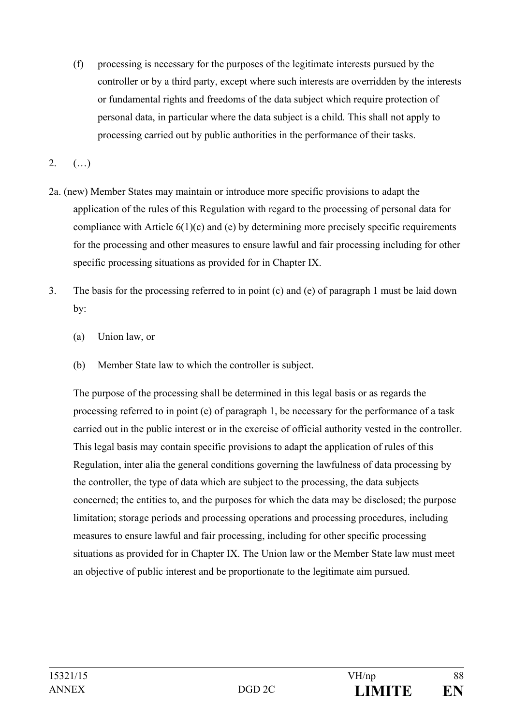- (f) processing is necessary for the purposes of the legitimate interests pursued by the controller or by a third party, except where such interests are overridden by the interests or fundamental rights and freedoms of the data subject which require protection of personal data, in particular where the data subject is a child. This shall not apply to processing carried out by public authorities in the performance of their tasks.
- 2. (…)
- 2a. (new) Member States may maintain or introduce more specific provisions to adapt the application of the rules of this Regulation with regard to the processing of personal data for compliance with Article  $6(1)(c)$  and (e) by determining more precisely specific requirements for the processing and other measures to ensure lawful and fair processing including for other specific processing situations as provided for in Chapter IX.
- 3. The basis for the processing referred to in point (c) and (e) of paragraph 1 must be laid down by:
	- (a) Union law, or
	- (b) Member State law to which the controller is subject.

The purpose of the processing shall be determined in this legal basis or as regards the processing referred to in point (e) of paragraph 1, be necessary for the performance of a task carried out in the public interest or in the exercise of official authority vested in the controller. This legal basis may contain specific provisions to adapt the application of rules of this Regulation, inter alia the general conditions governing the lawfulness of data processing by the controller, the type of data which are subject to the processing, the data subjects concerned; the entities to, and the purposes for which the data may be disclosed; the purpose limitation; storage periods and processing operations and processing procedures, including measures to ensure lawful and fair processing, including for other specific processing situations as provided for in Chapter IX. The Union law or the Member State law must meet an objective of public interest and be proportionate to the legitimate aim pursued.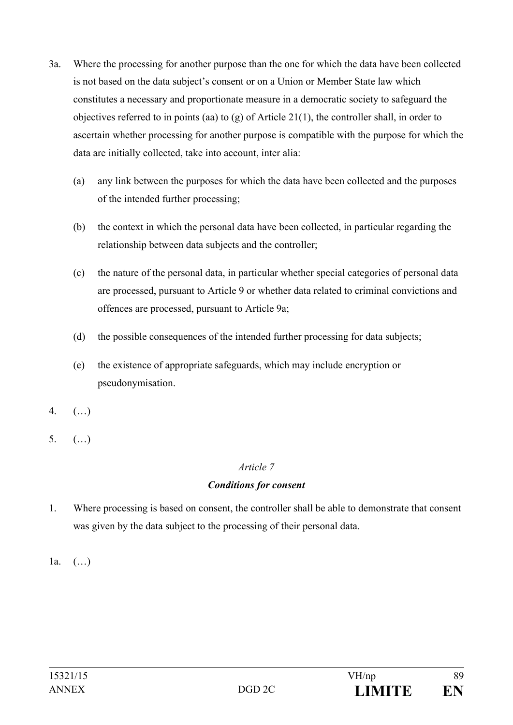- 3a. Where the processing for another purpose than the one for which the data have been collected is not based on the data subject's consent or on a Union or Member State law which constitutes a necessary and proportionate measure in a democratic society to safeguard the objectives referred to in points (aa) to (g) of Article 21(1), the controller shall, in order to ascertain whether processing for another purpose is compatible with the purpose for which the data are initially collected, take into account, inter alia:
	- (a) any link between the purposes for which the data have been collected and the purposes of the intended further processing;
	- (b) the context in which the personal data have been collected, in particular regarding the relationship between data subjects and the controller;
	- (c) the nature of the personal data, in particular whether special categories of personal data are processed, pursuant to Article 9 or whether data related to criminal convictions and offences are processed, pursuant to Article 9a;
	- (d) the possible consequences of the intended further processing for data subjects;
	- (e) the existence of appropriate safeguards, which may include encryption or pseudonymisation.
- 4. (…)
- 5. (…)

#### *Conditions for consent*

1. Where processing is based on consent, the controller shall be able to demonstrate that consent was given by the data subject to the processing of their personal data.

1a. (…)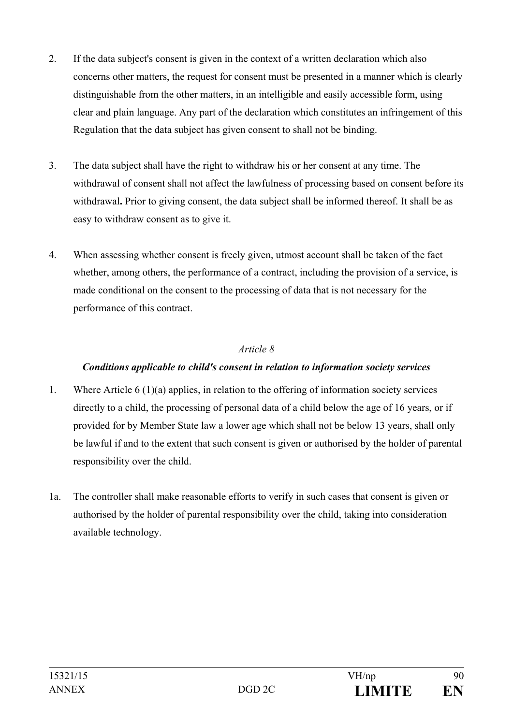- 2. If the data subject's consent is given in the context of a written declaration which also concerns other matters, the request for consent must be presented in a manner which is clearly distinguishable from the other matters, in an intelligible and easily accessible form, using clear and plain language. Any part of the declaration which constitutes an infringement of this Regulation that the data subject has given consent to shall not be binding.
- 3. The data subject shall have the right to withdraw his or her consent at any time. The withdrawal of consent shall not affect the lawfulness of processing based on consent before its withdrawal**.** Prior to giving consent, the data subject shall be informed thereof. It shall be as easy to withdraw consent as to give it.
- 4. When assessing whether consent is freely given, utmost account shall be taken of the fact whether, among others, the performance of a contract, including the provision of a service, is made conditional on the consent to the processing of data that is not necessary for the performance of this contract.

## *Conditions applicable to child's consent in relation to information society services*

- 1. Where Article 6 (1)(a) applies, in relation to the offering of information society services directly to a child, the processing of personal data of a child below the age of 16 years, or if provided for by Member State law a lower age which shall not be below 13 years, shall only be lawful if and to the extent that such consent is given or authorised by the holder of parental responsibility over the child.
- 1a. The controller shall make reasonable efforts to verify in such cases that consent is given or authorised by the holder of parental responsibility over the child, taking into consideration available technology.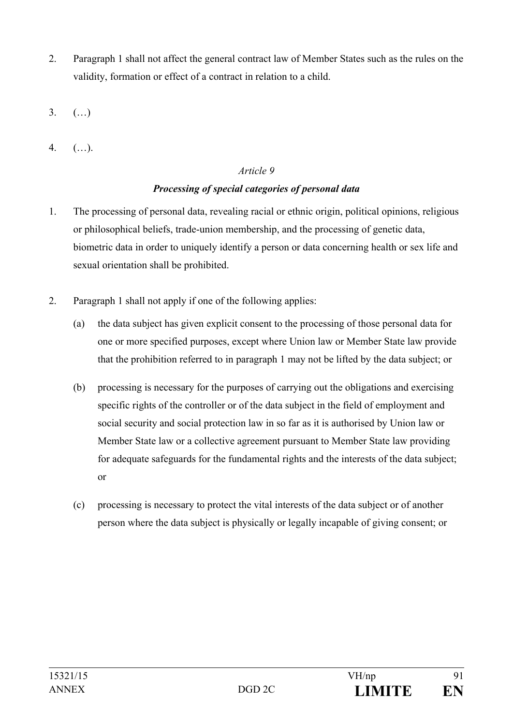- 2. Paragraph 1 shall not affect the general contract law of Member States such as the rules on the validity, formation or effect of a contract in relation to a child.
- 3. (…)
- 4. (…).

## *Processing of special categories of personal data*

- 1. The processing of personal data, revealing racial or ethnic origin, political opinions, religious or philosophical beliefs, trade-union membership, and the processing of genetic data, biometric data in order to uniquely identify a person or data concerning health or sex life and sexual orientation shall be prohibited.
- 2. Paragraph 1 shall not apply if one of the following applies:
	- (a) the data subject has given explicit consent to the processing of those personal data for one or more specified purposes, except where Union law or Member State law provide that the prohibition referred to in paragraph 1 may not be lifted by the data subject; or
	- (b) processing is necessary for the purposes of carrying out the obligations and exercising specific rights of the controller or of the data subject in the field of employment and social security and social protection law in so far as it is authorised by Union law or Member State law or a collective agreement pursuant to Member State law providing for adequate safeguards for the fundamental rights and the interests of the data subject; or
	- (c) processing is necessary to protect the vital interests of the data subject or of another person where the data subject is physically or legally incapable of giving consent; or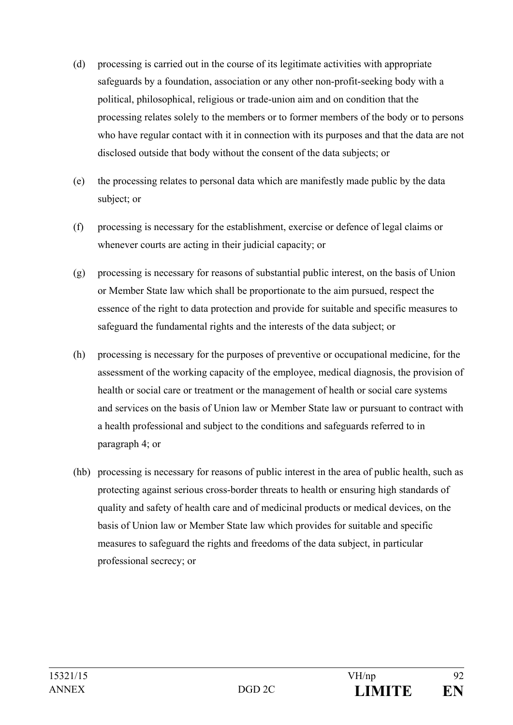- (d) processing is carried out in the course of its legitimate activities with appropriate safeguards by a foundation, association or any other non-profit-seeking body with a political, philosophical, religious or trade-union aim and on condition that the processing relates solely to the members or to former members of the body or to persons who have regular contact with it in connection with its purposes and that the data are not disclosed outside that body without the consent of the data subjects; or
- (e) the processing relates to personal data which are manifestly made public by the data subject; or
- (f) processing is necessary for the establishment, exercise or defence of legal claims or whenever courts are acting in their judicial capacity; or
- (g) processing is necessary for reasons of substantial public interest, on the basis of Union or Member State law which shall be proportionate to the aim pursued, respect the essence of the right to data protection and provide for suitable and specific measures to safeguard the fundamental rights and the interests of the data subject; or
- (h) processing is necessary for the purposes of preventive or occupational medicine, for the assessment of the working capacity of the employee, medical diagnosis, the provision of health or social care or treatment or the management of health or social care systems and services on the basis of Union law or Member State law or pursuant to contract with a health professional and subject to the conditions and safeguards referred to in paragraph 4; or
- (hb) processing is necessary for reasons of public interest in the area of public health, such as protecting against serious cross-border threats to health or ensuring high standards of quality and safety of health care and of medicinal products or medical devices, on the basis of Union law or Member State law which provides for suitable and specific measures to safeguard the rights and freedoms of the data subject, in particular professional secrecy; or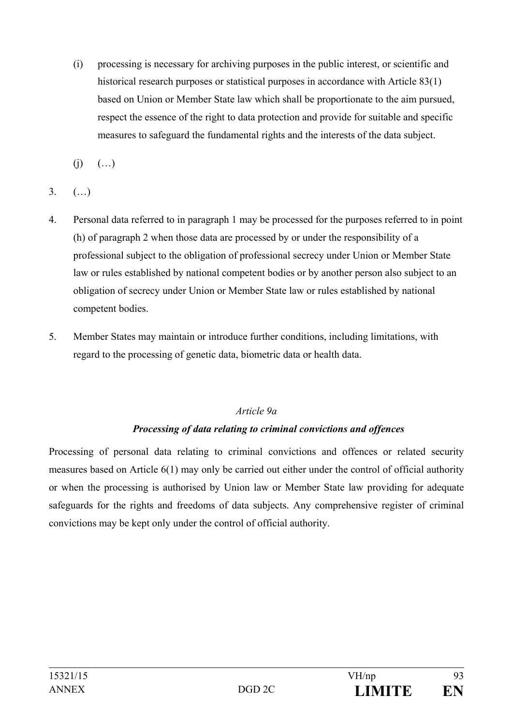- (i) processing is necessary for archiving purposes in the public interest, or scientific and historical research purposes or statistical purposes in accordance with Article 83(1) based on Union or Member State law which shall be proportionate to the aim pursued, respect the essence of the right to data protection and provide for suitable and specific measures to safeguard the fundamental rights and the interests of the data subject.
- $(i)$   $(...)$
- 3. (…)
- 4. Personal data referred to in paragraph 1 may be processed for the purposes referred to in point (h) of paragraph 2 when those data are processed by or under the responsibility of a professional subject to the obligation of professional secrecy under Union or Member State law or rules established by national competent bodies or by another person also subject to an obligation of secrecy under Union or Member State law or rules established by national competent bodies.
- 5. Member States may maintain or introduce further conditions, including limitations, with regard to the processing of genetic data, biometric data or health data.

#### *Article 9a*

## *Processing of data relating to criminal convictions and offences*

Processing of personal data relating to criminal convictions and offences or related security measures based on Article 6(1) may only be carried out either under the control of official authority or when the processing is authorised by Union law or Member State law providing for adequate safeguards for the rights and freedoms of data subjects. Any comprehensive register of criminal convictions may be kept only under the control of official authority.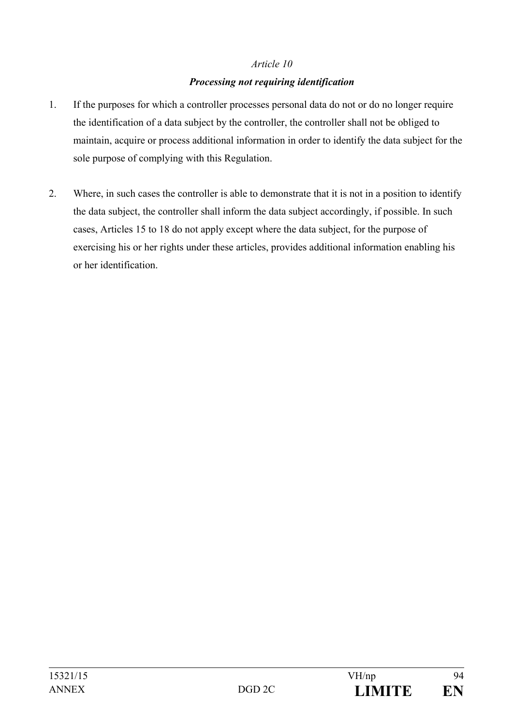#### *Processing not requiring identification*

- 1. If the purposes for which a controller processes personal data do not or do no longer require the identification of a data subject by the controller, the controller shall not be obliged to maintain, acquire or process additional information in order to identify the data subject for the sole purpose of complying with this Regulation.
- 2. Where, in such cases the controller is able to demonstrate that it is not in a position to identify the data subject, the controller shall inform the data subject accordingly, if possible. In such cases, Articles 15 to 18 do not apply except where the data subject, for the purpose of exercising his or her rights under these articles, provides additional information enabling his or her identification.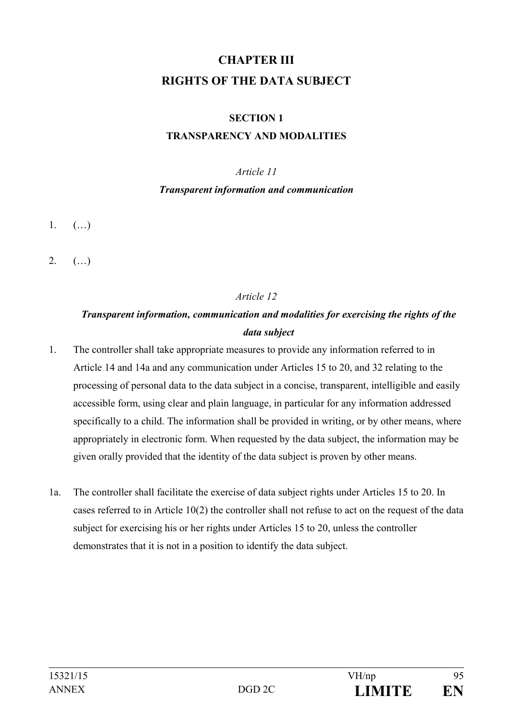# **CHAPTER III RIGHTS OF THE DATA SUBJECT**

#### **SECTION 1**

# **TRANSPARENCY AND MODALITIES**

#### *Article 11*

#### *Transparent information and communication*

- $1.$   $($ ...)
- $2. (...)$

#### *Article 12*

# *Transparent information, communication and modalities for exercising the rights of the data subject*

- 1. The controller shall take appropriate measures to provide any information referred to in Article 14 and 14a and any communication under Articles 15 to 20, and 32 relating to the processing of personal data to the data subject in a concise, transparent, intelligible and easily accessible form, using clear and plain language, in particular for any information addressed specifically to a child. The information shall be provided in writing, or by other means, where appropriately in electronic form. When requested by the data subject, the information may be given orally provided that the identity of the data subject is proven by other means.
- 1a. The controller shall facilitate the exercise of data subject rights under Articles 15 to 20. In cases referred to in Article 10(2) the controller shall not refuse to act on the request of the data subject for exercising his or her rights under Articles 15 to 20, unless the controller demonstrates that it is not in a position to identify the data subject.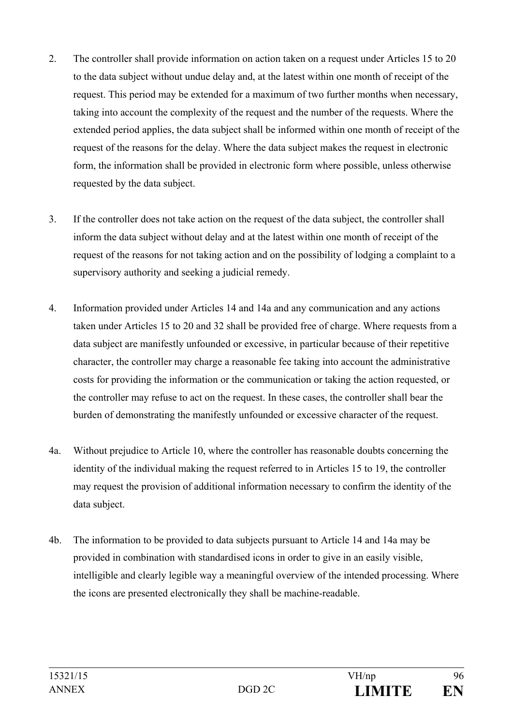- 2. The controller shall provide information on action taken on a request under Articles 15 to 20 to the data subject without undue delay and, at the latest within one month of receipt of the request. This period may be extended for a maximum of two further months when necessary, taking into account the complexity of the request and the number of the requests. Where the extended period applies, the data subject shall be informed within one month of receipt of the request of the reasons for the delay. Where the data subject makes the request in electronic form, the information shall be provided in electronic form where possible, unless otherwise requested by the data subject.
- 3. If the controller does not take action on the request of the data subject, the controller shall inform the data subject without delay and at the latest within one month of receipt of the request of the reasons for not taking action and on the possibility of lodging a complaint to a supervisory authority and seeking a judicial remedy.
- 4. Information provided under Articles 14 and 14a and any communication and any actions taken under Articles 15 to 20 and 32 shall be provided free of charge. Where requests from a data subject are manifestly unfounded or excessive, in particular because of their repetitive character, the controller may charge a reasonable fee taking into account the administrative costs for providing the information or the communication or taking the action requested, or the controller may refuse to act on the request. In these cases, the controller shall bear the burden of demonstrating the manifestly unfounded or excessive character of the request.
- 4a. Without prejudice to Article 10, where the controller has reasonable doubts concerning the identity of the individual making the request referred to in Articles 15 to 19, the controller may request the provision of additional information necessary to confirm the identity of the data subject.
- 4b. The information to be provided to data subjects pursuant to Article 14 and 14a may be provided in combination with standardised icons in order to give in an easily visible, intelligible and clearly legible way a meaningful overview of the intended processing. Where the icons are presented electronically they shall be machine-readable.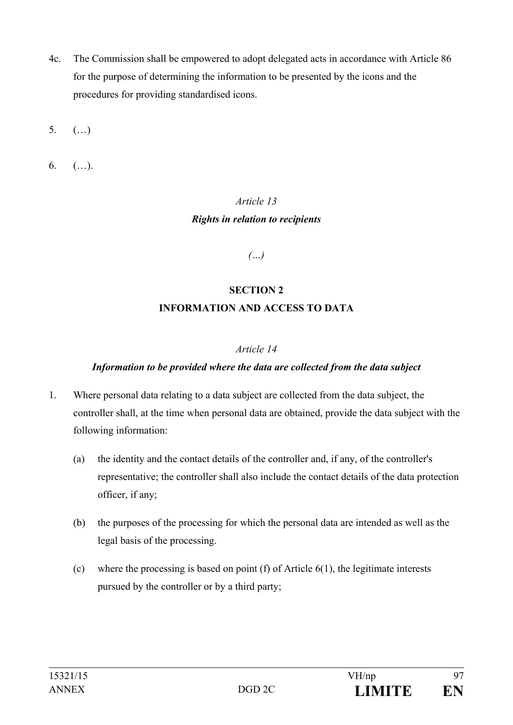- 4c. The Commission shall be empowered to adopt delegated acts in accordance with Article 86 for the purpose of determining the information to be presented by the icons and the procedures for providing standardised icons.
- 5. (…)
- 6. (…).

# *Article 13 Rights in relation to recipients*

*(…)*

# **SECTION 2 INFORMATION AND ACCESS TO DATA**

#### *Article 14*

#### *Information to be provided where the data are collected from the data subject*

- 1. Where personal data relating to a data subject are collected from the data subject, the controller shall, at the time when personal data are obtained, provide the data subject with the following information:
	- (a) the identity and the contact details of the controller and, if any, of the controller's representative; the controller shall also include the contact details of the data protection officer, if any;
	- (b) the purposes of the processing for which the personal data are intended as well as the legal basis of the processing.
	- (c) where the processing is based on point  $(f)$  of Article  $6(1)$ , the legitimate interests pursued by the controller or by a third party;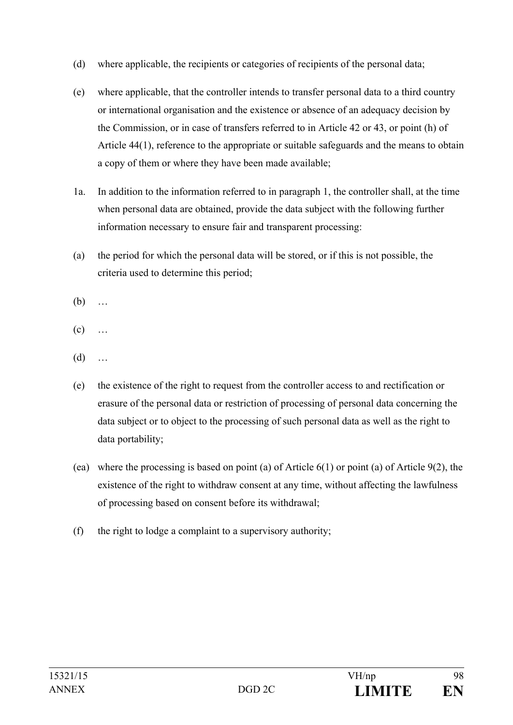- (d) where applicable, the recipients or categories of recipients of the personal data;
- (e) where applicable, that the controller intends to transfer personal data to a third country or international organisation and the existence or absence of an adequacy decision by the Commission, or in case of transfers referred to in Article 42 or 43, or point (h) of Article 44(1), reference to the appropriate or suitable safeguards and the means to obtain a copy of them or where they have been made available;
- 1a. In addition to the information referred to in paragraph 1, the controller shall, at the time when personal data are obtained, provide the data subject with the following further information necessary to ensure fair and transparent processing:
- (a) the period for which the personal data will be stored, or if this is not possible, the criteria used to determine this period;
- (b) …
- $(c)$  ...
- (d) …
- (e) the existence of the right to request from the controller access to and rectification or erasure of the personal data or restriction of processing of personal data concerning the data subject or to object to the processing of such personal data as well as the right to data portability;
- (ea) where the processing is based on point (a) of Article 6(1) or point (a) of Article 9(2), the existence of the right to withdraw consent at any time, without affecting the lawfulness of processing based on consent before its withdrawal;
- (f) the right to lodge a complaint to a supervisory authority;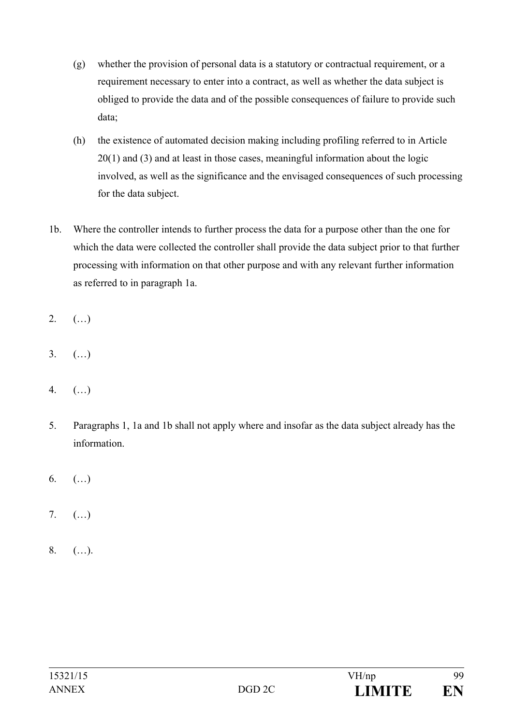- (g) whether the provision of personal data is a statutory or contractual requirement, or a requirement necessary to enter into a contract, as well as whether the data subject is obliged to provide the data and of the possible consequences of failure to provide such data;
- (h) the existence of automated decision making including profiling referred to in Article 20(1) and (3) and at least in those cases, meaningful information about the logic involved, as well as the significance and the envisaged consequences of such processing for the data subject.
- 1b. Where the controller intends to further process the data for a purpose other than the one for which the data were collected the controller shall provide the data subject prior to that further processing with information on that other purpose and with any relevant further information as referred to in paragraph 1a.
- 2. (…)
- 3. (…)
- 4. (…)
- 5. Paragraphs 1, 1a and 1b shall not apply where and insofar as the data subject already has the information.
- 6. (…)
- 7. (…)
- 8. (…).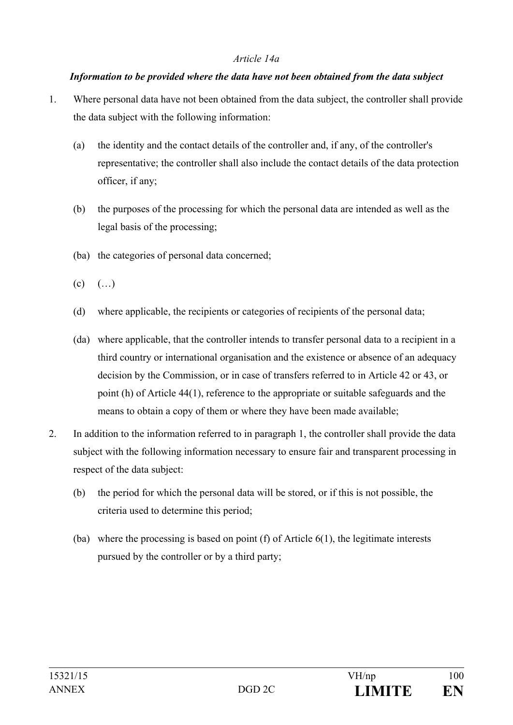#### *Article 14a*

#### *Information to be provided where the data have not been obtained from the data subject*

- 1. Where personal data have not been obtained from the data subject, the controller shall provide the data subject with the following information:
	- (a) the identity and the contact details of the controller and, if any, of the controller's representative; the controller shall also include the contact details of the data protection officer, if any;
	- (b) the purposes of the processing for which the personal data are intended as well as the legal basis of the processing;
	- (ba) the categories of personal data concerned;
	- $(c)$   $(...)$
	- (d) where applicable, the recipients or categories of recipients of the personal data;
	- (da) where applicable, that the controller intends to transfer personal data to a recipient in a third country or international organisation and the existence or absence of an adequacy decision by the Commission, or in case of transfers referred to in Article 42 or 43, or point (h) of Article 44(1), reference to the appropriate or suitable safeguards and the means to obtain a copy of them or where they have been made available;
- 2. In addition to the information referred to in paragraph 1, the controller shall provide the data subject with the following information necessary to ensure fair and transparent processing in respect of the data subject:
	- (b) the period for which the personal data will be stored, or if this is not possible, the criteria used to determine this period;
	- (ba) where the processing is based on point (f) of Article 6(1), the legitimate interests pursued by the controller or by a third party;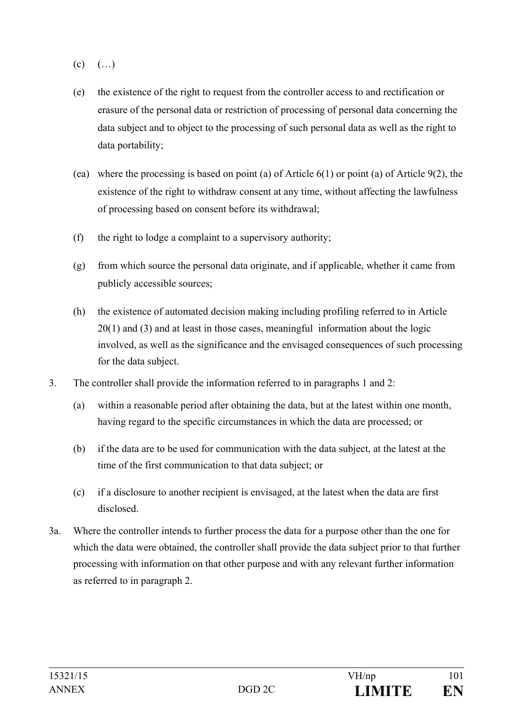- $(c)$   $(...)$
- (e) the existence of the right to request from the controller access to and rectification or erasure of the personal data or restriction of processing of personal data concerning the data subject and to object to the processing of such personal data as well as the right to data portability;
- (ea) where the processing is based on point (a) of Article 6(1) or point (a) of Article 9(2), the existence of the right to withdraw consent at any time, without affecting the lawfulness of processing based on consent before its withdrawal;
- (f) the right to lodge a complaint to a supervisory authority;
- (g) from which source the personal data originate, and if applicable, whether it came from publicly accessible sources;
- (h) the existence of automated decision making including profiling referred to in Article 20(1) and (3) and at least in those cases, meaningful information about the logic involved, as well as the significance and the envisaged consequences of such processing for the data subject.
- 3. The controller shall provide the information referred to in paragraphs 1 and 2:
	- (a) within a reasonable period after obtaining the data, but at the latest within one month, having regard to the specific circumstances in which the data are processed; or
	- (b) if the data are to be used for communication with the data subject, at the latest at the time of the first communication to that data subject; or
	- (c) if a disclosure to another recipient is envisaged, at the latest when the data are first disclosed.
- 3a. Where the controller intends to further process the data for a purpose other than the one for which the data were obtained, the controller shall provide the data subject prior to that further processing with information on that other purpose and with any relevant further information as referred to in paragraph 2.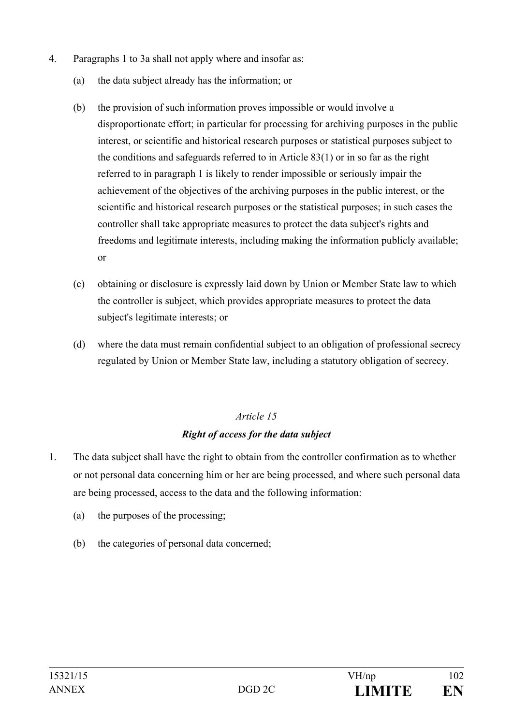- 4. Paragraphs 1 to 3a shall not apply where and insofar as:
	- (a) the data subject already has the information; or
	- (b) the provision of such information proves impossible or would involve a disproportionate effort; in particular for processing for archiving purposes in the public interest, or scientific and historical research purposes or statistical purposes subject to the conditions and safeguards referred to in Article 83(1) or in so far as the right referred to in paragraph 1 is likely to render impossible or seriously impair the achievement of the objectives of the archiving purposes in the public interest, or the scientific and historical research purposes or the statistical purposes; in such cases the controller shall take appropriate measures to protect the data subject's rights and freedoms and legitimate interests, including making the information publicly available; or
	- (c) obtaining or disclosure is expressly laid down by Union or Member State law to which the controller is subject, which provides appropriate measures to protect the data subject's legitimate interests; or
	- (d) where the data must remain confidential subject to an obligation of professional secrecy regulated by Union or Member State law, including a statutory obligation of secrecy.

# *Right of access for the data subject*

- 1. The data subject shall have the right to obtain from the controller confirmation as to whether or not personal data concerning him or her are being processed, and where such personal data are being processed, access to the data and the following information:
	- (a) the purposes of the processing;
	- (b) the categories of personal data concerned;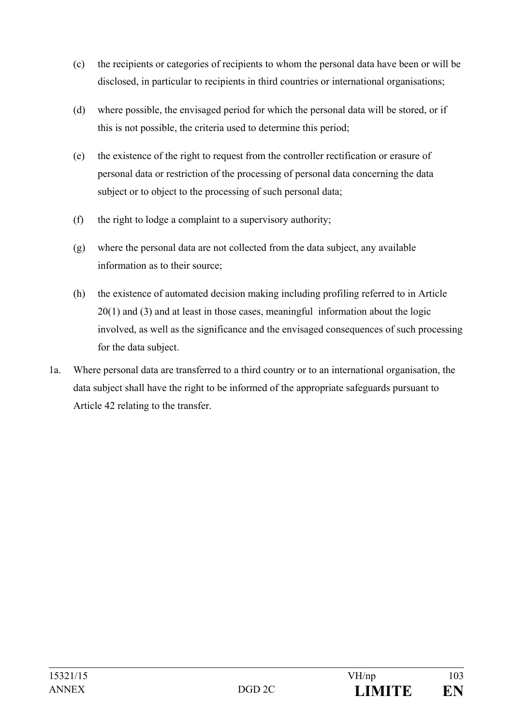- (c) the recipients or categories of recipients to whom the personal data have been or will be disclosed, in particular to recipients in third countries or international organisations;
- (d) where possible, the envisaged period for which the personal data will be stored, or if this is not possible, the criteria used to determine this period;
- (e) the existence of the right to request from the controller rectification or erasure of personal data or restriction of the processing of personal data concerning the data subject or to object to the processing of such personal data;
- (f) the right to lodge a complaint to a supervisory authority;
- (g) where the personal data are not collected from the data subject, any available information as to their source;
- (h) the existence of automated decision making including profiling referred to in Article 20(1) and (3) and at least in those cases, meaningful information about the logic involved, as well as the significance and the envisaged consequences of such processing for the data subject.
- 1a. Where personal data are transferred to a third country or to an international organisation, the data subject shall have the right to be informed of the appropriate safeguards pursuant to Article 42 relating to the transfer.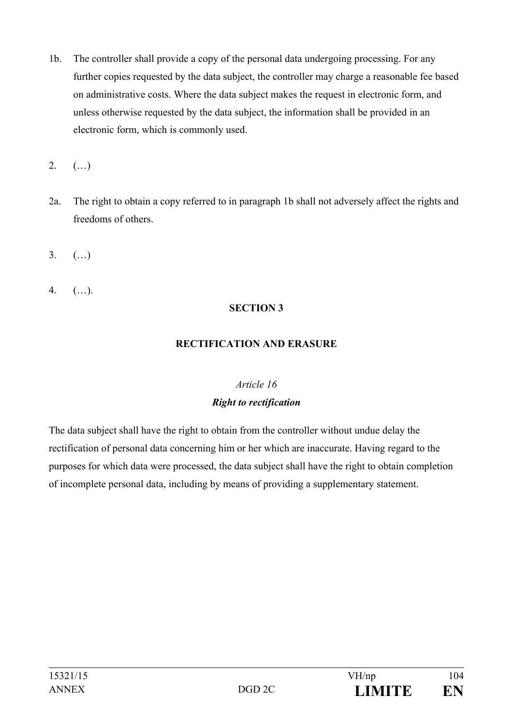1b. The controller shall provide a copy of the personal data undergoing processing. For any further copies requested by the data subject, the controller may charge a reasonable fee based on administrative costs. Where the data subject makes the request in electronic form, and unless otherwise requested by the data subject, the information shall be provided in an electronic form, which is commonly used.

2.  $(...)$ 

- 2a. The right to obtain a copy referred to in paragraph 1b shall not adversely affect the rights and freedoms of others.
- 3. (…)
- 4. (…).

# **SECTION 3**

#### **RECTIFICATION AND ERASURE**

#### *Article 16*

## *Right to rectification*

The data subject shall have the right to obtain from the controller without undue delay the rectification of personal data concerning him or her which are inaccurate. Having regard to the purposes for which data were processed, the data subject shall have the right to obtain completion of incomplete personal data, including by means of providing a supplementary statement.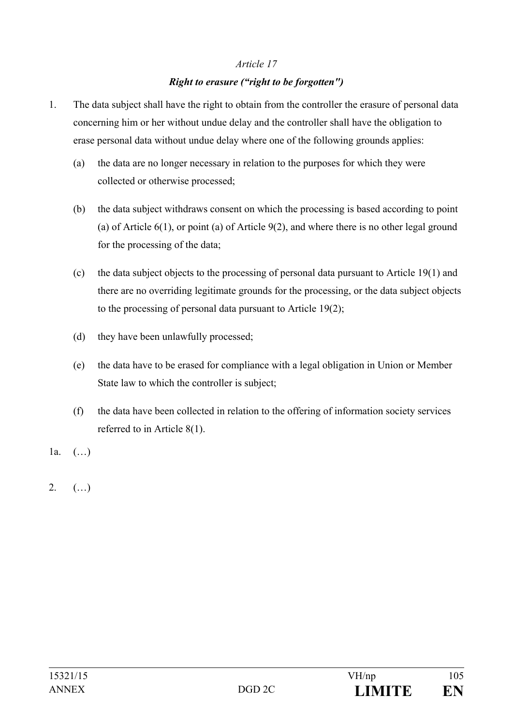#### *Right to erasure ("right to be forgotten")*

- 1. The data subject shall have the right to obtain from the controller the erasure of personal data concerning him or her without undue delay and the controller shall have the obligation to erase personal data without undue delay where one of the following grounds applies:
	- (a) the data are no longer necessary in relation to the purposes for which they were collected or otherwise processed;
	- (b) the data subject withdraws consent on which the processing is based according to point (a) of Article 6(1), or point (a) of Article 9(2), and where there is no other legal ground for the processing of the data;
	- (c) the data subject objects to the processing of personal data pursuant to Article 19(1) and there are no overriding legitimate grounds for the processing, or the data subject objects to the processing of personal data pursuant to Article 19(2);
	- (d) they have been unlawfully processed;
	- (e) the data have to be erased for compliance with a legal obligation in Union or Member State law to which the controller is subject;
	- (f) the data have been collected in relation to the offering of information society services referred to in Article 8(1).
- 1a. (…)
- $2. \quad (\ldots)$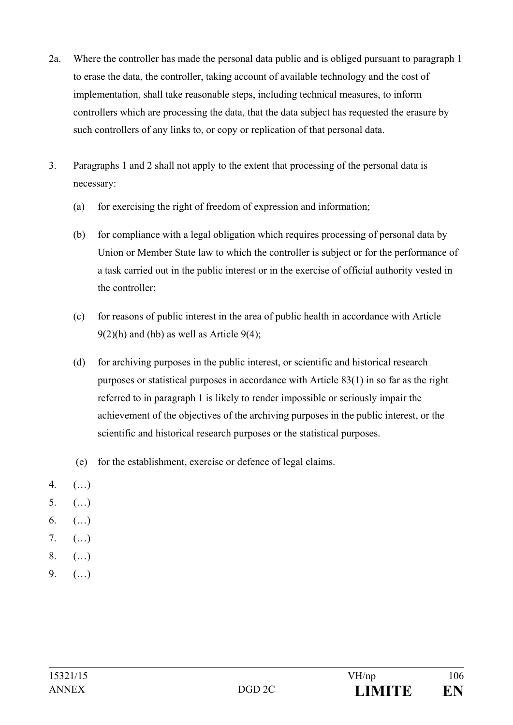- 2a. Where the controller has made the personal data public and is obliged pursuant to paragraph 1 to erase the data, the controller, taking account of available technology and the cost of implementation, shall take reasonable steps, including technical measures, to inform controllers which are processing the data, that the data subject has requested the erasure by such controllers of any links to, or copy or replication of that personal data.
- 3. Paragraphs 1 and 2 shall not apply to the extent that processing of the personal data is necessary:
	- (a) for exercising the right of freedom of expression and information;
	- (b) for compliance with a legal obligation which requires processing of personal data by Union or Member State law to which the controller is subject or for the performance of a task carried out in the public interest or in the exercise of official authority vested in the controller;
	- (c) for reasons of public interest in the area of public health in accordance with Article  $9(2)(h)$  and (hb) as well as Article  $9(4)$ ;
	- (d) for archiving purposes in the public interest, or scientific and historical research purposes or statistical purposes in accordance with Article 83(1) in so far as the right referred to in paragraph 1 is likely to render impossible or seriously impair the achievement of the objectives of the archiving purposes in the public interest, or the scientific and historical research purposes or the statistical purposes.
	- (e) for the establishment, exercise or defence of legal claims.
- 4. (…)
- 5. (…)
- 6. (…)
- 7. (…)
- 8. (…)
- 9. (…)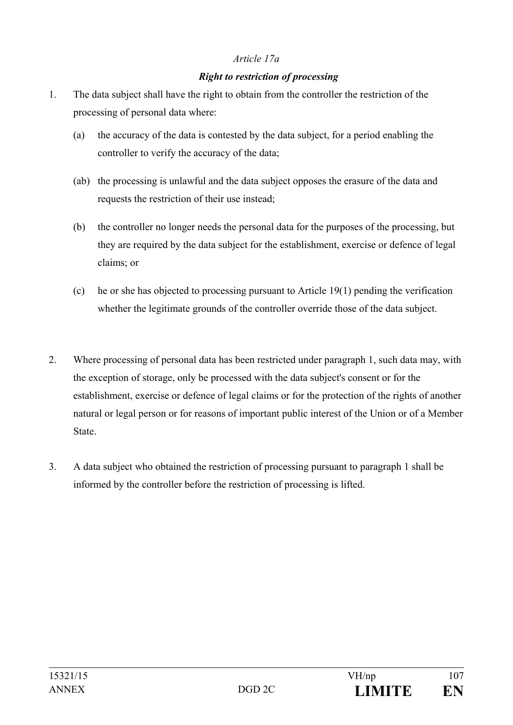#### *Article 17a*

#### *Right to restriction of processing*

- 1. The data subject shall have the right to obtain from the controller the restriction of the processing of personal data where:
	- (a) the accuracy of the data is contested by the data subject, for a period enabling the controller to verify the accuracy of the data;
	- (ab) the processing is unlawful and the data subject opposes the erasure of the data and requests the restriction of their use instead;
	- (b) the controller no longer needs the personal data for the purposes of the processing, but they are required by the data subject for the establishment, exercise or defence of legal claims; or
	- (c) he or she has objected to processing pursuant to Article 19(1) pending the verification whether the legitimate grounds of the controller override those of the data subject.
- 2. Where processing of personal data has been restricted under paragraph 1, such data may, with the exception of storage, only be processed with the data subject's consent or for the establishment, exercise or defence of legal claims or for the protection of the rights of another natural or legal person or for reasons of important public interest of the Union or of a Member State.
- 3. A data subject who obtained the restriction of processing pursuant to paragraph 1 shall be informed by the controller before the restriction of processing is lifted.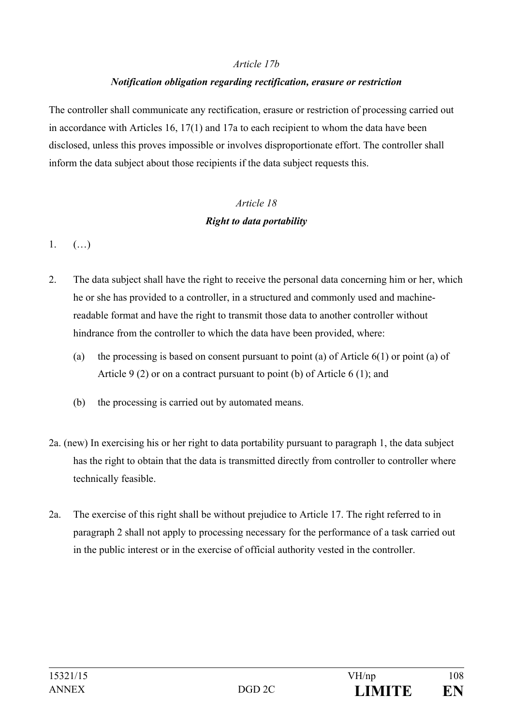#### *Article 17b*

#### *Notification obligation regarding rectification, erasure or restriction*

The controller shall communicate any rectification, erasure or restriction of processing carried out in accordance with Articles  $16$ ,  $17(1)$  and  $17a$  to each recipient to whom the data have been disclosed, unless this proves impossible or involves disproportionate effort. The controller shall inform the data subject about those recipients if the data subject requests this.

# *Article 18 Right to data portability*

 $1.$   $($ ...)

- 2. The data subject shall have the right to receive the personal data concerning him or her, which he or she has provided to a controller, in a structured and commonly used and machinereadable format and have the right to transmit those data to another controller without hindrance from the controller to which the data have been provided, where:
	- (a) the processing is based on consent pursuant to point (a) of Article  $6(1)$  or point (a) of Article 9 (2) or on a contract pursuant to point (b) of Article 6 (1); and
	- (b) the processing is carried out by automated means.
- 2a. (new) In exercising his or her right to data portability pursuant to paragraph 1, the data subject has the right to obtain that the data is transmitted directly from controller to controller where technically feasible.
- 2a. The exercise of this right shall be without prejudice to Article 17. The right referred to in paragraph 2 shall not apply to processing necessary for the performance of a task carried out in the public interest or in the exercise of official authority vested in the controller.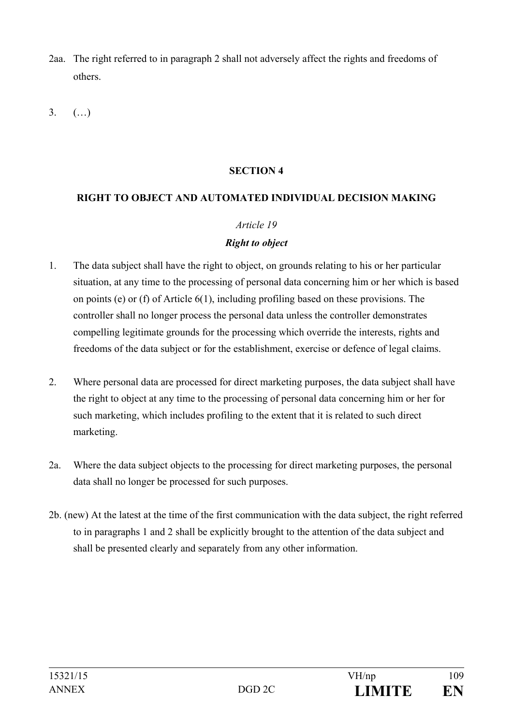- 2aa. The right referred to in paragraph 2 shall not adversely affect the rights and freedoms of others.
- 3. (…)

# **SECTION 4**

# **RIGHT TO OBJECT AND AUTOMATED INDIVIDUAL DECISION MAKING**

#### *Article 19*

## *Right to object*

- 1. The data subject shall have the right to object, on grounds relating to his or her particular situation, at any time to the processing of personal data concerning him or her which is based on points (e) or (f) of Article 6(1), including profiling based on these provisions. The controller shall no longer process the personal data unless the controller demonstrates compelling legitimate grounds for the processing which override the interests, rights and freedoms of the data subject or for the establishment, exercise or defence of legal claims.
- 2. Where personal data are processed for direct marketing purposes, the data subject shall have the right to object at any time to the processing of personal data concerning him or her for such marketing, which includes profiling to the extent that it is related to such direct marketing.
- 2a. Where the data subject objects to the processing for direct marketing purposes, the personal data shall no longer be processed for such purposes.
- 2b. (new) At the latest at the time of the first communication with the data subject, the right referred to in paragraphs 1 and 2 shall be explicitly brought to the attention of the data subject and shall be presented clearly and separately from any other information.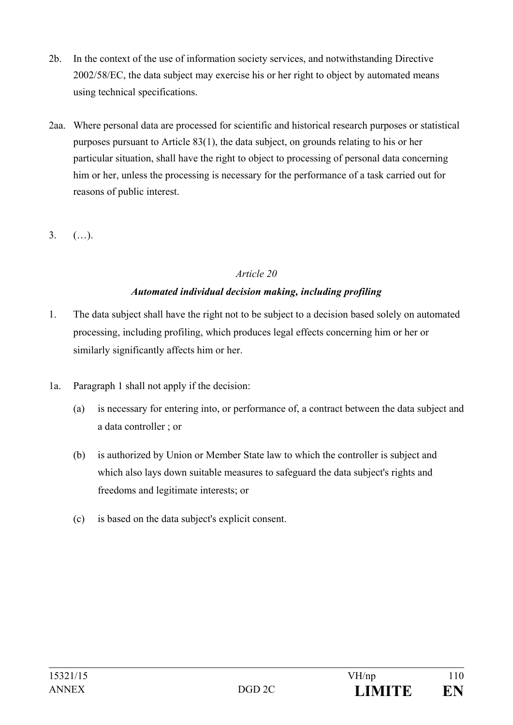- 2b. In the context of the use of information society services, and notwithstanding Directive 2002/58/EC, the data subject may exercise his or her right to object by automated means using technical specifications.
- 2aa. Where personal data are processed for scientific and historical research purposes or statistical purposes pursuant to Article 83(1), the data subject, on grounds relating to his or her particular situation, shall have the right to object to processing of personal data concerning him or her, unless the processing is necessary for the performance of a task carried out for reasons of public interest.
- 3. (…).

# *Automated individual decision making, including profiling*

- 1. The data subject shall have the right not to be subject to a decision based solely on automated processing, including profiling, which produces legal effects concerning him or her or similarly significantly affects him or her.
- 1a. Paragraph 1 shall not apply if the decision:
	- (a) is necessary for entering into, or performance of, a contract between the data subject and a data controller ; or
	- (b) is authorized by Union or Member State law to which the controller is subject and which also lays down suitable measures to safeguard the data subject's rights and freedoms and legitimate interests; or
	- (c) is based on the data subject's explicit consent.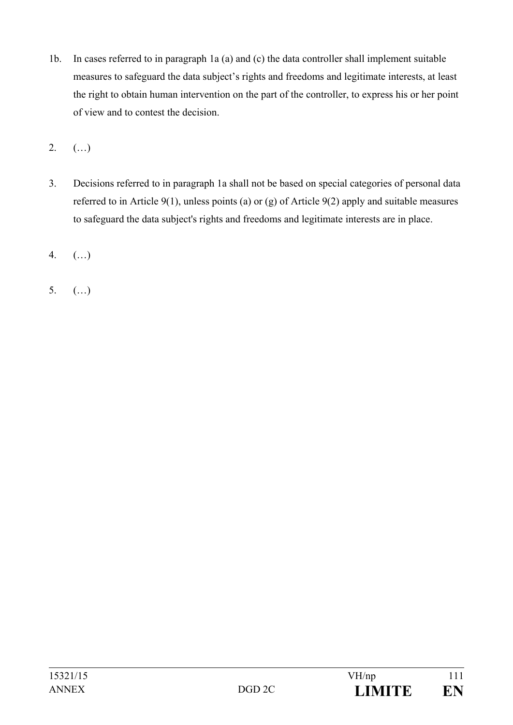- 1b. In cases referred to in paragraph 1a (a) and (c) the data controller shall implement suitable measures to safeguard the data subject's rights and freedoms and legitimate interests, at least the right to obtain human intervention on the part of the controller, to express his or her point of view and to contest the decision.
- 2.  $(...)$
- 3. Decisions referred to in paragraph 1a shall not be based on special categories of personal data referred to in Article 9(1), unless points (a) or (g) of Article 9(2) apply and suitable measures to safeguard the data subject's rights and freedoms and legitimate interests are in place.
- 4. (…)
- 5. (…)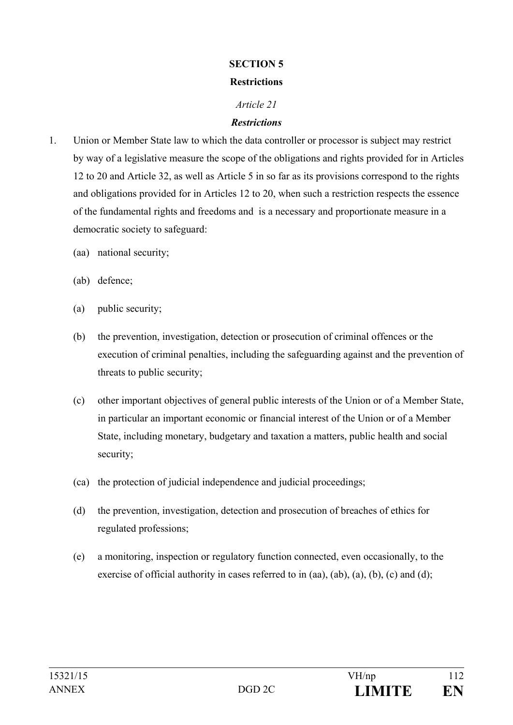# **SECTION 5**

#### **Restrictions**

# *Article 21*

# *Restrictions*

- 1. Union or Member State law to which the data controller or processor is subject may restrict by way of a legislative measure the scope of the obligations and rights provided for in Articles 12 to 20 and Article 32, as well as Article 5 in so far as its provisions correspond to the rights and obligations provided for in Articles 12 to 20, when such a restriction respects the essence of the fundamental rights and freedoms and is a necessary and proportionate measure in a democratic society to safeguard:
	- (aa) national security;
	- (ab) defence;
	- (a) public security;
	- (b) the prevention, investigation, detection or prosecution of criminal offences or the execution of criminal penalties, including the safeguarding against and the prevention of threats to public security;
	- (c) other important objectives of general public interests of the Union or of a Member State, in particular an important economic or financial interest of the Union or of a Member State, including monetary, budgetary and taxation a matters, public health and social security;
	- (ca) the protection of judicial independence and judicial proceedings;
	- (d) the prevention, investigation, detection and prosecution of breaches of ethics for regulated professions;
	- (e) a monitoring, inspection or regulatory function connected, even occasionally, to the exercise of official authority in cases referred to in (aa), (ab), (a), (b), (c) and (d);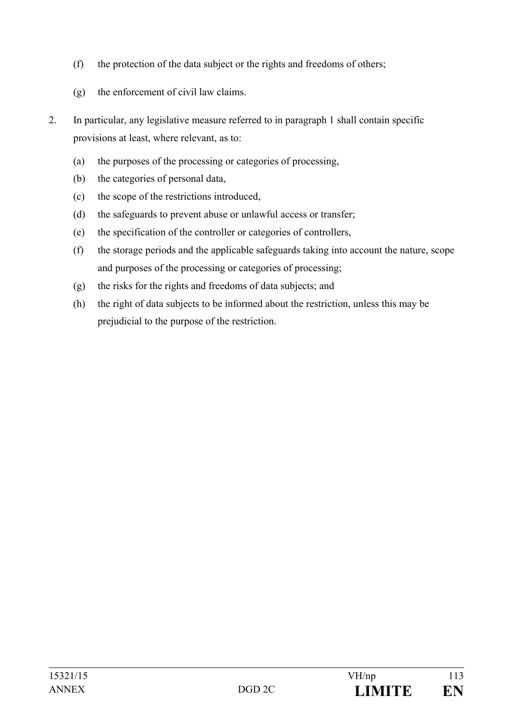- (f) the protection of the data subject or the rights and freedoms of others;
- (g) the enforcement of civil law claims.
- 2. In particular, any legislative measure referred to in paragraph 1 shall contain specific provisions at least, where relevant, as to:
	- (a) the purposes of the processing or categories of processing,
	- (b) the categories of personal data,
	- (c) the scope of the restrictions introduced,
	- (d) the safeguards to prevent abuse or unlawful access or transfer;
	- (e) the specification of the controller or categories of controllers,
	- (f) the storage periods and the applicable safeguards taking into account the nature, scope and purposes of the processing or categories of processing;
	- (g) the risks for the rights and freedoms of data subjects; and
	- (h) the right of data subjects to be informed about the restriction, unless this may be prejudicial to the purpose of the restriction.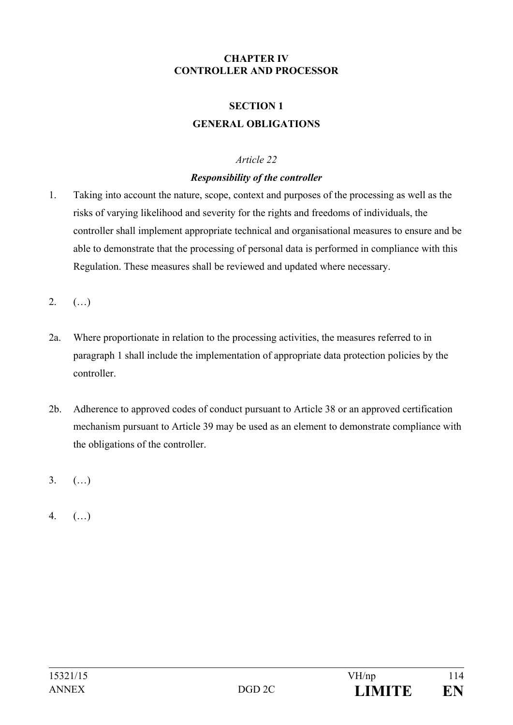### **CHAPTER IV CONTROLLER AND PROCESSOR**

# **SECTION 1 GENERAL OBLIGATIONS**

#### *Article 22*

#### *Responsibility of the controller*

- 1. Taking into account the nature, scope, context and purposes of the processing as well as the risks of varying likelihood and severity for the rights and freedoms of individuals, the controller shall implement appropriate technical and organisational measures to ensure and be able to demonstrate that the processing of personal data is performed in compliance with this Regulation. These measures shall be reviewed and updated where necessary.
- 2.  $( ...)$
- 2a. Where proportionate in relation to the processing activities, the measures referred to in paragraph 1 shall include the implementation of appropriate data protection policies by the controller.
- 2b. Adherence to approved codes of conduct pursuant to Article 38 or an approved certification mechanism pursuant to Article 39 may be used as an element to demonstrate compliance with the obligations of the controller.
- 3. (…)
- 4. (…)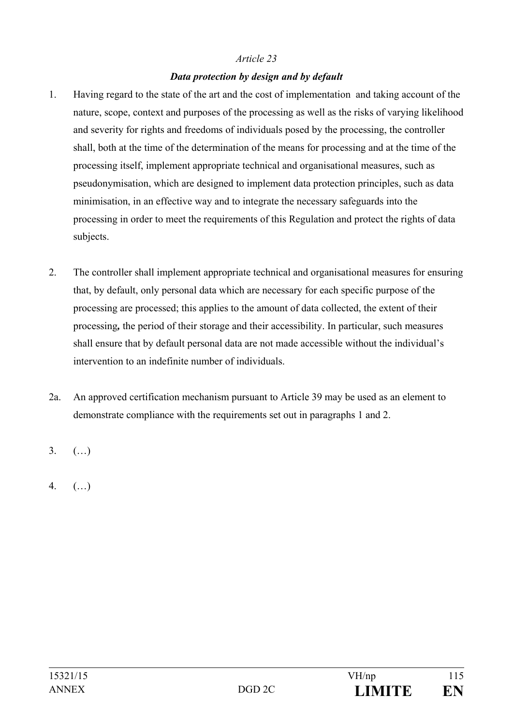#### *Data protection by design and by default*

- 1. Having regard to the state of the art and the cost of implementation and taking account of the nature, scope, context and purposes of the processing as well as the risks of varying likelihood and severity for rights and freedoms of individuals posed by the processing, the controller shall, both at the time of the determination of the means for processing and at the time of the processing itself, implement appropriate technical and organisational measures, such as pseudonymisation, which are designed to implement data protection principles, such as data minimisation, in an effective way and to integrate the necessary safeguards into the processing in order to meet the requirements of this Regulation and protect the rights of data subjects.
- 2. The controller shall implement appropriate technical and organisational measures for ensuring that, by default, only personal data which are necessary for each specific purpose of the processing are processed; this applies to the amount of data collected, the extent of their processing*,* the period of their storage and their accessibility. In particular, such measures shall ensure that by default personal data are not made accessible without the individual's intervention to an indefinite number of individuals.
- 2a. An approved certification mechanism pursuant to Article 39 may be used as an element to demonstrate compliance with the requirements set out in paragraphs 1 and 2.
- 3. (…)
- 4. (…)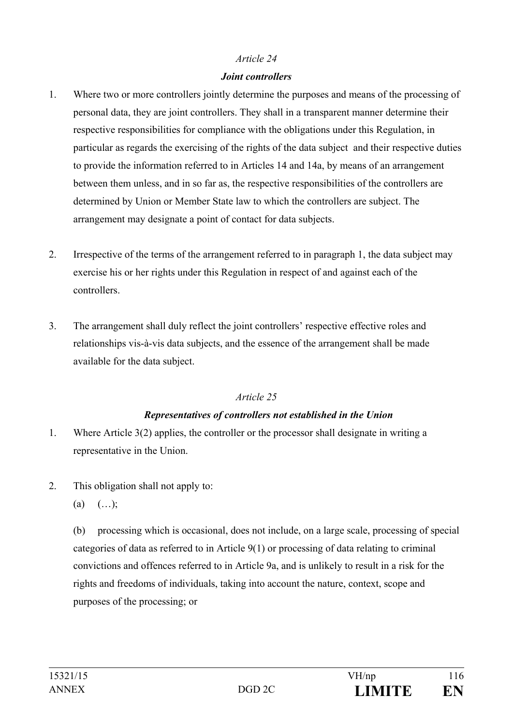#### *Joint controllers*

- 1. Where two or more controllers jointly determine the purposes and means of the processing of personal data, they are joint controllers. They shall in a transparent manner determine their respective responsibilities for compliance with the obligations under this Regulation, in particular as regards the exercising of the rights of the data subject and their respective duties to provide the information referred to in Articles 14 and 14a, by means of an arrangement between them unless, and in so far as, the respective responsibilities of the controllers are determined by Union or Member State law to which the controllers are subject. The arrangement may designate a point of contact for data subjects.
- 2. Irrespective of the terms of the arrangement referred to in paragraph 1, the data subject may exercise his or her rights under this Regulation in respect of and against each of the controllers.
- 3. The arrangement shall duly reflect the joint controllers' respective effective roles and relationships vis-à-vis data subjects, and the essence of the arrangement shall be made available for the data subject.

#### *Article 25*

# *Representatives of controllers not established in the Union*

- 1. Where Article 3(2) applies, the controller or the processor shall designate in writing a representative in the Union.
- 2. This obligation shall not apply to:
	- (a)  $(...);$

(b) processing which is occasional, does not include, on a large scale, processing of special categories of data as referred to in Article 9(1) or processing of data relating to criminal convictions and offences referred to in Article 9a, and is unlikely to result in a risk for the rights and freedoms of individuals, taking into account the nature, context, scope and purposes of the processing; or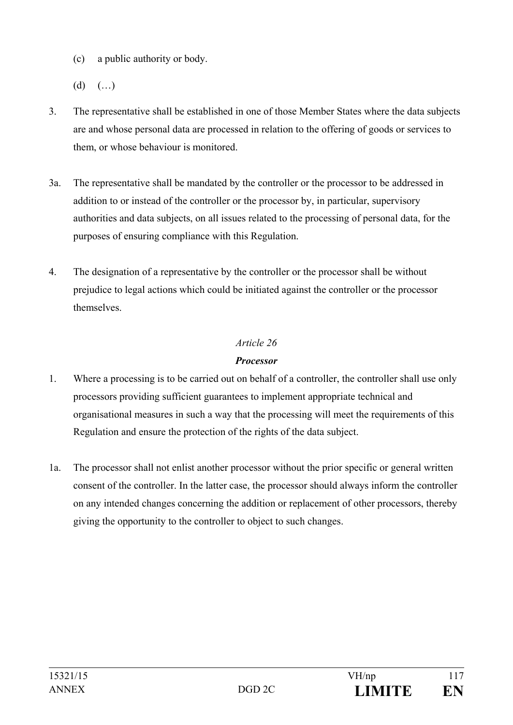- (c) a public authority or body.
- (d)  $($ ...)
- 3. The representative shall be established in one of those Member States where the data subjects are and whose personal data are processed in relation to the offering of goods or services to them, or whose behaviour is monitored.
- 3a. The representative shall be mandated by the controller or the processor to be addressed in addition to or instead of the controller or the processor by, in particular, supervisory authorities and data subjects, on all issues related to the processing of personal data, for the purposes of ensuring compliance with this Regulation.
- 4. The designation of a representative by the controller or the processor shall be without prejudice to legal actions which could be initiated against the controller or the processor themselves.

## *Processor*

- 1. Where a processing is to be carried out on behalf of a controller, the controller shall use only processors providing sufficient guarantees to implement appropriate technical and organisational measures in such a way that the processing will meet the requirements of this Regulation and ensure the protection of the rights of the data subject.
- 1a. The processor shall not enlist another processor without the prior specific or general written consent of the controller. In the latter case, the processor should always inform the controller on any intended changes concerning the addition or replacement of other processors, thereby giving the opportunity to the controller to object to such changes.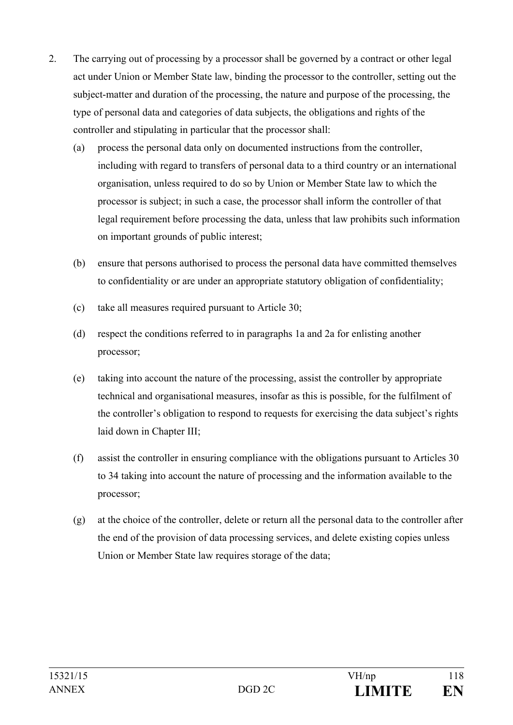- 2. The carrying out of processing by a processor shall be governed by a contract or other legal act under Union or Member State law, binding the processor to the controller, setting out the subject-matter and duration of the processing, the nature and purpose of the processing, the type of personal data and categories of data subjects, the obligations and rights of the controller and stipulating in particular that the processor shall:
	- (a) process the personal data only on documented instructions from the controller, including with regard to transfers of personal data to a third country or an international organisation, unless required to do so by Union or Member State law to which the processor is subject; in such a case, the processor shall inform the controller of that legal requirement before processing the data, unless that law prohibits such information on important grounds of public interest;
	- (b) ensure that persons authorised to process the personal data have committed themselves to confidentiality or are under an appropriate statutory obligation of confidentiality;
	- (c) take all measures required pursuant to Article 30;
	- (d) respect the conditions referred to in paragraphs 1a and 2a for enlisting another processor;
	- (e) taking into account the nature of the processing, assist the controller by appropriate technical and organisational measures, insofar as this is possible, for the fulfilment of the controller's obligation to respond to requests for exercising the data subject's rights laid down in Chapter III;
	- (f) assist the controller in ensuring compliance with the obligations pursuant to Articles 30 to 34 taking into account the nature of processing and the information available to the processor;
	- (g) at the choice of the controller, delete or return all the personal data to the controller after the end of the provision of data processing services, and delete existing copies unless Union or Member State law requires storage of the data;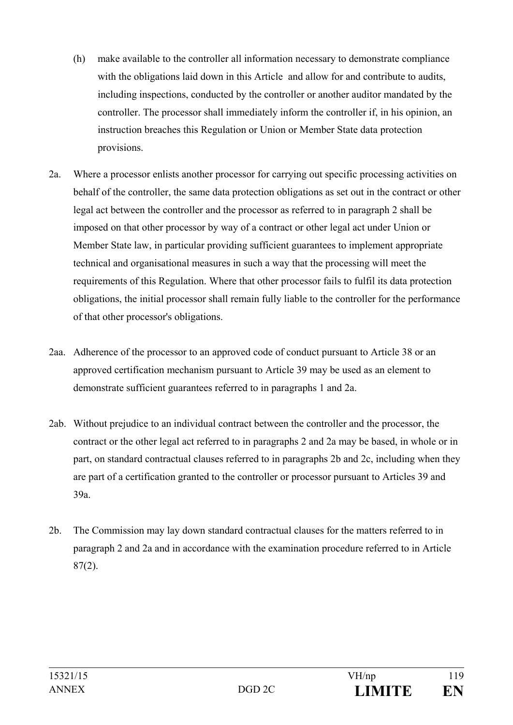- (h) make available to the controller all information necessary to demonstrate compliance with the obligations laid down in this Article and allow for and contribute to audits, including inspections, conducted by the controller or another auditor mandated by the controller. The processor shall immediately inform the controller if, in his opinion, an instruction breaches this Regulation or Union or Member State data protection provisions.
- 2a. Where a processor enlists another processor for carrying out specific processing activities on behalf of the controller, the same data protection obligations as set out in the contract or other legal act between the controller and the processor as referred to in paragraph 2 shall be imposed on that other processor by way of a contract or other legal act under Union or Member State law, in particular providing sufficient guarantees to implement appropriate technical and organisational measures in such a way that the processing will meet the requirements of this Regulation. Where that other processor fails to fulfil its data protection obligations, the initial processor shall remain fully liable to the controller for the performance of that other processor's obligations.
- 2aa. Adherence of the processor to an approved code of conduct pursuant to Article 38 or an approved certification mechanism pursuant to Article 39 may be used as an element to demonstrate sufficient guarantees referred to in paragraphs 1 and 2a.
- 2ab. Without prejudice to an individual contract between the controller and the processor, the contract or the other legal act referred to in paragraphs 2 and 2a may be based, in whole or in part, on standard contractual clauses referred to in paragraphs 2b and 2c, including when they are part of a certification granted to the controller or processor pursuant to Articles 39 and 39a.
- 2b. The Commission may lay down standard contractual clauses for the matters referred to in paragraph 2 and 2a and in accordance with the examination procedure referred to in Article 87(2).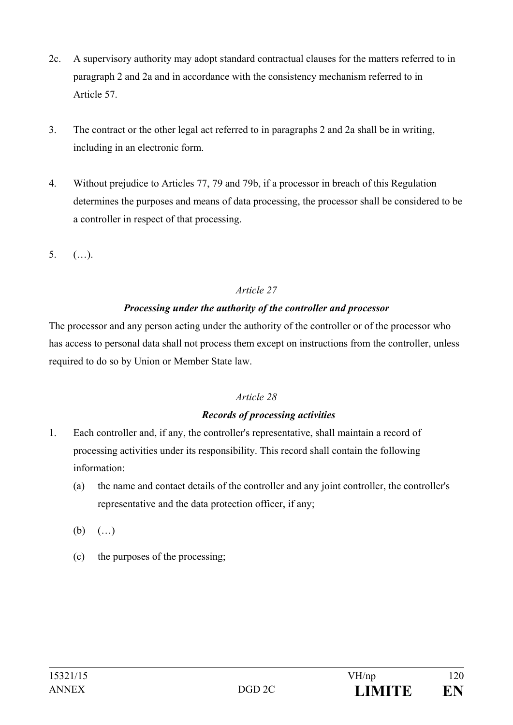- 2c. A supervisory authority may adopt standard contractual clauses for the matters referred to in paragraph 2 and 2a and in accordance with the consistency mechanism referred to in Article 57.
- 3. The contract or the other legal act referred to in paragraphs 2 and 2a shall be in writing, including in an electronic form.
- 4. Without prejudice to Articles 77, 79 and 79b, if a processor in breach of this Regulation determines the purposes and means of data processing, the processor shall be considered to be a controller in respect of that processing.
- 5. (…).

# *Processing under the authority of the controller and processor*

The processor and any person acting under the authority of the controller or of the processor who has access to personal data shall not process them except on instructions from the controller, unless required to do so by Union or Member State law.

#### *Article 28*

### *Records of processing activities*

- 1. Each controller and, if any, the controller's representative, shall maintain a record of processing activities under its responsibility. This record shall contain the following information:
	- (a) the name and contact details of the controller and any joint controller, the controller's representative and the data protection officer, if any;
	- $(b)$   $(\ldots)$
	- (c) the purposes of the processing;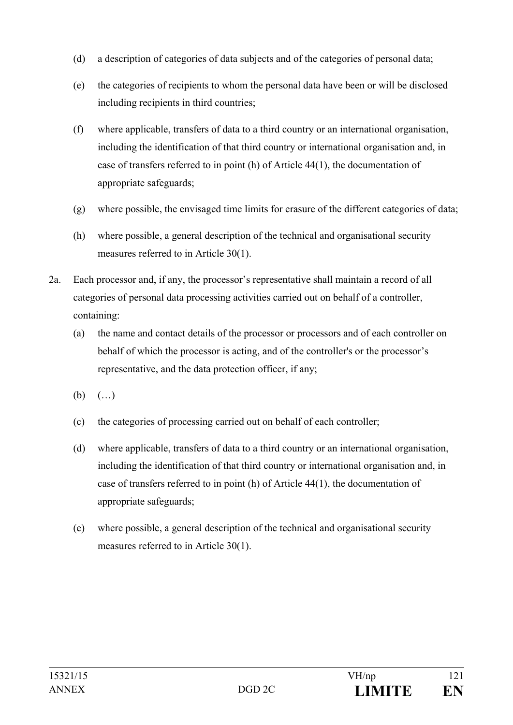- (d) a description of categories of data subjects and of the categories of personal data;
- (e) the categories of recipients to whom the personal data have been or will be disclosed including recipients in third countries;
- (f) where applicable, transfers of data to a third country or an international organisation, including the identification of that third country or international organisation and, in case of transfers referred to in point (h) of Article 44(1), the documentation of appropriate safeguards;
- (g) where possible, the envisaged time limits for erasure of the different categories of data;
- (h) where possible, a general description of the technical and organisational security measures referred to in Article 30(1).
- 2a. Each processor and, if any, the processor's representative shall maintain a record of all categories of personal data processing activities carried out on behalf of a controller, containing:
	- (a) the name and contact details of the processor or processors and of each controller on behalf of which the processor is acting, and of the controller's or the processor's representative, and the data protection officer, if any;
	- (b)  $(...)$
	- (c) the categories of processing carried out on behalf of each controller;
	- (d) where applicable, transfers of data to a third country or an international organisation, including the identification of that third country or international organisation and, in case of transfers referred to in point (h) of Article 44(1), the documentation of appropriate safeguards;
	- (e) where possible, a general description of the technical and organisational security measures referred to in Article 30(1).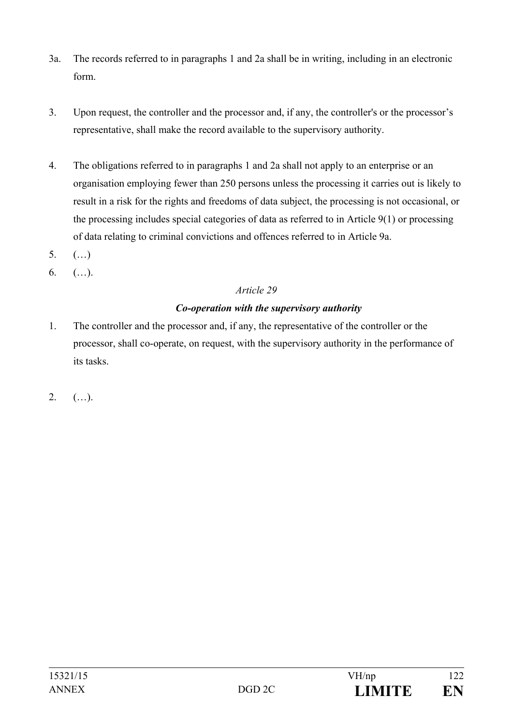- 3a. The records referred to in paragraphs 1 and 2a shall be in writing, including in an electronic form.
- 3. Upon request, the controller and the processor and, if any, the controller's or the processor's representative, shall make the record available to the supervisory authority.
- 4. The obligations referred to in paragraphs 1 and 2a shall not apply to an enterprise or an organisation employing fewer than 250 persons unless the processing it carries out is likely to result in a risk for the rights and freedoms of data subject, the processing is not occasional, or the processing includes special categories of data as referred to in Article 9(1) or processing of data relating to criminal convictions and offences referred to in Article 9a.
- 5. (…)
- 6. (…).

# *Co-operation with the supervisory authority*

- 1. The controller and the processor and, if any, the representative of the controller or the processor, shall co-operate, on request, with the supervisory authority in the performance of its tasks.
- $2.$  (...).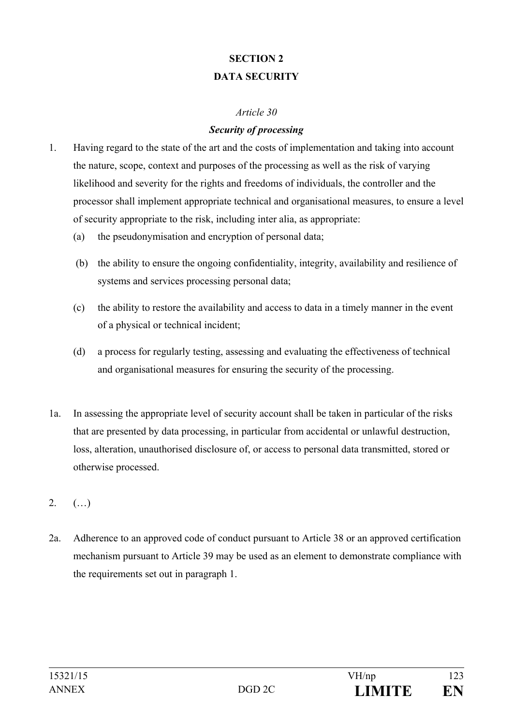# **SECTION 2 DATA SECURITY**

#### *Article 30*

### *Security of processing*

- 1. Having regard to the state of the art and the costs of implementation and taking into account the nature, scope, context and purposes of the processing as well as the risk of varying likelihood and severity for the rights and freedoms of individuals, the controller and the processor shall implement appropriate technical and organisational measures, to ensure a level of security appropriate to the risk, including inter alia, as appropriate:
	- (a) the pseudonymisation and encryption of personal data;
	- (b) the ability to ensure the ongoing confidentiality, integrity, availability and resilience of systems and services processing personal data;
	- (c) the ability to restore the availability and access to data in a timely manner in the event of a physical or technical incident;
	- (d) a process for regularly testing, assessing and evaluating the effectiveness of technical and organisational measures for ensuring the security of the processing.
- 1a. In assessing the appropriate level of security account shall be taken in particular of the risks that are presented by data processing, in particular from accidental or unlawful destruction, loss, alteration, unauthorised disclosure of, or access to personal data transmitted, stored or otherwise processed.
- 2.  $( ...)$
- 2a. Adherence to an approved code of conduct pursuant to Article 38 or an approved certification mechanism pursuant to Article 39 may be used as an element to demonstrate compliance with the requirements set out in paragraph 1.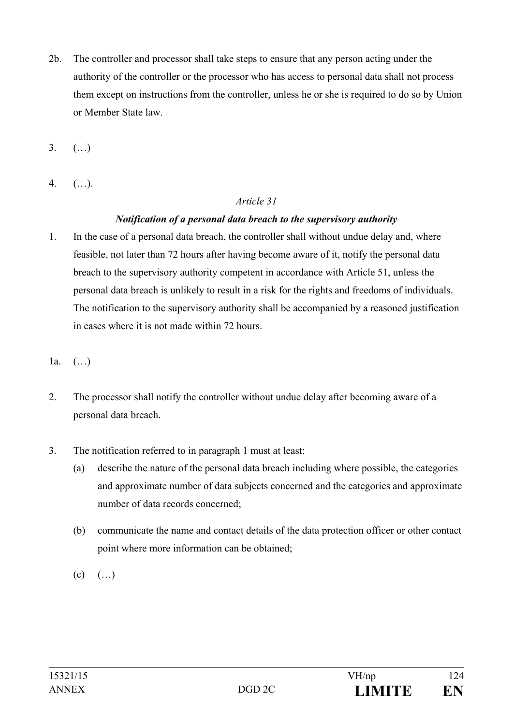- 2b. The controller and processor shall take steps to ensure that any person acting under the authority of the controller or the processor who has access to personal data shall not process them except on instructions from the controller, unless he or she is required to do so by Union or Member State law.
- 3. (…)
- 4. (…).

#### *Notification of a personal data breach to the supervisory authority*

1. In the case of a personal data breach, the controller shall without undue delay and, where feasible, not later than 72 hours after having become aware of it, notify the personal data breach to the supervisory authority competent in accordance with Article 51, unless the personal data breach is unlikely to result in a risk for the rights and freedoms of individuals. The notification to the supervisory authority shall be accompanied by a reasoned justification in cases where it is not made within 72 hours.

1a. (…)

- 2. The processor shall notify the controller without undue delay after becoming aware of a personal data breach.
- 3. The notification referred to in paragraph 1 must at least:
	- (a) describe the nature of the personal data breach including where possible, the categories and approximate number of data subjects concerned and the categories and approximate number of data records concerned;
	- (b) communicate the name and contact details of the data protection officer or other contact point where more information can be obtained;
	- $(c)$   $(...)$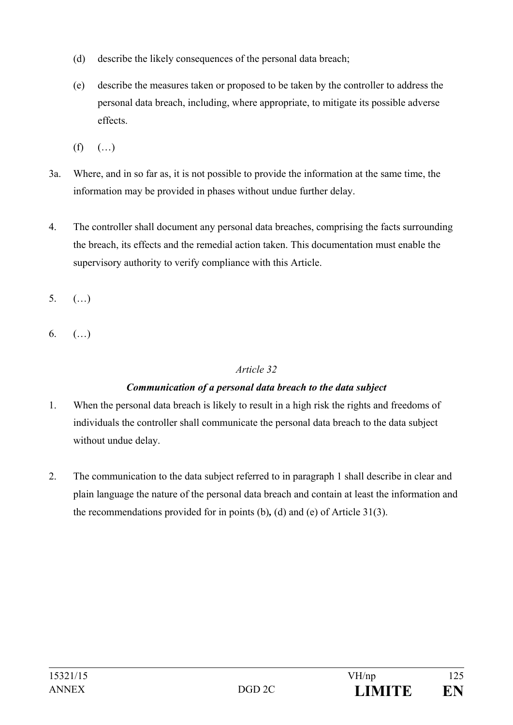- (d) describe the likely consequences of the personal data breach;
- (e) describe the measures taken or proposed to be taken by the controller to address the personal data breach, including, where appropriate, to mitigate its possible adverse effects.
- $(f)$   $($ ...
- 3a. Where, and in so far as, it is not possible to provide the information at the same time, the information may be provided in phases without undue further delay.
- 4. The controller shall document any personal data breaches, comprising the facts surrounding the breach, its effects and the remedial action taken. This documentation must enable the supervisory authority to verify compliance with this Article.
- 5. (…)
- 6. (…)

# *Communication of a personal data breach to the data subject*

- 1. When the personal data breach is likely to result in a high risk the rights and freedoms of individuals the controller shall communicate the personal data breach to the data subject without undue delay.
- 2. The communication to the data subject referred to in paragraph 1 shall describe in clear and plain language the nature of the personal data breach and contain at least the information and the recommendations provided for in points (b)*,* (d) and (e) of Article 31(3).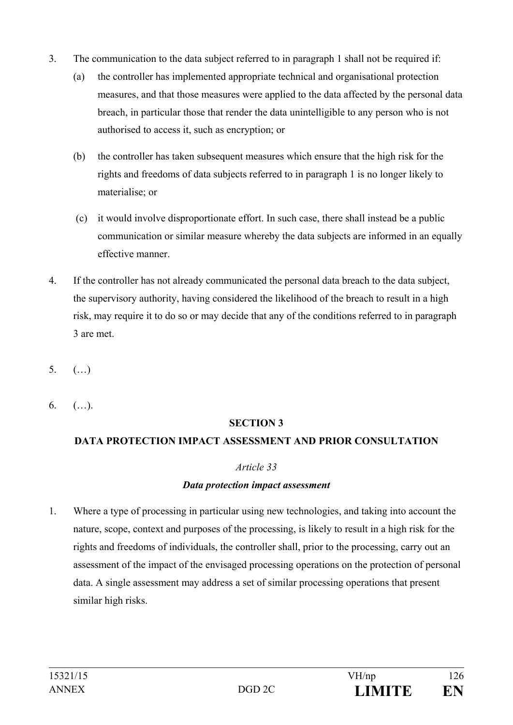- 3. The communication to the data subject referred to in paragraph 1 shall not be required if:
	- (a) the controller has implemented appropriate technical and organisational protection measures, and that those measures were applied to the data affected by the personal data breach, in particular those that render the data unintelligible to any person who is not authorised to access it, such as encryption; or
	- (b) the controller has taken subsequent measures which ensure that the high risk for the rights and freedoms of data subjects referred to in paragraph 1 is no longer likely to materialise; or
	- (c) it would involve disproportionate effort. In such case, there shall instead be a public communication or similar measure whereby the data subjects are informed in an equally effective manner.
- 4. If the controller has not already communicated the personal data breach to the data subject, the supervisory authority, having considered the likelihood of the breach to result in a high risk, may require it to do so or may decide that any of the conditions referred to in paragraph 3 are met.
- 5. (…)
- 6. (…).

# **SECTION 3**

# **DATA PROTECTION IMPACT ASSESSMENT AND PRIOR CONSULTATION**

# *Article 33*

# *Data protection impact assessment*

1. Where a type of processing in particular using new technologies, and taking into account the nature, scope, context and purposes of the processing, is likely to result in a high risk for the rights and freedoms of individuals, the controller shall, prior to the processing, carry out an assessment of the impact of the envisaged processing operations on the protection of personal data. A single assessment may address a set of similar processing operations that present similar high risks.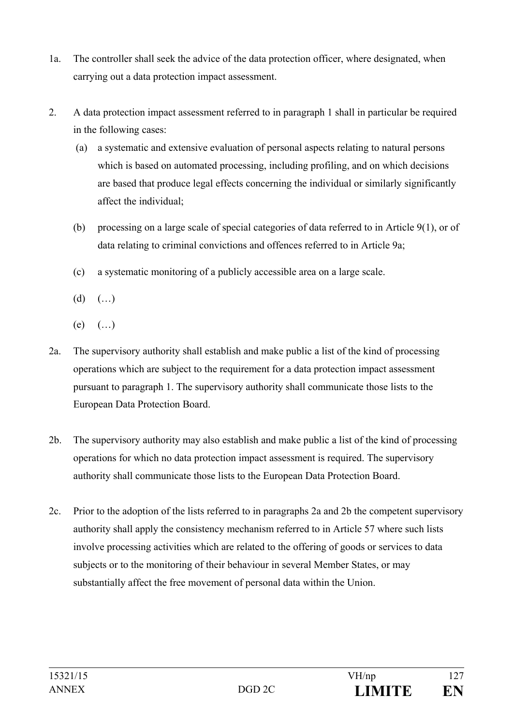- 1a. The controller shall seek the advice of the data protection officer, where designated, when carrying out a data protection impact assessment.
- 2. A data protection impact assessment referred to in paragraph 1 shall in particular be required in the following cases:
	- (a) a systematic and extensive evaluation of personal aspects relating to natural persons which is based on automated processing, including profiling, and on which decisions are based that produce legal effects concerning the individual or similarly significantly affect the individual;
	- (b) processing on a large scale of special categories of data referred to in Article 9(1), or of data relating to criminal convictions and offences referred to in Article 9a;
	- (c) a systematic monitoring of a publicly accessible area on a large scale.
	- $(d)$   $($ ...)
	- $(e)$   $(...)$
- 2a. The supervisory authority shall establish and make public a list of the kind of processing operations which are subject to the requirement for a data protection impact assessment pursuant to paragraph 1. The supervisory authority shall communicate those lists to the European Data Protection Board.
- 2b. The supervisory authority may also establish and make public a list of the kind of processing operations for which no data protection impact assessment is required. The supervisory authority shall communicate those lists to the European Data Protection Board.
- 2c. Prior to the adoption of the lists referred to in paragraphs 2a and 2b the competent supervisory authority shall apply the consistency mechanism referred to in Article 57 where such lists involve processing activities which are related to the offering of goods or services to data subjects or to the monitoring of their behaviour in several Member States, or may substantially affect the free movement of personal data within the Union.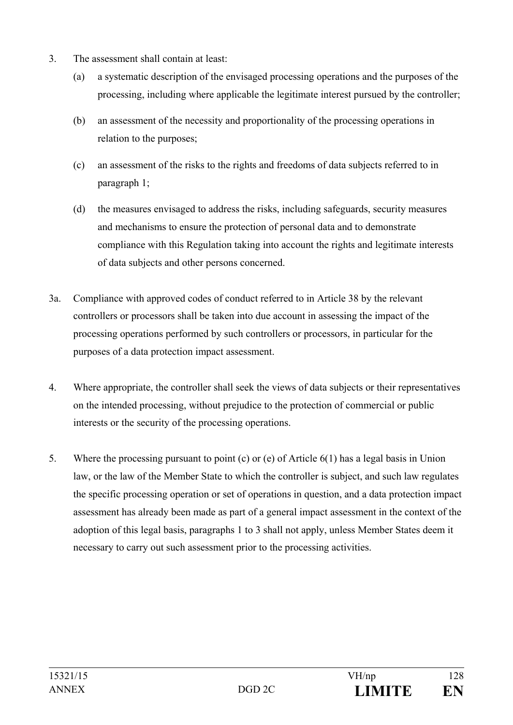- 3. The assessment shall contain at least:
	- (a) a systematic description of the envisaged processing operations and the purposes of the processing, including where applicable the legitimate interest pursued by the controller;
	- (b) an assessment of the necessity and proportionality of the processing operations in relation to the purposes;
	- (c) an assessment of the risks to the rights and freedoms of data subjects referred to in paragraph 1;
	- (d) the measures envisaged to address the risks, including safeguards, security measures and mechanisms to ensure the protection of personal data and to demonstrate compliance with this Regulation taking into account the rights and legitimate interests of data subjects and other persons concerned.
- 3a. Compliance with approved codes of conduct referred to in Article 38 by the relevant controllers or processors shall be taken into due account in assessing the impact of the processing operations performed by such controllers or processors, in particular for the purposes of a data protection impact assessment.
- 4. Where appropriate, the controller shall seek the views of data subjects or their representatives on the intended processing, without prejudice to the protection of commercial or public interests or the security of the processing operations.
- 5. Where the processing pursuant to point (c) or (e) of Article 6(1) has a legal basis in Union law, or the law of the Member State to which the controller is subject, and such law regulates the specific processing operation or set of operations in question, and a data protection impact assessment has already been made as part of a general impact assessment in the context of the adoption of this legal basis, paragraphs 1 to 3 shall not apply, unless Member States deem it necessary to carry out such assessment prior to the processing activities.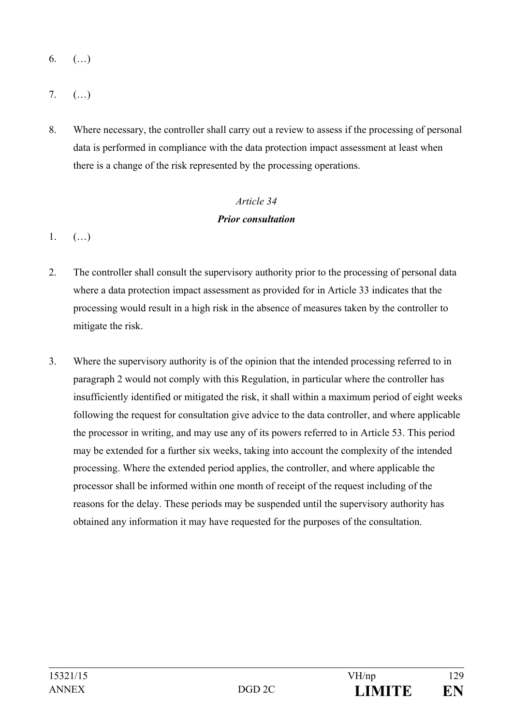- 6. (…)
- 7. (…)
- 8. Where necessary, the controller shall carry out a review to assess if the processing of personal data is performed in compliance with the data protection impact assessment at least when there is a change of the risk represented by the processing operations.

# *Article 34 Prior consultation*

- $1.$   $($ ...)
- 2. The controller shall consult the supervisory authority prior to the processing of personal data where a data protection impact assessment as provided for in Article 33 indicates that the processing would result in a high risk in the absence of measures taken by the controller to mitigate the risk.
- 3. Where the supervisory authority is of the opinion that the intended processing referred to in paragraph 2 would not comply with this Regulation, in particular where the controller has insufficiently identified or mitigated the risk, it shall within a maximum period of eight weeks following the request for consultation give advice to the data controller, and where applicable the processor in writing, and may use any of its powers referred to in Article 53. This period may be extended for a further six weeks, taking into account the complexity of the intended processing. Where the extended period applies, the controller, and where applicable the processor shall be informed within one month of receipt of the request including of the reasons for the delay. These periods may be suspended until the supervisory authority has obtained any information it may have requested for the purposes of the consultation.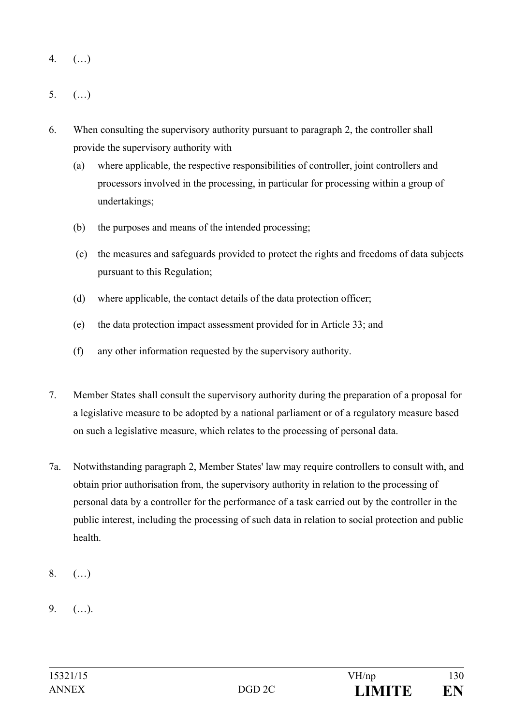- 4. (…)
- 5. (…)
- 6. When consulting the supervisory authority pursuant to paragraph 2, the controller shall provide the supervisory authority with
	- (a) where applicable, the respective responsibilities of controller, joint controllers and processors involved in the processing, in particular for processing within a group of undertakings;
	- (b) the purposes and means of the intended processing;
	- (c) the measures and safeguards provided to protect the rights and freedoms of data subjects pursuant to this Regulation;
	- (d) where applicable, the contact details of the data protection officer;
	- (e) the data protection impact assessment provided for in Article 33; and
	- (f) any other information requested by the supervisory authority.
- 7. Member States shall consult the supervisory authority during the preparation of a proposal for a legislative measure to be adopted by a national parliament or of a regulatory measure based on such a legislative measure, which relates to the processing of personal data.
- 7a. Notwithstanding paragraph 2, Member States' law may require controllers to consult with, and obtain prior authorisation from, the supervisory authority in relation to the processing of personal data by a controller for the performance of a task carried out by the controller in the public interest, including the processing of such data in relation to social protection and public health.
- 8. (…)
- 9. (…).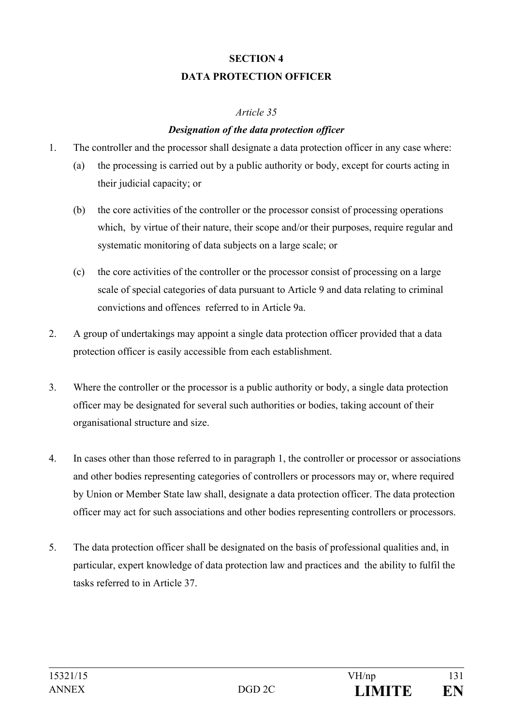# **SECTION 4 DATA PROTECTION OFFICER**

#### *Article 35*

### *Designation of the data protection officer*

1. The controller and the processor shall designate a data protection officer in any case where:

- (a) the processing is carried out by a public authority or body, except for courts acting in their judicial capacity; or
- (b) the core activities of the controller or the processor consist of processing operations which, by virtue of their nature, their scope and/or their purposes, require regular and systematic monitoring of data subjects on a large scale; or
- (c) the core activities of the controller or the processor consist of processing on a large scale of special categories of data pursuant to Article 9 and data relating to criminal convictions and offences referred to in Article 9a.
- 2. A group of undertakings may appoint a single data protection officer provided that a data protection officer is easily accessible from each establishment.
- 3. Where the controller or the processor is a public authority or body, a single data protection officer may be designated for several such authorities or bodies, taking account of their organisational structure and size.
- 4. In cases other than those referred to in paragraph 1, the controller or processor or associations and other bodies representing categories of controllers or processors may or, where required by Union or Member State law shall, designate a data protection officer. The data protection officer may act for such associations and other bodies representing controllers or processors.
- 5. The data protection officer shall be designated on the basis of professional qualities and, in particular, expert knowledge of data protection law and practices and the ability to fulfil the tasks referred to in Article 37.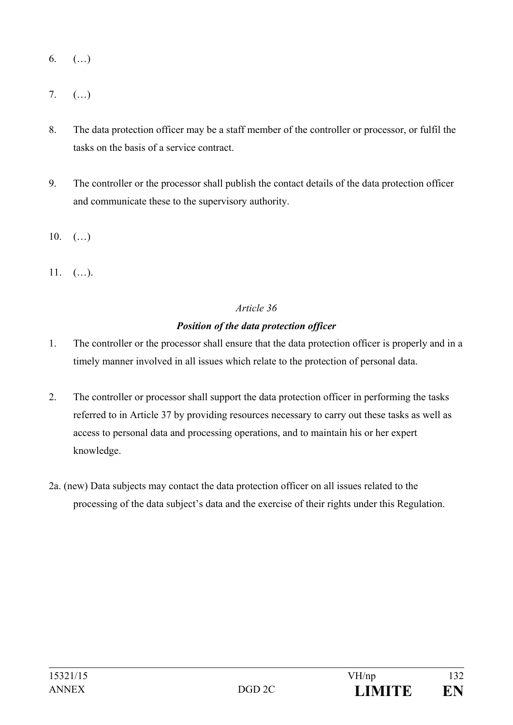$$
6. \qquad (\ldots)
$$

- 7. (…)
- 8. The data protection officer may be a staff member of the controller or processor, or fulfil the tasks on the basis of a service contract.
- 9. The controller or the processor shall publish the contact details of the data protection officer and communicate these to the supervisory authority.
- $10.$   $(\ldots)$
- $11.$   $($ ...).

# *Position of the data protection officer*

- 1. The controller or the processor shall ensure that the data protection officer is properly and in a timely manner involved in all issues which relate to the protection of personal data.
- 2. The controller or processor shall support the data protection officer in performing the tasks referred to in Article 37 by providing resources necessary to carry out these tasks as well as access to personal data and processing operations, and to maintain his or her expert knowledge.
- 2a. (new) Data subjects may contact the data protection officer on all issues related to the processing of the data subject's data and the exercise of their rights under this Regulation.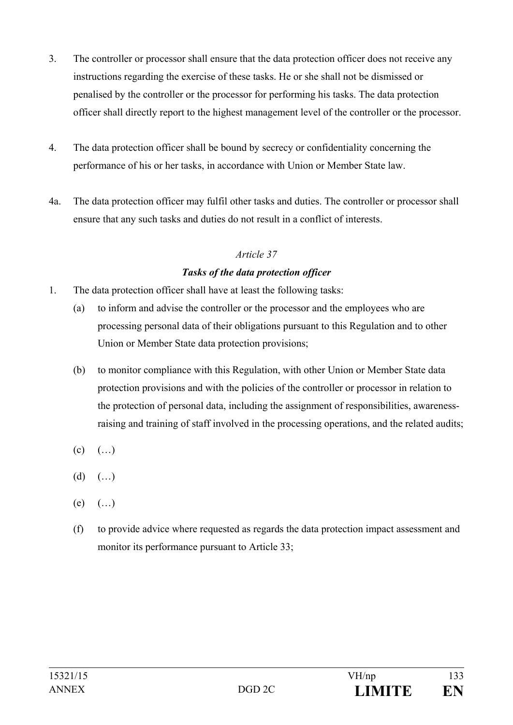- 3. The controller or processor shall ensure that the data protection officer does not receive any instructions regarding the exercise of these tasks. He or she shall not be dismissed or penalised by the controller or the processor for performing his tasks. The data protection officer shall directly report to the highest management level of the controller or the processor.
- 4. The data protection officer shall be bound by secrecy or confidentiality concerning the performance of his or her tasks, in accordance with Union or Member State law.
- 4a. The data protection officer may fulfil other tasks and duties. The controller or processor shall ensure that any such tasks and duties do not result in a conflict of interests.

## *Tasks of the data protection officer*

- 1. The data protection officer shall have at least the following tasks:
	- (a) to inform and advise the controller or the processor and the employees who are processing personal data of their obligations pursuant to this Regulation and to other Union or Member State data protection provisions;
	- (b) to monitor compliance with this Regulation, with other Union or Member State data protection provisions and with the policies of the controller or processor in relation to the protection of personal data, including the assignment of responsibilities, awarenessraising and training of staff involved in the processing operations, and the related audits;
	- $(c)$   $(...)$
	- $(d)$   $(...)$
	- (e) (…)
	- (f) to provide advice where requested as regards the data protection impact assessment and monitor its performance pursuant to Article 33;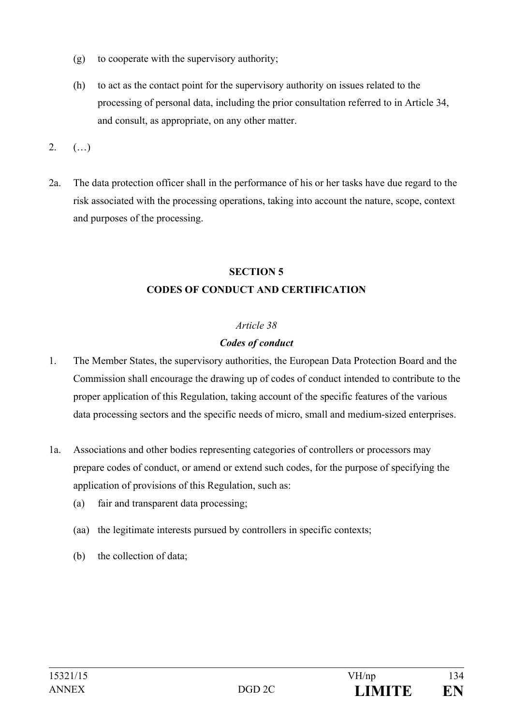- (g) to cooperate with the supervisory authority;
- (h) to act as the contact point for the supervisory authority on issues related to the processing of personal data, including the prior consultation referred to in Article 34, and consult, as appropriate, on any other matter.
- $2. (...)$
- 2a. The data protection officer shall in the performance of his or her tasks have due regard to the risk associated with the processing operations, taking into account the nature, scope, context and purposes of the processing.

# **SECTION 5 CODES OF CONDUCT AND CERTIFICATION**

# *Article 38*

# *Codes of conduct*

- 1. The Member States, the supervisory authorities, the European Data Protection Board and the Commission shall encourage the drawing up of codes of conduct intended to contribute to the proper application of this Regulation, taking account of the specific features of the various data processing sectors and the specific needs of micro, small and medium-sized enterprises.
- 1a. Associations and other bodies representing categories of controllers or processors may prepare codes of conduct, or amend or extend such codes, for the purpose of specifying the application of provisions of this Regulation, such as:
	- (a) fair and transparent data processing;
	- (aa) the legitimate interests pursued by controllers in specific contexts;
	- (b) the collection of data;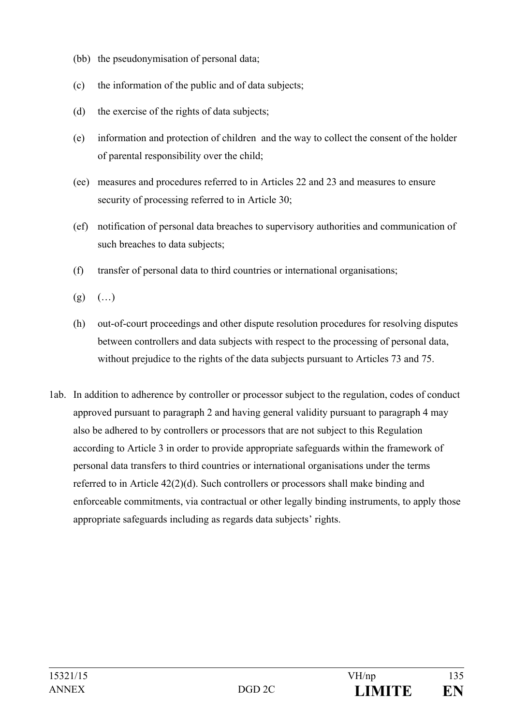- (bb) the pseudonymisation of personal data;
- (c) the information of the public and of data subjects;
- (d) the exercise of the rights of data subjects;
- (e) information and protection of children and the way to collect the consent of the holder of parental responsibility over the child;
- (ee) measures and procedures referred to in Articles 22 and 23 and measures to ensure security of processing referred to in Article 30;
- (ef) notification of personal data breaches to supervisory authorities and communication of such breaches to data subjects;
- (f) transfer of personal data to third countries or international organisations;
- $(g)$   $($ ...)
- (h) out-of-court proceedings and other dispute resolution procedures for resolving disputes between controllers and data subjects with respect to the processing of personal data, without prejudice to the rights of the data subjects pursuant to Articles 73 and 75.
- 1ab. In addition to adherence by controller or processor subject to the regulation, codes of conduct approved pursuant to paragraph 2 and having general validity pursuant to paragraph 4 may also be adhered to by controllers or processors that are not subject to this Regulation according to Article 3 in order to provide appropriate safeguards within the framework of personal data transfers to third countries or international organisations under the terms referred to in Article 42(2)(d). Such controllers or processors shall make binding and enforceable commitments, via contractual or other legally binding instruments, to apply those appropriate safeguards including as regards data subjects' rights.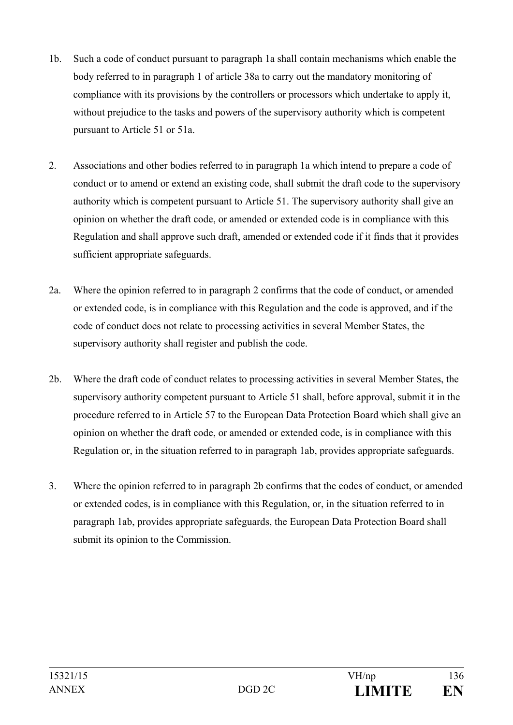- 1b. Such a code of conduct pursuant to paragraph 1a shall contain mechanisms which enable the body referred to in paragraph 1 of article 38a to carry out the mandatory monitoring of compliance with its provisions by the controllers or processors which undertake to apply it, without prejudice to the tasks and powers of the supervisory authority which is competent pursuant to Article 51 or 51a.
- 2. Associations and other bodies referred to in paragraph 1a which intend to prepare a code of conduct or to amend or extend an existing code, shall submit the draft code to the supervisory authority which is competent pursuant to Article 51. The supervisory authority shall give an opinion on whether the draft code, or amended or extended code is in compliance with this Regulation and shall approve such draft, amended or extended code if it finds that it provides sufficient appropriate safeguards.
- 2a. Where the opinion referred to in paragraph 2 confirms that the code of conduct, or amended or extended code, is in compliance with this Regulation and the code is approved, and if the code of conduct does not relate to processing activities in several Member States, the supervisory authority shall register and publish the code.
- 2b. Where the draft code of conduct relates to processing activities in several Member States, the supervisory authority competent pursuant to Article 51 shall, before approval, submit it in the procedure referred to in Article 57 to the European Data Protection Board which shall give an opinion on whether the draft code, or amended or extended code, is in compliance with this Regulation or, in the situation referred to in paragraph 1ab, provides appropriate safeguards.
- 3. Where the opinion referred to in paragraph 2b confirms that the codes of conduct, or amended or extended codes, is in compliance with this Regulation, or, in the situation referred to in paragraph 1ab, provides appropriate safeguards, the European Data Protection Board shall submit its opinion to the Commission.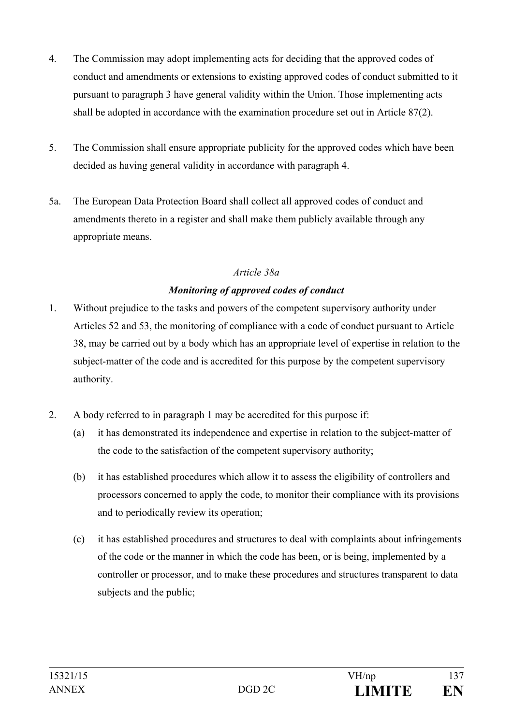- 4. The Commission may adopt implementing acts for deciding that the approved codes of conduct and amendments or extensions to existing approved codes of conduct submitted to it pursuant to paragraph 3 have general validity within the Union. Those implementing acts shall be adopted in accordance with the examination procedure set out in Article 87(2).
- 5. The Commission shall ensure appropriate publicity for the approved codes which have been decided as having general validity in accordance with paragraph 4.
- 5a. The European Data Protection Board shall collect all approved codes of conduct and amendments thereto in a register and shall make them publicly available through any appropriate means.

## *Article 38a*

# *Monitoring of approved codes of conduct*

- 1. Without prejudice to the tasks and powers of the competent supervisory authority under Articles 52 and 53, the monitoring of compliance with a code of conduct pursuant to Article 38, may be carried out by a body which has an appropriate level of expertise in relation to the subject-matter of the code and is accredited for this purpose by the competent supervisory authority.
- 2. A body referred to in paragraph 1 may be accredited for this purpose if:
	- (a) it has demonstrated its independence and expertise in relation to the subject-matter of the code to the satisfaction of the competent supervisory authority;
	- (b) it has established procedures which allow it to assess the eligibility of controllers and processors concerned to apply the code, to monitor their compliance with its provisions and to periodically review its operation;
	- (c) it has established procedures and structures to deal with complaints about infringements of the code or the manner in which the code has been, or is being, implemented by a controller or processor, and to make these procedures and structures transparent to data subjects and the public;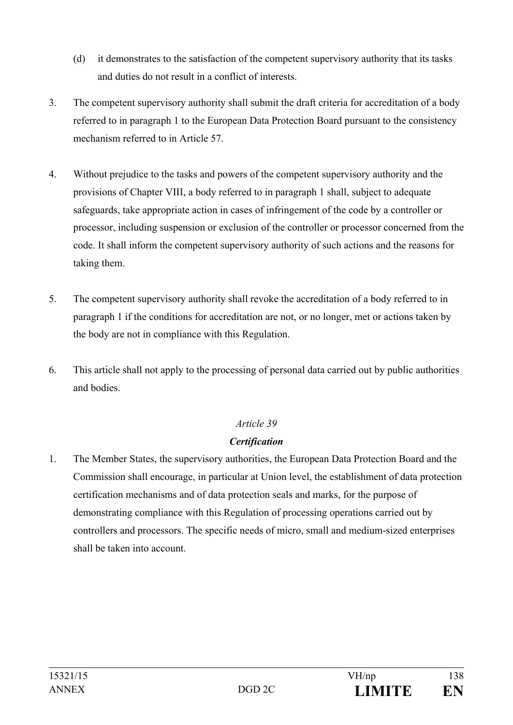- (d) it demonstrates to the satisfaction of the competent supervisory authority that its tasks and duties do not result in a conflict of interests.
- 3. The competent supervisory authority shall submit the draft criteria for accreditation of a body referred to in paragraph 1 to the European Data Protection Board pursuant to the consistency mechanism referred to in Article 57.
- 4. Without prejudice to the tasks and powers of the competent supervisory authority and the provisions of Chapter VIII, a body referred to in paragraph 1 shall, subject to adequate safeguards, take appropriate action in cases of infringement of the code by a controller or processor, including suspension or exclusion of the controller or processor concerned from the code. It shall inform the competent supervisory authority of such actions and the reasons for taking them.
- 5. The competent supervisory authority shall revoke the accreditation of a body referred to in paragraph 1 if the conditions for accreditation are not, or no longer, met or actions taken by the body are not in compliance with this Regulation.
- 6. This article shall not apply to the processing of personal data carried out by public authorities and bodies.

#### *Certification*

1. The Member States, the supervisory authorities, the European Data Protection Board and the Commission shall encourage, in particular at Union level, the establishment of data protection certification mechanisms and of data protection seals and marks, for the purpose of demonstrating compliance with this Regulation of processing operations carried out by controllers and processors. The specific needs of micro, small and medium-sized enterprises shall be taken into account.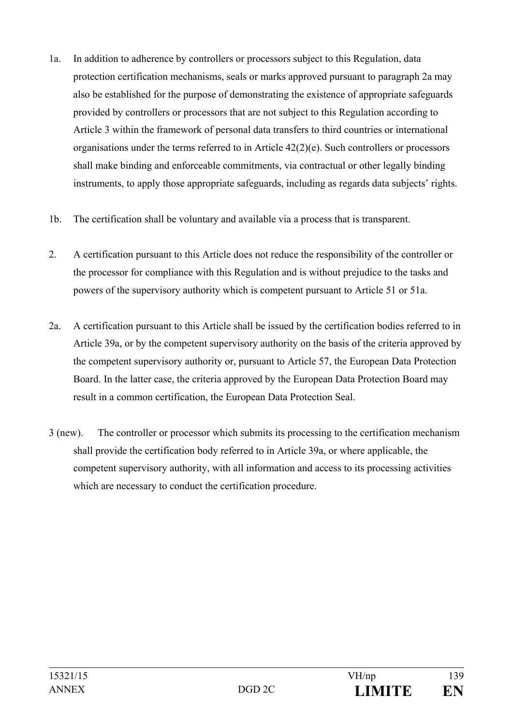- 1a. In addition to adherence by controllers or processors subject to this Regulation, data protection certification mechanisms, seals or marks approved pursuant to paragraph 2a may also be established for the purpose of demonstrating the existence of appropriate safeguards provided by controllers or processors that are not subject to this Regulation according to Article 3 within the framework of personal data transfers to third countries or international organisations under the terms referred to in Article 42(2)(e). Such controllers or processors shall make binding and enforceable commitments, via contractual or other legally binding instruments, to apply those appropriate safeguards, including as regards data subjects' rights.
- 1b. The certification shall be voluntary and available via a process that is transparent.
- 2. A certification pursuant to this Article does not reduce the responsibility of the controller or the processor for compliance with this Regulation and is without prejudice to the tasks and powers of the supervisory authority which is competent pursuant to Article 51 or 51a.
- 2a. A certification pursuant to this Article shall be issued by the certification bodies referred to in Article 39a, or by the competent supervisory authority on the basis of the criteria approved by the competent supervisory authority or, pursuant to Article 57, the European Data Protection Board. In the latter case, the criteria approved by the European Data Protection Board may result in a common certification, the European Data Protection Seal.
- 3 (new). The controller or processor which submits its processing to the certification mechanism shall provide the certification body referred to in Article 39a, or where applicable, the competent supervisory authority, with all information and access to its processing activities which are necessary to conduct the certification procedure.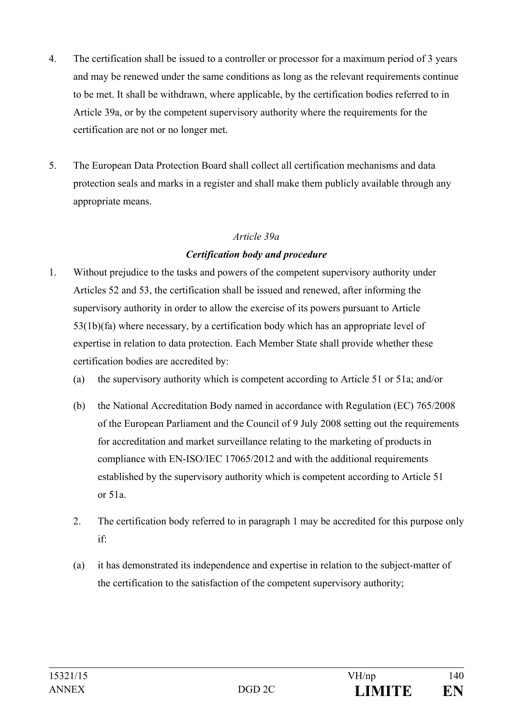- 4. The certification shall be issued to a controller or processor for a maximum period of 3 years and may be renewed under the same conditions as long as the relevant requirements continue to be met. It shall be withdrawn, where applicable, by the certification bodies referred to in Article 39a, or by the competent supervisory authority where the requirements for the certification are not or no longer met.
- 5. The European Data Protection Board shall collect all certification mechanisms and data protection seals and marks in a register and shall make them publicly available through any appropriate means.

#### *Article 39a*

#### *Certification body and procedure*

- 1. Without prejudice to the tasks and powers of the competent supervisory authority under Articles 52 and 53, the certification shall be issued and renewed, after informing the supervisory authority in order to allow the exercise of its powers pursuant to Article 53(1b)(fa) where necessary, by a certification body which has an appropriate level of expertise in relation to data protection. Each Member State shall provide whether these certification bodies are accredited by:
	- (a) the supervisory authority which is competent according to Article 51 or 51a; and/or
	- (b) the National Accreditation Body named in accordance with Regulation (EC) 765/2008 of the European Parliament and the Council of 9 July 2008 setting out the requirements for accreditation and market surveillance relating to the marketing of products in compliance with EN-ISO/IEC 17065/2012 and with the additional requirements established by the supervisory authority which is competent according to Article 51 or 51a.
	- 2. The certification body referred to in paragraph 1 may be accredited for this purpose only if:
	- (a) it has demonstrated its independence and expertise in relation to the subject-matter of the certification to the satisfaction of the competent supervisory authority;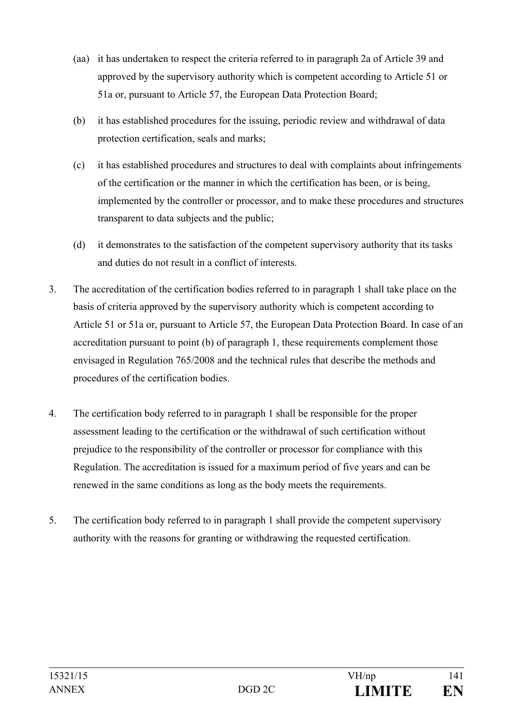- (aa) it has undertaken to respect the criteria referred to in paragraph 2a of Article 39 and approved by the supervisory authority which is competent according to Article 51 or 51a or, pursuant to Article 57, the European Data Protection Board;
- (b) it has established procedures for the issuing, periodic review and withdrawal of data protection certification, seals and marks;
- (c) it has established procedures and structures to deal with complaints about infringements of the certification or the manner in which the certification has been, or is being, implemented by the controller or processor, and to make these procedures and structures transparent to data subjects and the public;
- (d) it demonstrates to the satisfaction of the competent supervisory authority that its tasks and duties do not result in a conflict of interests.
- 3. The accreditation of the certification bodies referred to in paragraph 1 shall take place on the basis of criteria approved by the supervisory authority which is competent according to Article 51 or 51a or, pursuant to Article 57, the European Data Protection Board. In case of an accreditation pursuant to point (b) of paragraph 1, these requirements complement those envisaged in Regulation 765/2008 and the technical rules that describe the methods and procedures of the certification bodies.
- 4. The certification body referred to in paragraph 1 shall be responsible for the proper assessment leading to the certification or the withdrawal of such certification without prejudice to the responsibility of the controller or processor for compliance with this Regulation. The accreditation is issued for a maximum period of five years and can be renewed in the same conditions as long as the body meets the requirements.
- 5. The certification body referred to in paragraph 1 shall provide the competent supervisory authority with the reasons for granting or withdrawing the requested certification.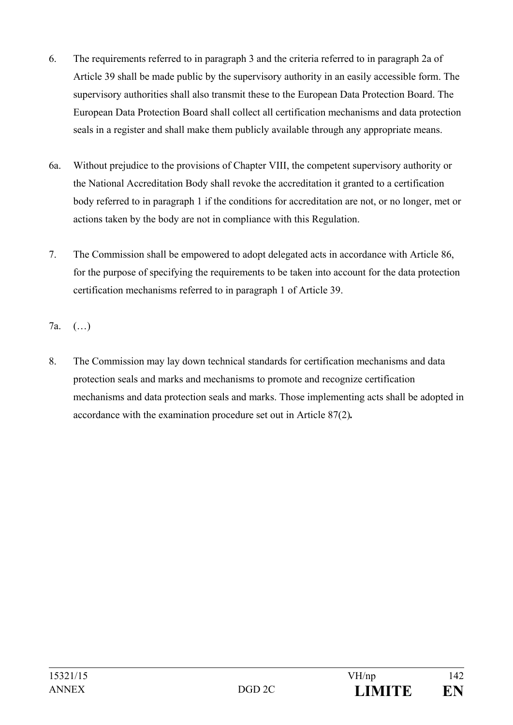- 6. The requirements referred to in paragraph 3 and the criteria referred to in paragraph 2a of Article 39 shall be made public by the supervisory authority in an easily accessible form. The supervisory authorities shall also transmit these to the European Data Protection Board. The European Data Protection Board shall collect all certification mechanisms and data protection seals in a register and shall make them publicly available through any appropriate means.
- 6a. Without prejudice to the provisions of Chapter VIII, the competent supervisory authority or the National Accreditation Body shall revoke the accreditation it granted to a certification body referred to in paragraph 1 if the conditions for accreditation are not, or no longer, met or actions taken by the body are not in compliance with this Regulation.
- 7. The Commission shall be empowered to adopt delegated acts in accordance with Article 86, for the purpose of specifying the requirements to be taken into account for the data protection certification mechanisms referred to in paragraph 1 of Article 39.

7a. (…)

8. The Commission may lay down technical standards for certification mechanisms and data protection seals and marks and mechanisms to promote and recognize certification mechanisms and data protection seals and marks. Those implementing acts shall be adopted in accordance with the examination procedure set out in Article 87(2)*.*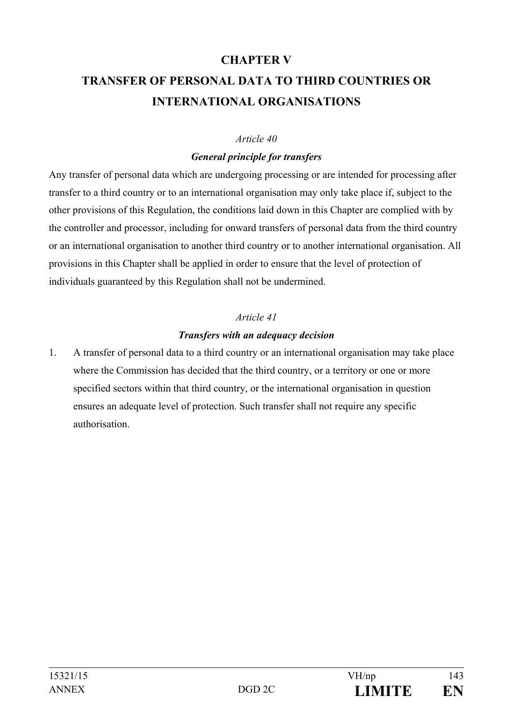# **CHAPTER V TRANSFER OF PERSONAL DATA TO THIRD COUNTRIES OR INTERNATIONAL ORGANISATIONS**

#### *Article 40*

#### *General principle for transfers*

Any transfer of personal data which are undergoing processing or are intended for processing after transfer to a third country or to an international organisation may only take place if, subject to the other provisions of this Regulation, the conditions laid down in this Chapter are complied with by the controller and processor, including for onward transfers of personal data from the third country or an international organisation to another third country or to another international organisation. All provisions in this Chapter shall be applied in order to ensure that the level of protection of individuals guaranteed by this Regulation shall not be undermined.

# *Article 41 Transfers with an adequacy decision*

1. A transfer of personal data to a third country or an international organisation may take place where the Commission has decided that the third country, or a territory or one or more specified sectors within that third country, or the international organisation in question ensures an adequate level of protection. Such transfer shall not require any specific authorisation.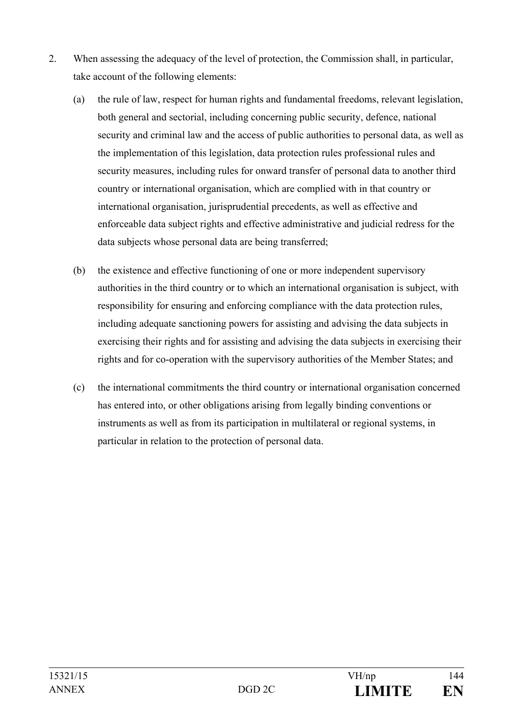- 2. When assessing the adequacy of the level of protection, the Commission shall, in particular, take account of the following elements:
	- (a) the rule of law, respect for human rights and fundamental freedoms, relevant legislation, both general and sectorial, including concerning public security, defence, national security and criminal law and the access of public authorities to personal data, as well as the implementation of this legislation, data protection rules professional rules and security measures, including rules for onward transfer of personal data to another third country or international organisation, which are complied with in that country or international organisation, jurisprudential precedents, as well as effective and enforceable data subject rights and effective administrative and judicial redress for the data subjects whose personal data are being transferred;
	- (b) the existence and effective functioning of one or more independent supervisory authorities in the third country or to which an international organisation is subject, with responsibility for ensuring and enforcing compliance with the data protection rules, including adequate sanctioning powers for assisting and advising the data subjects in exercising their rights and for assisting and advising the data subjects in exercising their rights and for co-operation with the supervisory authorities of the Member States; and
	- (c) the international commitments the third country or international organisation concerned has entered into, or other obligations arising from legally binding conventions or instruments as well as from its participation in multilateral or regional systems, in particular in relation to the protection of personal data.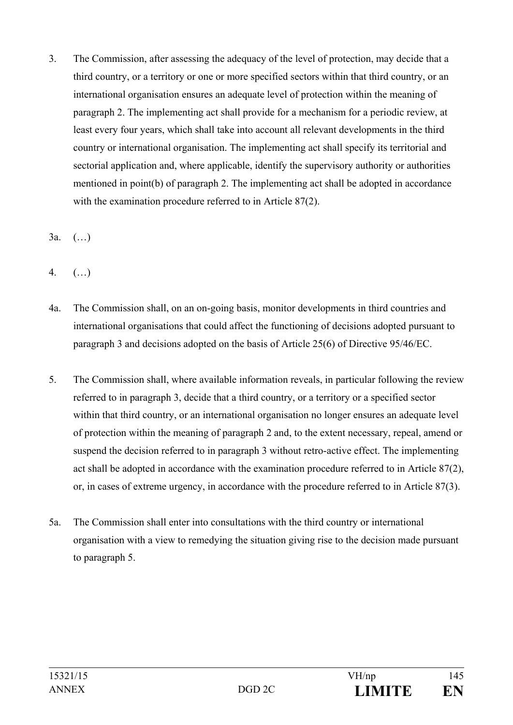3. The Commission, after assessing the adequacy of the level of protection, may decide that a third country, or a territory or one or more specified sectors within that third country, or an international organisation ensures an adequate level of protection within the meaning of paragraph 2. The implementing act shall provide for a mechanism for a periodic review, at least every four years, which shall take into account all relevant developments in the third country or international organisation. The implementing act shall specify its territorial and sectorial application and, where applicable, identify the supervisory authority or authorities mentioned in point(b) of paragraph 2. The implementing act shall be adopted in accordance with the examination procedure referred to in Article 87(2).

3a. (…)

- 4. (…)
- 4a. The Commission shall, on an on-going basis, monitor developments in third countries and international organisations that could affect the functioning of decisions adopted pursuant to paragraph 3 and decisions adopted on the basis of Article 25(6) of Directive 95/46/EC.
- 5. The Commission shall, where available information reveals, in particular following the review referred to in paragraph 3, decide that a third country, or a territory or a specified sector within that third country, or an international organisation no longer ensures an adequate level of protection within the meaning of paragraph 2 and, to the extent necessary, repeal, amend or suspend the decision referred to in paragraph 3 without retro-active effect. The implementing act shall be adopted in accordance with the examination procedure referred to in Article 87(2), or, in cases of extreme urgency, in accordance with the procedure referred to in Article 87(3).
- 5a. The Commission shall enter into consultations with the third country or international organisation with a view to remedying the situation giving rise to the decision made pursuant to paragraph 5.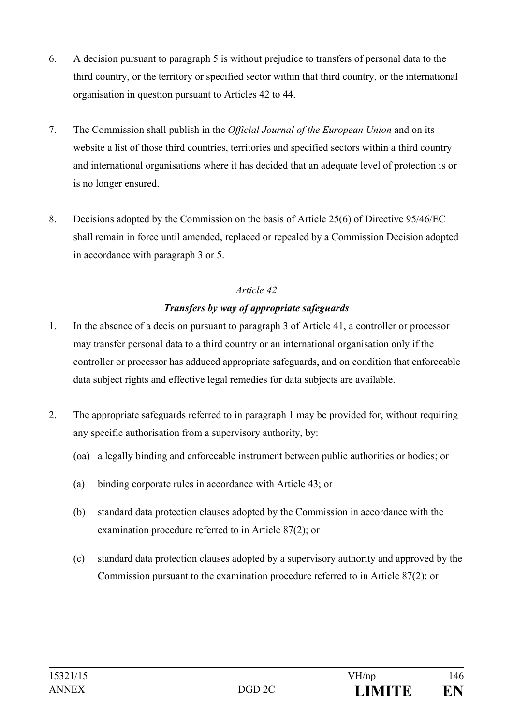- 6. A decision pursuant to paragraph 5 is without prejudice to transfers of personal data to the third country, or the territory or specified sector within that third country, or the international organisation in question pursuant to Articles 42 to 44.
- 7. The Commission shall publish in the *Official Journal of the European Union* and on its website a list of those third countries, territories and specified sectors within a third country and international organisations where it has decided that an adequate level of protection is or is no longer ensured.
- 8. Decisions adopted by the Commission on the basis of Article 25(6) of Directive 95/46/EC shall remain in force until amended, replaced or repealed by a Commission Decision adopted in accordance with paragraph 3 or 5.

# *Transfers by way of appropriate safeguards*

- 1. In the absence of a decision pursuant to paragraph 3 of Article 41, a controller or processor may transfer personal data to a third country or an international organisation only if the controller or processor has adduced appropriate safeguards, and on condition that enforceable data subject rights and effective legal remedies for data subjects are available.
- 2. The appropriate safeguards referred to in paragraph 1 may be provided for, without requiring any specific authorisation from a supervisory authority, by:
	- (oa) a legally binding and enforceable instrument between public authorities or bodies; or
	- (a) binding corporate rules in accordance with Article 43; or
	- (b) standard data protection clauses adopted by the Commission in accordance with the examination procedure referred to in Article 87(2); or
	- (c) standard data protection clauses adopted by a supervisory authority and approved by the Commission pursuant to the examination procedure referred to in Article 87(2); or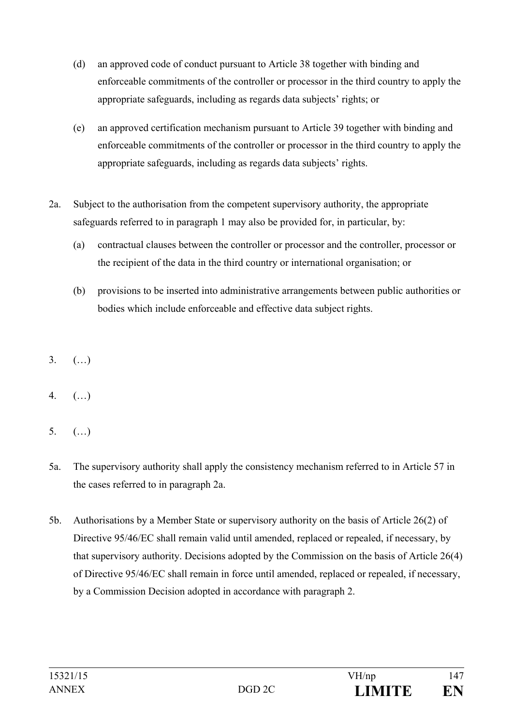- (d) an approved code of conduct pursuant to Article 38 together with binding and enforceable commitments of the controller or processor in the third country to apply the appropriate safeguards, including as regards data subjects' rights; or
- (e) an approved certification mechanism pursuant to Article 39 together with binding and enforceable commitments of the controller or processor in the third country to apply the appropriate safeguards, including as regards data subjects' rights.
- 2a. Subject to the authorisation from the competent supervisory authority, the appropriate safeguards referred to in paragraph 1 may also be provided for, in particular, by:
	- (a) contractual clauses between the controller or processor and the controller, processor or the recipient of the data in the third country or international organisation; or
	- (b) provisions to be inserted into administrative arrangements between public authorities or bodies which include enforceable and effective data subject rights.
- 3. (…)
- 4. (…)
- 5. (…)
- 5a. The supervisory authority shall apply the consistency mechanism referred to in Article 57 in the cases referred to in paragraph 2a.
- 5b. Authorisations by a Member State or supervisory authority on the basis of Article 26(2) of Directive 95/46/EC shall remain valid until amended, replaced or repealed, if necessary, by that supervisory authority. Decisions adopted by the Commission on the basis of Article 26(4) of Directive 95/46/EC shall remain in force until amended, replaced or repealed, if necessary, by a Commission Decision adopted in accordance with paragraph 2.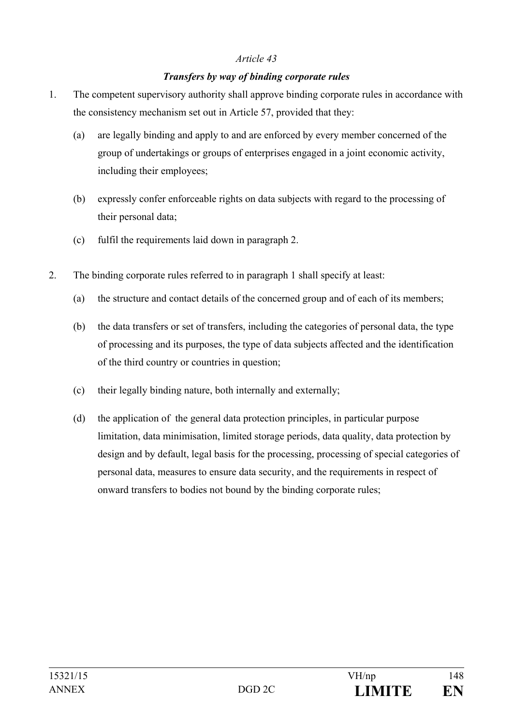### *Transfers by way of binding corporate rules*

- 1. The competent supervisory authority shall approve binding corporate rules in accordance with the consistency mechanism set out in Article 57, provided that they:
	- (a) are legally binding and apply to and are enforced by every member concerned of the group of undertakings or groups of enterprises engaged in a joint economic activity, including their employees;
	- (b) expressly confer enforceable rights on data subjects with regard to the processing of their personal data;
	- (c) fulfil the requirements laid down in paragraph 2.
- 2. The binding corporate rules referred to in paragraph 1 shall specify at least:
	- (a) the structure and contact details of the concerned group and of each of its members;
	- (b) the data transfers or set of transfers, including the categories of personal data, the type of processing and its purposes, the type of data subjects affected and the identification of the third country or countries in question;
	- (c) their legally binding nature, both internally and externally;
	- (d) the application of the general data protection principles, in particular purpose limitation, data minimisation, limited storage periods, data quality, data protection by design and by default, legal basis for the processing, processing of special categories of personal data, measures to ensure data security, and the requirements in respect of onward transfers to bodies not bound by the binding corporate rules;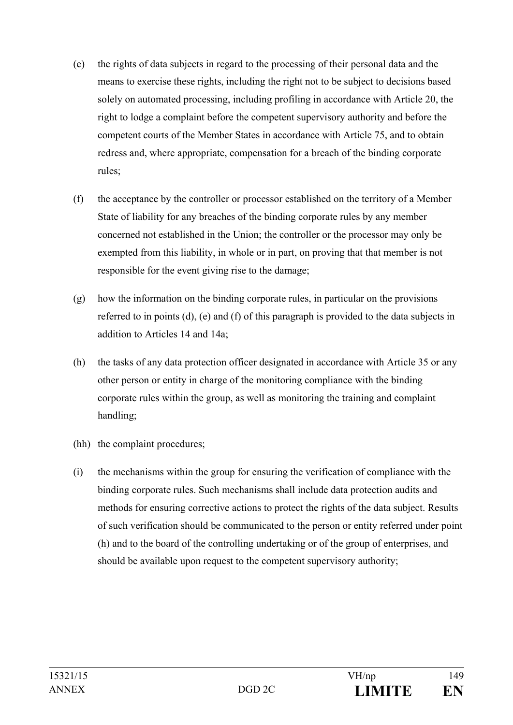- (e) the rights of data subjects in regard to the processing of their personal data and the means to exercise these rights, including the right not to be subject to decisions based solely on automated processing, including profiling in accordance with Article 20, the right to lodge a complaint before the competent supervisory authority and before the competent courts of the Member States in accordance with Article 75, and to obtain redress and, where appropriate, compensation for a breach of the binding corporate rules;
- (f) the acceptance by the controller or processor established on the territory of a Member State of liability for any breaches of the binding corporate rules by any member concerned not established in the Union; the controller or the processor may only be exempted from this liability, in whole or in part, on proving that that member is not responsible for the event giving rise to the damage;
- (g) how the information on the binding corporate rules, in particular on the provisions referred to in points (d), (e) and (f) of this paragraph is provided to the data subjects in addition to Articles 14 and 14a;
- (h) the tasks of any data protection officer designated in accordance with Article 35 or any other person or entity in charge of the monitoring compliance with the binding corporate rules within the group, as well as monitoring the training and complaint handling;
- (hh) the complaint procedures;
- (i) the mechanisms within the group for ensuring the verification of compliance with the binding corporate rules. Such mechanisms shall include data protection audits and methods for ensuring corrective actions to protect the rights of the data subject. Results of such verification should be communicated to the person or entity referred under point (h) and to the board of the controlling undertaking or of the group of enterprises, and should be available upon request to the competent supervisory authority;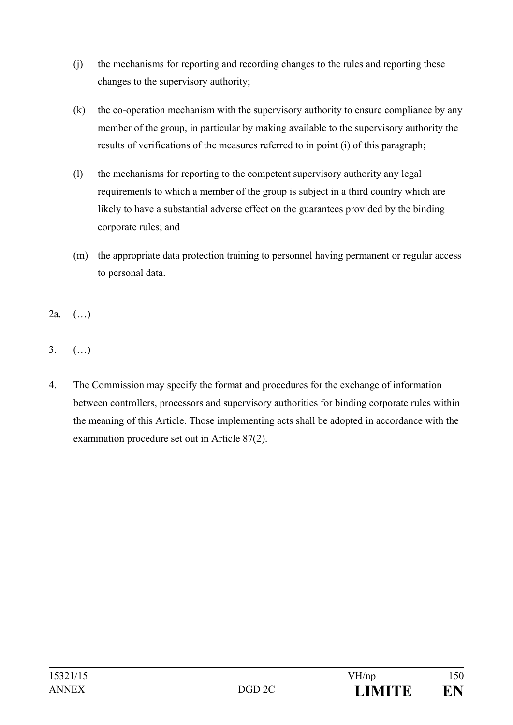- (j) the mechanisms for reporting and recording changes to the rules and reporting these changes to the supervisory authority;
- (k) the co-operation mechanism with the supervisory authority to ensure compliance by any member of the group, in particular by making available to the supervisory authority the results of verifications of the measures referred to in point (i) of this paragraph;
- (l) the mechanisms for reporting to the competent supervisory authority any legal requirements to which a member of the group is subject in a third country which are likely to have a substantial adverse effect on the guarantees provided by the binding corporate rules; and
- (m) the appropriate data protection training to personnel having permanent or regular access to personal data.
- $2a.$   $($ ... $)$
- 3. (…)
- 4. The Commission may specify the format and procedures for the exchange of information between controllers, processors and supervisory authorities for binding corporate rules within the meaning of this Article. Those implementing acts shall be adopted in accordance with the examination procedure set out in Article 87(2).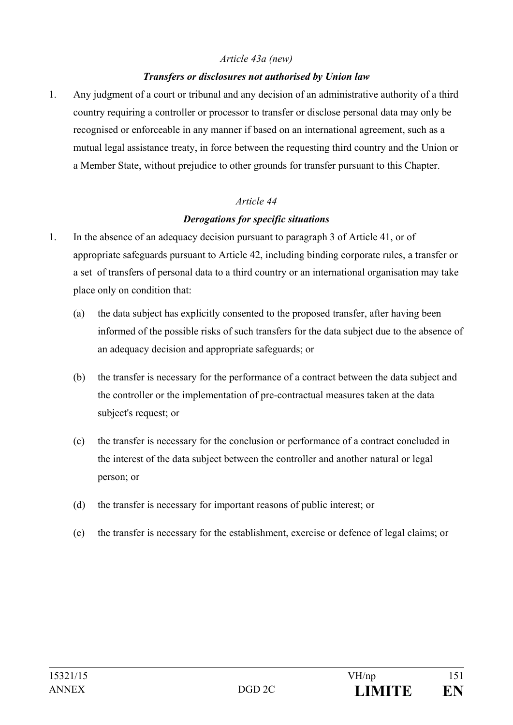### *Article 43a (new)*

### *Transfers or disclosures not authorised by Union law*

1. Any judgment of a court or tribunal and any decision of an administrative authority of a third country requiring a controller or processor to transfer or disclose personal data may only be recognised or enforceable in any manner if based on an international agreement, such as a mutual legal assistance treaty, in force between the requesting third country and the Union or a Member State, without prejudice to other grounds for transfer pursuant to this Chapter.

### *Article 44*

# *Derogations for specific situations*

- 1. In the absence of an adequacy decision pursuant to paragraph 3 of Article 41, or of appropriate safeguards pursuant to Article 42, including binding corporate rules, a transfer or a set of transfers of personal data to a third country or an international organisation may take place only on condition that:
	- (a) the data subject has explicitly consented to the proposed transfer, after having been informed of the possible risks of such transfers for the data subject due to the absence of an adequacy decision and appropriate safeguards; or
	- (b) the transfer is necessary for the performance of a contract between the data subject and the controller or the implementation of pre-contractual measures taken at the data subject's request; or
	- (c) the transfer is necessary for the conclusion or performance of a contract concluded in the interest of the data subject between the controller and another natural or legal person; or
	- (d) the transfer is necessary for important reasons of public interest; or
	- (e) the transfer is necessary for the establishment, exercise or defence of legal claims; or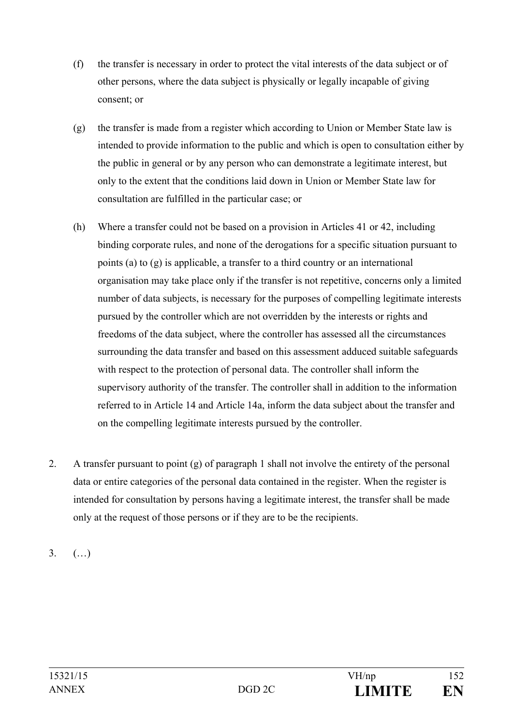- (f) the transfer is necessary in order to protect the vital interests of the data subject or of other persons, where the data subject is physically or legally incapable of giving consent; or
- (g) the transfer is made from a register which according to Union or Member State law is intended to provide information to the public and which is open to consultation either by the public in general or by any person who can demonstrate a legitimate interest, but only to the extent that the conditions laid down in Union or Member State law for consultation are fulfilled in the particular case; or
- (h) Where a transfer could not be based on a provision in Articles 41 or 42, including binding corporate rules, and none of the derogations for a specific situation pursuant to points (a) to (g) is applicable, a transfer to a third country or an international organisation may take place only if the transfer is not repetitive, concerns only a limited number of data subjects, is necessary for the purposes of compelling legitimate interests pursued by the controller which are not overridden by the interests or rights and freedoms of the data subject, where the controller has assessed all the circumstances surrounding the data transfer and based on this assessment adduced suitable safeguards with respect to the protection of personal data. The controller shall inform the supervisory authority of the transfer. The controller shall in addition to the information referred to in Article 14 and Article 14a, inform the data subject about the transfer and on the compelling legitimate interests pursued by the controller.
- 2. A transfer pursuant to point (g) of paragraph 1 shall not involve the entirety of the personal data or entire categories of the personal data contained in the register. When the register is intended for consultation by persons having a legitimate interest, the transfer shall be made only at the request of those persons or if they are to be the recipients.

 $3.$  (...)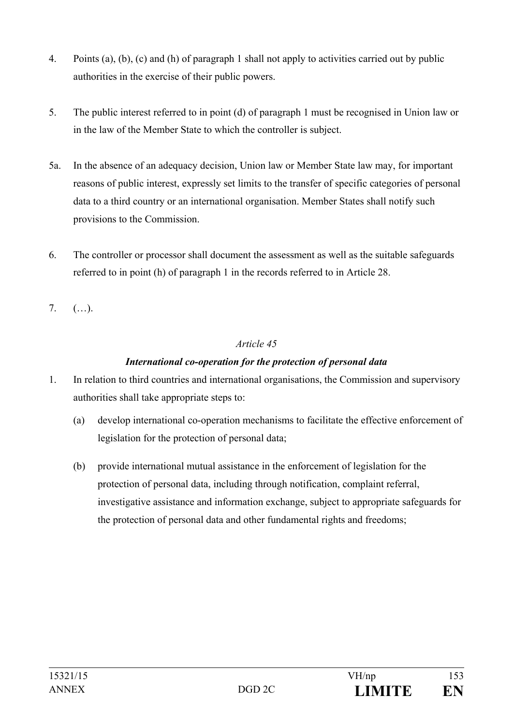- 4. Points (a), (b), (c) and (h) of paragraph 1 shall not apply to activities carried out by public authorities in the exercise of their public powers.
- 5. The public interest referred to in point (d) of paragraph 1 must be recognised in Union law or in the law of the Member State to which the controller is subject.
- 5a. In the absence of an adequacy decision, Union law or Member State law may, for important reasons of public interest, expressly set limits to the transfer of specific categories of personal data to a third country or an international organisation. Member States shall notify such provisions to the Commission.
- 6. The controller or processor shall document the assessment as well as the suitable safeguards referred to in point (h) of paragraph 1 in the records referred to in Article 28.
- 7. (…).

# *International co-operation for the protection of personal data*

- 1. In relation to third countries and international organisations, the Commission and supervisory authorities shall take appropriate steps to:
	- (a) develop international co-operation mechanisms to facilitate the effective enforcement of legislation for the protection of personal data;
	- (b) provide international mutual assistance in the enforcement of legislation for the protection of personal data, including through notification, complaint referral, investigative assistance and information exchange, subject to appropriate safeguards for the protection of personal data and other fundamental rights and freedoms;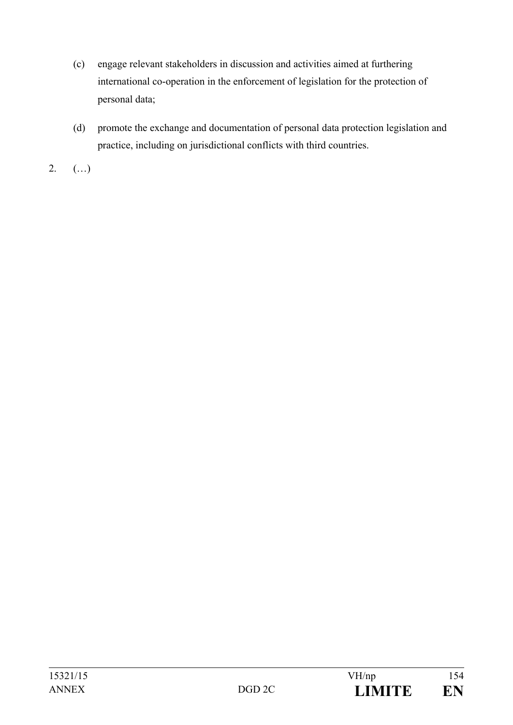- (c) engage relevant stakeholders in discussion and activities aimed at furthering international co-operation in the enforcement of legislation for the protection of personal data;
- (d) promote the exchange and documentation of personal data protection legislation and practice, including on jurisdictional conflicts with third countries.
- 2. (…)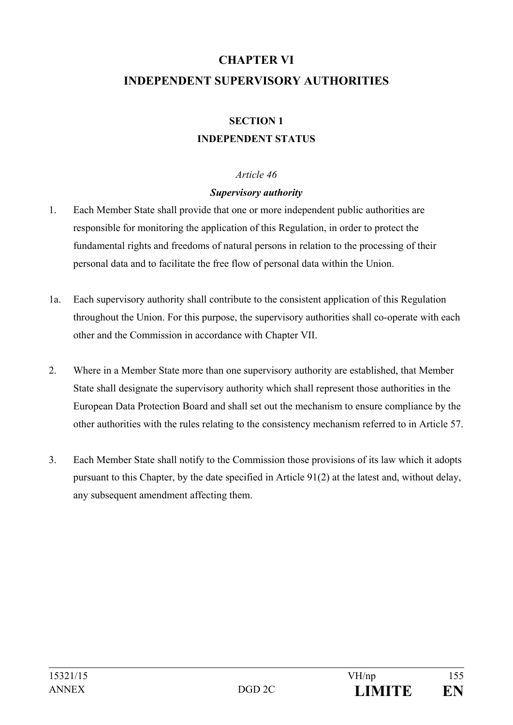# **CHAPTER VI INDEPENDENT SUPERVISORY AUTHORITIES**

# **SECTION 1**

### **INDEPENDENT STATUS**

### *Article 46*

### *Supervisory authority*

- 1. Each Member State shall provide that one or more independent public authorities are responsible for monitoring the application of this Regulation, in order to protect the fundamental rights and freedoms of natural persons in relation to the processing of their personal data and to facilitate the free flow of personal data within the Union.
- 1a. Each supervisory authority shall contribute to the consistent application of this Regulation throughout the Union. For this purpose, the supervisory authorities shall co-operate with each other and the Commission in accordance with Chapter VII.
- 2. Where in a Member State more than one supervisory authority are established, that Member State shall designate the supervisory authority which shall represent those authorities in the European Data Protection Board and shall set out the mechanism to ensure compliance by the other authorities with the rules relating to the consistency mechanism referred to in Article 57.
- 3. Each Member State shall notify to the Commission those provisions of its law which it adopts pursuant to this Chapter, by the date specified in Article 91(2) at the latest and, without delay, any subsequent amendment affecting them.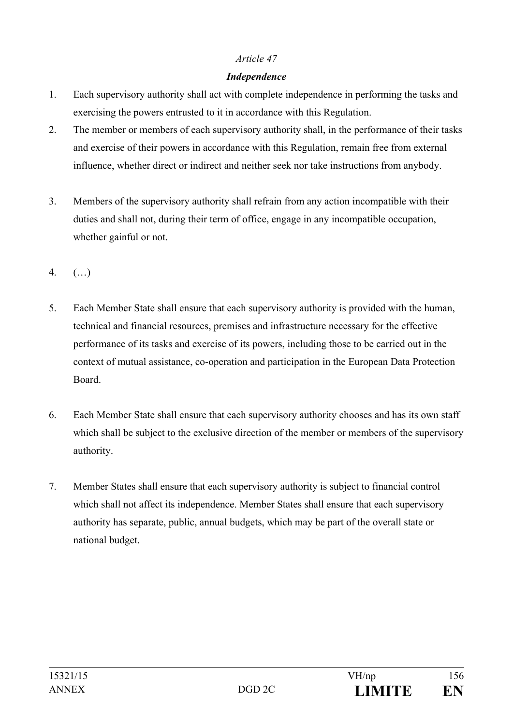# *Independence*

- 1. Each supervisory authority shall act with complete independence in performing the tasks and exercising the powers entrusted to it in accordance with this Regulation.
- 2. The member or members of each supervisory authority shall, in the performance of their tasks and exercise of their powers in accordance with this Regulation, remain free from external influence, whether direct or indirect and neither seek nor take instructions from anybody.
- 3. Members of the supervisory authority shall refrain from any action incompatible with their duties and shall not, during their term of office, engage in any incompatible occupation, whether gainful or not.
- 4. (…)
- 5. Each Member State shall ensure that each supervisory authority is provided with the human, technical and financial resources, premises and infrastructure necessary for the effective performance of its tasks and exercise of its powers, including those to be carried out in the context of mutual assistance, co-operation and participation in the European Data Protection Board.
- 6. Each Member State shall ensure that each supervisory authority chooses and has its own staff which shall be subject to the exclusive direction of the member or members of the supervisory authority.
- 7. Member States shall ensure that each supervisory authority is subject to financial control which shall not affect its independence. Member States shall ensure that each supervisory authority has separate, public, annual budgets, which may be part of the overall state or national budget.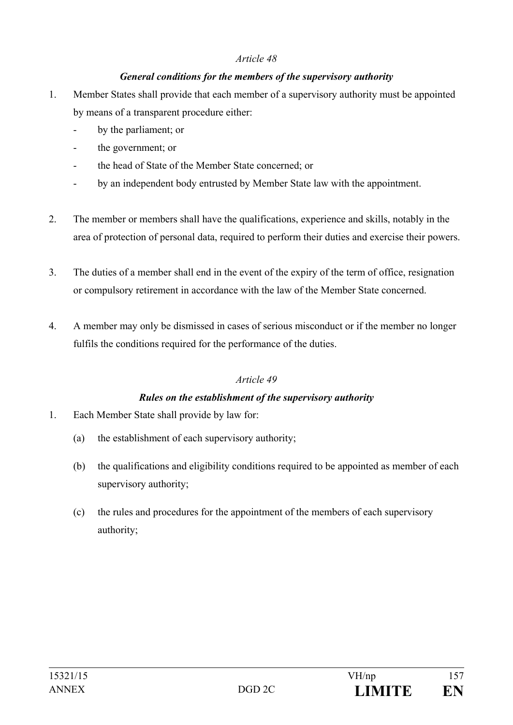# *General conditions for the members of the supervisory authority*

- 1. Member States shall provide that each member of a supervisory authority must be appointed by means of a transparent procedure either:
	- by the parliament; or
	- the government; or
	- the head of State of the Member State concerned; or
	- by an independent body entrusted by Member State law with the appointment.
- 2. The member or members shall have the qualifications, experience and skills, notably in the area of protection of personal data, required to perform their duties and exercise their powers.
- 3. The duties of a member shall end in the event of the expiry of the term of office, resignation or compulsory retirement in accordance with the law of the Member State concerned.
- 4. A member may only be dismissed in cases of serious misconduct or if the member no longer fulfils the conditions required for the performance of the duties.

# *Article 49*

# *Rules on the establishment of the supervisory authority*

- 1. Each Member State shall provide by law for:
	- (a) the establishment of each supervisory authority;
	- (b) the qualifications and eligibility conditions required to be appointed as member of each supervisory authority;
	- (c) the rules and procedures for the appointment of the members of each supervisory authority;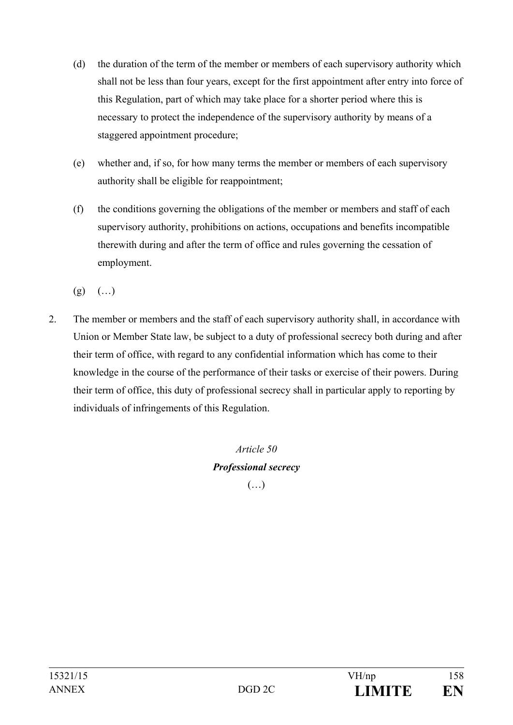- (d) the duration of the term of the member or members of each supervisory authority which shall not be less than four years, except for the first appointment after entry into force of this Regulation, part of which may take place for a shorter period where this is necessary to protect the independence of the supervisory authority by means of a staggered appointment procedure;
- (e) whether and, if so, for how many terms the member or members of each supervisory authority shall be eligible for reappointment;
- (f) the conditions governing the obligations of the member or members and staff of each supervisory authority, prohibitions on actions, occupations and benefits incompatible therewith during and after the term of office and rules governing the cessation of employment.
- $(g)$   $(...)$
- 2. The member or members and the staff of each supervisory authority shall, in accordance with Union or Member State law, be subject to a duty of professional secrecy both during and after their term of office, with regard to any confidential information which has come to their knowledge in the course of the performance of their tasks or exercise of their powers. During their term of office, this duty of professional secrecy shall in particular apply to reporting by individuals of infringements of this Regulation.

*Article 50 Professional secrecy* (…)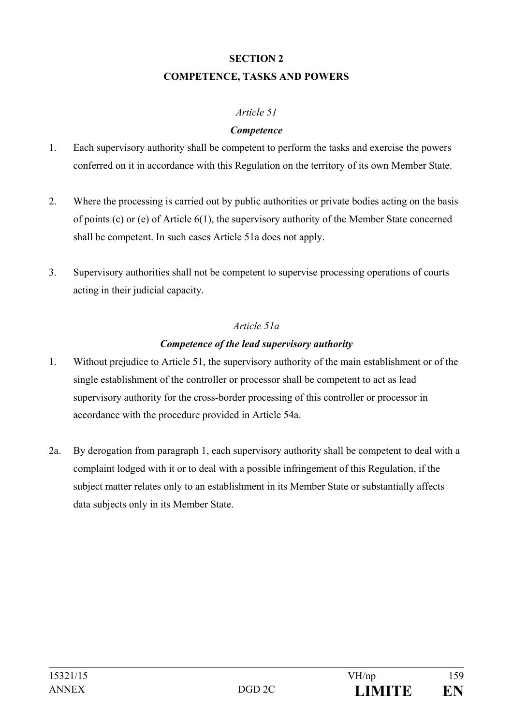# **SECTION 2 COMPETENCE, TASKS AND POWERS**

### *Article 51*

### *Competence*

- 1. Each supervisory authority shall be competent to perform the tasks and exercise the powers conferred on it in accordance with this Regulation on the territory of its own Member State.
- 2. Where the processing is carried out by public authorities or private bodies acting on the basis of points (c) or (e) of Article 6(1), the supervisory authority of the Member State concerned shall be competent. In such cases Article 51a does not apply.
- 3. Supervisory authorities shall not be competent to supervise processing operations of courts acting in their judicial capacity.

# *Article 51a*

# *Competence of the lead supervisory authority*

- 1. Without prejudice to Article 51, the supervisory authority of the main establishment or of the single establishment of the controller or processor shall be competent to act as lead supervisory authority for the cross-border processing of this controller or processor in accordance with the procedure provided in Article 54a.
- 2a. By derogation from paragraph 1, each supervisory authority shall be competent to deal with a complaint lodged with it or to deal with a possible infringement of this Regulation, if the subject matter relates only to an establishment in its Member State or substantially affects data subjects only in its Member State.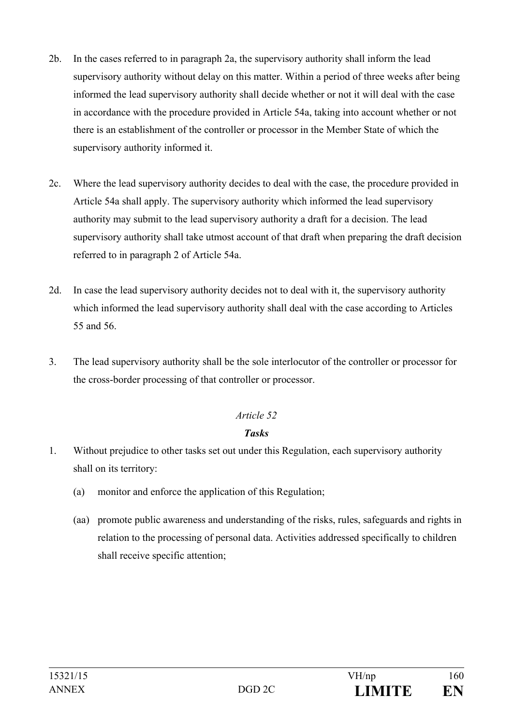- 2b. In the cases referred to in paragraph 2a, the supervisory authority shall inform the lead supervisory authority without delay on this matter. Within a period of three weeks after being informed the lead supervisory authority shall decide whether or not it will deal with the case in accordance with the procedure provided in Article 54a, taking into account whether or not there is an establishment of the controller or processor in the Member State of which the supervisory authority informed it.
- 2c. Where the lead supervisory authority decides to deal with the case, the procedure provided in Article 54a shall apply. The supervisory authority which informed the lead supervisory authority may submit to the lead supervisory authority a draft for a decision. The lead supervisory authority shall take utmost account of that draft when preparing the draft decision referred to in paragraph 2 of Article 54a.
- 2d. In case the lead supervisory authority decides not to deal with it, the supervisory authority which informed the lead supervisory authority shall deal with the case according to Articles 55 and 56.
- 3. The lead supervisory authority shall be the sole interlocutor of the controller or processor for the cross-border processing of that controller or processor.

### *Tasks*

- 1. Without prejudice to other tasks set out under this Regulation, each supervisory authority shall on its territory:
	- (a) monitor and enforce the application of this Regulation;
	- (aa) promote public awareness and understanding of the risks, rules, safeguards and rights in relation to the processing of personal data. Activities addressed specifically to children shall receive specific attention;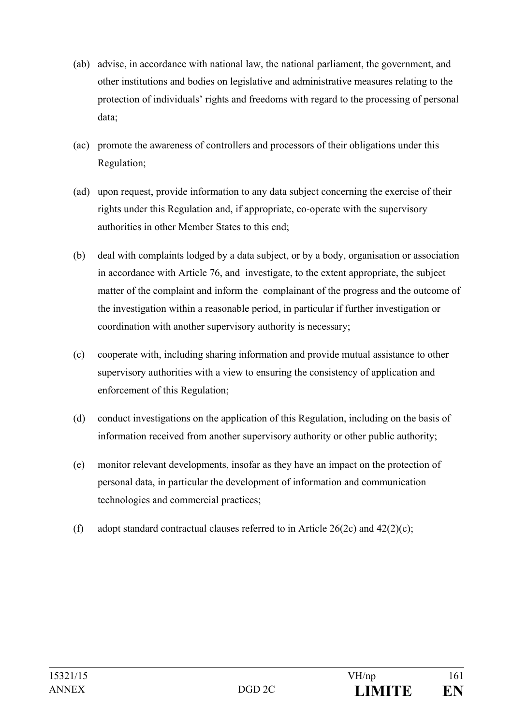- (ab) advise, in accordance with national law, the national parliament, the government, and other institutions and bodies on legislative and administrative measures relating to the protection of individuals' rights and freedoms with regard to the processing of personal data;
- (ac) promote the awareness of controllers and processors of their obligations under this Regulation;
- (ad) upon request, provide information to any data subject concerning the exercise of their rights under this Regulation and, if appropriate, co-operate with the supervisory authorities in other Member States to this end;
- (b) deal with complaints lodged by a data subject, or by a body, organisation or association in accordance with Article 76, and investigate, to the extent appropriate, the subject matter of the complaint and inform the complainant of the progress and the outcome of the investigation within a reasonable period, in particular if further investigation or coordination with another supervisory authority is necessary;
- (c) cooperate with, including sharing information and provide mutual assistance to other supervisory authorities with a view to ensuring the consistency of application and enforcement of this Regulation;
- (d) conduct investigations on the application of this Regulation, including on the basis of information received from another supervisory authority or other public authority;
- (e) monitor relevant developments, insofar as they have an impact on the protection of personal data, in particular the development of information and communication technologies and commercial practices;
- (f) adopt standard contractual clauses referred to in Article 26(2c) and 42(2)(c);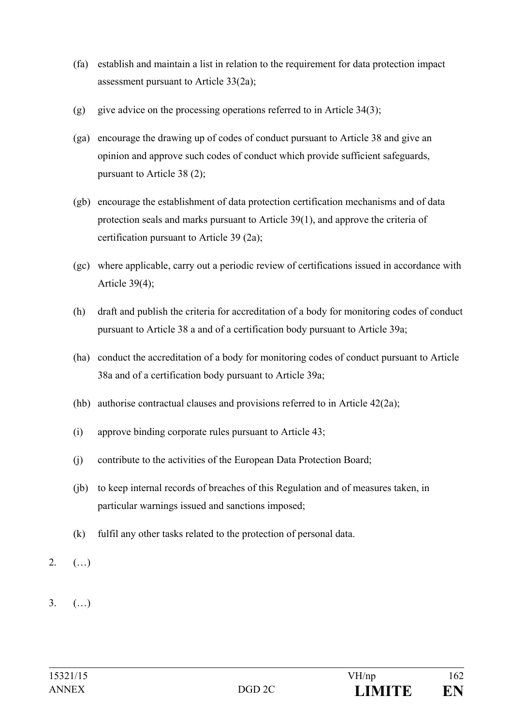- (fa) establish and maintain a list in relation to the requirement for data protection impact assessment pursuant to Article 33(2a);
- (g) give advice on the processing operations referred to in Article  $34(3)$ ;
- (ga) encourage the drawing up of codes of conduct pursuant to Article 38 and give an opinion and approve such codes of conduct which provide sufficient safeguards, pursuant to Article 38 (2);
- (gb) encourage the establishment of data protection certification mechanisms and of data protection seals and marks pursuant to Article 39(1), and approve the criteria of certification pursuant to Article 39 (2a);
- (gc) where applicable, carry out a periodic review of certifications issued in accordance with Article 39(4);
- (h) draft and publish the criteria for accreditation of a body for monitoring codes of conduct pursuant to Article 38 a and of a certification body pursuant to Article 39a;
- (ha) conduct the accreditation of a body for monitoring codes of conduct pursuant to Article 38a and of a certification body pursuant to Article 39a;
- (hb) authorise contractual clauses and provisions referred to in Article 42(2a);
- (i) approve binding corporate rules pursuant to Article 43;
- (j) contribute to the activities of the European Data Protection Board;
- (jb) to keep internal records of breaches of this Regulation and of measures taken, in particular warnings issued and sanctions imposed;
- (k) fulfil any other tasks related to the protection of personal data.
- 2. (…)
- 3. (…)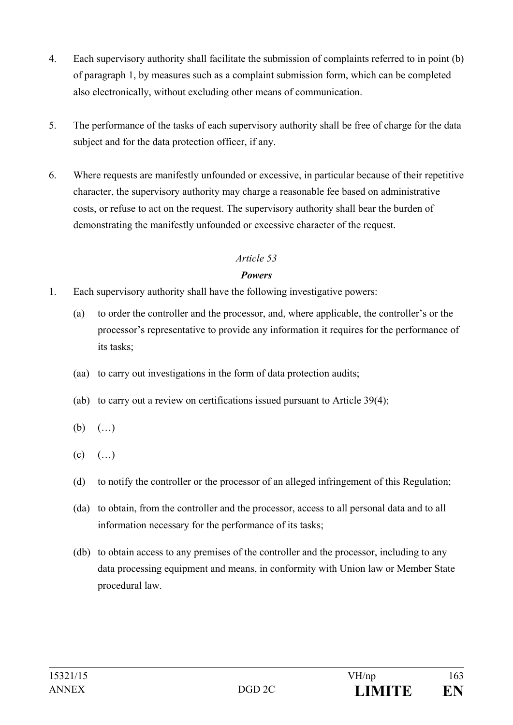- 4. Each supervisory authority shall facilitate the submission of complaints referred to in point (b) of paragraph 1, by measures such as a complaint submission form, which can be completed also electronically, without excluding other means of communication.
- 5. The performance of the tasks of each supervisory authority shall be free of charge for the data subject and for the data protection officer, if any.
- 6. Where requests are manifestly unfounded or excessive, in particular because of their repetitive character, the supervisory authority may charge a reasonable fee based on administrative costs, or refuse to act on the request. The supervisory authority shall bear the burden of demonstrating the manifestly unfounded or excessive character of the request.

# *Powers*

- 1. Each supervisory authority shall have the following investigative powers:
	- (a) to order the controller and the processor, and, where applicable, the controller's or the processor's representative to provide any information it requires for the performance of its tasks;
	- (aa) to carry out investigations in the form of data protection audits;
	- (ab) to carry out a review on certifications issued pursuant to Article 39(4);
	- (b)  $( ...)$
	- $(c)$   $(...)$
	- (d) to notify the controller or the processor of an alleged infringement of this Regulation;
	- (da) to obtain, from the controller and the processor, access to all personal data and to all information necessary for the performance of its tasks;
	- (db) to obtain access to any premises of the controller and the processor, including to any data processing equipment and means, in conformity with Union law or Member State procedural law.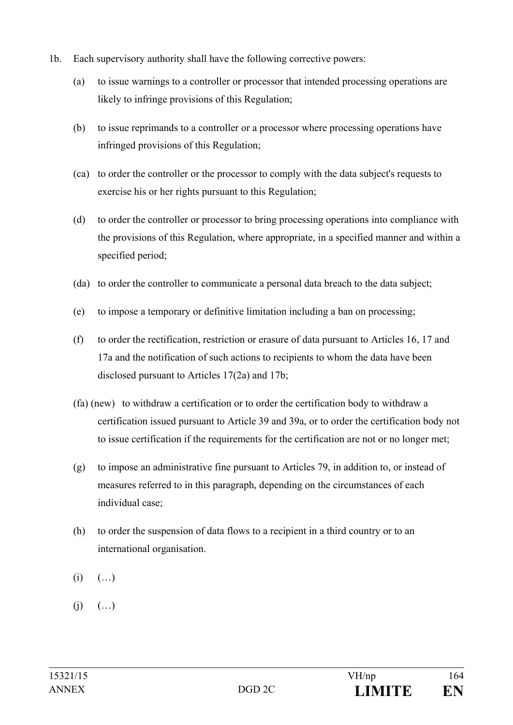- 1b. Each supervisory authority shall have the following corrective powers:
	- (a) to issue warnings to a controller or processor that intended processing operations are likely to infringe provisions of this Regulation;
	- (b) to issue reprimands to a controller or a processor where processing operations have infringed provisions of this Regulation;
	- (ca) to order the controller or the processor to comply with the data subject's requests to exercise his or her rights pursuant to this Regulation;
	- (d) to order the controller or processor to bring processing operations into compliance with the provisions of this Regulation, where appropriate, in a specified manner and within a specified period;
	- (da) to order the controller to communicate a personal data breach to the data subject;
	- (e) to impose a temporary or definitive limitation including a ban on processing;
	- (f) to order the rectification, restriction or erasure of data pursuant to Articles 16, 17 and 17a and the notification of such actions to recipients to whom the data have been disclosed pursuant to Articles 17(2a) and 17b;
	- (fa) (new) to withdraw a certification or to order the certification body to withdraw a certification issued pursuant to Article 39 and 39a, or to order the certification body not to issue certification if the requirements for the certification are not or no longer met;
	- (g) to impose an administrative fine pursuant to Articles 79, in addition to, or instead of measures referred to in this paragraph, depending on the circumstances of each individual case;
	- (h) to order the suspension of data flows to a recipient in a third country or to an international organisation.
	- $(i)$   $(...)$
	- $(i)$   $(...)$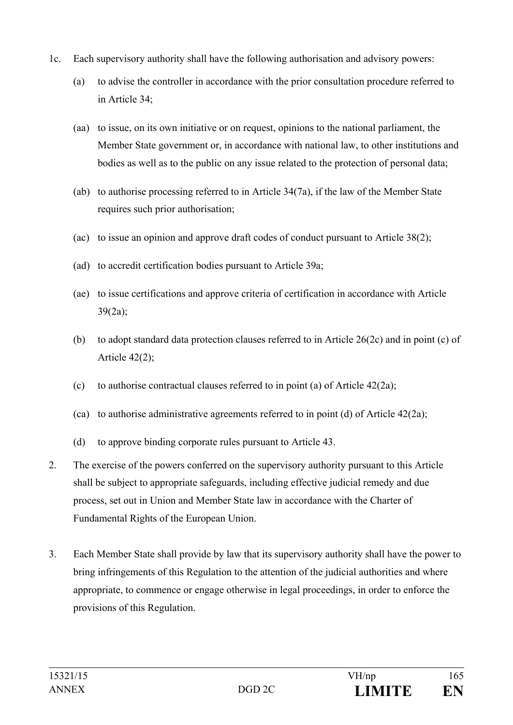- 1c. Each supervisory authority shall have the following authorisation and advisory powers:
	- (a) to advise the controller in accordance with the prior consultation procedure referred to in Article 34;
	- (aa) to issue, on its own initiative or on request, opinions to the national parliament, the Member State government or, in accordance with national law, to other institutions and bodies as well as to the public on any issue related to the protection of personal data;
	- (ab) to authorise processing referred to in Article 34(7a), if the law of the Member State requires such prior authorisation;
	- (ac) to issue an opinion and approve draft codes of conduct pursuant to Article 38(2);
	- (ad) to accredit certification bodies pursuant to Article 39a;
	- (ae) to issue certifications and approve criteria of certification in accordance with Article 39(2a);
	- (b) to adopt standard data protection clauses referred to in Article 26(2c) and in point (c) of Article 42(2);
	- (c) to authorise contractual clauses referred to in point (a) of Article  $42(2a)$ ;
	- (ca) to authorise administrative agreements referred to in point (d) of Article 42(2a);
	- (d) to approve binding corporate rules pursuant to Article 43.
- 2. The exercise of the powers conferred on the supervisory authority pursuant to this Article shall be subject to appropriate safeguards, including effective judicial remedy and due process, set out in Union and Member State law in accordance with the Charter of Fundamental Rights of the European Union.
- 3. Each Member State shall provide by law that its supervisory authority shall have the power to bring infringements of this Regulation to the attention of the judicial authorities and where appropriate, to commence or engage otherwise in legal proceedings, in order to enforce the provisions of this Regulation.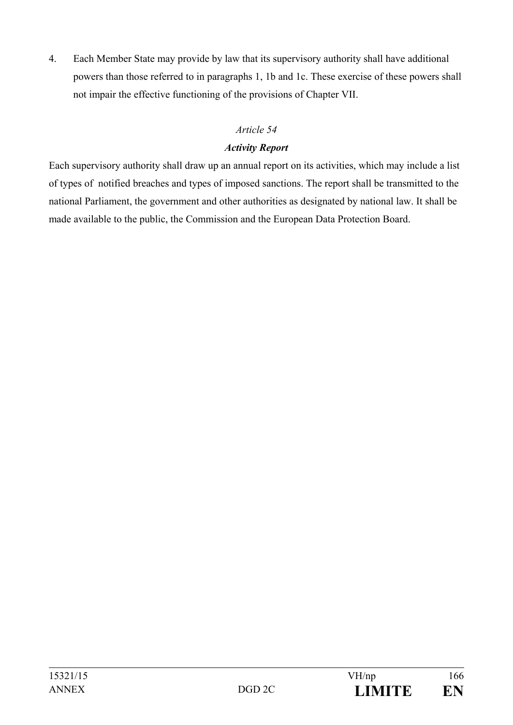4. Each Member State may provide by law that its supervisory authority shall have additional powers than those referred to in paragraphs 1, 1b and 1c. These exercise of these powers shall not impair the effective functioning of the provisions of Chapter VII.

# *Article 54*

# *Activity Report*

Each supervisory authority shall draw up an annual report on its activities, which may include a list of types of notified breaches and types of imposed sanctions. The report shall be transmitted to the national Parliament, the government and other authorities as designated by national law. It shall be made available to the public, the Commission and the European Data Protection Board.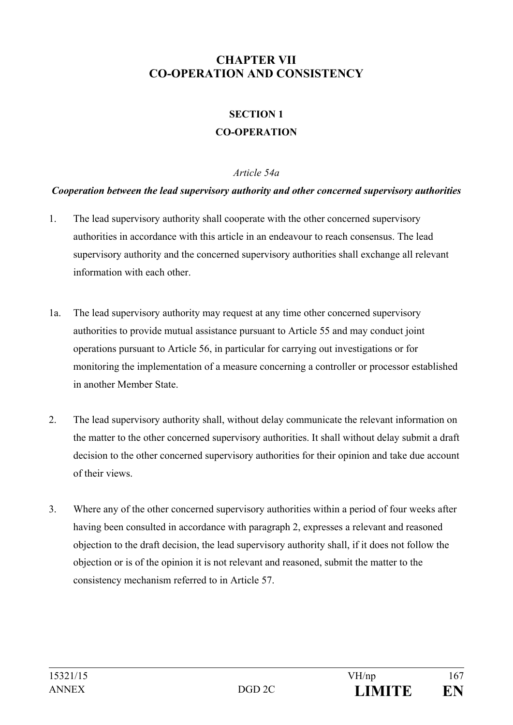# **CHAPTER VII CO-OPERATION AND CONSISTENCY**

# **SECTION 1 CO-OPERATION**

### *Article 54a*

### *Cooperation between the lead supervisory authority and other concerned supervisory authorities*

- 1. The lead supervisory authority shall cooperate with the other concerned supervisory authorities in accordance with this article in an endeavour to reach consensus. The lead supervisory authority and the concerned supervisory authorities shall exchange all relevant information with each other.
- 1a. The lead supervisory authority may request at any time other concerned supervisory authorities to provide mutual assistance pursuant to Article 55 and may conduct joint operations pursuant to Article 56, in particular for carrying out investigations or for monitoring the implementation of a measure concerning a controller or processor established in another Member State.
- 2. The lead supervisory authority shall, without delay communicate the relevant information on the matter to the other concerned supervisory authorities. It shall without delay submit a draft decision to the other concerned supervisory authorities for their opinion and take due account of their views.
- 3. Where any of the other concerned supervisory authorities within a period of four weeks after having been consulted in accordance with paragraph 2, expresses a relevant and reasoned objection to the draft decision, the lead supervisory authority shall, if it does not follow the objection or is of the opinion it is not relevant and reasoned, submit the matter to the consistency mechanism referred to in Article 57.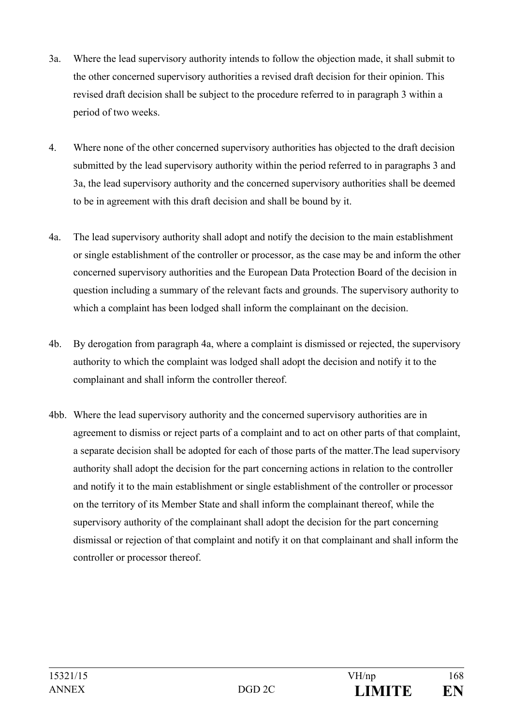- 3a. Where the lead supervisory authority intends to follow the objection made, it shall submit to the other concerned supervisory authorities a revised draft decision for their opinion. This revised draft decision shall be subject to the procedure referred to in paragraph 3 within a period of two weeks.
- 4. Where none of the other concerned supervisory authorities has objected to the draft decision submitted by the lead supervisory authority within the period referred to in paragraphs 3 and 3a, the lead supervisory authority and the concerned supervisory authorities shall be deemed to be in agreement with this draft decision and shall be bound by it.
- 4a. The lead supervisory authority shall adopt and notify the decision to the main establishment or single establishment of the controller or processor, as the case may be and inform the other concerned supervisory authorities and the European Data Protection Board of the decision in question including a summary of the relevant facts and grounds. The supervisory authority to which a complaint has been lodged shall inform the complainant on the decision.
- 4b. By derogation from paragraph 4a, where a complaint is dismissed or rejected, the supervisory authority to which the complaint was lodged shall adopt the decision and notify it to the complainant and shall inform the controller thereof.
- 4bb. Where the lead supervisory authority and the concerned supervisory authorities are in agreement to dismiss or reject parts of a complaint and to act on other parts of that complaint, a separate decision shall be adopted for each of those parts of the matter.The lead supervisory authority shall adopt the decision for the part concerning actions in relation to the controller and notify it to the main establishment or single establishment of the controller or processor on the territory of its Member State and shall inform the complainant thereof, while the supervisory authority of the complainant shall adopt the decision for the part concerning dismissal or rejection of that complaint and notify it on that complainant and shall inform the controller or processor thereof.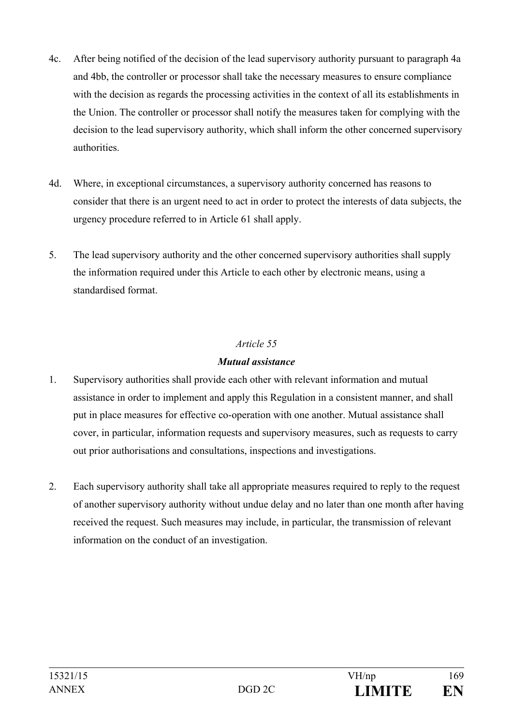- 4c. After being notified of the decision of the lead supervisory authority pursuant to paragraph 4a and 4bb, the controller or processor shall take the necessary measures to ensure compliance with the decision as regards the processing activities in the context of all its establishments in the Union. The controller or processor shall notify the measures taken for complying with the decision to the lead supervisory authority, which shall inform the other concerned supervisory authorities.
- 4d. Where, in exceptional circumstances, a supervisory authority concerned has reasons to consider that there is an urgent need to act in order to protect the interests of data subjects, the urgency procedure referred to in Article 61 shall apply.
- 5. The lead supervisory authority and the other concerned supervisory authorities shall supply the information required under this Article to each other by electronic means, using a standardised format.

# *Mutual assistance*

- 1. Supervisory authorities shall provide each other with relevant information and mutual assistance in order to implement and apply this Regulation in a consistent manner, and shall put in place measures for effective co-operation with one another. Mutual assistance shall cover, in particular, information requests and supervisory measures, such as requests to carry out prior authorisations and consultations, inspections and investigations.
- 2. Each supervisory authority shall take all appropriate measures required to reply to the request of another supervisory authority without undue delay and no later than one month after having received the request. Such measures may include, in particular, the transmission of relevant information on the conduct of an investigation.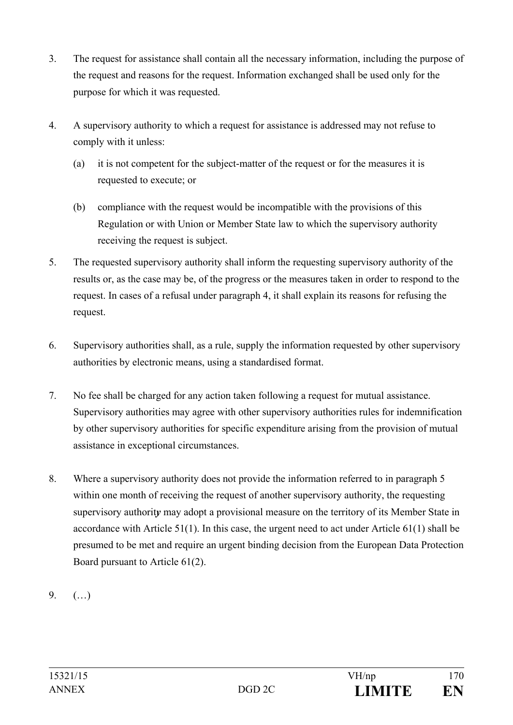- 3. The request for assistance shall contain all the necessary information, including the purpose of the request and reasons for the request. Information exchanged shall be used only for the purpose for which it was requested.
- 4. A supervisory authority to which a request for assistance is addressed may not refuse to comply with it unless:
	- (a) it is not competent for the subject-matter of the request or for the measures it is requested to execute; or
	- (b) compliance with the request would be incompatible with the provisions of this Regulation or with Union or Member State law to which the supervisory authority receiving the request is subject.
- 5. The requested supervisory authority shall inform the requesting supervisory authority of the results or, as the case may be, of the progress or the measures taken in order to respond to the request. In cases of a refusal under paragraph 4, it shall explain its reasons for refusing the request.
- 6. Supervisory authorities shall, as a rule, supply the information requested by other supervisory authorities by electronic means, using a standardised format.
- 7. No fee shall be charged for any action taken following a request for mutual assistance. Supervisory authorities may agree with other supervisory authorities rules for indemnification by other supervisory authorities for specific expenditure arising from the provision of mutual assistance in exceptional circumstances.
- 8. Where a supervisory authority does not provide the information referred to in paragraph 5 within one month of receiving the request of another supervisory authority, the requesting supervisory authorit*y* may adopt a provisional measure on the territory of its Member State in accordance with Article 51(1). In this case, the urgent need to act under Article 61(1) shall be presumed to be met and require an urgent binding decision from the European Data Protection Board pursuant to Article 61(2).
- 9. (…)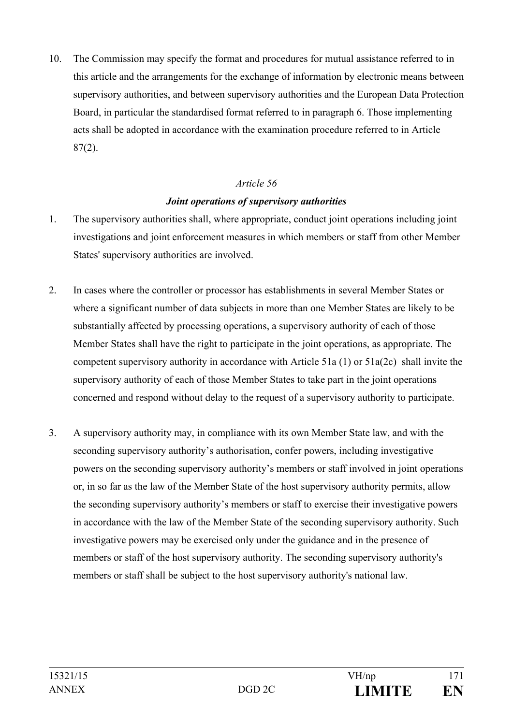10. The Commission may specify the format and procedures for mutual assistance referred to in this article and the arrangements for the exchange of information by electronic means between supervisory authorities, and between supervisory authorities and the European Data Protection Board, in particular the standardised format referred to in paragraph 6. Those implementing acts shall be adopted in accordance with the examination procedure referred to in Article 87(2).

### *Article 56*

### *Joint operations of supervisory authorities*

- 1. The supervisory authorities shall, where appropriate, conduct joint operations including joint investigations and joint enforcement measures in which members or staff from other Member States' supervisory authorities are involved.
- 2. In cases where the controller or processor has establishments in several Member States or where a significant number of data subjects in more than one Member States are likely to be substantially affected by processing operations, a supervisory authority of each of those Member States shall have the right to participate in the joint operations, as appropriate. The competent supervisory authority in accordance with Article 51a (1) or 51a(2c) shall invite the supervisory authority of each of those Member States to take part in the joint operations concerned and respond without delay to the request of a supervisory authority to participate.
- 3. A supervisory authority may, in compliance with its own Member State law, and with the seconding supervisory authority's authorisation, confer powers, including investigative powers on the seconding supervisory authority's members or staff involved in joint operations or, in so far as the law of the Member State of the host supervisory authority permits, allow the seconding supervisory authority's members or staff to exercise their investigative powers in accordance with the law of the Member State of the seconding supervisory authority. Such investigative powers may be exercised only under the guidance and in the presence of members or staff of the host supervisory authority. The seconding supervisory authority's members or staff shall be subject to the host supervisory authority's national law.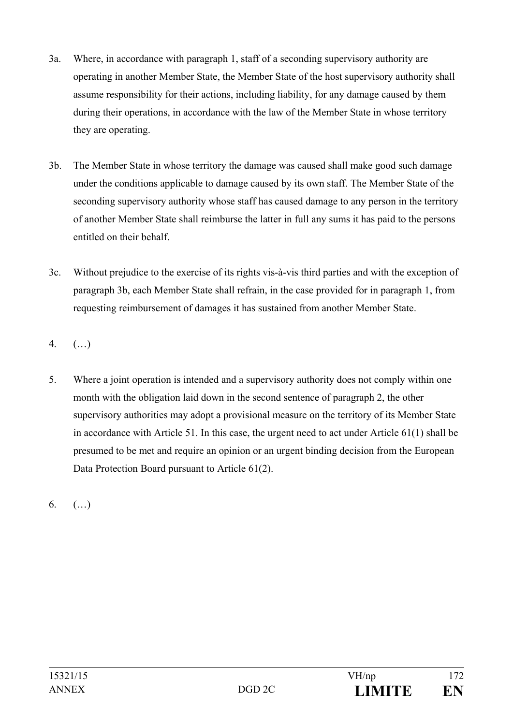- 3a. Where, in accordance with paragraph 1, staff of a seconding supervisory authority are operating in another Member State, the Member State of the host supervisory authority shall assume responsibility for their actions, including liability, for any damage caused by them during their operations, in accordance with the law of the Member State in whose territory they are operating.
- 3b. The Member State in whose territory the damage was caused shall make good such damage under the conditions applicable to damage caused by its own staff. The Member State of the seconding supervisory authority whose staff has caused damage to any person in the territory of another Member State shall reimburse the latter in full any sums it has paid to the persons entitled on their behalf.
- 3c. Without prejudice to the exercise of its rights vis-à-vis third parties and with the exception of paragraph 3b, each Member State shall refrain, in the case provided for in paragraph 1, from requesting reimbursement of damages it has sustained from another Member State.
- 4. (…)
- 5. Where a joint operation is intended and a supervisory authority does not comply within one month with the obligation laid down in the second sentence of paragraph 2, the other supervisory authorities may adopt a provisional measure on the territory of its Member State in accordance with Article 51. In this case, the urgent need to act under Article 61(1) shall be presumed to be met and require an opinion or an urgent binding decision from the European Data Protection Board pursuant to Article 61(2).

6. (…)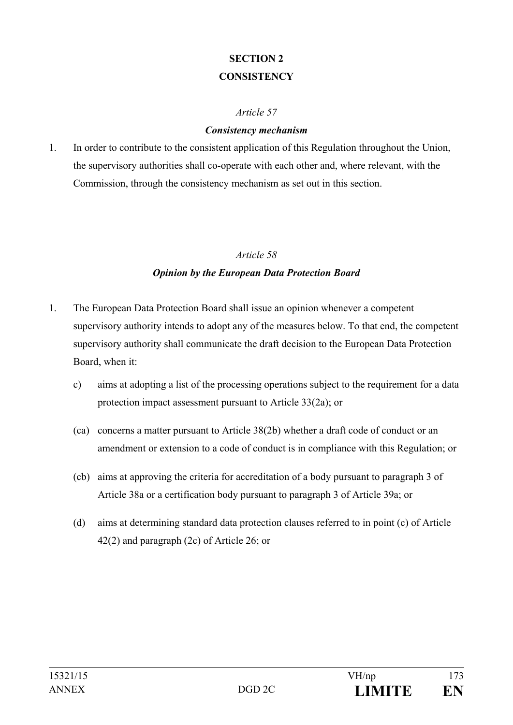# **SECTION 2 CONSISTENCY**

#### *Article 57*

### *Consistency mechanism*

1. In order to contribute to the consistent application of this Regulation throughout the Union, the supervisory authorities shall co-operate with each other and, where relevant, with the Commission, through the consistency mechanism as set out in this section.

### *Article 58*

# *Opinion by the European Data Protection Board*

- 1. The European Data Protection Board shall issue an opinion whenever a competent supervisory authority intends to adopt any of the measures below. To that end, the competent supervisory authority shall communicate the draft decision to the European Data Protection Board, when it:
	- c) aims at adopting a list of the processing operations subject to the requirement for a data protection impact assessment pursuant to Article 33(2a); or
	- (ca) concerns a matter pursuant to Article 38(2b) whether a draft code of conduct or an amendment or extension to a code of conduct is in compliance with this Regulation; or
	- (cb) aims at approving the criteria for accreditation of a body pursuant to paragraph 3 of Article 38a or a certification body pursuant to paragraph 3 of Article 39a; or
	- (d) aims at determining standard data protection clauses referred to in point (c) of Article 42(2) and paragraph (2c) of Article 26; or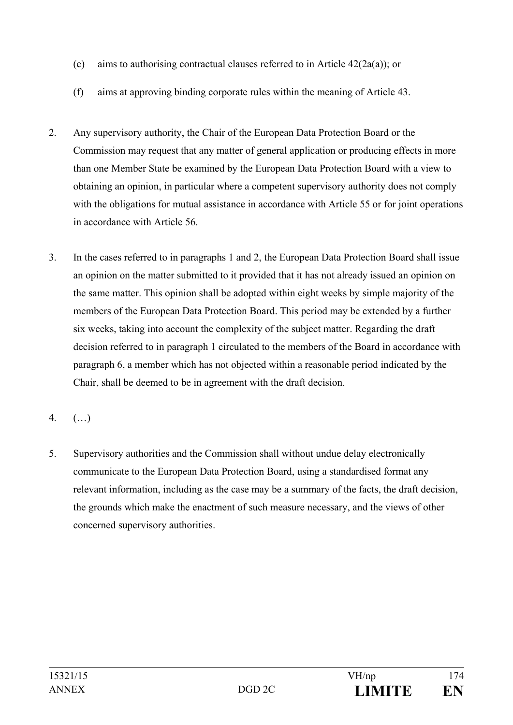- (e) aims to authorising contractual clauses referred to in Article 42(2a(a)); or
- (f) aims at approving binding corporate rules within the meaning of Article 43.
- 2. Any supervisory authority, the Chair of the European Data Protection Board or the Commission may request that any matter of general application or producing effects in more than one Member State be examined by the European Data Protection Board with a view to obtaining an opinion, in particular where a competent supervisory authority does not comply with the obligations for mutual assistance in accordance with Article 55 or for joint operations in accordance with Article 56.
- 3. In the cases referred to in paragraphs 1 and 2, the European Data Protection Board shall issue an opinion on the matter submitted to it provided that it has not already issued an opinion on the same matter. This opinion shall be adopted within eight weeks by simple majority of the members of the European Data Protection Board. This period may be extended by a further six weeks, taking into account the complexity of the subject matter. Regarding the draft decision referred to in paragraph 1 circulated to the members of the Board in accordance with paragraph 6, a member which has not objected within a reasonable period indicated by the Chair, shall be deemed to be in agreement with the draft decision.
- 4. (…)
- 5. Supervisory authorities and the Commission shall without undue delay electronically communicate to the European Data Protection Board, using a standardised format any relevant information, including as the case may be a summary of the facts, the draft decision, the grounds which make the enactment of such measure necessary, and the views of other concerned supervisory authorities.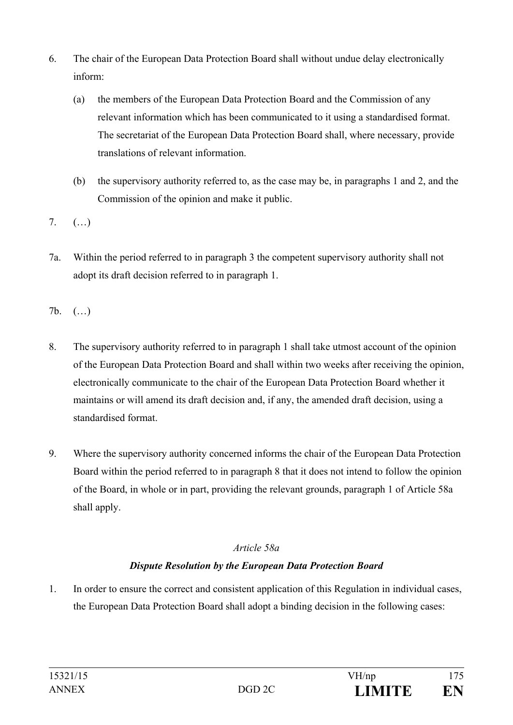- 6. The chair of the European Data Protection Board shall without undue delay electronically inform:
	- (a) the members of the European Data Protection Board and the Commission of any relevant information which has been communicated to it using a standardised format. The secretariat of the European Data Protection Board shall, where necessary, provide translations of relevant information.
	- (b) the supervisory authority referred to, as the case may be, in paragraphs 1 and 2, and the Commission of the opinion and make it public.
- 7. (…)
- 7a. Within the period referred to in paragraph 3 the competent supervisory authority shall not adopt its draft decision referred to in paragraph 1.
- 7b. (…)
- 8. The supervisory authority referred to in paragraph 1 shall take utmost account of the opinion of the European Data Protection Board and shall within two weeks after receiving the opinion, electronically communicate to the chair of the European Data Protection Board whether it maintains or will amend its draft decision and, if any, the amended draft decision, using a standardised format.
- 9. Where the supervisory authority concerned informs the chair of the European Data Protection Board within the period referred to in paragraph 8 that it does not intend to follow the opinion of the Board, in whole or in part, providing the relevant grounds, paragraph 1 of Article 58a shall apply.

### *Article 58a*

# *Dispute Resolution by the European Data Protection Board*

1. In order to ensure the correct and consistent application of this Regulation in individual cases, the European Data Protection Board shall adopt a binding decision in the following cases: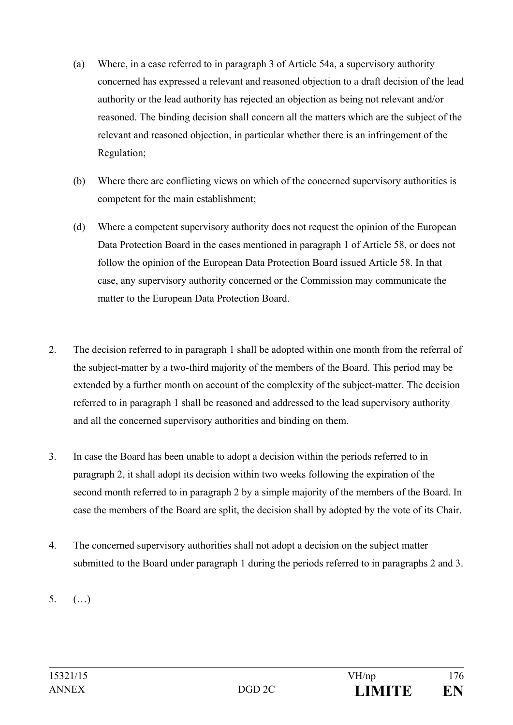- (a) Where, in a case referred to in paragraph 3 of Article 54a, a supervisory authority concerned has expressed a relevant and reasoned objection to a draft decision of the lead authority or the lead authority has rejected an objection as being not relevant and/or reasoned. The binding decision shall concern all the matters which are the subject of the relevant and reasoned objection, in particular whether there is an infringement of the Regulation;
- (b) Where there are conflicting views on which of the concerned supervisory authorities is competent for the main establishment;
- (d) Where a competent supervisory authority does not request the opinion of the European Data Protection Board in the cases mentioned in paragraph 1 of Article 58, or does not follow the opinion of the European Data Protection Board issued Article 58. In that case, any supervisory authority concerned or the Commission may communicate the matter to the European Data Protection Board.
- 2. The decision referred to in paragraph 1 shall be adopted within one month from the referral of the subject-matter by a two-third majority of the members of the Board. This period may be extended by a further month on account of the complexity of the subject-matter. The decision referred to in paragraph 1 shall be reasoned and addressed to the lead supervisory authority and all the concerned supervisory authorities and binding on them.
- 3. In case the Board has been unable to adopt a decision within the periods referred to in paragraph 2, it shall adopt its decision within two weeks following the expiration of the second month referred to in paragraph 2 by a simple majority of the members of the Board. In case the members of the Board are split, the decision shall by adopted by the vote of its Chair.
- 4. The concerned supervisory authorities shall not adopt a decision on the subject matter submitted to the Board under paragraph 1 during the periods referred to in paragraphs 2 and 3.
- 5. (…)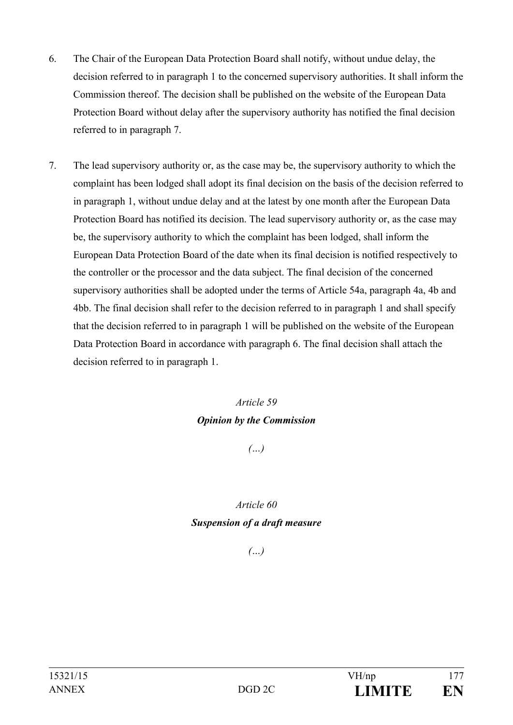- 6. The Chair of the European Data Protection Board shall notify, without undue delay, the decision referred to in paragraph 1 to the concerned supervisory authorities. It shall inform the Commission thereof. The decision shall be published on the website of the European Data Protection Board without delay after the supervisory authority has notified the final decision referred to in paragraph 7.
- 7. The lead supervisory authority or, as the case may be, the supervisory authority to which the complaint has been lodged shall adopt its final decision on the basis of the decision referred to in paragraph 1, without undue delay and at the latest by one month after the European Data Protection Board has notified its decision. The lead supervisory authority or, as the case may be, the supervisory authority to which the complaint has been lodged, shall inform the European Data Protection Board of the date when its final decision is notified respectively to the controller or the processor and the data subject. The final decision of the concerned supervisory authorities shall be adopted under the terms of Article 54a, paragraph 4a, 4b and 4bb. The final decision shall refer to the decision referred to in paragraph 1 and shall specify that the decision referred to in paragraph 1 will be published on the website of the European Data Protection Board in accordance with paragraph 6. The final decision shall attach the decision referred to in paragraph 1.

# *Article 59 Opinion by the Commission*

*(…)*

# *Article 60 Suspension of a draft measure*

# *(…)*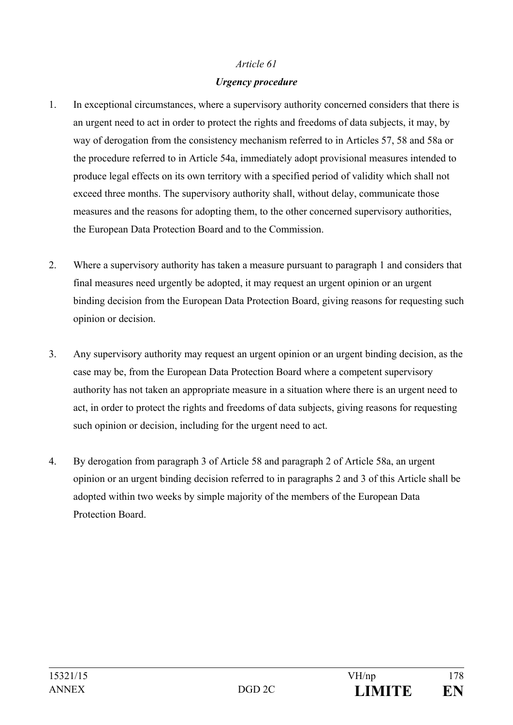### *Urgency procedure*

- 1. In exceptional circumstances, where a supervisory authority concerned considers that there is an urgent need to act in order to protect the rights and freedoms of data subjects, it may, by way of derogation from the consistency mechanism referred to in Articles 57, 58 and 58a or the procedure referred to in Article 54a, immediately adopt provisional measures intended to produce legal effects on its own territory with a specified period of validity which shall not exceed three months. The supervisory authority shall, without delay, communicate those measures and the reasons for adopting them, to the other concerned supervisory authorities, the European Data Protection Board and to the Commission.
- 2. Where a supervisory authority has taken a measure pursuant to paragraph 1 and considers that final measures need urgently be adopted, it may request an urgent opinion or an urgent binding decision from the European Data Protection Board, giving reasons for requesting such opinion or decision.
- 3. Any supervisory authority may request an urgent opinion or an urgent binding decision, as the case may be, from the European Data Protection Board where a competent supervisory authority has not taken an appropriate measure in a situation where there is an urgent need to act, in order to protect the rights and freedoms of data subjects, giving reasons for requesting such opinion or decision, including for the urgent need to act.
- 4. By derogation from paragraph 3 of Article 58 and paragraph 2 of Article 58a, an urgent opinion or an urgent binding decision referred to in paragraphs 2 and 3 of this Article shall be adopted within two weeks by simple majority of the members of the European Data Protection Board.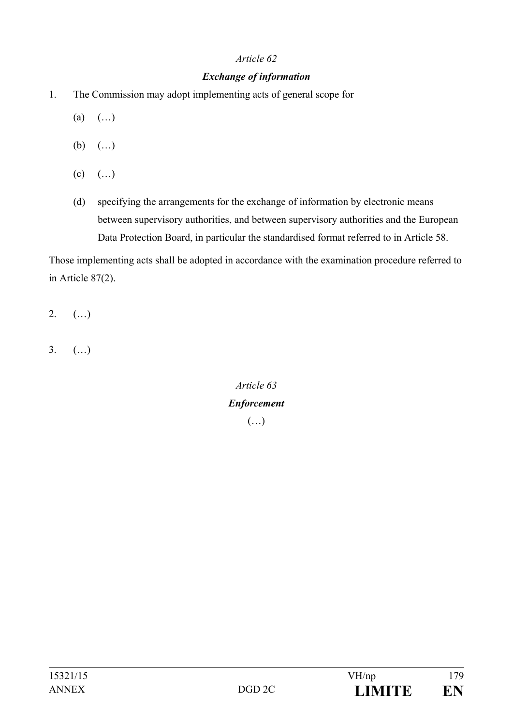# *Exchange of information*

- 1. The Commission may adopt implementing acts of general scope for
	- $(a)$   $(...)$
	- (b) (…)
	- $(c)$   $(\ldots)$
	- (d) specifying the arrangements for the exchange of information by electronic means between supervisory authorities, and between supervisory authorities and the European Data Protection Board, in particular the standardised format referred to in Article 58.

Those implementing acts shall be adopted in accordance with the examination procedure referred to in Article 87(2).

- 2. (…)
- 3. (…)

# *Article 63 Enforcement*  $(\ldots)$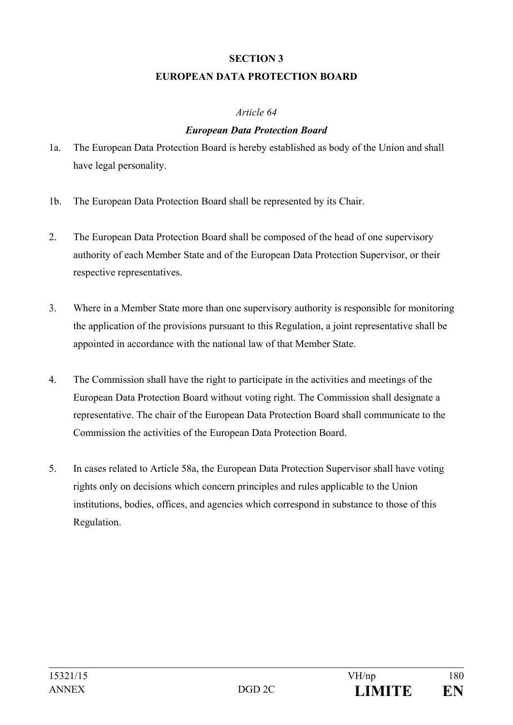### **SECTION 3**

### **EUROPEAN DATA PROTECTION BOARD**

#### *Article 64*

### *European Data Protection Board*

- 1a. The European Data Protection Board is hereby established as body of the Union and shall have legal personality.
- 1b. The European Data Protection Board shall be represented by its Chair.
- 2. The European Data Protection Board shall be composed of the head of one supervisory authority of each Member State and of the European Data Protection Supervisor, or their respective representatives.
- 3. Where in a Member State more than one supervisory authority is responsible for monitoring the application of the provisions pursuant to this Regulation, a joint representative shall be appointed in accordance with the national law of that Member State.
- 4. The Commission shall have the right to participate in the activities and meetings of the European Data Protection Board without voting right. The Commission shall designate a representative. The chair of the European Data Protection Board shall communicate to the Commission the activities of the European Data Protection Board.
- 5. In cases related to Article 58a, the European Data Protection Supervisor shall have voting rights only on decisions which concern principles and rules applicable to the Union institutions, bodies, offices, and agencies which correspond in substance to those of this Regulation.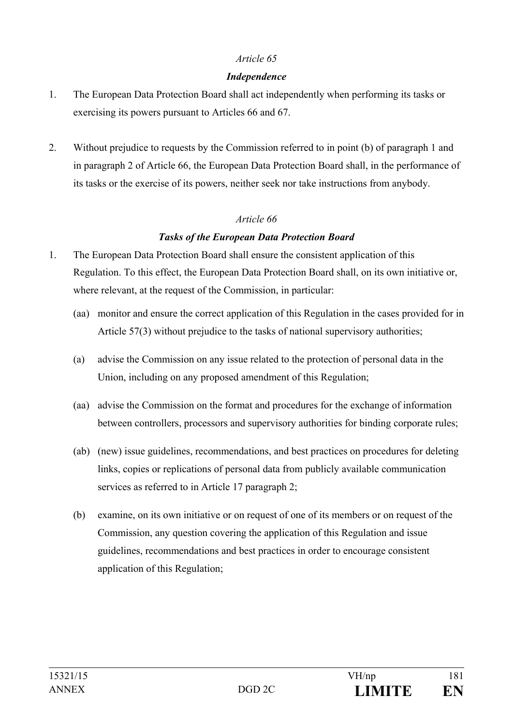### *Independence*

- 1. The European Data Protection Board shall act independently when performing its tasks or exercising its powers pursuant to Articles 66 and 67.
- 2. Without prejudice to requests by the Commission referred to in point (b) of paragraph 1 and in paragraph 2 of Article 66, the European Data Protection Board shall, in the performance of its tasks or the exercise of its powers, neither seek nor take instructions from anybody.

### *Article 66*

# *Tasks of the European Data Protection Board*

- 1. The European Data Protection Board shall ensure the consistent application of this Regulation. To this effect, the European Data Protection Board shall, on its own initiative or, where relevant, at the request of the Commission, in particular:
	- (aa) monitor and ensure the correct application of this Regulation in the cases provided for in Article 57(3) without prejudice to the tasks of national supervisory authorities;
	- (a) advise the Commission on any issue related to the protection of personal data in the Union, including on any proposed amendment of this Regulation;
	- (aa) advise the Commission on the format and procedures for the exchange of information between controllers, processors and supervisory authorities for binding corporate rules;
	- (ab) (new) issue guidelines, recommendations, and best practices on procedures for deleting links, copies or replications of personal data from publicly available communication services as referred to in Article 17 paragraph 2;
	- (b) examine, on its own initiative or on request of one of its members or on request of the Commission, any question covering the application of this Regulation and issue guidelines, recommendations and best practices in order to encourage consistent application of this Regulation;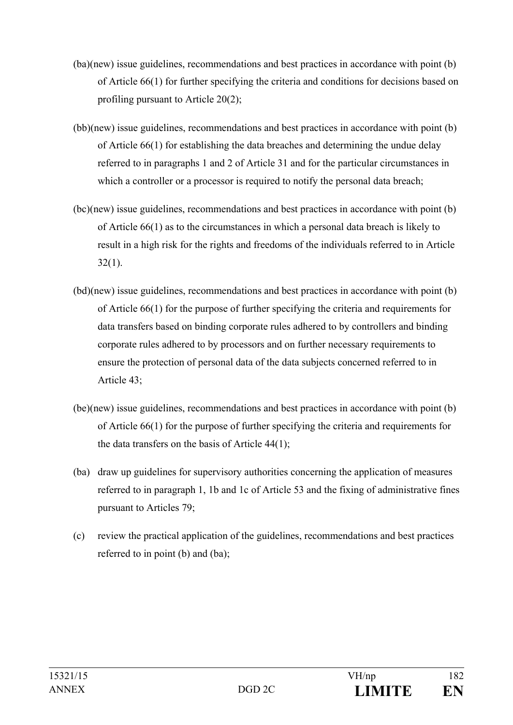- (ba)(new) issue guidelines, recommendations and best practices in accordance with point (b) of Article 66(1) for further specifying the criteria and conditions for decisions based on profiling pursuant to Article 20(2);
- (bb)(new) issue guidelines, recommendations and best practices in accordance with point (b) of Article 66(1) for establishing the data breaches and determining the undue delay referred to in paragraphs 1 and 2 of Article 31 and for the particular circumstances in which a controller or a processor is required to notify the personal data breach;
- (bc)(new) issue guidelines, recommendations and best practices in accordance with point (b) of Article 66(1) as to the circumstances in which a personal data breach is likely to result in a high risk for the rights and freedoms of the individuals referred to in Article 32(1).
- (bd)(new) issue guidelines, recommendations and best practices in accordance with point (b) of Article 66(1) for the purpose of further specifying the criteria and requirements for data transfers based on binding corporate rules adhered to by controllers and binding corporate rules adhered to by processors and on further necessary requirements to ensure the protection of personal data of the data subjects concerned referred to in Article 43;
- (be)(new) issue guidelines, recommendations and best practices in accordance with point (b) of Article 66(1) for the purpose of further specifying the criteria and requirements for the data transfers on the basis of Article 44(1);
- (ba) draw up guidelines for supervisory authorities concerning the application of measures referred to in paragraph 1, 1b and 1c of Article 53 and the fixing of administrative fines pursuant to Articles 79;
- (c) review the practical application of the guidelines, recommendations and best practices referred to in point (b) and (ba);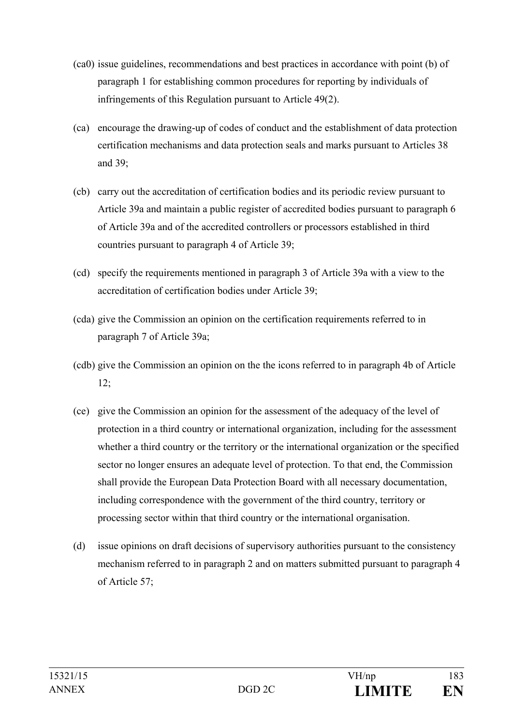- (ca0) issue guidelines, recommendations and best practices in accordance with point (b) of paragraph 1 for establishing common procedures for reporting by individuals of infringements of this Regulation pursuant to Article 49(2).
- (ca) encourage the drawing-up of codes of conduct and the establishment of data protection certification mechanisms and data protection seals and marks pursuant to Articles 38 and 39;
- (cb) carry out the accreditation of certification bodies and its periodic review pursuant to Article 39a and maintain a public register of accredited bodies pursuant to paragraph 6 of Article 39a and of the accredited controllers or processors established in third countries pursuant to paragraph 4 of Article 39;
- (cd) specify the requirements mentioned in paragraph 3 of Article 39a with a view to the accreditation of certification bodies under Article 39;
- (cda) give the Commission an opinion on the certification requirements referred to in paragraph 7 of Article 39a;
- (cdb) give the Commission an opinion on the the icons referred to in paragraph 4b of Article  $12:$
- (ce) give the Commission an opinion for the assessment of the adequacy of the level of protection in a third country or international organization, including for the assessment whether a third country or the territory or the international organization or the specified sector no longer ensures an adequate level of protection. To that end, the Commission shall provide the European Data Protection Board with all necessary documentation, including correspondence with the government of the third country, territory or processing sector within that third country or the international organisation.
- (d) issue opinions on draft decisions of supervisory authorities pursuant to the consistency mechanism referred to in paragraph 2 and on matters submitted pursuant to paragraph 4 of Article 57;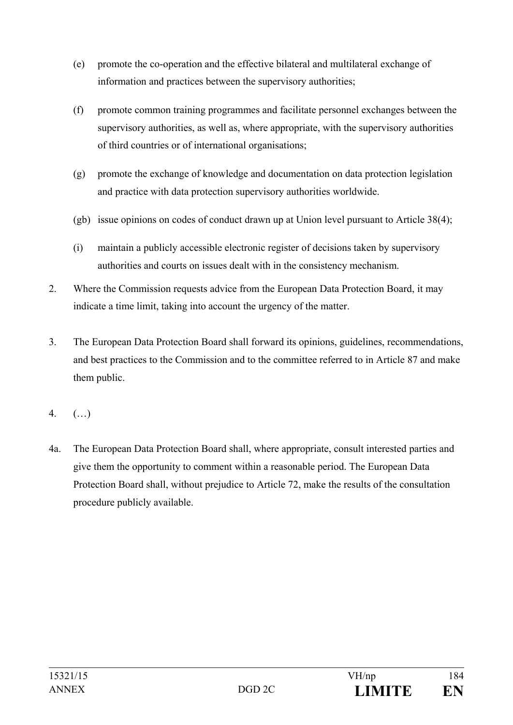- (e) promote the co-operation and the effective bilateral and multilateral exchange of information and practices between the supervisory authorities;
- (f) promote common training programmes and facilitate personnel exchanges between the supervisory authorities, as well as, where appropriate, with the supervisory authorities of third countries or of international organisations;
- (g) promote the exchange of knowledge and documentation on data protection legislation and practice with data protection supervisory authorities worldwide.
- (gb) issue opinions on codes of conduct drawn up at Union level pursuant to Article 38(4);
- (i) maintain a publicly accessible electronic register of decisions taken by supervisory authorities and courts on issues dealt with in the consistency mechanism.
- 2. Where the Commission requests advice from the European Data Protection Board, it may indicate a time limit, taking into account the urgency of the matter.
- 3. The European Data Protection Board shall forward its opinions, guidelines, recommendations, and best practices to the Commission and to the committee referred to in Article 87 and make them public.
- 4. (…)
- 4a. The European Data Protection Board shall, where appropriate, consult interested parties and give them the opportunity to comment within a reasonable period. The European Data Protection Board shall, without prejudice to Article 72, make the results of the consultation procedure publicly available.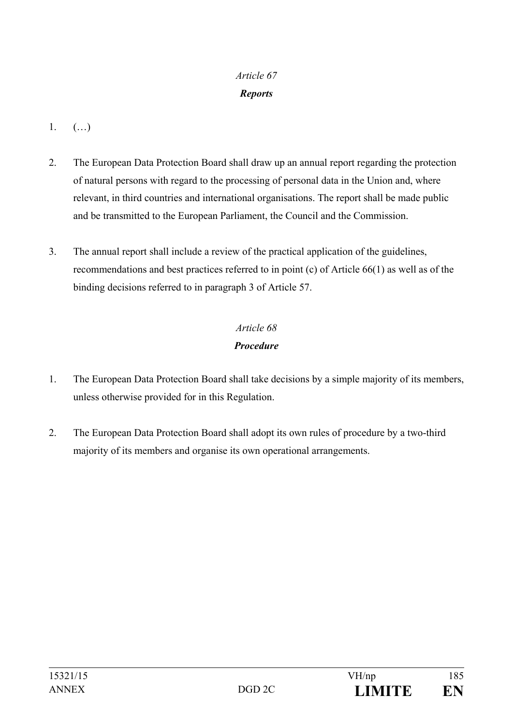# *Article 67 Reports*

- 1.  $(...)$
- 2. The European Data Protection Board shall draw up an annual report regarding the protection of natural persons with regard to the processing of personal data in the Union and, where relevant, in third countries and international organisations. The report shall be made public and be transmitted to the European Parliament, the Council and the Commission.
- 3. The annual report shall include a review of the practical application of the guidelines, recommendations and best practices referred to in point (c) of Article 66(1) as well as of the binding decisions referred to in paragraph 3 of Article 57.

# *Article 68 Procedure*

- 1. The European Data Protection Board shall take decisions by a simple majority of its members, unless otherwise provided for in this Regulation.
- 2. The European Data Protection Board shall adopt its own rules of procedure by a two-third majority of its members and organise its own operational arrangements.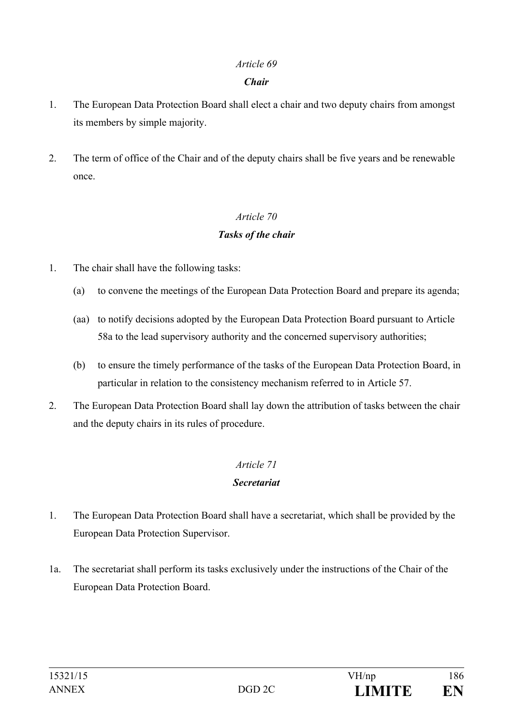### *Chair*

- 1. The European Data Protection Board shall elect a chair and two deputy chairs from amongst its members by simple majority.
- 2. The term of office of the Chair and of the deputy chairs shall be five years and be renewable once.

# *Article 70*

# *Tasks of the chair*

- 1. The chair shall have the following tasks:
	- (a) to convene the meetings of the European Data Protection Board and prepare its agenda;
	- (aa) to notify decisions adopted by the European Data Protection Board pursuant to Article 58a to the lead supervisory authority and the concerned supervisory authorities;
	- (b) to ensure the timely performance of the tasks of the European Data Protection Board, in particular in relation to the consistency mechanism referred to in Article 57.
- 2. The European Data Protection Board shall lay down the attribution of tasks between the chair and the deputy chairs in its rules of procedure.

# *Article 71*

# *Secretariat*

- 1. The European Data Protection Board shall have a secretariat, which shall be provided by the European Data Protection Supervisor.
- 1a. The secretariat shall perform its tasks exclusively under the instructions of the Chair of the European Data Protection Board.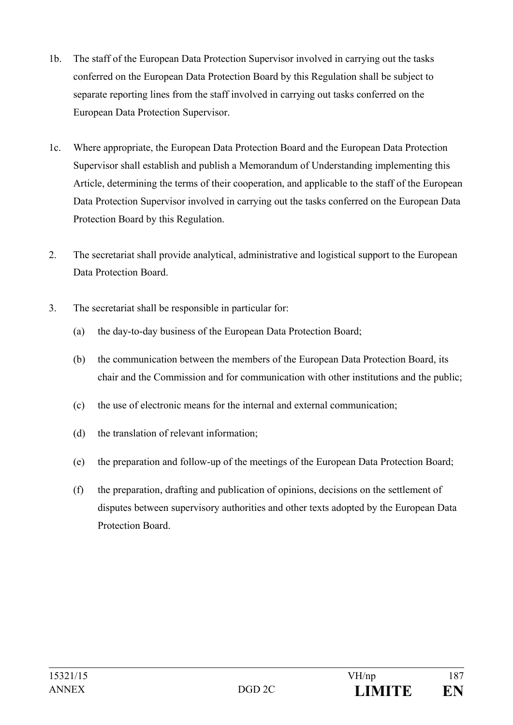- 1b. The staff of the European Data Protection Supervisor involved in carrying out the tasks conferred on the European Data Protection Board by this Regulation shall be subject to separate reporting lines from the staff involved in carrying out tasks conferred on the European Data Protection Supervisor.
- 1c. Where appropriate, the European Data Protection Board and the European Data Protection Supervisor shall establish and publish a Memorandum of Understanding implementing this Article, determining the terms of their cooperation, and applicable to the staff of the European Data Protection Supervisor involved in carrying out the tasks conferred on the European Data Protection Board by this Regulation.
- 2. The secretariat shall provide analytical, administrative and logistical support to the European Data Protection Board.
- 3. The secretariat shall be responsible in particular for:
	- (a) the day-to-day business of the European Data Protection Board;
	- (b) the communication between the members of the European Data Protection Board, its chair and the Commission and for communication with other institutions and the public;
	- (c) the use of electronic means for the internal and external communication;
	- (d) the translation of relevant information;
	- (e) the preparation and follow-up of the meetings of the European Data Protection Board;
	- (f) the preparation, drafting and publication of opinions, decisions on the settlement of disputes between supervisory authorities and other texts adopted by the European Data Protection Board.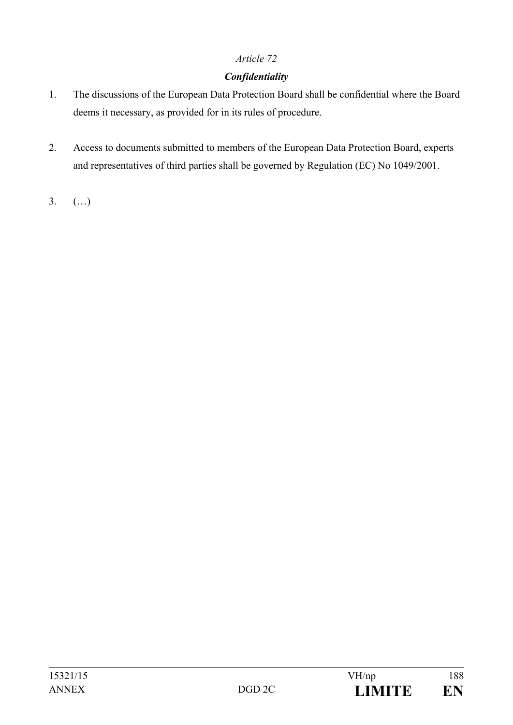### *Confidentiality*

- 1. The discussions of the European Data Protection Board shall be confidential where the Board deems it necessary, as provided for in its rules of procedure.
- 2. Access to documents submitted to members of the European Data Protection Board, experts and representatives of third parties shall be governed by Regulation (EC) No 1049/2001.

3. (…)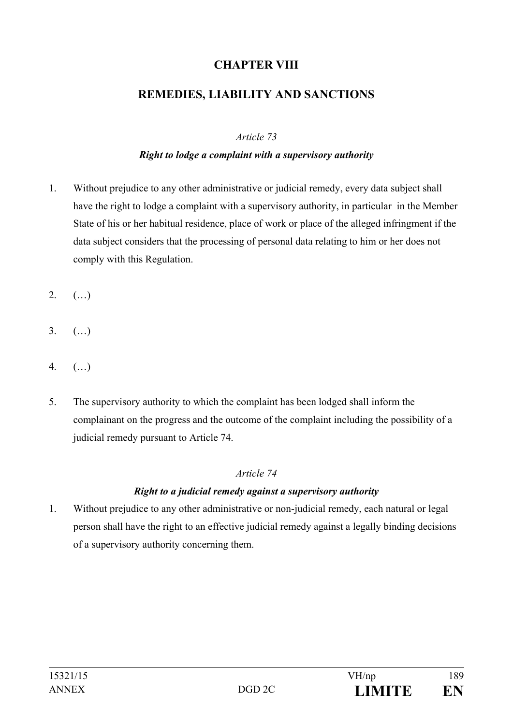# **CHAPTER VIII**

# **REMEDIES, LIABILITY AND SANCTIONS**

### *Article 73*

### *Right to lodge a complaint with a supervisory authority*

- 1. Without prejudice to any other administrative or judicial remedy, every data subject shall have the right to lodge a complaint with a supervisory authority, in particular in the Member State of his or her habitual residence, place of work or place of the alleged infringment if the data subject considers that the processing of personal data relating to him or her does not comply with this Regulation.
- 2.  $( ...)$
- 3. (…)
- 4. (…)
- 5. The supervisory authority to which the complaint has been lodged shall inform the complainant on the progress and the outcome of the complaint including the possibility of a judicial remedy pursuant to Article 74.

#### *Article 74*

### *Right to a judicial remedy against a supervisory authority*

1. Without prejudice to any other administrative or non-judicial remedy, each natural or legal person shall have the right to an effective judicial remedy against a legally binding decisions of a supervisory authority concerning them.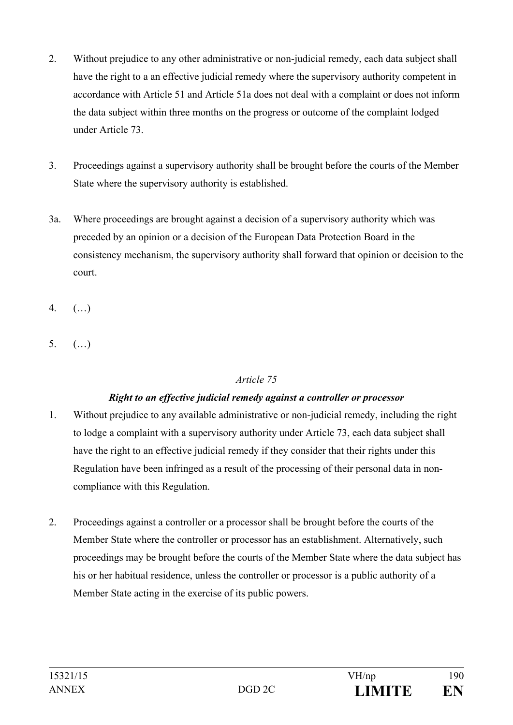- 2. Without prejudice to any other administrative or non-judicial remedy, each data subject shall have the right to a an effective judicial remedy where the supervisory authority competent in accordance with Article 51 and Article 51a does not deal with a complaint or does not inform the data subject within three months on the progress or outcome of the complaint lodged under Article 73.
- 3. Proceedings against a supervisory authority shall be brought before the courts of the Member State where the supervisory authority is established.
- 3a. Where proceedings are brought against a decision of a supervisory authority which was preceded by an opinion or a decision of the European Data Protection Board in the consistency mechanism, the supervisory authority shall forward that opinion or decision to the court.
- 4. (…)
- 5. (…)

# *Right to an effective judicial remedy against a controller or processor*

- 1. Without prejudice to any available administrative or non-judicial remedy, including the right to lodge a complaint with a supervisory authority under Article 73, each data subject shall have the right to an effective judicial remedy if they consider that their rights under this Regulation have been infringed as a result of the processing of their personal data in noncompliance with this Regulation.
- 2. Proceedings against a controller or a processor shall be brought before the courts of the Member State where the controller or processor has an establishment. Alternatively, such proceedings may be brought before the courts of the Member State where the data subject has his or her habitual residence, unless the controller or processor is a public authority of a Member State acting in the exercise of its public powers.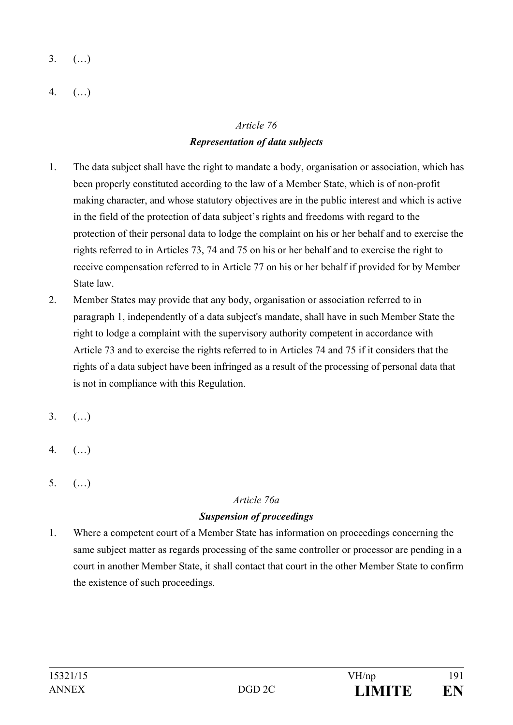- 3. (…)
- 4. (…)

### *Representation of data subjects*

- 1. The data subject shall have the right to mandate a body, organisation or association, which has been properly constituted according to the law of a Member State, which is of non-profit making character, and whose statutory objectives are in the public interest and which is active in the field of the protection of data subject's rights and freedoms with regard to the protection of their personal data to lodge the complaint on his or her behalf and to exercise the rights referred to in Articles 73, 74 and 75 on his or her behalf and to exercise the right to receive compensation referred to in Article 77 on his or her behalf if provided for by Member State law.
- 2. Member States may provide that any body, organisation or association referred to in paragraph 1, independently of a data subject's mandate, shall have in such Member State the right to lodge a complaint with the supervisory authority competent in accordance with Article 73 and to exercise the rights referred to in Articles 74 and 75 if it considers that the rights of a data subject have been infringed as a result of the processing of personal data that is not in compliance with this Regulation.
- 3. (…)
- 4. (…)
- 5. (…)

### *Article 76a*

# *Suspension of proceedings*

1. Where a competent court of a Member State has information on proceedings concerning the same subject matter as regards processing of the same controller or processor are pending in a court in another Member State, it shall contact that court in the other Member State to confirm the existence of such proceedings.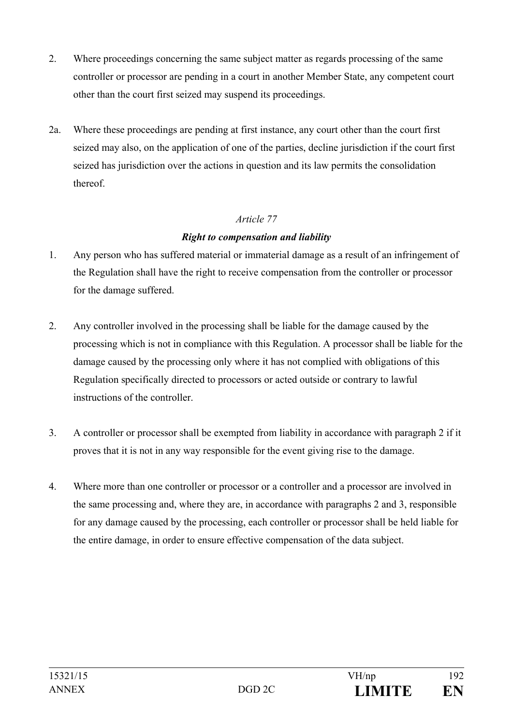- 2. Where proceedings concerning the same subject matter as regards processing of the same controller or processor are pending in a court in another Member State, any competent court other than the court first seized may suspend its proceedings.
- 2a. Where these proceedings are pending at first instance, any court other than the court first seized may also, on the application of one of the parties, decline jurisdiction if the court first seized has jurisdiction over the actions in question and its law permits the consolidation thereof.

# *Right to compensation and liability*

- 1. Any person who has suffered material or immaterial damage as a result of an infringement of the Regulation shall have the right to receive compensation from the controller or processor for the damage suffered.
- 2. Any controller involved in the processing shall be liable for the damage caused by the processing which is not in compliance with this Regulation. A processor shall be liable for the damage caused by the processing only where it has not complied with obligations of this Regulation specifically directed to processors or acted outside or contrary to lawful instructions of the controller.
- 3. A controller or processor shall be exempted from liability in accordance with paragraph 2 if it proves that it is not in any way responsible for the event giving rise to the damage.
- 4. Where more than one controller or processor or a controller and a processor are involved in the same processing and, where they are, in accordance with paragraphs 2 and 3, responsible for any damage caused by the processing, each controller or processor shall be held liable for the entire damage, in order to ensure effective compensation of the data subject.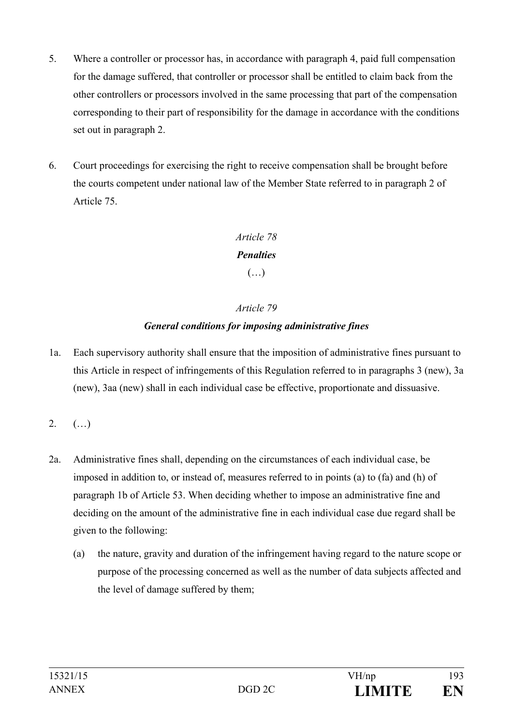- 5. Where a controller or processor has, in accordance with paragraph 4, paid full compensation for the damage suffered, that controller or processor shall be entitled to claim back from the other controllers or processors involved in the same processing that part of the compensation corresponding to their part of responsibility for the damage in accordance with the conditions set out in paragraph 2.
- 6. Court proceedings for exercising the right to receive compensation shall be brought before the courts competent under national law of the Member State referred to in paragraph 2 of Article 75.

# *Article 78 Penalties*  $(\ldots)$

# *Article 79*

# *General conditions for imposing administrative fines*

- 1a. Each supervisory authority shall ensure that the imposition of administrative fines pursuant to this Article in respect of infringements of this Regulation referred to in paragraphs 3 (new), 3a (new), 3aa (new) shall in each individual case be effective, proportionate and dissuasive.
- 2. (…)
- 2a. Administrative fines shall, depending on the circumstances of each individual case, be imposed in addition to, or instead of, measures referred to in points (a) to (fa) and (h) of paragraph 1b of Article 53. When deciding whether to impose an administrative fine and deciding on the amount of the administrative fine in each individual case due regard shall be given to the following:
	- (a) the nature, gravity and duration of the infringement having regard to the nature scope or purpose of the processing concerned as well as the number of data subjects affected and the level of damage suffered by them;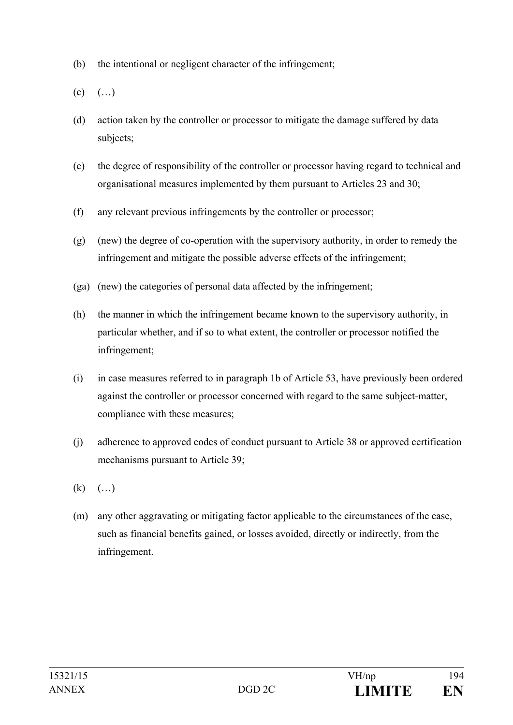- (b) the intentional or negligent character of the infringement;
- $(c)$   $(...)$
- (d) action taken by the controller or processor to mitigate the damage suffered by data subjects;
- (e) the degree of responsibility of the controller or processor having regard to technical and organisational measures implemented by them pursuant to Articles 23 and 30;
- (f) any relevant previous infringements by the controller or processor;
- (g) (new) the degree of co-operation with the supervisory authority, in order to remedy the infringement and mitigate the possible adverse effects of the infringement;
- (ga) (new) the categories of personal data affected by the infringement;
- (h) the manner in which the infringement became known to the supervisory authority, in particular whether, and if so to what extent, the controller or processor notified the infringement;
- (i) in case measures referred to in paragraph 1b of Article 53, have previously been ordered against the controller or processor concerned with regard to the same subject-matter, compliance with these measures;
- (j) adherence to approved codes of conduct pursuant to Article 38 or approved certification mechanisms pursuant to Article 39;
- $(k)$   $(...)$
- (m) any other aggravating or mitigating factor applicable to the circumstances of the case, such as financial benefits gained, or losses avoided, directly or indirectly, from the infringement.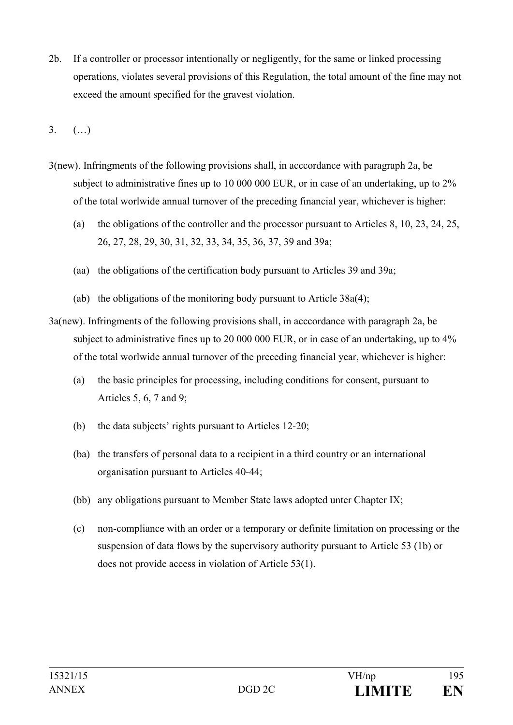2b. If a controller or processor intentionally or negligently, for the same or linked processing operations, violates several provisions of this Regulation, the total amount of the fine may not exceed the amount specified for the gravest violation.

3. (…)

- 3(new). Infringments of the following provisions shall, in acccordance with paragraph 2a, be subject to administrative fines up to 10 000 000 EUR, or in case of an undertaking, up to 2% of the total worlwide annual turnover of the preceding financial year, whichever is higher:
	- (a) the obligations of the controller and the processor pursuant to Articles 8, 10, 23, 24, 25, 26, 27, 28, 29, 30, 31, 32, 33, 34, 35, 36, 37, 39 and 39a;
	- (aa) the obligations of the certification body pursuant to Articles 39 and 39a;
	- (ab) the obligations of the monitoring body pursuant to Article 38a(4);
- 3a(new). Infringments of the following provisions shall, in acccordance with paragraph 2a, be subject to administrative fines up to 20 000 000 EUR, or in case of an undertaking, up to 4% of the total worlwide annual turnover of the preceding financial year, whichever is higher:
	- (a) the basic principles for processing, including conditions for consent, pursuant to Articles 5, 6, 7 and 9;
	- (b) the data subjects' rights pursuant to Articles 12-20;
	- (ba) the transfers of personal data to a recipient in a third country or an international organisation pursuant to Articles 40-44;
	- (bb) any obligations pursuant to Member State laws adopted unter Chapter IX;
	- (c) non-compliance with an order or a temporary or definite limitation on processing or the suspension of data flows by the supervisory authority pursuant to Article 53 (1b) or does not provide access in violation of Article 53(1).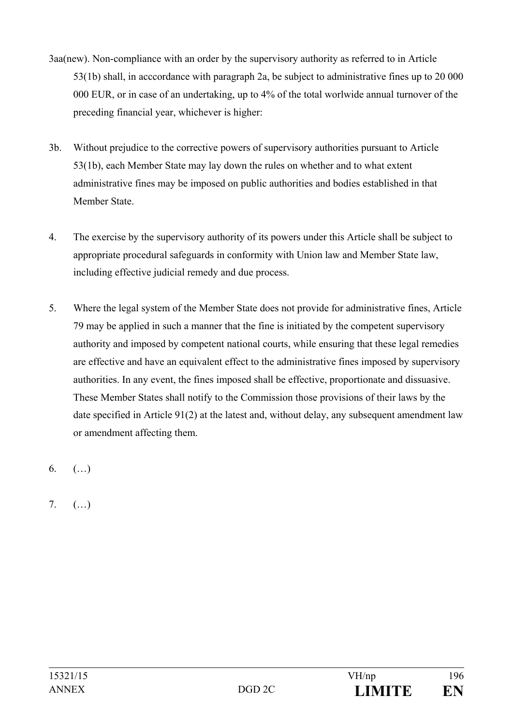- 3aa(new). Non-compliance with an order by the supervisory authority as referred to in Article 53(1b) shall, in acccordance with paragraph 2a, be subject to administrative fines up to 20 000 000 EUR, or in case of an undertaking, up to 4% of the total worlwide annual turnover of the preceding financial year, whichever is higher:
- 3b. Without prejudice to the corrective powers of supervisory authorities pursuant to Article 53(1b), each Member State may lay down the rules on whether and to what extent administrative fines may be imposed on public authorities and bodies established in that Member State.
- 4. The exercise by the supervisory authority of its powers under this Article shall be subject to appropriate procedural safeguards in conformity with Union law and Member State law, including effective judicial remedy and due process.
- 5. Where the legal system of the Member State does not provide for administrative fines, Article 79 may be applied in such a manner that the fine is initiated by the competent supervisory authority and imposed by competent national courts, while ensuring that these legal remedies are effective and have an equivalent effect to the administrative fines imposed by supervisory authorities. In any event, the fines imposed shall be effective, proportionate and dissuasive. These Member States shall notify to the Commission those provisions of their laws by the date specified in Article 91(2) at the latest and, without delay, any subsequent amendment law or amendment affecting them.
- 6. (…)
- 7. (…)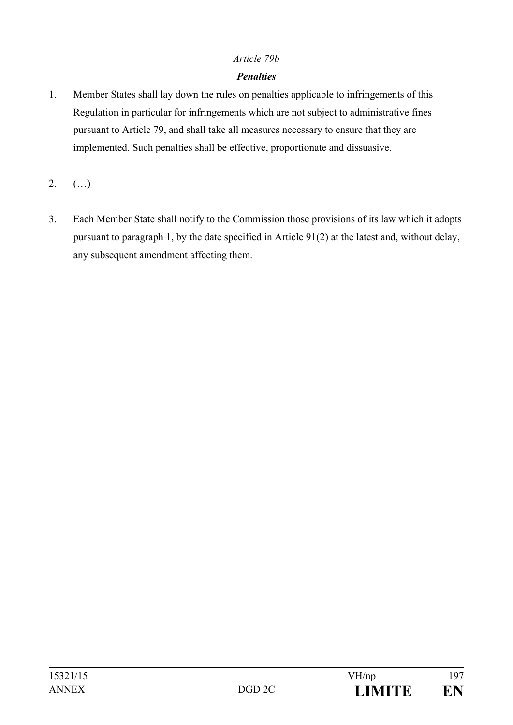### *Article 79b*

# *Penalties*

- 1. Member States shall lay down the rules on penalties applicable to infringements of this Regulation in particular for infringements which are not subject to administrative fines pursuant to Article 79, and shall take all measures necessary to ensure that they are implemented. Such penalties shall be effective, proportionate and dissuasive.
- 2.  $(...)$
- 3. Each Member State shall notify to the Commission those provisions of its law which it adopts pursuant to paragraph 1, by the date specified in Article 91(2) at the latest and, without delay, any subsequent amendment affecting them.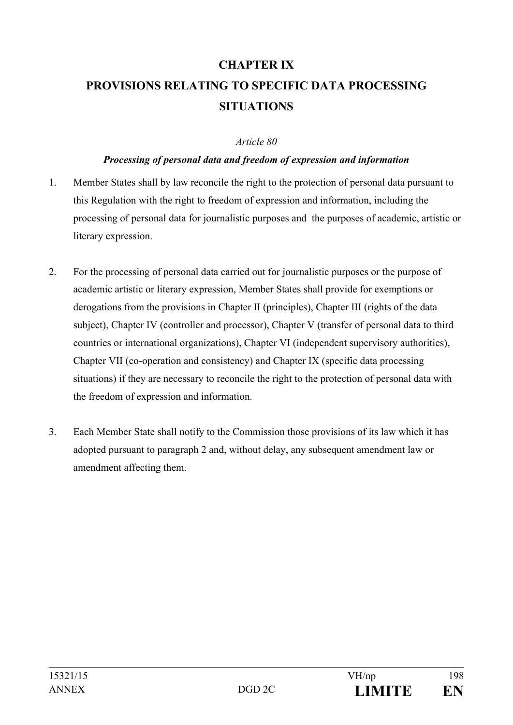# **CHAPTER IX PROVISIONS RELATING TO SPECIFIC DATA PROCESSING SITUATIONS**

#### *Article 80*

### *Processing of personal data and freedom of expression and information*

- 1. Member States shall by law reconcile the right to the protection of personal data pursuant to this Regulation with the right to freedom of expression and information, including the processing of personal data for journalistic purposes and the purposes of academic, artistic or literary expression.
- 2. For the processing of personal data carried out for journalistic purposes or the purpose of academic artistic or literary expression, Member States shall provide for exemptions or derogations from the provisions in Chapter II (principles), Chapter III (rights of the data subject), Chapter IV (controller and processor), Chapter V (transfer of personal data to third countries or international organizations), Chapter VI (independent supervisory authorities), Chapter VII (co-operation and consistency) and Chapter IX (specific data processing situations) if they are necessary to reconcile the right to the protection of personal data with the freedom of expression and information.
- 3. Each Member State shall notify to the Commission those provisions of its law which it has adopted pursuant to paragraph 2 and, without delay, any subsequent amendment law or amendment affecting them.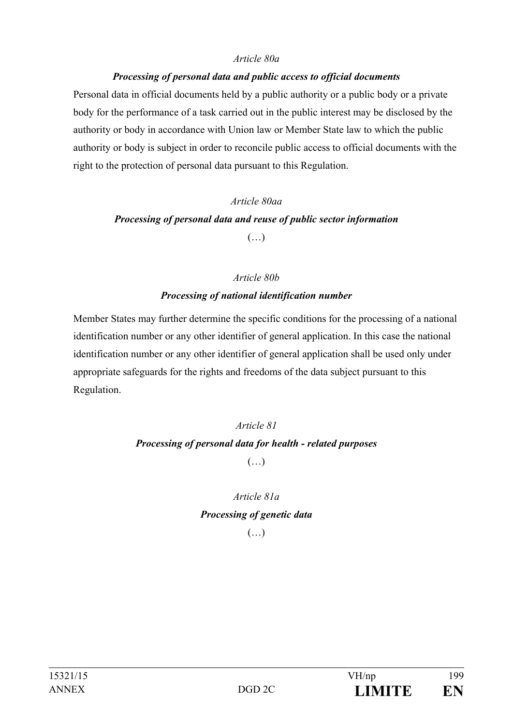#### *Article 80a*

#### *Processing of personal data and public access to official documents*

Personal data in official documents held by a public authority or a public body or a private body for the performance of a task carried out in the public interest may be disclosed by the authority or body in accordance with Union law or Member State law to which the public authority or body is subject in order to reconcile public access to official documents with the right to the protection of personal data pursuant to this Regulation.

# *Article 80aa Processing of personal data and reuse of public sector information* (…)

# *Article 80b Processing of national identification number*

Member States may further determine the specific conditions for the processing of a national identification number or any other identifier of general application. In this case the national identification number or any other identifier of general application shall be used only under appropriate safeguards for the rights and freedoms of the data subject pursuant to this Regulation.

# *Article 81*

#### *Processing of personal data for health - related purposes*

 $(\ldots)$ 

# *Article 81a Processing of genetic data*

 $(\ldots)$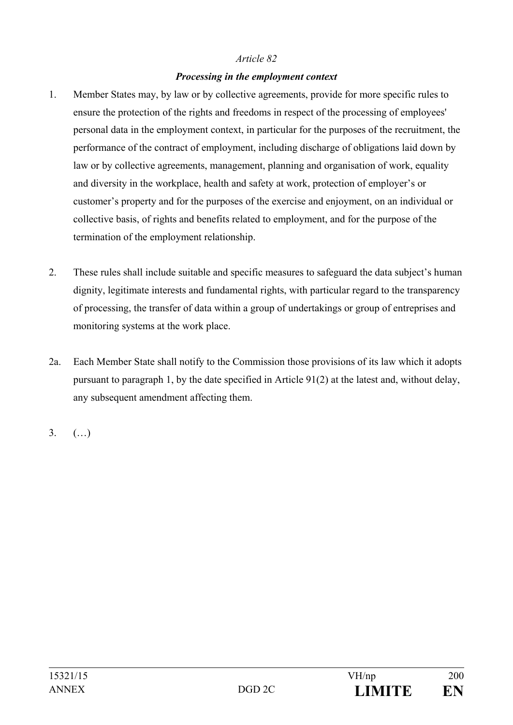### *Processing in the employment context*

- 1. Member States may, by law or by collective agreements, provide for more specific rules to ensure the protection of the rights and freedoms in respect of the processing of employees' personal data in the employment context, in particular for the purposes of the recruitment, the performance of the contract of employment, including discharge of obligations laid down by law or by collective agreements, management, planning and organisation of work, equality and diversity in the workplace, health and safety at work, protection of employer's or customer's property and for the purposes of the exercise and enjoyment, on an individual or collective basis, of rights and benefits related to employment, and for the purpose of the termination of the employment relationship.
- 2. These rules shall include suitable and specific measures to safeguard the data subject's human dignity, legitimate interests and fundamental rights, with particular regard to the transparency of processing, the transfer of data within a group of undertakings or group of entreprises and monitoring systems at the work place.
- 2a. Each Member State shall notify to the Commission those provisions of its law which it adopts pursuant to paragraph 1, by the date specified in Article 91(2) at the latest and, without delay, any subsequent amendment affecting them.

3. (…)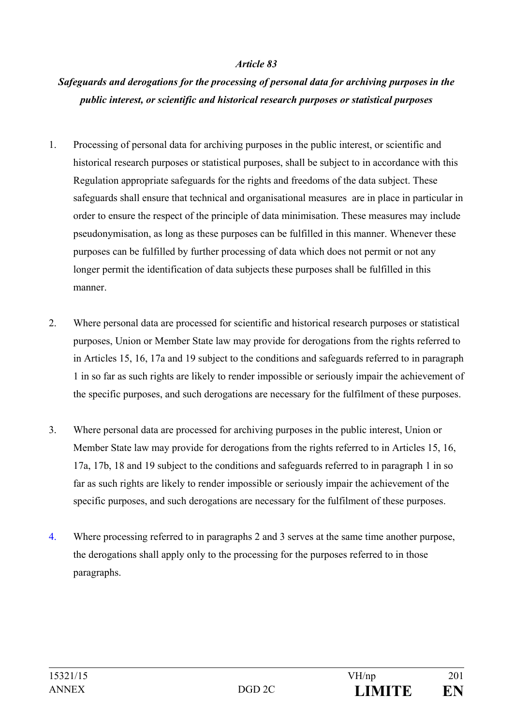# *Safeguards and derogations for the processing of personal data for archiving purposes in the public interest, or scientific and historical research purposes or statistical purposes*

- 1. Processing of personal data for archiving purposes in the public interest, or scientific and historical research purposes or statistical purposes, shall be subject to in accordance with this Regulation appropriate safeguards for the rights and freedoms of the data subject. These safeguards shall ensure that technical and organisational measures are in place in particular in order to ensure the respect of the principle of data minimisation. These measures may include pseudonymisation, as long as these purposes can be fulfilled in this manner. Whenever these purposes can be fulfilled by further processing of data which does not permit or not any longer permit the identification of data subjects these purposes shall be fulfilled in this manner.
- 2. Where personal data are processed for scientific and historical research purposes or statistical purposes, Union or Member State law may provide for derogations from the rights referred to in Articles 15, 16, 17a and 19 subject to the conditions and safeguards referred to in paragraph 1 in so far as such rights are likely to render impossible or seriously impair the achievement of the specific purposes, and such derogations are necessary for the fulfilment of these purposes.
- 3. Where personal data are processed for archiving purposes in the public interest, Union or Member State law may provide for derogations from the rights referred to in Articles 15, 16, 17a, 17b, 18 and 19 subject to the conditions and safeguards referred to in paragraph 1 in so far as such rights are likely to render impossible or seriously impair the achievement of the specific purposes, and such derogations are necessary for the fulfilment of these purposes.
- 4. Where processing referred to in paragraphs 2 and 3 serves at the same time another purpose, the derogations shall apply only to the processing for the purposes referred to in those paragraphs.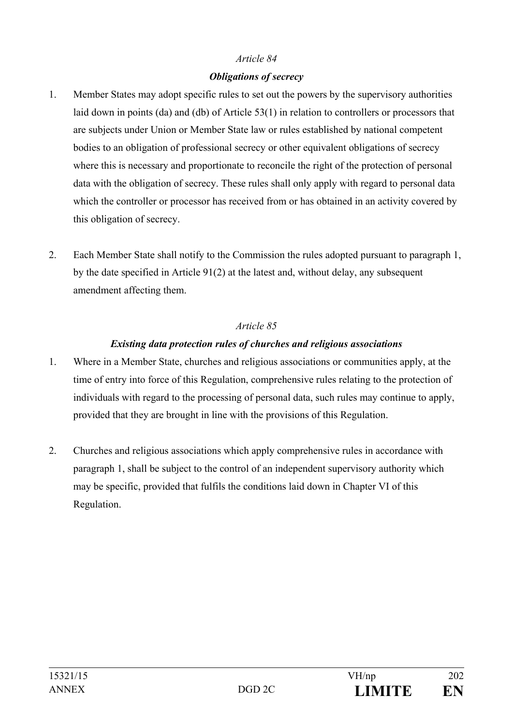### *Obligations of secrecy*

- 1. Member States may adopt specific rules to set out the powers by the supervisory authorities laid down in points (da) and (db) of Article 53(1) in relation to controllers or processors that are subjects under Union or Member State law or rules established by national competent bodies to an obligation of professional secrecy or other equivalent obligations of secrecy where this is necessary and proportionate to reconcile the right of the protection of personal data with the obligation of secrecy. These rules shall only apply with regard to personal data which the controller or processor has received from or has obtained in an activity covered by this obligation of secrecy.
- 2. Each Member State shall notify to the Commission the rules adopted pursuant to paragraph 1, by the date specified in Article 91(2) at the latest and, without delay, any subsequent amendment affecting them.

### *Article 85*

# *Existing data protection rules of churches and religious associations*

- 1. Where in a Member State, churches and religious associations or communities apply, at the time of entry into force of this Regulation, comprehensive rules relating to the protection of individuals with regard to the processing of personal data, such rules may continue to apply, provided that they are brought in line with the provisions of this Regulation.
- 2. Churches and religious associations which apply comprehensive rules in accordance with paragraph 1, shall be subject to the control of an independent supervisory authority which may be specific, provided that fulfils the conditions laid down in Chapter VI of this Regulation.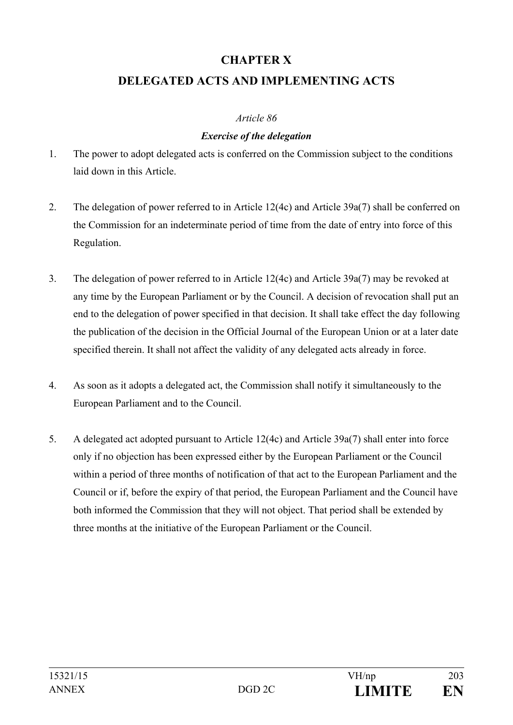# **CHAPTER X**

# **DELEGATED ACTS AND IMPLEMENTING ACTS**

### *Article 86*

### *Exercise of the delegation*

- 1. The power to adopt delegated acts is conferred on the Commission subject to the conditions laid down in this Article.
- 2. The delegation of power referred to in Article 12(4c) and Article 39a(7) shall be conferred on the Commission for an indeterminate period of time from the date of entry into force of this Regulation.
- 3. The delegation of power referred to in Article 12(4c) and Article 39a(7) may be revoked at any time by the European Parliament or by the Council. A decision of revocation shall put an end to the delegation of power specified in that decision. It shall take effect the day following the publication of the decision in the Official Journal of the European Union or at a later date specified therein. It shall not affect the validity of any delegated acts already in force.
- 4. As soon as it adopts a delegated act, the Commission shall notify it simultaneously to the European Parliament and to the Council.
- 5. A delegated act adopted pursuant to Article 12(4c) and Article 39a(7) shall enter into force only if no objection has been expressed either by the European Parliament or the Council within a period of three months of notification of that act to the European Parliament and the Council or if, before the expiry of that period, the European Parliament and the Council have both informed the Commission that they will not object. That period shall be extended by three months at the initiative of the European Parliament or the Council.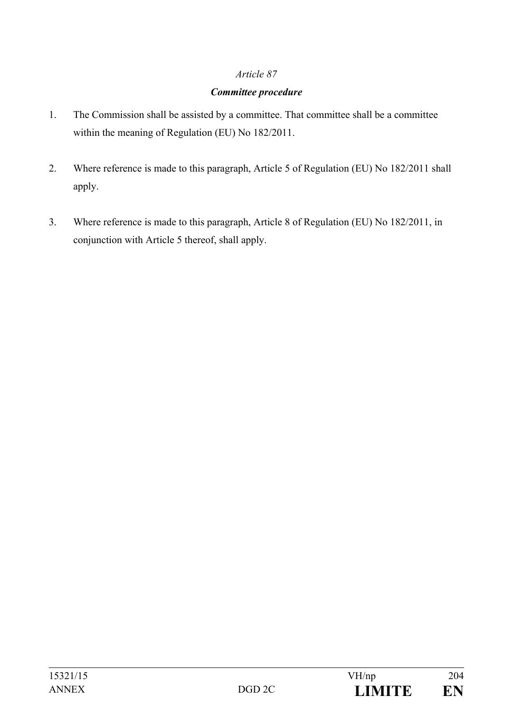### *Committee procedure*

- 1. The Commission shall be assisted by a committee. That committee shall be a committee within the meaning of Regulation (EU) No 182/2011.
- 2. Where reference is made to this paragraph, Article 5 of Regulation (EU) No 182/2011 shall apply.
- 3. Where reference is made to this paragraph, Article 8 of Regulation (EU) No 182/2011, in conjunction with Article 5 thereof, shall apply.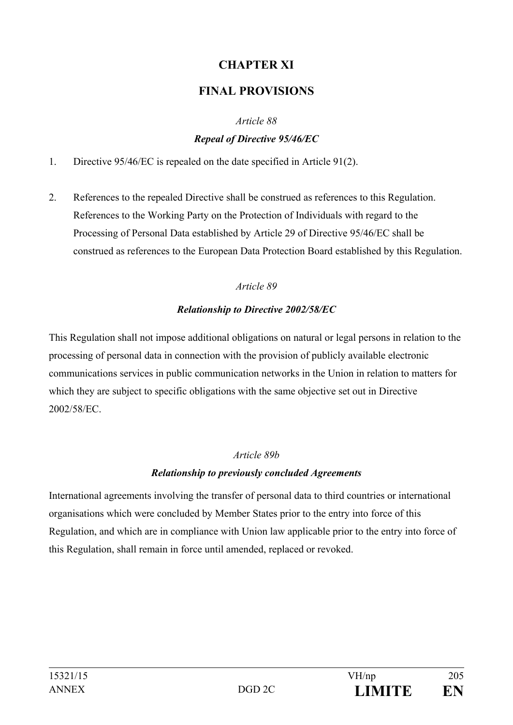# **CHAPTER XI**

# **FINAL PROVISIONS**

### *Article 88*

### *Repeal of Directive 95/46/EC*

- 1. Directive 95/46/EC is repealed on the date specified in Article 91(2).
- 2. References to the repealed Directive shall be construed as references to this Regulation. References to the Working Party on the Protection of Individuals with regard to the Processing of Personal Data established by Article 29 of Directive 95/46/EC shall be construed as references to the European Data Protection Board established by this Regulation.

### *Article 89*

### *Relationship to Directive 2002/58/EC*

This Regulation shall not impose additional obligations on natural or legal persons in relation to the processing of personal data in connection with the provision of publicly available electronic communications services in public communication networks in the Union in relation to matters for which they are subject to specific obligations with the same objective set out in Directive 2002/58/EC.

### *Article 89b*

### *Relationship to previously concluded Agreements*

International agreements involving the transfer of personal data to third countries or international organisations which were concluded by Member States prior to the entry into force of this Regulation, and which are in compliance with Union law applicable prior to the entry into force of this Regulation, shall remain in force until amended, replaced or revoked.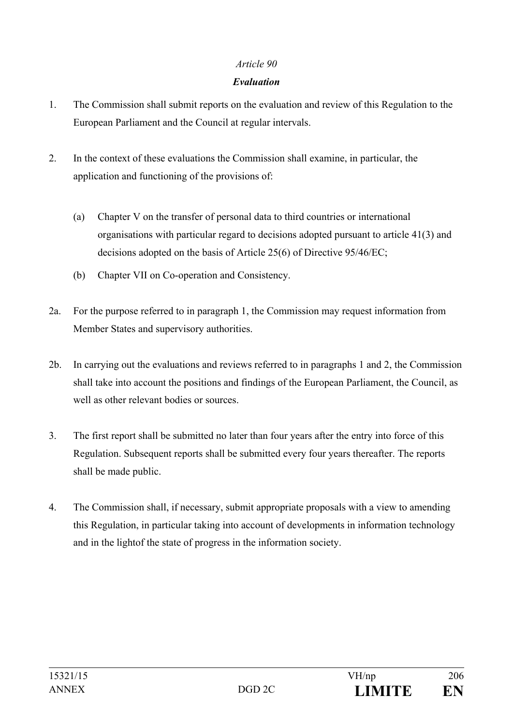### *Evaluation*

- 1. The Commission shall submit reports on the evaluation and review of this Regulation to the European Parliament and the Council at regular intervals.
- 2. In the context of these evaluations the Commission shall examine, in particular, the application and functioning of the provisions of:
	- (a) Chapter V on the transfer of personal data to third countries or international organisations with particular regard to decisions adopted pursuant to article 41(3) and decisions adopted on the basis of Article 25(6) of Directive 95/46/EC;
	- (b) Chapter VII on Co-operation and Consistency.
- 2a. For the purpose referred to in paragraph 1, the Commission may request information from Member States and supervisory authorities.
- 2b. In carrying out the evaluations and reviews referred to in paragraphs 1 and 2, the Commission shall take into account the positions and findings of the European Parliament, the Council, as well as other relevant bodies or sources.
- 3. The first report shall be submitted no later than four years after the entry into force of this Regulation. Subsequent reports shall be submitted every four years thereafter. The reports shall be made public.
- 4. The Commission shall, if necessary, submit appropriate proposals with a view to amending this Regulation, in particular taking into account of developments in information technology and in the lightof the state of progress in the information society.